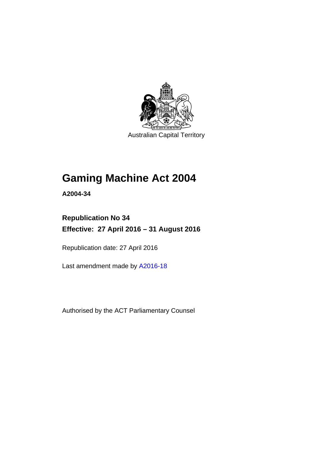

Australian Capital Territory

# **Gaming Machine Act 2004**

**A2004-34** 

# **Republication No 34 Effective: 27 April 2016 – 31 August 2016**

Republication date: 27 April 2016

Last amendment made by [A2016-18](http://www.legislation.act.gov.au/a/2016-18)

Authorised by the ACT Parliamentary Counsel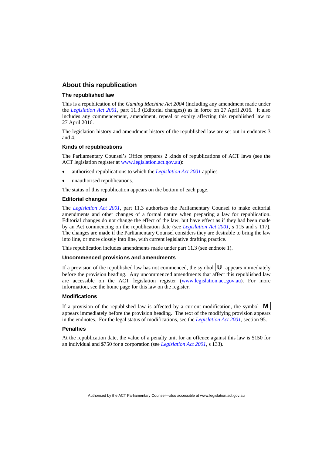### **About this republication**

### **The republished law**

This is a republication of the *Gaming Machine Act 2004* (including any amendment made under the *[Legislation Act 2001](http://www.legislation.act.gov.au/a/2001-14)*, part 11.3 (Editorial changes)) as in force on 27 April 2016*.* It also includes any commencement, amendment, repeal or expiry affecting this republished law to 27 April 2016.

The legislation history and amendment history of the republished law are set out in endnotes 3 and 4.

### **Kinds of republications**

The Parliamentary Counsel's Office prepares 2 kinds of republications of ACT laws (see the ACT legislation register at [www.legislation.act.gov.au](http://www.legislation.act.gov.au/)):

- authorised republications to which the *[Legislation Act 2001](http://www.legislation.act.gov.au/a/2001-14)* applies
- unauthorised republications.

The status of this republication appears on the bottom of each page.

#### **Editorial changes**

The *[Legislation Act 2001](http://www.legislation.act.gov.au/a/2001-14)*, part 11.3 authorises the Parliamentary Counsel to make editorial amendments and other changes of a formal nature when preparing a law for republication. Editorial changes do not change the effect of the law, but have effect as if they had been made by an Act commencing on the republication date (see *[Legislation Act 2001](http://www.legislation.act.gov.au/a/2001-14)*, s 115 and s 117). The changes are made if the Parliamentary Counsel considers they are desirable to bring the law into line, or more closely into line, with current legislative drafting practice.

This republication includes amendments made under part 11.3 (see endnote 1).

#### **Uncommenced provisions and amendments**

If a provision of the republished law has not commenced, the symbol  $\mathbf{U}$  appears immediately before the provision heading. Any uncommenced amendments that affect this republished law are accessible on the ACT legislation register [\(www.legislation.act.gov.au\)](http://www.legislation.act.gov.au/). For more information, see the home page for this law on the register.

#### **Modifications**

If a provision of the republished law is affected by a current modification, the symbol  $\mathbf{M}$ appears immediately before the provision heading. The text of the modifying provision appears in the endnotes. For the legal status of modifications, see the *[Legislation Act 2001](http://www.legislation.act.gov.au/a/2001-14)*, section 95.

#### **Penalties**

At the republication date, the value of a penalty unit for an offence against this law is \$150 for an individual and \$750 for a corporation (see *[Legislation Act 2001](http://www.legislation.act.gov.au/a/2001-14)*, s 133).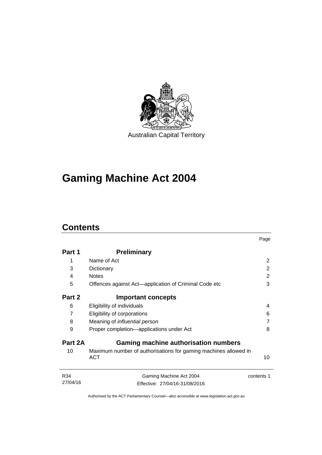

# **Gaming Machine Act 2004**

# **Contents**

|          |                                                                               | Page       |
|----------|-------------------------------------------------------------------------------|------------|
| Part 1   | <b>Preliminary</b>                                                            |            |
| 1        | Name of Act                                                                   | 2          |
| 3        | Dictionary                                                                    | 2          |
| 4        | <b>Notes</b>                                                                  | 2          |
| 5        | Offences against Act-application of Criminal Code etc                         | 3          |
| Part 2   | <b>Important concepts</b>                                                     |            |
| 6        | Eligibility of individuals                                                    | 4          |
| 7        | Eligibility of corporations                                                   | 6          |
| 8        | Meaning of <i>influential</i> person                                          | 7          |
| 9        | Proper completion-applications under Act                                      | 8          |
| Part 2A  | <b>Gaming machine authorisation numbers</b>                                   |            |
| 10       | Maximum number of authorisations for gaming machines allowed in<br><b>ACT</b> | 10         |
| R34      | Gaming Machine Act 2004                                                       | contents 1 |
| 27/04/16 | Effective: 27/04/16-31/08/2016                                                |            |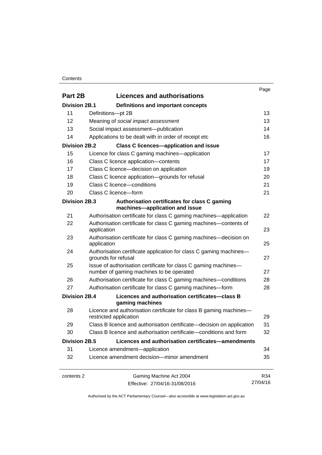### **Contents**

|                      |                                                                                                             | Page     |
|----------------------|-------------------------------------------------------------------------------------------------------------|----------|
| Part 2B              | <b>Licences and authorisations</b>                                                                          |          |
| <b>Division 2B.1</b> | Definitions and important concepts                                                                          |          |
| 11                   | Definitions-pt 2B                                                                                           | 13       |
| 12                   | Meaning of social impact assessment                                                                         | 13       |
| 13                   | Social impact assessment-publication                                                                        | 14       |
| 14                   | Applications to be dealt with in order of receipt etc                                                       | 16       |
| <b>Division 2B.2</b> | <b>Class C licences-application and issue</b>                                                               |          |
| 15                   | Licence for class C gaming machines—application                                                             | 17       |
| 16                   | Class C licence application-contents                                                                        | 17       |
| 17                   | Class C licence-decision on application                                                                     | 19       |
| 18                   | Class C licence application-grounds for refusal                                                             | 20       |
| 19                   | Class C licence-conditions                                                                                  | 21       |
| 20                   | Class C licence-form                                                                                        | 21       |
| Division 2B.3        | Authorisation certificates for class C gaming<br>machines-application and issue                             |          |
| 21                   | Authorisation certificate for class C gaming machines—application                                           | 22       |
| 22                   | Authorisation certificate for class C gaming machines—contents of<br>application                            | 23       |
| 23                   | Authorisation certificate for class C gaming machines—decision on<br>application                            | 25       |
| 24                   | Authorisation certificate application for class C gaming machines-<br>grounds for refusal                   | 27       |
| 25                   | Issue of authorisation certificate for class C gaming machines-<br>number of gaming machines to be operated | 27       |
| 26                   | Authorisation certificate for class C gaming machines—conditions                                            | 28       |
| 27                   | Authorisation certificate for class C gaming machines-form                                                  | 28       |
| Division 2B.4        | Licences and authorisation certificates-class B<br>gaming machines                                          |          |
| 28                   | Licence and authorisation certificate for class B gaming machines-<br>restricted application                | 29       |
| 29                   | Class B licence and authorisation certificate-decision on application                                       | 31       |
| 30                   | Class B licence and authorisation certificate—conditions and form                                           | 32       |
| <b>Division 2B.5</b> | Licences and authorisation certificates-amendments                                                          |          |
| 31                   | Licence amendment-application                                                                               | 34       |
| 32                   | Licence amendment decision-minor amendment                                                                  | 35       |
| contents 2           | Gaming Machine Act 2004                                                                                     | R34      |
|                      | Effective: 27/04/16-31/08/2016                                                                              | 27/04/16 |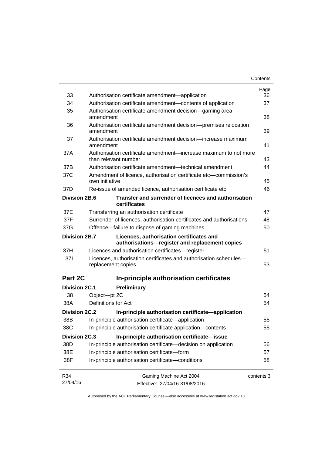|                      |                                                                                            | Contents   |
|----------------------|--------------------------------------------------------------------------------------------|------------|
|                      |                                                                                            | Page       |
| 33                   | Authorisation certificate amendment-application                                            | 36         |
| 34                   | Authorisation certificate amendment-contents of application                                | 37         |
| 35                   | Authorisation certificate amendment decision—gaming area<br>amendment                      | 38         |
| 36                   | Authorisation certificate amendment decision-premises relocation<br>amendment              | 39         |
| 37                   | Authorisation certificate amendment decision—increase maximum<br>amendment                 | 41         |
| 37A                  | Authorisation certificate amendment—increase maximum to not more<br>than relevant number   | 43         |
| 37B                  | Authorisation certificate amendment—technical amendment                                    | 44         |
| 37C                  | Amendment of licence, authorisation certificate etc—commission's<br>own initiative         | 45         |
| 37D                  | Re-issue of amended licence, authorisation certificate etc                                 | 46         |
| <b>Division 2B.6</b> | Transfer and surrender of licences and authorisation<br>certificates                       |            |
| 37E                  | Transferring an authorisation certificate                                                  | 47         |
| 37F                  | Surrender of licences, authorisation certificates and authorisations                       | 48         |
| 37G                  | Offence-failure to dispose of gaming machines                                              | 50         |
| Division 2B.7        | Licences, authorisation certificates and<br>authorisations-register and replacement copies |            |
| 37H                  | Licences and authorisation certificates—register                                           | 51         |
| 371                  | Licences, authorisation certificates and authorisation schedules-<br>replacement copies    | 53         |
| Part 2C              | In-principle authorisation certificates                                                    |            |
| <b>Division 2C.1</b> | Preliminary                                                                                |            |
| 38                   | Object-pt 2C                                                                               | 54         |
| 38A                  | Definitions for Act                                                                        | 54         |
| Division 2C.2        | In-principle authorisation certificate—application                                         |            |
| 38B                  | In-principle authorisation certificate-application                                         | 55         |
| 38C                  | In-principle authorisation certificate application-contents                                | 55         |
| <b>Division 2C.3</b> | In-principle authorisation certificate-issue                                               |            |
| 38D                  | In-principle authorisation certificate-decision on application                             | 56         |
| 38E                  | In-principle authorisation certificate-form                                                | 57         |
| 38F                  | In-principle authorisation certificate-conditions                                          | 58         |
| R34                  | Gaming Machine Act 2004                                                                    | contents 3 |
| 27/04/16             | Effective: 27/04/16-31/08/2016                                                             |            |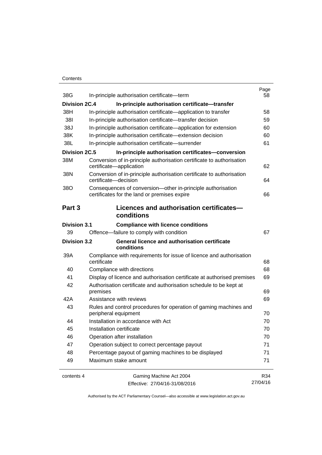### **Contents**

| 38G                  | In-principle authorisation certificate-term                                                                                   | Page<br>58 |
|----------------------|-------------------------------------------------------------------------------------------------------------------------------|------------|
| Division 2C.4        | In-principle authorisation certificate-transfer                                                                               |            |
| 38H                  | In-principle authorisation certificate—application to transfer                                                                | 58         |
| 381                  | In-principle authorisation certificate-transfer decision                                                                      | 59         |
| 38J                  |                                                                                                                               | 60         |
| 38K                  | In-principle authorisation certificate—application for extension<br>In-principle authorisation certificate-extension decision | 60         |
| 38L                  | In-principle authorisation certificate-surrender                                                                              | 61         |
| <b>Division 2C.5</b> |                                                                                                                               |            |
| 38M                  | In-principle authorisation certificates-conversion                                                                            |            |
|                      | Conversion of in-principle authorisation certificate to authorisation<br>certificate-application                              | 62         |
| 38N                  | Conversion of in-principle authorisation certificate to authorisation<br>certificate-decision                                 | 64         |
| 38O                  | Consequences of conversion-other in-principle authorisation<br>certificates for the land or premises expire                   | 66         |
| Part 3               | Licences and authorisation certificates-                                                                                      |            |
|                      | conditions                                                                                                                    |            |
| <b>Division 3.1</b>  | <b>Compliance with licence conditions</b>                                                                                     |            |
| 39                   | Offence-failure to comply with condition                                                                                      | 67         |
| <b>Division 3.2</b>  | <b>General licence and authorisation certificate</b><br>conditions                                                            |            |
| 39A                  | Compliance with requirements for issue of licence and authorisation<br>certificate                                            | 68         |
| 40                   | Compliance with directions                                                                                                    | 68         |
| 41                   | Display of licence and authorisation certificate at authorised premises                                                       | 69         |
| 42                   | Authorisation certificate and authorisation schedule to be kept at                                                            |            |
|                      | premises                                                                                                                      | 69         |
| 42A                  | Assistance with reviews                                                                                                       | 69         |
| 43                   | Rules and control procedures for operation of gaming machines and<br>peripheral equipment                                     | 70         |
| 44                   | Installation in accordance with Act                                                                                           | 70         |
| 45                   | Installation certificate                                                                                                      | 70         |
| 46                   | Operation after installation                                                                                                  | 70         |
| 47                   | Operation subject to correct percentage payout                                                                                | 71         |
| 48                   | Percentage payout of gaming machines to be displayed                                                                          | 71         |
| 49                   | Maximum stake amount                                                                                                          | 71         |
| contents 4           | Gaming Machine Act 2004                                                                                                       | R34        |
|                      | Effective: 27/04/16-31/08/2016                                                                                                | 27/04/16   |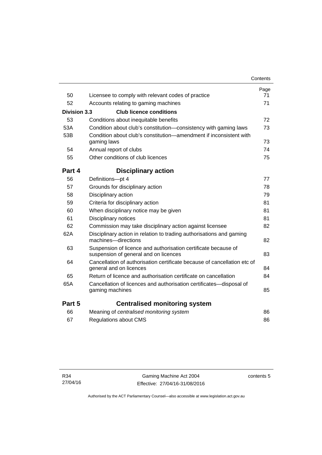|              |                                                                                                         | Contents   |
|--------------|---------------------------------------------------------------------------------------------------------|------------|
| 50           | Licensee to comply with relevant codes of practice                                                      | Page<br>71 |
| 52           | Accounts relating to gaming machines                                                                    | 71         |
| Division 3.3 | <b>Club licence conditions</b>                                                                          |            |
| 53           |                                                                                                         | 72         |
|              | Conditions about inequitable benefits                                                                   |            |
| 53A          | Condition about club's constitution—consistency with gaming laws                                        | 73         |
| 53B          | Condition about club's constitution—amendment if inconsistent with<br>gaming laws                       | 73         |
| 54           | Annual report of clubs                                                                                  | 74         |
| 55           | Other conditions of club licences                                                                       | 75         |
| Part 4       | <b>Disciplinary action</b>                                                                              |            |
| 56           | Definitions-pt 4                                                                                        | 77         |
| 57           | Grounds for disciplinary action                                                                         | 78         |
| 58           | Disciplinary action                                                                                     | 79         |
| 59           | Criteria for disciplinary action                                                                        | 81         |
| 60           | When disciplinary notice may be given                                                                   | 81         |
| 61           | Disciplinary notices                                                                                    | 81         |
| 62           | Commission may take disciplinary action against licensee                                                | 82         |
| 62A          | Disciplinary action in relation to trading authorisations and gaming<br>machines-directions             | 82         |
| 63           | Suspension of licence and authorisation certificate because of<br>suspension of general and on licences | 83         |
| 64           | Cancellation of authorisation certificate because of cancellation etc of<br>general and on licences     | 84         |
| 65           | Return of licence and authorisation certificate on cancellation                                         | 84         |
| 65A          | Cancellation of licences and authorisation certificates-disposal of<br>gaming machines                  | 85         |
| Part 5       | <b>Centralised monitoring system</b>                                                                    |            |
| 66           | Meaning of centralised monitoring system                                                                | 86         |
| 67           | <b>Regulations about CMS</b>                                                                            | 86         |
|              |                                                                                                         |            |

contents 5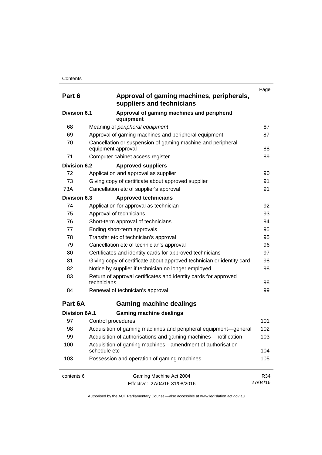| Part 6               | Approval of gaming machines, peripherals,<br>suppliers and technicians            | Page     |
|----------------------|-----------------------------------------------------------------------------------|----------|
| <b>Division 6.1</b>  | Approval of gaming machines and peripheral<br>equipment                           |          |
| 68                   | Meaning of peripheral equipment                                                   | 87       |
| 69                   | Approval of gaming machines and peripheral equipment                              | 87       |
| 70                   | Cancellation or suspension of gaming machine and peripheral<br>equipment approval | 88       |
| 71                   | Computer cabinet access register                                                  | 89       |
| <b>Division 6.2</b>  | <b>Approved suppliers</b>                                                         |          |
| 72                   | Application and approval as supplier                                              | 90       |
| 73                   | Giving copy of certificate about approved supplier                                | 91       |
| 73A                  | Cancellation etc of supplier's approval                                           | 91       |
| <b>Division 6.3</b>  | <b>Approved technicians</b>                                                       |          |
| 74                   | Application for approval as technician                                            | 92       |
| 75                   | Approval of technicians                                                           | 93       |
| 76                   | Short-term approval of technicians                                                | 94       |
| 77                   | Ending short-term approvals                                                       | 95       |
| 78                   | Transfer etc of technician's approval                                             | 95       |
| 79                   | Cancellation etc of technician's approval                                         | 96       |
| 80                   | Certificates and identity cards for approved technicians                          | 97       |
| 81                   | Giving copy of certificate about approved technician or identity card             | 98       |
| 82                   | Notice by supplier if technician no longer employed                               | 98       |
| 83                   | Return of approval certificates and identity cards for approved<br>technicians    | 98       |
| 84                   | Renewal of technician's approval                                                  | 99       |
| Part 6A              | <b>Gaming machine dealings</b>                                                    |          |
| <b>Division 6A.1</b> | <b>Gaming machine dealings</b>                                                    |          |
| 97                   | Control procedures                                                                | 101      |
| 98                   | Acquisition of gaming machines and peripheral equipment-general                   | 102      |
| 99                   | Acquisition of authorisations and gaming machines—notification                    | 103      |
| 100                  | Acquisition of gaming machines—amendment of authorisation<br>schedule etc         | 104      |
| 103                  | Possession and operation of gaming machines                                       | 105      |
| contents 6           | Gaming Machine Act 2004                                                           | R34      |
|                      | Effective: 27/04/16-31/08/2016                                                    | 27/04/16 |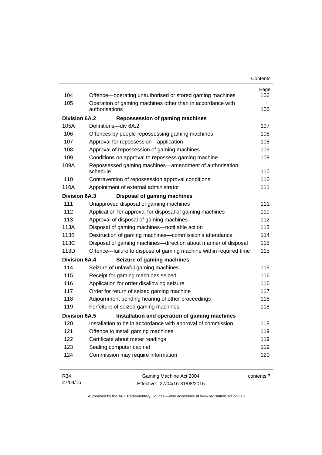| Contents |
|----------|
|----------|

| 104                  | Offence-operating unauthorised or stored gaming machines           | Page<br>106 |
|----------------------|--------------------------------------------------------------------|-------------|
| 105                  | Operation of gaming machines other than in accordance with         |             |
|                      | authorisations                                                     | 106         |
| <b>Division 6A.2</b> | <b>Repossession of gaming machines</b>                             |             |
| 105A                 | Definitions-div 6A.2                                               | 107         |
| 106                  | Offences by people repossessing gaming machines                    | 108         |
| 107                  | Approval for repossession-application                              | 108         |
| 108                  | Approval of repossession of gaming machines                        | 109         |
| 109                  | Conditions on approval to repossess gaming machine                 | 109         |
| 109A                 | Repossessed gaming machines—amendment of authorisation<br>schedule | 110         |
| 110                  | Contravention of repossession approval conditions                  | 110         |
| 110A                 | Appointment of external administrator                              | 111         |
| <b>Division 6A.3</b> | <b>Disposal of gaming machines</b>                                 |             |
| 111                  | Unapproved disposal of gaming machines                             | 111         |
| 112                  | Application for approval for disposal of gaming machines           | 111         |
| 113                  | Approval of disposal of gaming machines                            | 112         |
| 113A                 | Disposal of gaming machines-notifiable action                      | 113         |
| 113B                 | Destruction of gaming machines-commission's attendance             | 114         |
| 113C                 | Disposal of gaming machines—direction about manner of disposal     | 115         |
| 113D                 | Offence—failure to dispose of gaming machine within required time  | 115         |
| <b>Division 6A.4</b> | Seizure of gaming machines                                         |             |
| 114                  | Seizure of unlawful gaming machines                                | 115         |
| 115                  | Receipt for gaming machines seized                                 | 116         |
| 116                  | Application for order disallowing seizure                          | 116         |
| 117                  | Order for return of seized gaming machine                          | 117         |
| 118                  | Adjournment pending hearing of other proceedings                   | 118         |
| 119                  | Forfeiture of seized gaming machines                               | 118         |
| Division 6A.5        | Installation and operation of gaming machines                      |             |
| 120                  | Installation to be in accordance with approval of commission       | 118         |
| 121                  | Offence to install gaming machines                                 | 119         |
| 122                  | Certificate about meter readings                                   | 119         |
| 123                  | Sealing computer cabinet                                           | 119         |
| 124                  | Commission may require information                                 | 120         |

| R34      | Gaming Machine Act 2004        | contents 7 |
|----------|--------------------------------|------------|
| 27/04/16 | Effective: 27/04/16-31/08/2016 |            |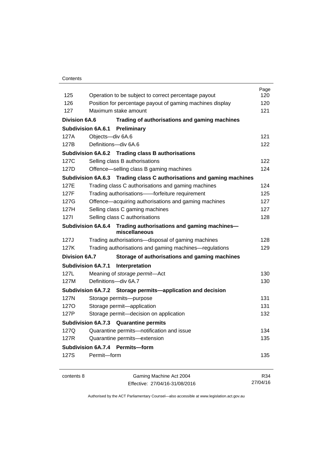### **Contents**

|                      |                                                                                   | Page<br>120 |
|----------------------|-----------------------------------------------------------------------------------|-------------|
| 125<br>126           | Operation to be subject to correct percentage payout                              | 120         |
| 127                  | Position for percentage payout of gaming machines display<br>Maximum stake amount | 121         |
|                      |                                                                                   |             |
| <b>Division 6A.6</b> | Trading of authorisations and gaming machines                                     |             |
|                      | <b>Subdivision 6A.6.1 Preliminary</b>                                             |             |
| 127A                 | Objects-div 6A.6                                                                  | 121         |
| 127B                 | Definitions-div 6A.6                                                              | 122         |
|                      | Subdivision 6A.6.2 Trading class B authorisations                                 |             |
| 127C                 | Selling class B authorisations                                                    | 122         |
| 127D                 | Offence-selling class B gaming machines                                           | 124         |
|                      | Subdivision 6A.6.3 Trading class C authorisations and gaming machines             |             |
| 127E                 | Trading class C authorisations and gaming machines                                | 124         |
| 127F                 | Trading authorisations--forfeiture requirement                                    | 125         |
| 127G                 | Offence-acquiring authorisations and gaming machines                              | 127         |
| 127H                 | Selling class C gaming machines                                                   | 127         |
| 1271                 | Selling class C authorisations                                                    | 128         |
|                      | Subdivision 6A.6.4 Trading authorisations and gaming machines-<br>miscellaneous   |             |
| 127J                 | Trading authorisations-disposal of gaming machines                                | 128         |
| 127K                 | Trading authorisations and gaming machines—regulations                            | 129         |
| <b>Division 6A.7</b> | Storage of authorisations and gaming machines                                     |             |
|                      | <b>Subdivision 6A.7.1</b><br>Interpretation                                       |             |
| 127L                 | Meaning of storage permit-Act                                                     | 130         |
| 127M                 | Definitions-div 6A.7                                                              | 130         |
|                      | Subdivision 6A.7.2 Storage permits—application and decision                       |             |
| 127N                 | Storage permits-purpose                                                           | 131         |
| <b>1270</b>          | Storage permit-application                                                        | 131         |
| 127P                 | Storage permit-decision on application                                            | 132         |
|                      | Subdivision 6A.7.3 Quarantine permits                                             |             |
| 127Q                 | Quarantine permits-notification and issue                                         | 134         |
| 127R                 | Quarantine permits-extension                                                      | 135         |
|                      | Subdivision 6A.7.4 Permits-form                                                   |             |
| 127S                 | Permit-form                                                                       | 135         |
| contents 8           | Gaming Machine Act 2004                                                           | R34         |
|                      | Effective: 27/04/16-31/08/2016                                                    | 27/04/16    |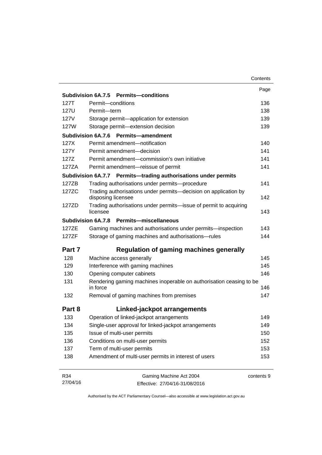|          |                                                                                       | Contents   |
|----------|---------------------------------------------------------------------------------------|------------|
|          |                                                                                       | Page       |
|          | Subdivision 6A.7.5 Permits-conditions                                                 |            |
| 127T     | Permit-conditions                                                                     | 136        |
| 127U     | Permit-term                                                                           | 138        |
| 127V     | Storage permit-application for extension                                              | 139        |
| 127W     | Storage permit-extension decision                                                     | 139        |
|          | <b>Subdivision 6A.7.6</b><br><b>Permits-amendment</b>                                 |            |
| 127X     | Permit amendment-notification                                                         | 140        |
| 127Y     | Permit amendment-decision                                                             | 141        |
| 127Z     | Permit amendment-commission's own initiative                                          | 141        |
| 127ZA    | Permit amendment-reissue of permit                                                    | 141        |
|          | Subdivision 6A.7.7 Permits-trading authorisations under permits                       |            |
| 127ZB    | Trading authorisations under permits-procedure                                        | 141        |
| 127ZC    | Trading authorisations under permits-decision on application by<br>disposing licensee | 142        |
| 127ZD    | Trading authorisations under permits-issue of permit to acquiring<br>licensee         | 143        |
|          | Subdivision 6A.7.8 Permits-miscellaneous                                              |            |
| 127ZE    | Gaming machines and authorisations under permits-inspection                           | 143        |
| 127ZF    | Storage of gaming machines and authorisations-rules                                   | 144        |
| Part 7   | <b>Regulation of gaming machines generally</b>                                        |            |
| 128      | Machine access generally                                                              | 145        |
| 129      | Interference with gaming machines                                                     | 145        |
| 130      | Opening computer cabinets                                                             | 146        |
| 131      | Rendering gaming machines inoperable on authorisation ceasing to be<br>in force       | 146        |
| 132      | Removal of gaming machines from premises                                              | 147        |
| Part 8   | Linked-jackpot arrangements                                                           |            |
| 133      | Operation of linked-jackpot arrangements                                              | 149        |
| 134      | Single-user approval for linked-jackpot arrangements                                  | 149        |
| 135      | Issue of multi-user permits                                                           | 150        |
| 136      | Conditions on multi-user permits                                                      | 152        |
| 137      | Term of multi-user permits                                                            | 153        |
| 138      | Amendment of multi-user permits in interest of users                                  | 153        |
|          |                                                                                       |            |
| R34      | Gaming Machine Act 2004                                                               | contents 9 |
| 27/04/16 | Effective: 27/04/16-31/08/2016                                                        |            |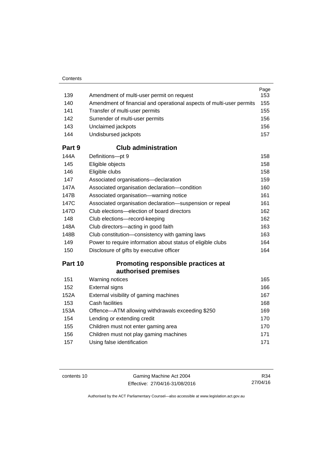| 139    | Amendment of multi-user permit on request                            | Page<br>153 |
|--------|----------------------------------------------------------------------|-------------|
| 140    | Amendment of financial and operational aspects of multi-user permits | 155         |
| 141    | Transfer of multi-user permits                                       | 155         |
| 142    | Surrender of multi-user permits                                      | 156         |
| 143    | Unclaimed jackpots                                                   | 156         |
| 144    | Undisbursed jackpots                                                 | 157         |
| Part 9 | <b>Club administration</b>                                           |             |
| 144A   | Definitions-pt 9                                                     | 158         |
| 145    | Eligible objects                                                     | 158         |
| 146    | Eligible clubs                                                       | 158         |
| 147    | Associated organisations-declaration                                 | 159         |
| 147A   | Associated organisation declaration-condition                        | 160         |
| 147B   | Associated organisation-warning notice                               | 161         |
| 147C   | Associated organisation declaration-suspension or repeal             | 161         |
| 147D   | Club elections—election of board directors                           | 162         |
| 148    | Club elections-record-keeping                                        | 162         |
| 148A   | Club directors—acting in good faith                                  | 163         |
| 148B   | Club constitution-consistency with gaming laws                       | 163         |
| 149    | Power to require information about status of eligible clubs          | 164         |
| 150    | Disclosure of gifts by executive officer                             | 164         |
|        |                                                                      |             |

# **Part 10 [Promoting responsible practices at](#page-180-0)  [authorised premises](#page-180-0)**

| 151  | Warning notices                                  | 165 |
|------|--------------------------------------------------|-----|
| 152  | <b>External signs</b>                            | 166 |
| 152A | External visibility of gaming machines           | 167 |
| 153  | Cash facilities                                  | 168 |
| 153A | Offence-ATM allowing withdrawals exceeding \$250 | 169 |
| 154  | Lending or extending credit                      | 170 |
| 155  | Children must not enter gaming area              | 170 |
| 156  | Children must not play gaming machines           | 171 |
| 157  | Using false identification                       | 171 |
|      |                                                  |     |

contents 10 Gaming Machine Act 2004 Effective: 27/04/16-31/08/2016

R34 27/04/16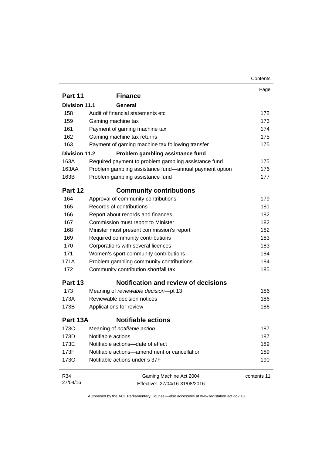|                      |                                                        | Contents    |
|----------------------|--------------------------------------------------------|-------------|
|                      |                                                        | Page        |
| Part 11              | <b>Finance</b>                                         |             |
| <b>Division 11.1</b> | General                                                |             |
| 158                  | Audit of financial statements etc                      | 172         |
| 159                  | Gaming machine tax                                     | 173         |
| 161                  | Payment of gaming machine tax                          | 174         |
| 162                  | Gaming machine tax returns                             | 175         |
| 163                  | Payment of gaming machine tax following transfer       | 175         |
| Division 11.2        | Problem gambling assistance fund                       |             |
| 163A                 | Required payment to problem gambling assistance fund   | 175         |
| 163AA                | Problem gambling assistance fund—annual payment option | 176         |
| 163B                 | Problem gambling assistance fund                       | 177         |
| Part 12              | <b>Community contributions</b>                         |             |
| 164                  | Approval of community contributions                    | 179         |
| 165                  | Records of contributions                               | 181         |
| 166                  | Report about records and finances                      | 182         |
| 167                  | Commission must report to Minister                     | 182         |
| 168                  | Minister must present commission's report              | 182         |
| 169                  | Required community contributions                       | 183         |
| 170                  | Corporations with several licences                     | 183         |
| 171                  | Women's sport community contributions                  | 184         |
| 171A                 | Problem gambling community contributions               | 184         |
| 172                  | Community contribution shortfall tax                   | 185         |
| Part 13              | <b>Notification and review of decisions</b>            |             |
| 173                  | Meaning of reviewable decision-pt 13                   | 186         |
| 173A                 | Reviewable decision notices                            | 186         |
| 173B                 | Applications for review                                | 186         |
| Part 13A             | <b>Notifiable actions</b>                              |             |
| 173C                 | Meaning of <i>notifiable</i> action                    | 187         |
| 173D                 | Notifiable actions                                     | 187         |
| 173E                 | Notifiable actions-date of effect                      | 189         |
| 173F                 | Notifiable actions-amendment or cancellation           | 189         |
| 173G                 | Notifiable actions under s 37F                         | 190         |
| R34                  | Gaming Machine Act 2004                                | contents 11 |
| 27/04/16             | Effective: 27/04/16-31/08/2016                         |             |

Effective: 27/04/16-31/08/2016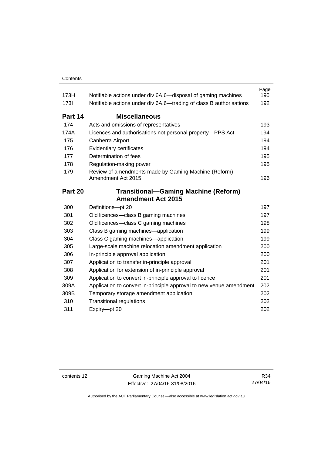| 173H        | Notifiable actions under div 6A.6—disposal of gaming machines              | Page<br>190 |
|-------------|----------------------------------------------------------------------------|-------------|
| <b>1731</b> | Notifiable actions under div 6A.6—trading of class B authorisations        | 192         |
| Part 14     | <b>Miscellaneous</b>                                                       |             |
| 174         | Acts and omissions of representatives                                      | 193         |
| 174A        | Licences and authorisations not personal property-PPS Act                  | 194         |
| 175         | Canberra Airport                                                           | 194         |
| 176         | Evidentiary certificates                                                   | 194         |
| 177         | Determination of fees                                                      | 195         |
| 178         | Regulation-making power                                                    | 195         |
| 179         | Review of amendments made by Gaming Machine (Reform)<br>Amendment Act 2015 | 196         |
| Part 20     | <b>Transitional-Gaming Machine (Reform)</b>                                |             |
|             | <b>Amendment Act 2015</b>                                                  |             |
| 300         | Definitions-pt 20                                                          | 197         |
| 301         | Old licences-class B gaming machines                                       | 197         |
| 302         | Old licences—class C gaming machines                                       | 198         |
| 303         | Class B gaming machines—application                                        | 199         |
| 304         | Class C gaming machines—application                                        | 199         |
| 305         | Large-scale machine relocation amendment application                       | 200         |
| 306         | In-principle approval application                                          | 200         |
| 307         | Application to transfer in-principle approval                              | 201         |
| 308         | Application for extension of in-principle approval                         | 201         |
| 309         | Application to convert in-principle approval to licence                    | 201         |
| 309A        | Application to convert in-principle approval to new venue amendment        | 202         |
| 309B        | Temporary storage amendment application                                    | 202         |
| 310         | <b>Transitional regulations</b>                                            | 202         |
| 311         | Expiry-pt 20                                                               | 202         |

contents 12 Gaming Machine Act 2004 Effective: 27/04/16-31/08/2016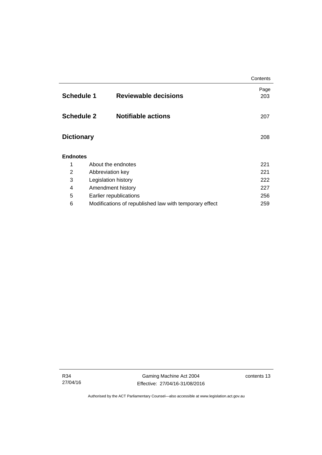|                   |                                                        | Contents    |
|-------------------|--------------------------------------------------------|-------------|
| <b>Schedule 1</b> | <b>Reviewable decisions</b>                            | Page<br>203 |
| <b>Schedule 2</b> | <b>Notifiable actions</b>                              | 207         |
| <b>Dictionary</b> |                                                        | 208         |
| <b>Endnotes</b>   |                                                        |             |
| 1                 | About the endnotes                                     | 221         |
| 2                 | Abbreviation key                                       | 221         |
| 3                 | Legislation history                                    | 222         |
| 4                 | Amendment history                                      | 227         |
| 5                 | Earlier republications                                 | 256         |
| 6                 | Modifications of republished law with temporary effect | 259         |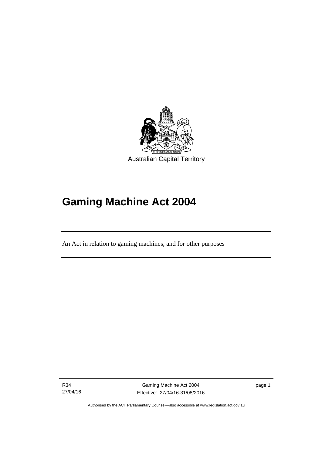

# **Gaming Machine Act 2004**

An Act in relation to gaming machines, and for other purposes

R34 27/04/16

Ī

Gaming Machine Act 2004 Effective: 27/04/16-31/08/2016 page 1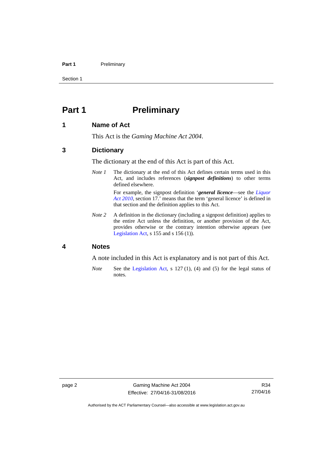### Part 1 **Preliminary**

Section 1

# <span id="page-17-0"></span>**Part 1** Preliminary

### <span id="page-17-1"></span>**1 Name of Act**

This Act is the *Gaming Machine Act 2004*.

### <span id="page-17-2"></span>**3 Dictionary**

The dictionary at the end of this Act is part of this Act.

*Note 1* The dictionary at the end of this Act defines certain terms used in this Act, and includes references (*signpost definitions*) to other terms defined elsewhere.

> For example, the signpost definition '*general licence*—see the *[Liquor](http://www.legislation.act.gov.au/a/2010-35)  [Act 2010](http://www.legislation.act.gov.au/a/2010-35)*, section 17.' means that the term 'general licence' is defined in that section and the definition applies to this Act.

*Note* 2 A definition in the dictionary (including a signpost definition) applies to the entire Act unless the definition, or another provision of the Act, provides otherwise or the contrary intention otherwise appears (see [Legislation Act,](http://www.legislation.act.gov.au/a/2001-14) s 155 and s 156 (1)).

## <span id="page-17-3"></span>**4 Notes**

A note included in this Act is explanatory and is not part of this Act.

*Note* See the [Legislation Act,](http://www.legislation.act.gov.au/a/2001-14) s 127 (1), (4) and (5) for the legal status of notes.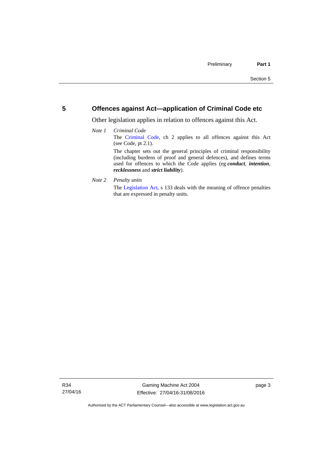### <span id="page-18-0"></span>**5 Offences against Act—application of Criminal Code etc**

Other legislation applies in relation to offences against this Act.

### *Note 1 Criminal Code* The [Criminal Code,](http://www.legislation.act.gov.au/a/2002-51) ch 2 applies to all offences against this Act (see Code, pt 2.1). The chapter sets out the general principles of criminal responsibility (including burdens of proof and general defences), and defines terms used for offences to which the Code applies (eg *conduct*, *intention*, *recklessness* and *strict liability*).

*Note 2 Penalty units* 

The [Legislation Act](http://www.legislation.act.gov.au/a/2001-14), s 133 deals with the meaning of offence penalties that are expressed in penalty units.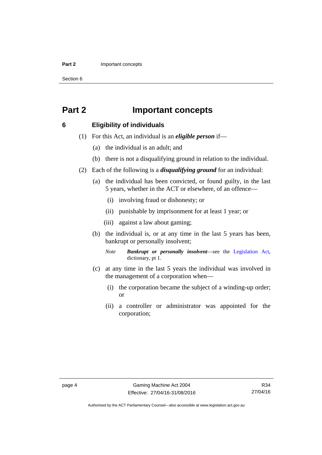### **Part 2 Important concepts**

Section 6

# <span id="page-19-0"></span>**Part 2 Important concepts**

### <span id="page-19-1"></span>**6 Eligibility of individuals**

- (1) For this Act, an individual is an *eligible person* if—
	- (a) the individual is an adult; and
	- (b) there is not a disqualifying ground in relation to the individual.
- (2) Each of the following is a *disqualifying ground* for an individual:
	- (a) the individual has been convicted, or found guilty, in the last 5 years, whether in the ACT or elsewhere, of an offence—
		- (i) involving fraud or dishonesty; or
		- (ii) punishable by imprisonment for at least 1 year; or
		- (iii) against a law about gaming;
	- (b) the individual is, or at any time in the last 5 years has been, bankrupt or personally insolvent;

*Note Bankrupt or personally insolvent*—see the [Legislation Act,](http://www.legislation.act.gov.au/a/2001-14) dictionary, pt 1.

- (c) at any time in the last 5 years the individual was involved in the management of a corporation when—
	- (i) the corporation became the subject of a winding-up order; or
	- (ii) a controller or administrator was appointed for the corporation;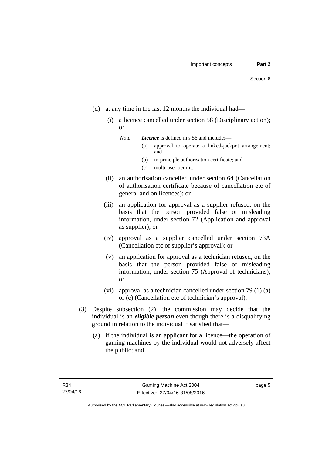- (d) at any time in the last 12 months the individual had—
	- (i) a licence cancelled under section 58 (Disciplinary action); or

*Note Licence* is defined in s 56 and includes—

- (a) approval to operate a linked-jackpot arrangement; and
- (b) in-principle authorisation certificate; and
- (c) multi-user permit.
- (ii) an authorisation cancelled under section 64 (Cancellation of authorisation certificate because of cancellation etc of general and on licences); or
- (iii) an application for approval as a supplier refused, on the basis that the person provided false or misleading information, under section 72 (Application and approval as supplier); or
- (iv) approval as a supplier cancelled under section 73A (Cancellation etc of supplier's approval); or
- (v) an application for approval as a technician refused, on the basis that the person provided false or misleading information, under section 75 (Approval of technicians); or
- (vi) approval as a technician cancelled under section 79 (1) (a) or (c) (Cancellation etc of technician's approval).
- (3) Despite subsection (2), the commission may decide that the individual is an *eligible person* even though there is a disqualifying ground in relation to the individual if satisfied that—
	- (a) if the individual is an applicant for a licence—the operation of gaming machines by the individual would not adversely affect the public; and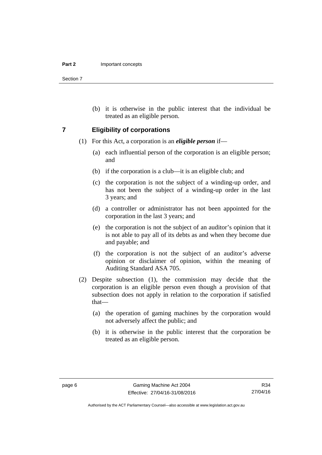Section 7

 (b) it is otherwise in the public interest that the individual be treated as an eligible person.

### <span id="page-21-0"></span>**7 Eligibility of corporations**

- (1) For this Act, a corporation is an *eligible person* if—
	- (a) each influential person of the corporation is an eligible person; and
	- (b) if the corporation is a club—it is an eligible club; and
	- (c) the corporation is not the subject of a winding-up order, and has not been the subject of a winding-up order in the last 3 years; and
	- (d) a controller or administrator has not been appointed for the corporation in the last 3 years; and
	- (e) the corporation is not the subject of an auditor's opinion that it is not able to pay all of its debts as and when they become due and payable; and
	- (f) the corporation is not the subject of an auditor's adverse opinion or disclaimer of opinion, within the meaning of Auditing Standard ASA 705.
- (2) Despite subsection (1), the commission may decide that the corporation is an eligible person even though a provision of that subsection does not apply in relation to the corporation if satisfied that—
	- (a) the operation of gaming machines by the corporation would not adversely affect the public; and
	- (b) it is otherwise in the public interest that the corporation be treated as an eligible person.

Authorised by the ACT Parliamentary Counsel—also accessible at www.legislation.act.gov.au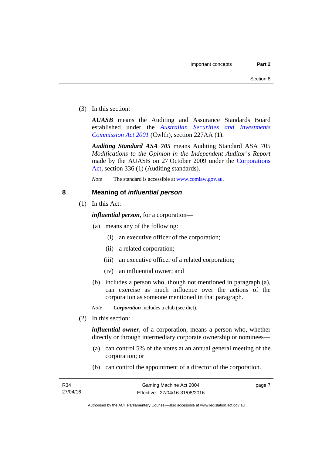(3) In this section:

*AUASB* means the Auditing and Assurance Standards Board established under the *[Australian Securities and Investments](http://www.comlaw.gov.au/Series/C2004A00819)  [Commission Act 2001](http://www.comlaw.gov.au/Series/C2004A00819)* (Cwlth), section 227AA (1).

*Auditing Standard ASA 705* means Auditing Standard ASA 705 *Modifications to the Opinion in the Independent Auditor's Report* made by the AUASB on 27 October 2009 under the [Corporations](http://www.comlaw.gov.au/Series/C2004A00818)  [Act](http://www.comlaw.gov.au/Series/C2004A00818), section 336 (1) (Auditing standards).

*Note* The standard is accessible at [www.comlaw.gov.au.](http://www.comlaw.gov.au/)

### <span id="page-22-0"></span>**8 Meaning of** *influential person*

(1) In this Act:

*influential person*, for a corporation—

- (a) means any of the following:
	- (i) an executive officer of the corporation;
	- (ii) a related corporation;
	- (iii) an executive officer of a related corporation;
	- (iv) an influential owner; and
- (b) includes a person who, though not mentioned in paragraph (a), can exercise as much influence over the actions of the corporation as someone mentioned in that paragraph.

*Note Corporation* includes a club (see dict).

(2) In this section:

*influential owner*, of a corporation, means a person who, whether directly or through intermediary corporate ownership or nominees—

- (a) can control 5% of the votes at an annual general meeting of the corporation; or
- (b) can control the appointment of a director of the corporation.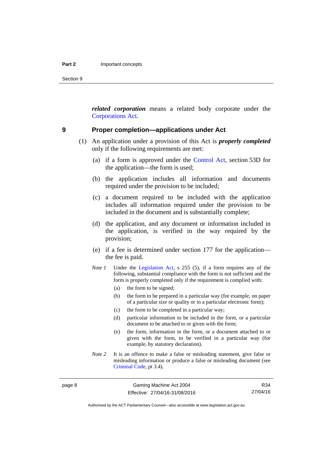Section 9

*related corporation* means a related body corporate under the [Corporations Act](http://www.comlaw.gov.au/Series/C2004A00818).

### <span id="page-23-0"></span>**9 Proper completion—applications under Act**

- (1) An application under a provision of this Act is *properly completed* only if the following requirements are met:
	- (a) if a form is approved under the [Control Act,](http://www.legislation.act.gov.au/a/1999-46/default.asp) section 53D for the application—the form is used;
	- (b) the application includes all information and documents required under the provision to be included;
	- (c) a document required to be included with the application includes all information required under the provision to be included in the document and is substantially complete;
	- (d) the application, and any document or information included in the application, is verified in the way required by the provision;
	- (e) if a fee is determined under section 177 for the application the fee is paid.
	- *Note 1* Under the [Legislation Act,](http://www.legislation.act.gov.au/a/2001-14) s 255 (5), if a form requires any of the following, substantial compliance with the form is not sufficient and the form is properly completed only if the requirement is complied with:
		- (a) the form to be signed;
		- (b) the form to be prepared in a particular way (for example, on paper of a particular size or quality or in a particular electronic form);
		- (c) the form to be completed in a particular way;
		- (d) particular information to be included in the form, or a particular document to be attached to or given with the form;
		- (e) the form, information in the form, or a document attached to or given with the form, to be verified in a particular way (for example, by statutory declaration).
	- *Note* 2 It is an offence to make a false or misleading statement, give false or misleading information or produce a false or misleading document (see [Criminal Code](http://www.legislation.act.gov.au/a/2002-51), pt 3.4).

Authorised by the ACT Parliamentary Counsel—also accessible at www.legislation.act.gov.au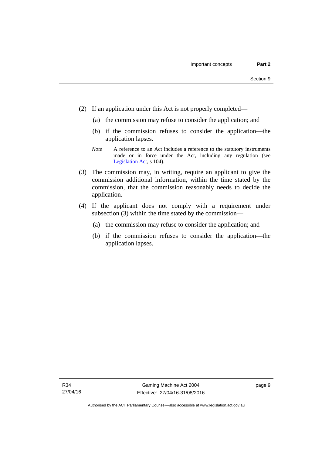- (2) If an application under this Act is not properly completed—
	- (a) the commission may refuse to consider the application; and
	- (b) if the commission refuses to consider the application—the application lapses.
	- *Note* A reference to an Act includes a reference to the statutory instruments made or in force under the Act, including any regulation (see [Legislation Act,](http://www.legislation.act.gov.au/a/2001-14) s 104).
- (3) The commission may, in writing, require an applicant to give the commission additional information, within the time stated by the commission, that the commission reasonably needs to decide the application.
- (4) If the applicant does not comply with a requirement under subsection (3) within the time stated by the commission—
	- (a) the commission may refuse to consider the application; and
	- (b) if the commission refuses to consider the application—the application lapses.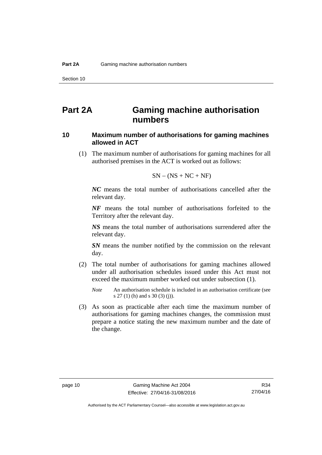# <span id="page-25-0"></span>**Part 2A Gaming machine authorisation numbers**

### <span id="page-25-1"></span>**10 Maximum number of authorisations for gaming machines allowed in ACT**

 (1) The maximum number of authorisations for gaming machines for all authorised premises in the ACT is worked out as follows:

$$
SN - (NS + NC + NF)
$$

*NC* means the total number of authorisations cancelled after the relevant day.

*NF* means the total number of authorisations forfeited to the Territory after the relevant day.

*NS* means the total number of authorisations surrendered after the relevant day.

*SN* means the number notified by the commission on the relevant day.

- (2) The total number of authorisations for gaming machines allowed under all authorisation schedules issued under this Act must not exceed the maximum number worked out under subsection (1).
	- *Note* An authorisation schedule is included in an authorisation certificate (see s 27 (1) (h) and s 30 (3) (j)).
- (3) As soon as practicable after each time the maximum number of authorisations for gaming machines changes, the commission must prepare a notice stating the new maximum number and the date of the change.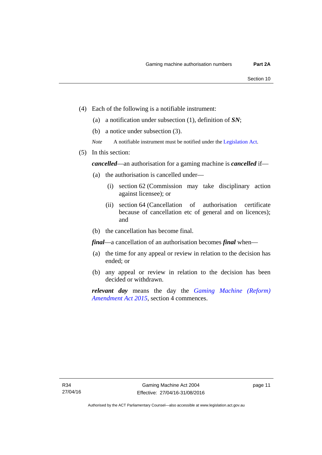- (4) Each of the following is a notifiable instrument:
	- (a) a notification under subsection (1), definition of *SN*;
	- (b) a notice under subsection (3).
	- *Note* A notifiable instrument must be notified under the [Legislation Act](http://www.legislation.act.gov.au/a/2001-14).
- (5) In this section:

*cancelled*—an authorisation for a gaming machine is *cancelled* if—

- (a) the authorisation is cancelled under—
	- (i) section 62 (Commission may take disciplinary action against licensee); or
	- (ii) section 64 (Cancellation of authorisation certificate because of cancellation etc of general and on licences); and
- (b) the cancellation has become final.

*final*—a cancellation of an authorisation becomes *final* when—

- (a) the time for any appeal or review in relation to the decision has ended; or
- (b) any appeal or review in relation to the decision has been decided or withdrawn.

*relevant day* means the day the *[Gaming Machine \(Reform\)](http://www.legislation.act.gov.au/a/2015-21/default.asp)  [Amendment Act 2015](http://www.legislation.act.gov.au/a/2015-21/default.asp)*, section 4 commences.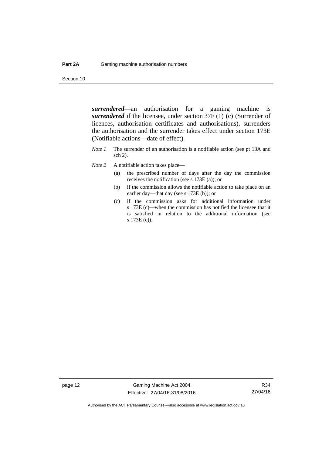Section 10

*surrendered*—an authorisation for a gaming machine is *surrendered* if the licensee, under section 37F (1) (c) (Surrender of licences, authorisation certificates and authorisations), surrenders the authorisation and the surrender takes effect under section 173E (Notifiable actions—date of effect).

- *Note 1* The surrender of an authorisation is a notifiable action (see pt 13A and sch 2).
- *Note* 2 A notifiable action takes place—
	- (a) the prescribed number of days after the day the commission receives the notification (see s 173E (a)); or
	- (b) if the commission allows the notifiable action to take place on an earlier day—that day (see s 173E (b)); or
	- (c) if the commission asks for additional information under s 173E (c)—when the commission has notified the licensee that it is satisfied in relation to the additional information (see s 173E (c)).

page 12 Gaming Machine Act 2004 Effective: 27/04/16-31/08/2016

R34 27/04/16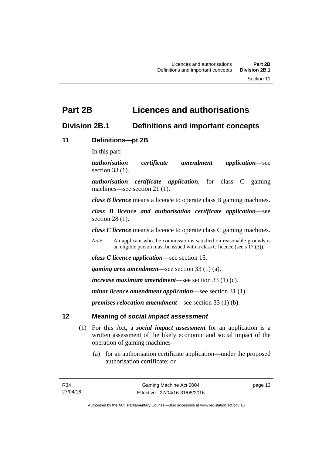# <span id="page-28-0"></span>**Part 2B Licences and authorisations**

# <span id="page-28-1"></span>**Division 2B.1 Definitions and important concepts**

# <span id="page-28-2"></span>**11 Definitions—pt 2B**

In this part:

*authorisation certificate amendment application*—see section 33 (1).

*authorisation certificate application*, for class C gaming machines—see section 21 (1).

*class B licence* means a licence to operate class B gaming machines.

*class B licence and authorisation certificate application*—see section 28 (1).

*class C licence* means a licence to operate class C gaming machines.

*Note* An applicant who the commission is satisfied on reasonable grounds is an eligible person must be issued with a class C licence (see s 17 (3)).

*class C licence application*—see section 15.

*gaming area amendment*—see section 33 (1) (a).

*increase maximum amendment*—see section 33 (1) (c).

*minor licence amendment application*—see section 31 (1).

*premises relocation amendment*—see section 33 (1) (b).

# <span id="page-28-3"></span>**12 Meaning of** *social impact assessment*

- (1) For this Act, a *social impact assessment* for an application is a written assessment of the likely economic and social impact of the operation of gaming machines—
	- (a) for an authorisation certificate application—under the proposed authorisation certificate; or

page 13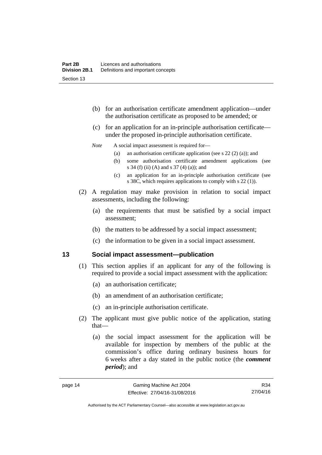- (b) for an authorisation certificate amendment application—under the authorisation certificate as proposed to be amended; or
- (c) for an application for an in-principle authorisation certificate under the proposed in-principle authorisation certificate.

### *Note* A social impact assessment is required for—

- (a) an authorisation certificate application (see s 22 (2) (a)); and
- (b) some authorisation certificate amendment applications (see s 34 (f) (ii) (A) and s 37 (4) (a)); and
- (c) an application for an in-principle authorisation certificate (see s 38C, which requires applications to comply with s 22 (1)).
- (2) A regulation may make provision in relation to social impact assessments, including the following:
	- (a) the requirements that must be satisfied by a social impact assessment;
	- (b) the matters to be addressed by a social impact assessment;
	- (c) the information to be given in a social impact assessment.

### <span id="page-29-0"></span>**13 Social impact assessment—publication**

- (1) This section applies if an applicant for any of the following is required to provide a social impact assessment with the application:
	- (a) an authorisation certificate;
	- (b) an amendment of an authorisation certificate;
	- (c) an in-principle authorisation certificate.
- (2) The applicant must give public notice of the application, stating that—
	- (a) the social impact assessment for the application will be available for inspection by members of the public at the commission's office during ordinary business hours for 6 weeks after a day stated in the public notice (the *comment period*); and

R34 27/04/16

Authorised by the ACT Parliamentary Counsel—also accessible at www.legislation.act.gov.au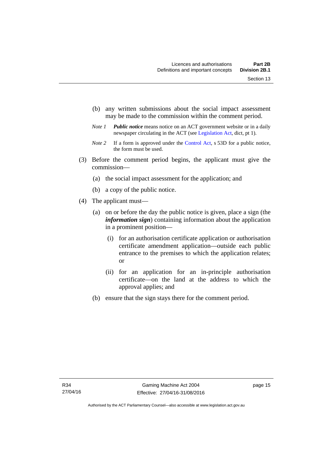- (b) any written submissions about the social impact assessment may be made to the commission within the comment period.
- *Note 1 Public notice* means notice on an ACT government website or in a daily newspaper circulating in the ACT (see [Legislation Act,](http://www.legislation.act.gov.au/a/2001-14) dict, pt 1).
- *Note 2* If a form is approved under the [Control Act](http://www.legislation.act.gov.au/a/1999-46), s 53D for a public notice, the form must be used.
- (3) Before the comment period begins, the applicant must give the commission—
	- (a) the social impact assessment for the application; and
	- (b) a copy of the public notice.
- (4) The applicant must—
	- (a) on or before the day the public notice is given, place a sign (the *information sign*) containing information about the application in a prominent position—
		- (i) for an authorisation certificate application or authorisation certificate amendment application—outside each public entrance to the premises to which the application relates; or
		- (ii) for an application for an in-principle authorisation certificate—on the land at the address to which the approval applies; and
	- (b) ensure that the sign stays there for the comment period.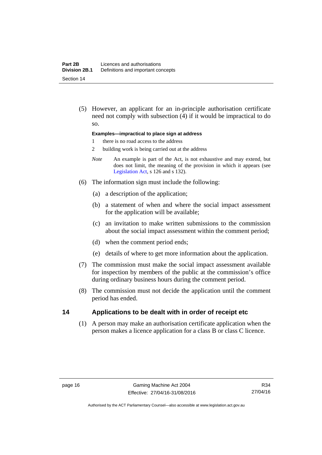(5) However, an applicant for an in-principle authorisation certificate need not comply with subsection (4) if it would be impractical to do so.

### **Examples—impractical to place sign at address**

- 1 there is no road access to the address
- 2 building work is being carried out at the address
- *Note* An example is part of the Act, is not exhaustive and may extend, but does not limit, the meaning of the provision in which it appears (see [Legislation Act,](http://www.legislation.act.gov.au/a/2001-14) s 126 and s 132).
- (6) The information sign must include the following:
	- (a) a description of the application;
	- (b) a statement of when and where the social impact assessment for the application will be available;
	- (c) an invitation to make written submissions to the commission about the social impact assessment within the comment period;
	- (d) when the comment period ends;
	- (e) details of where to get more information about the application.
- (7) The commission must make the social impact assessment available for inspection by members of the public at the commission's office during ordinary business hours during the comment period.
- (8) The commission must not decide the application until the comment period has ended.

### <span id="page-31-0"></span>**14 Applications to be dealt with in order of receipt etc**

 (1) A person may make an authorisation certificate application when the person makes a licence application for a class B or class C licence.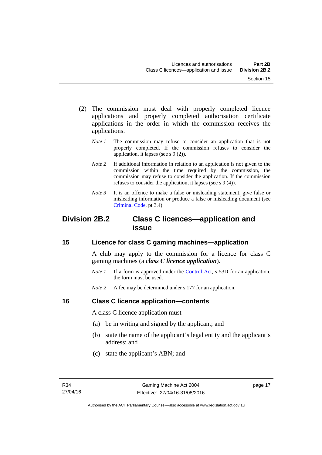- (2) The commission must deal with properly completed licence applications and properly completed authorisation certificate applications in the order in which the commission receives the applications.
	- *Note 1* The commission may refuse to consider an application that is not properly completed. If the commission refuses to consider the application, it lapses (see s 9 (2)).
	- *Note* 2 If additional information in relation to an application is not given to the commission within the time required by the commission, the commission may refuse to consider the application. If the commission refuses to consider the application, it lapses (see s 9 (4)).
	- *Note* 3 It is an offence to make a false or misleading statement, give false or misleading information or produce a false or misleading document (see [Criminal Code](http://www.legislation.act.gov.au/a/2002-51), pt 3.4).

# <span id="page-32-0"></span>**Division 2B.2 Class C licences—application and issue**

## <span id="page-32-1"></span>**15 Licence for class C gaming machines—application**

A club may apply to the commission for a licence for class C gaming machines (a *class C licence application*).

- *Note 1* If a form is approved under the [Control Act,](http://www.legislation.act.gov.au/a/1999-46/default.asp) s 53D for an application, the form must be used.
- *Note* 2 A fee may be determined under s 177 for an application.

## <span id="page-32-2"></span>**16 Class C licence application—contents**

A class C licence application must—

- (a) be in writing and signed by the applicant; and
- (b) state the name of the applicant's legal entity and the applicant's address; and
- (c) state the applicant's ABN; and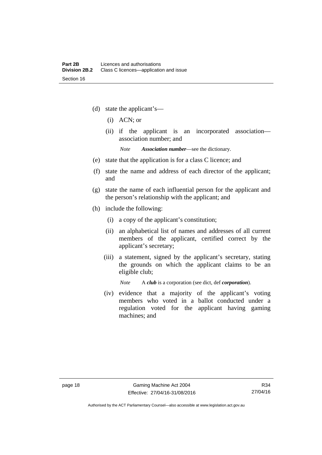- (d) state the applicant's—
	- (i) ACN; or
	- (ii) if the applicant is an incorporated association association number; and

*Note Association number*—see the dictionary.

- (e) state that the application is for a class C licence; and
- (f) state the name and address of each director of the applicant; and
- (g) state the name of each influential person for the applicant and the person's relationship with the applicant; and
- (h) include the following:
	- (i) a copy of the applicant's constitution;
	- (ii) an alphabetical list of names and addresses of all current members of the applicant, certified correct by the applicant's secretary;
	- (iii) a statement, signed by the applicant's secretary, stating the grounds on which the applicant claims to be an eligible club;

*Note* A *club* is a corporation (see dict, def *corporation*).

(iv) evidence that a majority of the applicant's voting members who voted in a ballot conducted under a regulation voted for the applicant having gaming machines; and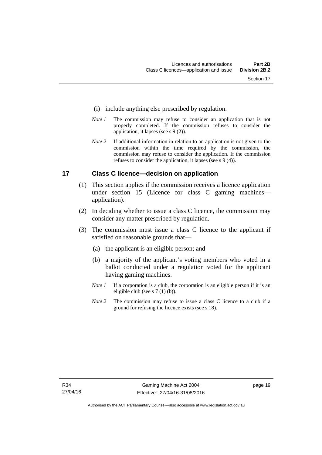- (i) include anything else prescribed by regulation.
- *Note 1* The commission may refuse to consider an application that is not properly completed. If the commission refuses to consider the application, it lapses (see s 9 (2)).
- *Note 2* If additional information in relation to an application is not given to the commission within the time required by the commission, the commission may refuse to consider the application. If the commission refuses to consider the application, it lapses (see s 9 (4)).

## <span id="page-34-0"></span>**17 Class C licence—decision on application**

- (1) This section applies if the commission receives a licence application under section 15 (Licence for class C gaming machines application).
- (2) In deciding whether to issue a class C licence, the commission may consider any matter prescribed by regulation.
- (3) The commission must issue a class C licence to the applicant if satisfied on reasonable grounds that—
	- (a) the applicant is an eligible person; and
	- (b) a majority of the applicant's voting members who voted in a ballot conducted under a regulation voted for the applicant having gaming machines.
	- *Note 1* If a corporation is a club, the corporation is an eligible person if it is an eligible club (see s 7 (1) (b)).
	- *Note* 2 The commission may refuse to issue a class C licence to a club if a ground for refusing the licence exists (see s 18).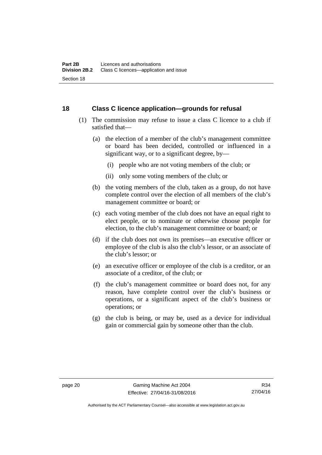## <span id="page-35-0"></span>**18 Class C licence application—grounds for refusal**

- (1) The commission may refuse to issue a class C licence to a club if satisfied that—
	- (a) the election of a member of the club's management committee or board has been decided, controlled or influenced in a significant way, or to a significant degree, by—
		- (i) people who are not voting members of the club; or
		- (ii) only some voting members of the club; or
	- (b) the voting members of the club, taken as a group, do not have complete control over the election of all members of the club's management committee or board; or
	- (c) each voting member of the club does not have an equal right to elect people, or to nominate or otherwise choose people for election, to the club's management committee or board; or
	- (d) if the club does not own its premises—an executive officer or employee of the club is also the club's lessor, or an associate of the club's lessor; or
	- (e) an executive officer or employee of the club is a creditor, or an associate of a creditor, of the club; or
	- (f) the club's management committee or board does not, for any reason, have complete control over the club's business or operations, or a significant aspect of the club's business or operations; or
	- (g) the club is being, or may be, used as a device for individual gain or commercial gain by someone other than the club.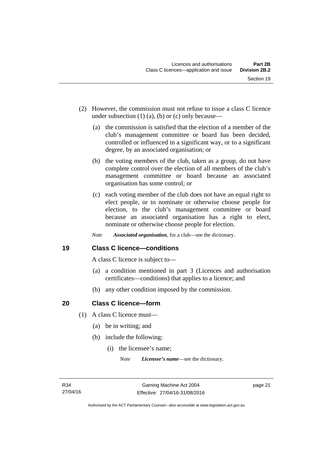- (2) However, the commission must not refuse to issue a class C licence under subsection  $(1)$   $(a)$ ,  $(b)$  or  $(c)$  only because—
	- (a) the commission is satisfied that the election of a member of the club's management committee or board has been decided, controlled or influenced in a significant way, or to a significant degree, by an associated organisation; or
	- (b) the voting members of the club, taken as a group, do not have complete control over the election of all members of the club's management committee or board because an associated organisation has some control; or
	- (c) each voting member of the club does not have an equal right to elect people, or to nominate or otherwise choose people for election, to the club's management committee or board because an associated organisation has a right to elect, nominate or otherwise choose people for election.
	- *Note Associated organisation*, for a club—see the dictionary.

## **19 Class C licence—conditions**

A class C licence is subject to—

- (a) a condition mentioned in part 3 (Licences and authorisation certificates—conditions) that applies to a licence; and
- (b) any other condition imposed by the commission.

## **20 Class C licence—form**

- (1) A class C licence must—
	- (a) be in writing; and
	- (b) include the following:
		- (i) the licensee's name;

*Note Licensee's name*—see the dictionary.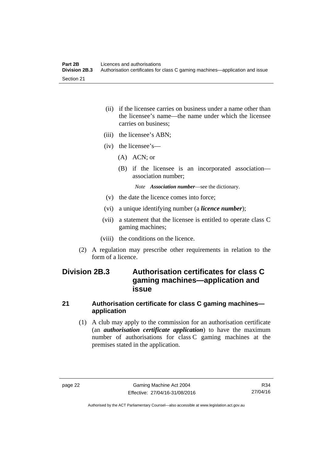- (ii) if the licensee carries on business under a name other than the licensee's name—the name under which the licensee carries on business;
- (iii) the licensee's ABN;
- (iv) the licensee's—
	- (A) ACN; or
	- (B) if the licensee is an incorporated association association number;

*Note Association number*—see the dictionary.

- (v) the date the licence comes into force;
- (vi) a unique identifying number (a *licence number*);
- (vii) a statement that the licensee is entitled to operate class C gaming machines;
- (viii) the conditions on the licence.
- (2) A regulation may prescribe other requirements in relation to the form of a licence.

# **Division 2B.3 Authorisation certificates for class C gaming machines—application and issue**

#### **21 Authorisation certificate for class C gaming machines application**

 (1) A club may apply to the commission for an authorisation certificate (an *authorisation certificate application*) to have the maximum number of authorisations for class C gaming machines at the premises stated in the application.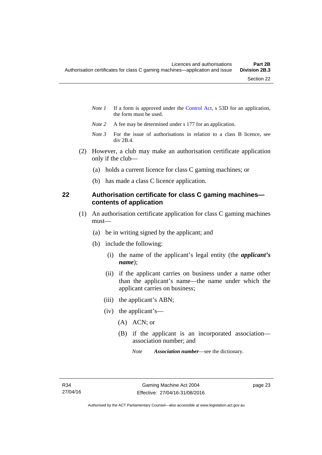- *Note 1* If a form is approved under the [Control Act,](http://www.legislation.act.gov.au/a/1999-46/default.asp) s 53D for an application, the form must be used.
- *Note 2* A fee may be determined under s 177 for an application.
- *Note 3* For the issue of authorisations in relation to a class B licence, see div 2B.4.
- (2) However, a club may make an authorisation certificate application only if the club—
	- (a) holds a current licence for class C gaming machines; or
	- (b) has made a class C licence application.

## **22 Authorisation certificate for class C gaming machines contents of application**

- (1) An authorisation certificate application for class C gaming machines must—
	- (a) be in writing signed by the applicant; and
	- (b) include the following:
		- (i) the name of the applicant's legal entity (the *applicant's name*);
		- (ii) if the applicant carries on business under a name other than the applicant's name—the name under which the applicant carries on business;
		- (iii) the applicant's ABN;
		- (iv) the applicant's—
			- (A) ACN; or
			- (B) if the applicant is an incorporated association association number; and
				- *Note Association number*—see the dictionary.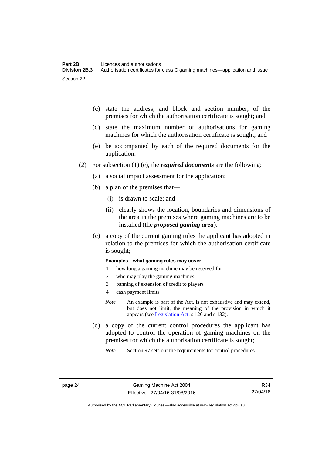- (c) state the address, and block and section number, of the premises for which the authorisation certificate is sought; and
- (d) state the maximum number of authorisations for gaming machines for which the authorisation certificate is sought; and
- (e) be accompanied by each of the required documents for the application.
- (2) For subsection (1) (e), the *required documents* are the following:
	- (a) a social impact assessment for the application;
	- (b) a plan of the premises that—
		- (i) is drawn to scale; and
		- (ii) clearly shows the location, boundaries and dimensions of the area in the premises where gaming machines are to be installed (the *proposed gaming area*);
	- (c) a copy of the current gaming rules the applicant has adopted in relation to the premises for which the authorisation certificate is sought;

#### **Examples—what gaming rules may cover**

- 1 how long a gaming machine may be reserved for
- 2 who may play the gaming machines
- 3 banning of extension of credit to players
- 4 cash payment limits
- *Note* An example is part of the Act, is not exhaustive and may extend, but does not limit, the meaning of the provision in which it appears (see [Legislation Act,](http://www.legislation.act.gov.au/a/2001-14) s 126 and s 132).
- (d) a copy of the current control procedures the applicant has adopted to control the operation of gaming machines on the premises for which the authorisation certificate is sought;
	- *Note* Section 97 sets out the requirements for control procedures.

Authorised by the ACT Parliamentary Counsel—also accessible at www.legislation.act.gov.au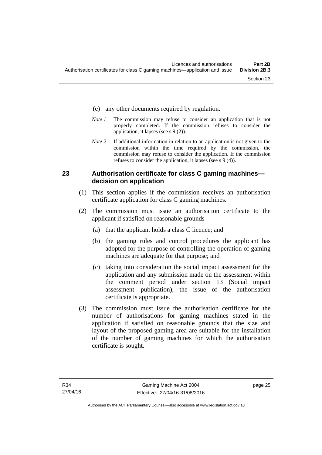- (e) any other documents required by regulation.
- *Note 1* The commission may refuse to consider an application that is not properly completed. If the commission refuses to consider the application, it lapses (see s 9 (2)).
- *Note 2* If additional information in relation to an application is not given to the commission within the time required by the commission, the commission may refuse to consider the application. If the commission refuses to consider the application, it lapses (see s 9 (4)).

#### **23 Authorisation certificate for class C gaming machines decision on application**

- (1) This section applies if the commission receives an authorisation certificate application for class C gaming machines.
- (2) The commission must issue an authorisation certificate to the applicant if satisfied on reasonable grounds—
	- (a) that the applicant holds a class C licence; and
	- (b) the gaming rules and control procedures the applicant has adopted for the purpose of controlling the operation of gaming machines are adequate for that purpose; and
	- (c) taking into consideration the social impact assessment for the application and any submission made on the assessment within the comment period under section 13 (Social impact assessment—publication), the issue of the authorisation certificate is appropriate.
- (3) The commission must issue the authorisation certificate for the number of authorisations for gaming machines stated in the application if satisfied on reasonable grounds that the size and layout of the proposed gaming area are suitable for the installation of the number of gaming machines for which the authorisation certificate is sought.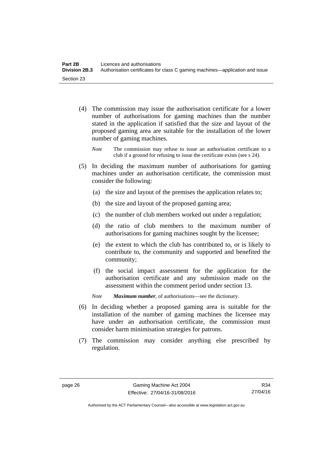- (4) The commission may issue the authorisation certificate for a lower number of authorisations for gaming machines than the number stated in the application if satisfied that the size and layout of the proposed gaming area are suitable for the installation of the lower number of gaming machines.
	- *Note* The commission may refuse to issue an authorisation certificate to a club if a ground for refusing to issue the certificate exists (see s 24).
- (5) In deciding the maximum number of authorisations for gaming machines under an authorisation certificate, the commission must consider the following:
	- (a) the size and layout of the premises the application relates to;
	- (b) the size and layout of the proposed gaming area;
	- (c) the number of club members worked out under a regulation;
	- (d) the ratio of club members to the maximum number of authorisations for gaming machines sought by the licensee;
	- (e) the extent to which the club has contributed to, or is likely to contribute to, the community and supported and benefited the community;
	- (f) the social impact assessment for the application for the authorisation certificate and any submission made on the assessment within the comment period under section 13.

*Note Maximum number*, of authorisations—see the dictionary.

- (6) In deciding whether a proposed gaming area is suitable for the installation of the number of gaming machines the licensee may have under an authorisation certificate, the commission must consider harm minimisation strategies for patrons.
- (7) The commission may consider anything else prescribed by regulation.

Authorised by the ACT Parliamentary Counsel—also accessible at www.legislation.act.gov.au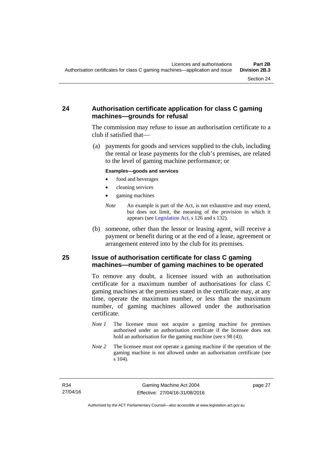## **24 Authorisation certificate application for class C gaming machines—grounds for refusal**

The commission may refuse to issue an authorisation certificate to a club if satisfied that—

 (a) payments for goods and services supplied to the club, including the rental or lease payments for the club's premises, are related to the level of gaming machine performance; or

#### **Examples—goods and services**

- food and beverages
- cleaning services
- gaming machines
- *Note* An example is part of the Act, is not exhaustive and may extend, but does not limit, the meaning of the provision in which it appears (see [Legislation Act,](http://www.legislation.act.gov.au/a/2001-14) s 126 and s 132).
- (b) someone, other than the lessor or leasing agent, will receive a payment or benefit during or at the end of a lease, agreement or arrangement entered into by the club for its premises.

#### **25 Issue of authorisation certificate for class C gaming machines—number of gaming machines to be operated**

To remove any doubt, a licensee issued with an authorisation certificate for a maximum number of authorisations for class C gaming machines at the premises stated in the certificate may, at any time, operate the maximum number, or less than the maximum number, of gaming machines allowed under the authorisation certificate.

- *Note 1* The licensee must not acquire a gaming machine for premises authorised under an authorisation certificate if the licensee does not hold an authorisation for the gaming machine (see s 98 (4)).
- *Note* 2 The licensee must not operate a gaming machine if the operation of the gaming machine is not allowed under an authorisation certificate (see s 104).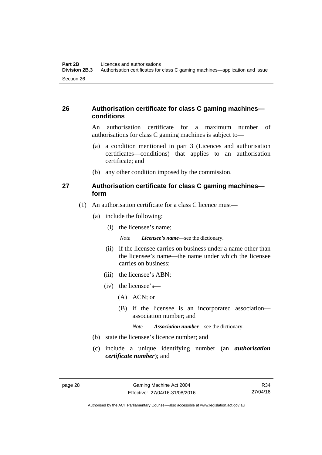## **26 Authorisation certificate for class C gaming machines conditions**

An authorisation certificate for a maximum number of authorisations for class C gaming machines is subject to—

- (a) a condition mentioned in part 3 (Licences and authorisation certificates—conditions) that applies to an authorisation certificate; and
- (b) any other condition imposed by the commission.

#### **27 Authorisation certificate for class C gaming machines form**

- (1) An authorisation certificate for a class C licence must—
	- (a) include the following:
		- (i) the licensee's name;

*Note Licensee's name*—see the dictionary.

- (ii) if the licensee carries on business under a name other than the licensee's name—the name under which the licensee carries on business;
- (iii) the licensee's ABN;
- (iv) the licensee's—
	- (A) ACN; or
	- (B) if the licensee is an incorporated association association number; and

*Note Association number*—see the dictionary.

- (b) state the licensee's licence number; and
- (c) include a unique identifying number (an *authorisation certificate number*); and

Authorised by the ACT Parliamentary Counsel—also accessible at www.legislation.act.gov.au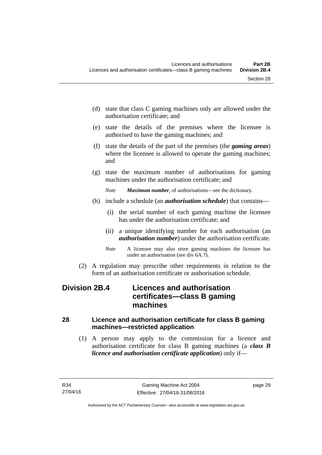- (d) state that class C gaming machines only are allowed under the authorisation certificate; and
- (e) state the details of the premises where the licensee is authorised to have the gaming machines; and
- (f) state the details of the part of the premises (the *gaming areas*) where the licensee is allowed to operate the gaming machines; and
- (g) state the maximum number of authorisations for gaming machines under the authorisation certificate; and
	- *Note Maximum number*, of authorisations—see the dictionary.
- (h) include a schedule (an *authorisation schedule*) that contains—
	- (i) the serial number of each gaming machine the licensee has under the authorisation certificate; and
	- (ii) a unique identifying number for each authorisation (an *authorisation number*) under the authorisation certificate.
	- *Note* A licensee may also store gaming machines the licensee has under an authorisation (see div 6A.7).
- (2) A regulation may prescribe other requirements in relation to the form of an authorisation certificate or authorisation schedule.

# **Division 2B.4 Licences and authorisation certificates—class B gaming machines**

## **28 Licence and authorisation certificate for class B gaming machines—restricted application**

 (1) A person may apply to the commission for a licence and authorisation certificate for class B gaming machines (a *class B licence and authorisation certificate application*) only if—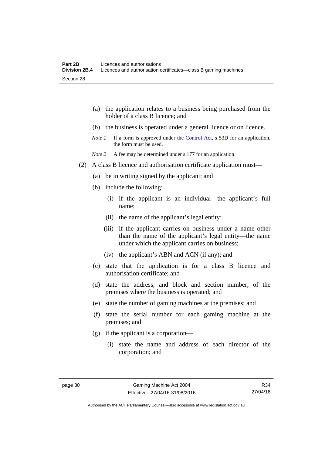|         | the application relates to a business being purchased from the<br>(a)<br>holder of a class B licence; and                                                                 |
|---------|---------------------------------------------------------------------------------------------------------------------------------------------------------------------------|
|         | (b) the business is operated under a general licence or on licence.                                                                                                       |
|         | If a form is approved under the Control Act, s 53D for an application,<br>Note 1<br>the form must be used.                                                                |
|         | A fee may be determined under s 177 for an application.<br>Note 2                                                                                                         |
| (2)     | A class B licence and authorisation certificate application must—                                                                                                         |
|         | be in writing signed by the applicant; and<br>(a)                                                                                                                         |
|         | (b) include the following:                                                                                                                                                |
|         | (i) if the applicant is an individual—the applicant's full<br>name;                                                                                                       |
|         | (ii) the name of the applicant's legal entity;                                                                                                                            |
|         | (iii) if the applicant carries on business under a name other<br>than the name of the applicant's legal entity—the name<br>under which the applicant carries on business; |
|         | (iv) the applicant's ABN and ACN (if any); and                                                                                                                            |
|         | (c) state that the application is for a class B licence and<br>authorisation certificate; and                                                                             |
|         | state the address, and block and section number, of the<br>(d)<br>premises where the business is operated; and                                                            |
|         | state the number of gaming machines at the premises; and<br>(e)                                                                                                           |
|         | (f)<br>state the serial number for each gaming machine at the<br>premises; and                                                                                            |
|         | if the applicant is a corporation—<br>(g)                                                                                                                                 |
|         | (i) state the name and address of each director of the<br>corporation; and                                                                                                |
| page 30 | Gaming Machine Act 2004<br>R34                                                                                                                                            |

27/04/16

Authorised by the ACT Parliamentary Counsel—also accessible at www.legislation.act.gov.au

Effective: 27/04/16-31/08/2016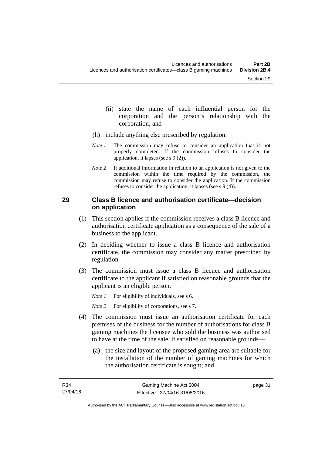- (ii) state the name of each influential person for the corporation and the person's relationship with the corporation; and
- (h) include anything else prescribed by regulation.
- *Note 1* The commission may refuse to consider an application that is not properly completed. If the commission refuses to consider the application, it lapses (see s 9 (2)).
- *Note 2* If additional information in relation to an application is not given to the commission within the time required by the commission, the commission may refuse to consider the application. If the commission refuses to consider the application, it lapses (see s 9 (4)).

#### **29 Class B licence and authorisation certificate—decision on application**

- (1) This section applies if the commission receives a class B licence and authorisation certificate application as a consequence of the sale of a business to the applicant.
- (2) In deciding whether to issue a class B licence and authorisation certificate, the commission may consider any matter prescribed by regulation.
- (3) The commission must issue a class B licence and authorisation certificate to the applicant if satisfied on reasonable grounds that the applicant is an eligible person.

*Note 1* For eligibility of individuals, see s 6.

*Note 2* For eligibility of corporations, see s 7.

- (4) The commission must issue an authorisation certificate for each premises of the business for the number of authorisations for class B gaming machines the licensee who sold the business was authorised to have at the time of the sale, if satisfied on reasonable grounds—
	- (a) the size and layout of the proposed gaming area are suitable for the installation of the number of gaming machines for which the authorisation certificate is sought; and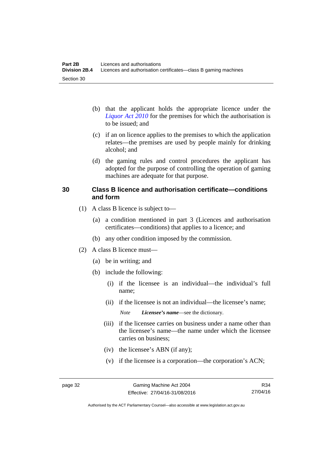- (b) that the applicant holds the appropriate licence under the *[Liquor Act 2010](http://www.legislation.act.gov.au/a/2010-35)* for the premises for which the authorisation is to be issued; and
- (c) if an on licence applies to the premises to which the application relates—the premises are used by people mainly for drinking alcohol; and
- (d) the gaming rules and control procedures the applicant has adopted for the purpose of controlling the operation of gaming machines are adequate for that purpose.

#### **30 Class B licence and authorisation certificate—conditions and form**

- (1) A class B licence is subject to—
	- (a) a condition mentioned in part 3 (Licences and authorisation certificates—conditions) that applies to a licence; and
	- (b) any other condition imposed by the commission.
- (2) A class B licence must—
	- (a) be in writing; and
	- (b) include the following:
		- (i) if the licensee is an individual—the individual's full name;
		- (ii) if the licensee is not an individual—the licensee's name;

*Note Licensee's name*—see the dictionary.

- (iii) if the licensee carries on business under a name other than the licensee's name—the name under which the licensee carries on business;
- (iv) the licensee's ABN (if any);
- (v) if the licensee is a corporation—the corporation's ACN;

Authorised by the ACT Parliamentary Counsel—also accessible at www.legislation.act.gov.au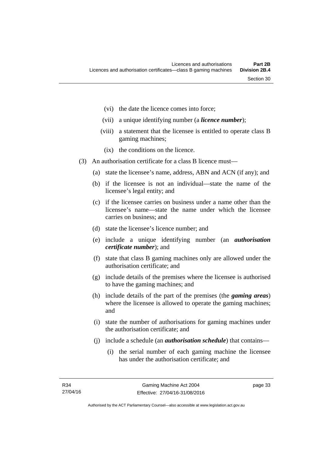- (vi) the date the licence comes into force;
- (vii) a unique identifying number (a *licence number*);
- (viii) a statement that the licensee is entitled to operate class B gaming machines;
	- (ix) the conditions on the licence.
- (3) An authorisation certificate for a class B licence must—
	- (a) state the licensee's name, address, ABN and ACN (if any); and
	- (b) if the licensee is not an individual—state the name of the licensee's legal entity; and
	- (c) if the licensee carries on business under a name other than the licensee's name—state the name under which the licensee carries on business; and
	- (d) state the licensee's licence number; and
	- (e) include a unique identifying number (an *authorisation certificate number*); and
	- (f) state that class B gaming machines only are allowed under the authorisation certificate; and
	- (g) include details of the premises where the licensee is authorised to have the gaming machines; and
	- (h) include details of the part of the premises (the *gaming areas*) where the licensee is allowed to operate the gaming machines; and
	- (i) state the number of authorisations for gaming machines under the authorisation certificate; and
	- (j) include a schedule (an *authorisation schedule*) that contains—
		- (i) the serial number of each gaming machine the licensee has under the authorisation certificate; and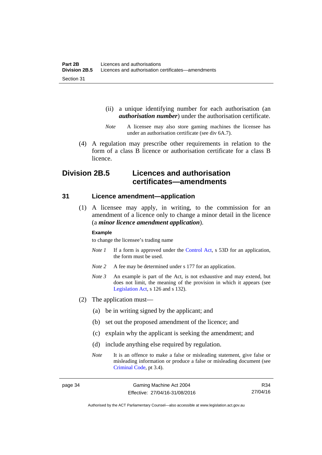- (ii) a unique identifying number for each authorisation (an *authorisation number*) under the authorisation certificate.
- *Note* A licensee may also store gaming machines the licensee has under an authorisation certificate (see div 6A.7).
- (4) A regulation may prescribe other requirements in relation to the form of a class B licence or authorisation certificate for a class B licence.

# **Division 2B.5 Licences and authorisation certificates—amendments**

#### **31 Licence amendment—application**

 (1) A licensee may apply, in writing, to the commission for an amendment of a licence only to change a minor detail in the licence (a *minor licence amendment application*).

#### **Example**

to change the licensee's trading name

- *Note 1* If a form is approved under the [Control Act,](http://www.legislation.act.gov.au/a/1999-46/default.asp) s 53D for an application, the form must be used.
- *Note* 2 A fee may be determined under s 177 for an application.
- *Note 3* An example is part of the Act, is not exhaustive and may extend, but does not limit, the meaning of the provision in which it appears (see [Legislation Act,](http://www.legislation.act.gov.au/a/2001-14) s 126 and s 132).
- (2) The application must—
	- (a) be in writing signed by the applicant; and
	- (b) set out the proposed amendment of the licence; and
	- (c) explain why the applicant is seeking the amendment; and
	- (d) include anything else required by regulation.
	- *Note* It is an offence to make a false or misleading statement, give false or misleading information or produce a false or misleading document (see [Criminal Code](http://www.legislation.act.gov.au/a/2002-51), pt 3.4).

R34 27/04/16

Authorised by the ACT Parliamentary Counsel—also accessible at www.legislation.act.gov.au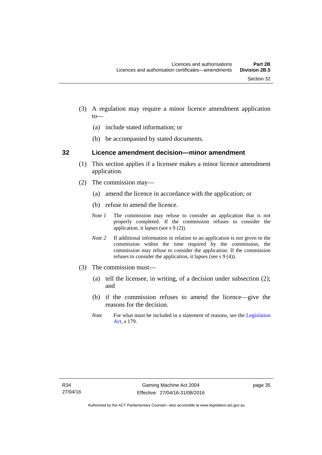- (3) A regulation may require a minor licence amendment application to—
	- (a) include stated information; or
	- (b) be accompanied by stated documents.

#### **32 Licence amendment decision—minor amendment**

- (1) This section applies if a licensee makes a minor licence amendment application.
- (2) The commission may—
	- (a) amend the licence in accordance with the application; or
	- (b) refuse to amend the licence.
	- *Note 1* The commission may refuse to consider an application that is not properly completed. If the commission refuses to consider the application, it lapses (see s 9 (2)).
	- *Note 2* If additional information in relation to an application is not given to the commission within the time required by the commission, the commission may refuse to consider the application. If the commission refuses to consider the application, it lapses (see s 9 (4)).
- (3) The commission must—
	- (a) tell the licensee, in writing, of a decision under subsection (2); and
	- (b) if the commission refuses to amend the licence—give the reasons for the decision.
	- *Note* For what must be included in a statement of reasons, see the Legislation [Act](http://www.legislation.act.gov.au/a/2001-14), s 179.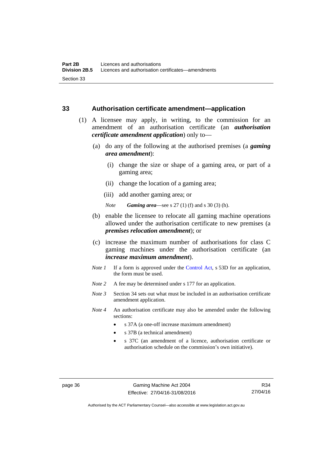#### **33 Authorisation certificate amendment—application**

- (1) A licensee may apply, in writing, to the commission for an amendment of an authorisation certificate (an *authorisation certificate amendment application*) only to—
	- (a) do any of the following at the authorised premises (a *gaming area amendment*):
		- (i) change the size or shape of a gaming area, or part of a gaming area;
		- (ii) change the location of a gaming area;
		- (iii) add another gaming area; or

*Note Gaming area*—see s 27 (1) (f) and s 30 (3) (h).

- (b) enable the licensee to relocate all gaming machine operations allowed under the authorisation certificate to new premises (a *premises relocation amendment*); or
- (c) increase the maximum number of authorisations for class C gaming machines under the authorisation certificate (an *increase maximum amendment*).
- *Note 1* If a form is approved under the [Control Act](http://www.legislation.act.gov.au/a/1999-46/default.asp), s 53D for an application, the form must be used.
- *Note 2* A fee may be determined under s 177 for an application.
- *Note 3* Section 34 sets out what must be included in an authorisation certificate amendment application.
- *Note 4* An authorisation certificate may also be amended under the following sections:
	- s 37A (a one-off increase maximum amendment)
	- s 37B (a technical amendment)
	- s 37C (an amendment of a licence, authorisation certificate or authorisation schedule on the commission's own initiative).

page 36 Gaming Machine Act 2004 Effective: 27/04/16-31/08/2016

R34 27/04/16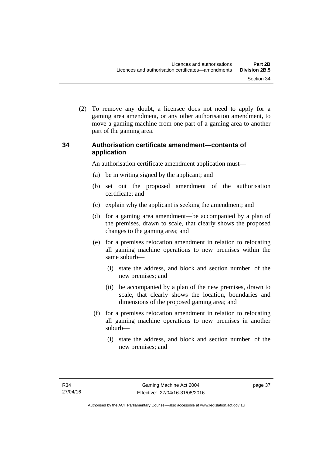(2) To remove any doubt, a licensee does not need to apply for a gaming area amendment, or any other authorisation amendment, to move a gaming machine from one part of a gaming area to another part of the gaming area.

## **34 Authorisation certificate amendment—contents of application**

An authorisation certificate amendment application must—

- (a) be in writing signed by the applicant; and
- (b) set out the proposed amendment of the authorisation certificate; and
- (c) explain why the applicant is seeking the amendment; and
- (d) for a gaming area amendment—be accompanied by a plan of the premises, drawn to scale, that clearly shows the proposed changes to the gaming area; and
- (e) for a premises relocation amendment in relation to relocating all gaming machine operations to new premises within the same suburb—
	- (i) state the address, and block and section number, of the new premises; and
	- (ii) be accompanied by a plan of the new premises, drawn to scale, that clearly shows the location, boundaries and dimensions of the proposed gaming area; and
- (f) for a premises relocation amendment in relation to relocating all gaming machine operations to new premises in another suburb—
	- (i) state the address, and block and section number, of the new premises; and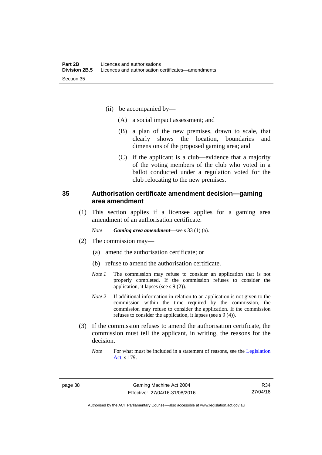- (ii) be accompanied by—
	- (A) a social impact assessment; and
	- (B) a plan of the new premises, drawn to scale, that clearly shows the location, boundaries and dimensions of the proposed gaming area; and
	- (C) if the applicant is a club—evidence that a majority of the voting members of the club who voted in a ballot conducted under a regulation voted for the club relocating to the new premises.

#### **35 Authorisation certificate amendment decision—gaming area amendment**

 (1) This section applies if a licensee applies for a gaming area amendment of an authorisation certificate.

*Note Gaming area amendment*—see s 33 (1) (a).

- (2) The commission may—
	- (a) amend the authorisation certificate; or
	- (b) refuse to amend the authorisation certificate.
	- *Note 1* The commission may refuse to consider an application that is not properly completed. If the commission refuses to consider the application, it lapses (see s 9 (2)).
	- *Note 2* If additional information in relation to an application is not given to the commission within the time required by the commission, the commission may refuse to consider the application. If the commission refuses to consider the application, it lapses (see s 9 (4)).
- (3) If the commission refuses to amend the authorisation certificate, the commission must tell the applicant, in writing, the reasons for the decision.
	- *Note* For what must be included in a statement of reasons, see the Legislation [Act](http://www.legislation.act.gov.au/a/2001-14), s 179.

R34 27/04/16

Authorised by the ACT Parliamentary Counsel—also accessible at www.legislation.act.gov.au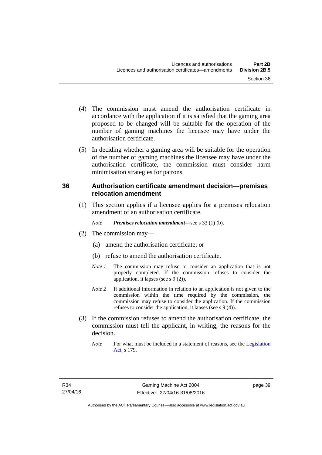- (4) The commission must amend the authorisation certificate in accordance with the application if it is satisfied that the gaming area proposed to be changed will be suitable for the operation of the number of gaming machines the licensee may have under the
- (5) In deciding whether a gaming area will be suitable for the operation of the number of gaming machines the licensee may have under the authorisation certificate, the commission must consider harm minimisation strategies for patrons.

## **36 Authorisation certificate amendment decision—premises relocation amendment**

(1) This section applies if a licensee applies for a premises relocation amendment of an authorisation certificate.

*Note Premises relocation amendment*—see s 33 (1) (b).

(2) The commission may—

authorisation certificate.

- (a) amend the authorisation certificate; or
- (b) refuse to amend the authorisation certificate.
- *Note 1* The commission may refuse to consider an application that is not properly completed. If the commission refuses to consider the application, it lapses (see s 9 (2)).
- *Note* 2 If additional information in relation to an application is not given to the commission within the time required by the commission, the commission may refuse to consider the application. If the commission refuses to consider the application, it lapses (see s 9 (4)).
- (3) If the commission refuses to amend the authorisation certificate, the commission must tell the applicant, in writing, the reasons for the decision.
	- *Note* For what must be included in a statement of reasons, see the Legislation [Act](http://www.legislation.act.gov.au/a/2001-14), s 179.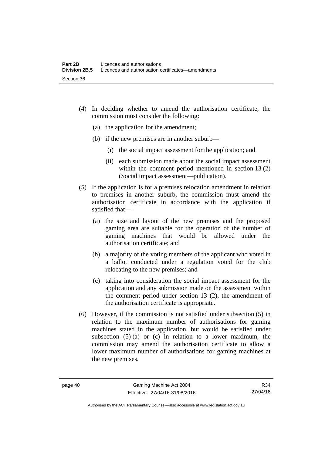- (4) In deciding whether to amend the authorisation certificate, the commission must consider the following:
	- (a) the application for the amendment;
	- (b) if the new premises are in another suburb—
		- (i) the social impact assessment for the application; and
		- (ii) each submission made about the social impact assessment within the comment period mentioned in section 13 (2) (Social impact assessment—publication).
- (5) If the application is for a premises relocation amendment in relation to premises in another suburb, the commission must amend the authorisation certificate in accordance with the application if satisfied that—
	- (a) the size and layout of the new premises and the proposed gaming area are suitable for the operation of the number of gaming machines that would be allowed under the authorisation certificate; and
	- (b) a majority of the voting members of the applicant who voted in a ballot conducted under a regulation voted for the club relocating to the new premises; and
	- (c) taking into consideration the social impact assessment for the application and any submission made on the assessment within the comment period under section 13 (2), the amendment of the authorisation certificate is appropriate.
- (6) However, if the commission is not satisfied under subsection (5) in relation to the maximum number of authorisations for gaming machines stated in the application, but would be satisfied under subsection  $(5)$  (a) or (c) in relation to a lower maximum, the commission may amend the authorisation certificate to allow a lower maximum number of authorisations for gaming machines at the new premises.

R34 27/04/16

Authorised by the ACT Parliamentary Counsel—also accessible at www.legislation.act.gov.au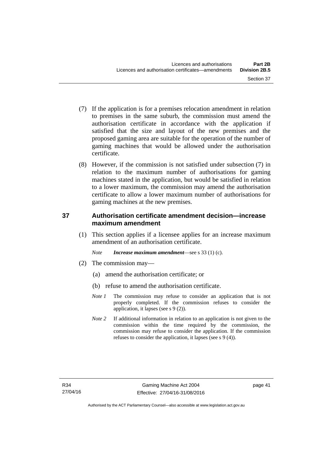- (7) If the application is for a premises relocation amendment in relation to premises in the same suburb, the commission must amend the authorisation certificate in accordance with the application if satisfied that the size and layout of the new premises and the proposed gaming area are suitable for the operation of the number of gaming machines that would be allowed under the authorisation certificate.
- (8) However, if the commission is not satisfied under subsection (7) in relation to the maximum number of authorisations for gaming machines stated in the application, but would be satisfied in relation to a lower maximum, the commission may amend the authorisation certificate to allow a lower maximum number of authorisations for gaming machines at the new premises.

## **37 Authorisation certificate amendment decision—increase maximum amendment**

(1) This section applies if a licensee applies for an increase maximum amendment of an authorisation certificate.

*Note Increase maximum amendment*—see s 33 (1) (c).

- (2) The commission may—
	- (a) amend the authorisation certificate; or
	- (b) refuse to amend the authorisation certificate.
	- *Note 1* The commission may refuse to consider an application that is not properly completed. If the commission refuses to consider the application, it lapses (see s 9 (2)).
	- *Note* 2 If additional information in relation to an application is not given to the commission within the time required by the commission, the commission may refuse to consider the application. If the commission refuses to consider the application, it lapses (see s 9 (4)).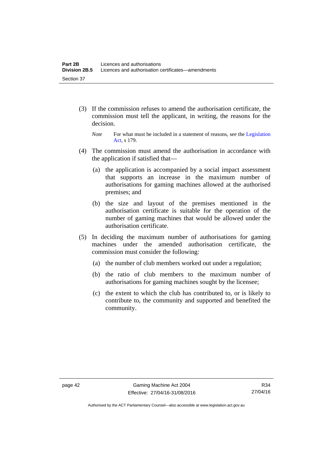- (3) If the commission refuses to amend the authorisation certificate, the commission must tell the applicant, in writing, the reasons for the decision.
	- *Note* For what must be included in a statement of reasons, see the Legislation [Act](http://www.legislation.act.gov.au/a/2001-14), s 179.
- (4) The commission must amend the authorisation in accordance with the application if satisfied that—
	- (a) the application is accompanied by a social impact assessment that supports an increase in the maximum number of authorisations for gaming machines allowed at the authorised premises; and
	- (b) the size and layout of the premises mentioned in the authorisation certificate is suitable for the operation of the number of gaming machines that would be allowed under the authorisation certificate.
- (5) In deciding the maximum number of authorisations for gaming machines under the amended authorisation certificate, the commission must consider the following:
	- (a) the number of club members worked out under a regulation;
	- (b) the ratio of club members to the maximum number of authorisations for gaming machines sought by the licensee;
	- (c) the extent to which the club has contributed to, or is likely to contribute to, the community and supported and benefited the community.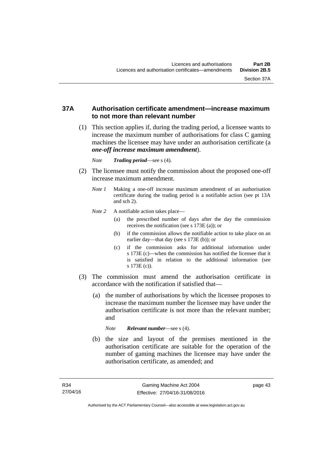#### **37A Authorisation certificate amendment—increase maximum to not more than relevant number**

- (1) This section applies if, during the trading period, a licensee wants to increase the maximum number of authorisations for class C gaming machines the licensee may have under an authorisation certificate (a *one-off increase maximum amendment*).
	- *Note Trading period*—see s (4).
- (2) The licensee must notify the commission about the proposed one-off increase maximum amendment.
	- *Note 1* Making a one-off increase maximum amendment of an authorisation certificate during the trading period is a notifiable action (see pt 13A and sch 2).
	- *Note* 2 A notifiable action takes place—
		- (a) the prescribed number of days after the day the commission receives the notification (see s 173E (a)); or
		- (b) if the commission allows the notifiable action to take place on an earlier day—that day (see s 173E (b)); or
		- (c) if the commission asks for additional information under s 173E (c)—when the commission has notified the licensee that it is satisfied in relation to the additional information (see s 173E (c)).
- (3) The commission must amend the authorisation certificate in accordance with the notification if satisfied that—
	- (a) the number of authorisations by which the licensee proposes to increase the maximum number the licensee may have under the authorisation certificate is not more than the relevant number; and

*Note Relevant number*—see s (4).

 (b) the size and layout of the premises mentioned in the authorisation certificate are suitable for the operation of the number of gaming machines the licensee may have under the authorisation certificate, as amended; and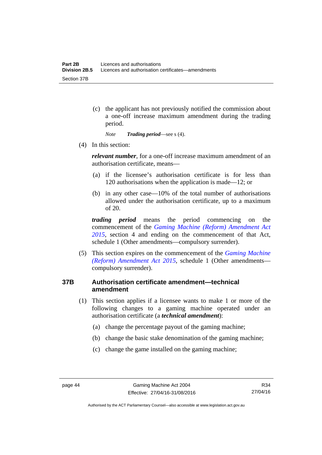(c) the applicant has not previously notified the commission about a one-off increase maximum amendment during the trading period.

*Note Trading period*—see s (4).

(4) In this section:

*relevant number*, for a one-off increase maximum amendment of an authorisation certificate, means—

- (a) if the licensee's authorisation certificate is for less than 120 authorisations when the application is made—12; or
- (b) in any other case—10% of the total number of authorisations allowed under the authorisation certificate, up to a maximum of 20.

*trading period* means the period commencing on the commencement of the *[Gaming Machine \(Reform\) Amendment Act](http://www.legislation.act.gov.au/a/2015-21/default.asp)  [2015](http://www.legislation.act.gov.au/a/2015-21/default.asp)*, section 4 and ending on the commencement of that Act, schedule 1 (Other amendments—compulsory surrender).

 (5) This section expires on the commencement of the *[Gaming Machine](http://www.legislation.act.gov.au/a/2015-21/default.asp)  [\(Reform\) Amendment Act 2015](http://www.legislation.act.gov.au/a/2015-21/default.asp)*, schedule 1 (Other amendments compulsory surrender).

## **37B Authorisation certificate amendment—technical amendment**

- (1) This section applies if a licensee wants to make 1 or more of the following changes to a gaming machine operated under an authorisation certificate (a *technical amendment*):
	- (a) change the percentage payout of the gaming machine;
	- (b) change the basic stake denomination of the gaming machine;
	- (c) change the game installed on the gaming machine;

Authorised by the ACT Parliamentary Counsel—also accessible at www.legislation.act.gov.au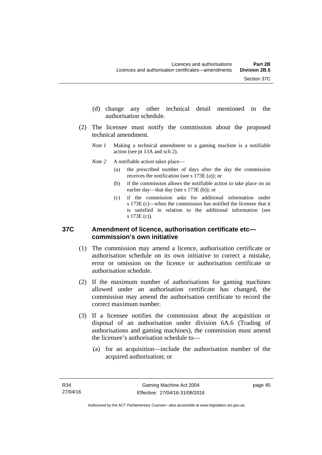- (d) change any other technical detail mentioned in the authorisation schedule.
- (2) The licensee must notify the commission about the proposed technical amendment.
	- *Note 1* Making a technical amendment to a gaming machine is a notifiable action (see pt 13A and sch 2).
	- *Note* 2 A notifiable action takes place—
		- (a) the prescribed number of days after the day the commission receives the notification (see s 173E (a)); or
		- (b) if the commission allows the notifiable action to take place on an earlier day—that day (see s 173E (b)); or
		- (c) if the commission asks for additional information under s 173E (c)—when the commission has notified the licensee that it is satisfied in relation to the additional information (see s 173E (c)).

#### **37C Amendment of licence, authorisation certificate etc commission's own initiative**

- (1) The commission may amend a licence, authorisation certificate or authorisation schedule on its own initiative to correct a mistake, error or omission on the licence or authorisation certificate or authorisation schedule.
- (2) If the maximum number of authorisations for gaming machines allowed under an authorisation certificate has changed, the commission may amend the authorisation certificate to record the correct maximum number.
- (3) If a licensee notifies the commission about the acquisition or disposal of an authorisation under division 6A.6 (Trading of authorisations and gaming machines), the commission must amend the licensee's authorisation schedule to—
	- (a) for an acquisition—include the authorisation number of the acquired authorisation; or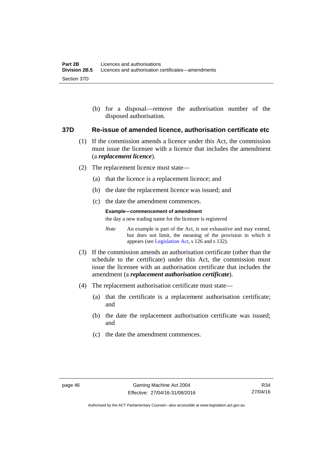(b) for a disposal—remove the authorisation number of the disposed authorisation.

#### **37D Re-issue of amended licence, authorisation certificate etc**

- (1) If the commission amends a licence under this Act, the commission must issue the licensee with a licence that includes the amendment (a *replacement licence*).
- (2) The replacement licence must state—
	- (a) that the licence is a replacement licence; and
	- (b) the date the replacement licence was issued; and
	- (c) the date the amendment commences.

#### **Example—commencement of amendment**

the day a new trading name for the licensee is registered

*Note* An example is part of the Act, is not exhaustive and may extend, but does not limit, the meaning of the provision in which it appears (see [Legislation Act,](http://www.legislation.act.gov.au/a/2001-14) s 126 and s 132).

- (3) If the commission amends an authorisation certificate (other than the schedule to the certificate) under this Act, the commission must issue the licensee with an authorisation certificate that includes the amendment (a *replacement authorisation certificate*).
- (4) The replacement authorisation certificate must state—
	- (a) that the certificate is a replacement authorisation certificate; and
	- (b) the date the replacement authorisation certificate was issued; and
	- (c) the date the amendment commences.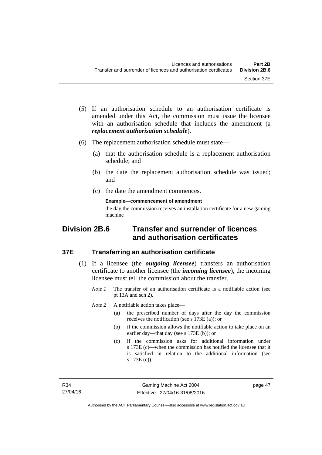- (5) If an authorisation schedule to an authorisation certificate is amended under this Act, the commission must issue the licensee with an authorisation schedule that includes the amendment (a *replacement authorisation schedule*).
- (6) The replacement authorisation schedule must state—
	- (a) that the authorisation schedule is a replacement authorisation schedule; and
	- (b) the date the replacement authorisation schedule was issued; and
	- (c) the date the amendment commences.

#### **Example—commencement of amendment**

the day the commission receives an installation certificate for a new gaming machine

# **Division 2B.6 Transfer and surrender of licences and authorisation certificates**

#### **37E Transferring an authorisation certificate**

- (1) If a licensee (the *outgoing licensee*) transfers an authorisation certificate to another licensee (the *incoming licensee*), the incoming licensee must tell the commission about the transfer.
	- *Note 1* The transfer of an authorisation certificate is a notifiable action (see pt 13A and sch 2).

*Note* 2 A notifiable action takes place—

- (a) the prescribed number of days after the day the commission receives the notification (see s 173E (a)); or
- (b) if the commission allows the notifiable action to take place on an earlier day—that day (see s 173E (b)); or
- (c) if the commission asks for additional information under s 173E (c)—when the commission has notified the licensee that it is satisfied in relation to the additional information (see s 173E (c)).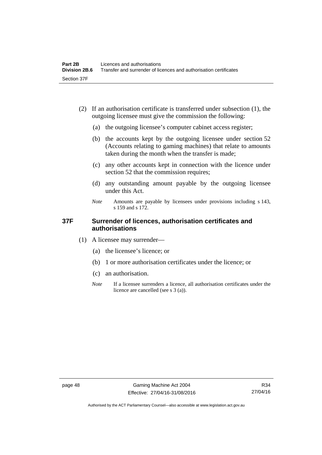- (2) If an authorisation certificate is transferred under subsection (1), the outgoing licensee must give the commission the following:
	- (a) the outgoing licensee's computer cabinet access register;
	- (b) the accounts kept by the outgoing licensee under section 52 (Accounts relating to gaming machines) that relate to amounts taken during the month when the transfer is made;
	- (c) any other accounts kept in connection with the licence under section 52 that the commission requires;
	- (d) any outstanding amount payable by the outgoing licensee under this Act.
	- *Note* Amounts are payable by licensees under provisions including s 143, s 159 and s 172.

#### **37F Surrender of licences, authorisation certificates and authorisations**

- (1) A licensee may surrender—
	- (a) the licensee's licence; or
	- (b) 1 or more authorisation certificates under the licence; or
	- (c) an authorisation.
	- *Note* If a licensee surrenders a licence, all authorisation certificates under the licence are cancelled (see s 3 (a)).

Authorised by the ACT Parliamentary Counsel—also accessible at www.legislation.act.gov.au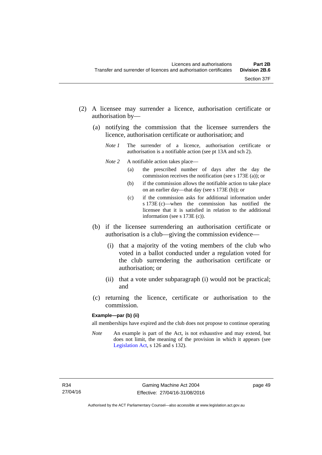- (2) A licensee may surrender a licence, authorisation certificate or authorisation by—
	- (a) notifying the commission that the licensee surrenders the licence, authorisation certificate or authorisation; and
		- *Note 1* The surrender of a licence, authorisation certificate or authorisation is a notifiable action (see pt 13A and sch 2).
		- *Note* 2 A notifiable action takes place—
			- (a) the prescribed number of days after the day the commission receives the notification (see s 173E (a)); or
			- (b) if the commission allows the notifiable action to take place on an earlier day—that day (see s 173E (b)); or
			- (c) if the commission asks for additional information under s 173E (c)—when the commission has notified the licensee that it is satisfied in relation to the additional information (see s 173E (c)).
	- (b) if the licensee surrendering an authorisation certificate or authorisation is a club—giving the commission evidence—
		- (i) that a majority of the voting members of the club who voted in a ballot conducted under a regulation voted for the club surrendering the authorisation certificate or authorisation; or
		- (ii) that a vote under subparagraph (i) would not be practical; and
	- (c) returning the licence, certificate or authorisation to the commission.

#### **Example—par (b) (ii)**

all memberships have expired and the club does not propose to continue operating

*Note* An example is part of the Act, is not exhaustive and may extend, but does not limit, the meaning of the provision in which it appears (see [Legislation Act,](http://www.legislation.act.gov.au/a/2001-14) s 126 and s 132).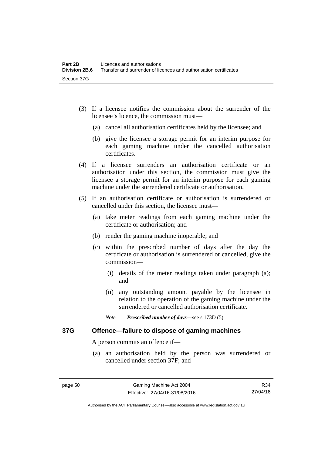- (3) If a licensee notifies the commission about the surrender of the licensee's licence, the commission must—
	- (a) cancel all authorisation certificates held by the licensee; and
	- (b) give the licensee a storage permit for an interim purpose for each gaming machine under the cancelled authorisation certificates.
- (4) If a licensee surrenders an authorisation certificate or an authorisation under this section, the commission must give the licensee a storage permit for an interim purpose for each gaming machine under the surrendered certificate or authorisation.
- (5) If an authorisation certificate or authorisation is surrendered or cancelled under this section, the licensee must—
	- (a) take meter readings from each gaming machine under the certificate or authorisation; and
	- (b) render the gaming machine inoperable; and
	- (c) within the prescribed number of days after the day the certificate or authorisation is surrendered or cancelled, give the commission—
		- (i) details of the meter readings taken under paragraph (a); and
		- (ii) any outstanding amount payable by the licensee in relation to the operation of the gaming machine under the surrendered or cancelled authorisation certificate.
		- *Note Prescribed number of days*—see s 173D (5).

#### **37G Offence—failure to dispose of gaming machines**

A person commits an offence if—

 (a) an authorisation held by the person was surrendered or cancelled under section 37F; and

R34 27/04/16

Authorised by the ACT Parliamentary Counsel—also accessible at www.legislation.act.gov.au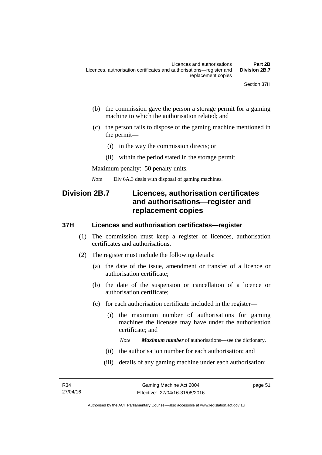- (b) the commission gave the person a storage permit for a gaming machine to which the authorisation related; and
- (c) the person fails to dispose of the gaming machine mentioned in the permit—
	- (i) in the way the commission directs; or
	- (ii) within the period stated in the storage permit.

Maximum penalty: 50 penalty units.

*Note* Div 6A.3 deals with disposal of gaming machines.

# **Division 2B.7 Licences, authorisation certificates and authorisations—register and replacement copies**

#### **37H Licences and authorisation certificates—register**

- (1) The commission must keep a register of licences, authorisation certificates and authorisations.
- (2) The register must include the following details:
	- (a) the date of the issue, amendment or transfer of a licence or authorisation certificate;
	- (b) the date of the suspension or cancellation of a licence or authorisation certificate;
	- (c) for each authorisation certificate included in the register—
		- (i) the maximum number of authorisations for gaming machines the licensee may have under the authorisation certificate; and

*Note Maximum number* of authorisations—see the dictionary.

- (ii) the authorisation number for each authorisation; and
- (iii) details of any gaming machine under each authorisation;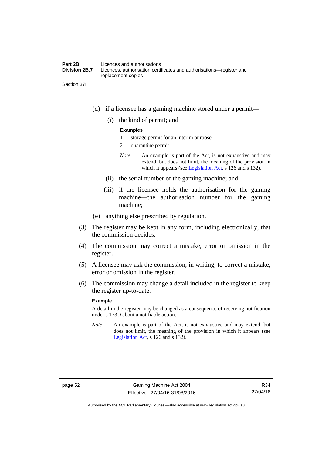#### **Part 2B Licences and authorisations**<br>**Division 2B.7** Licences, authorisation certi Licences, authorisation certificates and authorisations—register and replacement copies

Section 37H

- (d) if a licensee has a gaming machine stored under a permit—
	- (i) the kind of permit; and

#### **Examples**

- 1 storage permit for an interim purpose
- 2 quarantine permit
- *Note* An example is part of the Act, is not exhaustive and may extend, but does not limit, the meaning of the provision in which it appears (see [Legislation Act,](http://www.legislation.act.gov.au/a/2001-14) s 126 and s 132).
- (ii) the serial number of the gaming machine; and
- (iii) if the licensee holds the authorisation for the gaming machine—the authorisation number for the gaming machine;
- (e) anything else prescribed by regulation.
- (3) The register may be kept in any form, including electronically, that the commission decides.
- (4) The commission may correct a mistake, error or omission in the register.
- (5) A licensee may ask the commission, in writing, to correct a mistake, error or omission in the register.
- (6) The commission may change a detail included in the register to keep the register up-to-date.

#### **Example**

A detail in the register may be changed as a consequence of receiving notification under s 173D about a notifiable action.

*Note* An example is part of the Act, is not exhaustive and may extend, but does not limit, the meaning of the provision in which it appears (see [Legislation Act,](http://www.legislation.act.gov.au/a/2001-14) s 126 and s 132).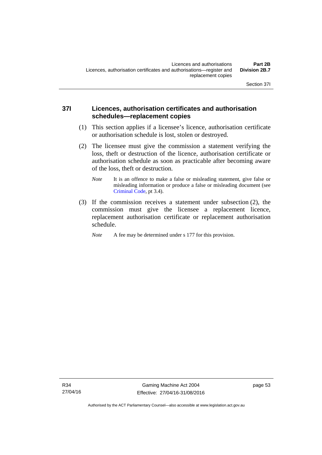## **37I Licences, authorisation certificates and authorisation schedules—replacement copies**

- (1) This section applies if a licensee's licence, authorisation certificate or authorisation schedule is lost, stolen or destroyed.
- (2) The licensee must give the commission a statement verifying the loss, theft or destruction of the licence, authorisation certificate or authorisation schedule as soon as practicable after becoming aware of the loss, theft or destruction.
	- *Note* It is an offence to make a false or misleading statement, give false or misleading information or produce a false or misleading document (see [Criminal Code](http://www.legislation.act.gov.au/a/2002-51), pt 3.4).
- (3) If the commission receives a statement under subsection (2), the commission must give the licensee a replacement licence, replacement authorisation certificate or replacement authorisation schedule.

*Note* A fee may be determined under s 177 for this provision.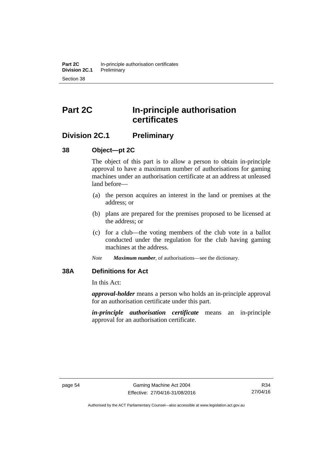# **Part 2C In-principle authorisation certificates**

## **Division 2C.1 Preliminary**

## **38 Object—pt 2C**

The object of this part is to allow a person to obtain in-principle approval to have a maximum number of authorisations for gaming machines under an authorisation certificate at an address at unleased land before—

- (a) the person acquires an interest in the land or premises at the address; or
- (b) plans are prepared for the premises proposed to be licensed at the address; or
- (c) for a club—the voting members of the club vote in a ballot conducted under the regulation for the club having gaming machines at the address.
- *Note Maximum number*, of authorisations—see the dictionary.

## **38A Definitions for Act**

In this Act:

*approval-holder* means a person who holds an in-principle approval for an authorisation certificate under this part.

*in-principle authorisation certificate* means an in-principle approval for an authorisation certificate.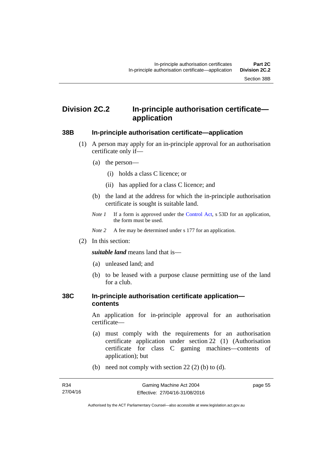# **Division 2C.2 In-principle authorisation certificate application**

#### **38B In-principle authorisation certificate—application**

- (1) A person may apply for an in-principle approval for an authorisation certificate only if—
	- (a) the person—
		- (i) holds a class C licence; or
		- (ii) has applied for a class C licence; and
	- (b) the land at the address for which the in-principle authorisation certificate is sought is suitable land.
	- *Note 1* If a form is approved under the [Control Act](http://www.legislation.act.gov.au/a/1999-46/default.asp), s 53D for an application, the form must be used.

*Note* 2 A fee may be determined under s 177 for an application.

(2) In this section:

*suitable land* means land that is—

- (a) unleased land; and
- (b) to be leased with a purpose clause permitting use of the land for a club.

#### **38C In-principle authorisation certificate application contents**

An application for in-principle approval for an authorisation certificate—

- (a) must comply with the requirements for an authorisation certificate application under section 22 (1) (Authorisation certificate for class C gaming machines—contents of application); but
- (b) need not comply with section  $22(2)$  (b) to (d).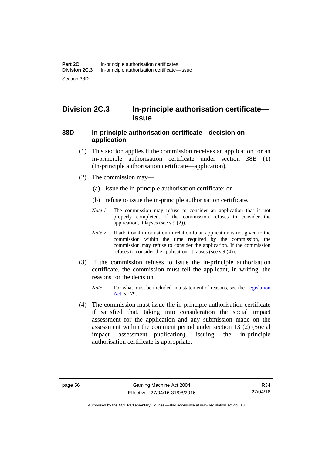# **Division 2C.3 In-principle authorisation certificate issue**

#### **38D In-principle authorisation certificate—decision on application**

- (1) This section applies if the commission receives an application for an in-principle authorisation certificate under section 38B (1) (In-principle authorisation certificate—application).
- (2) The commission may—
	- (a) issue the in-principle authorisation certificate; or
	- (b) refuse to issue the in-principle authorisation certificate.
	- *Note 1* The commission may refuse to consider an application that is not properly completed. If the commission refuses to consider the application, it lapses (see s 9 (2)).
	- *Note 2* If additional information in relation to an application is not given to the commission within the time required by the commission, the commission may refuse to consider the application. If the commission refuses to consider the application, it lapses (see s 9 (4)).
- (3) If the commission refuses to issue the in-principle authorisation certificate, the commission must tell the applicant, in writing, the reasons for the decision.
	- *Note* For what must be included in a statement of reasons, see the Legislation [Act](http://www.legislation.act.gov.au/a/2001-14), s 179.
- (4) The commission must issue the in-principle authorisation certificate if satisfied that, taking into consideration the social impact assessment for the application and any submission made on the assessment within the comment period under section 13 (2) (Social impact assessment—publication), issuing the in-principle authorisation certificate is appropriate.

Authorised by the ACT Parliamentary Counsel—also accessible at www.legislation.act.gov.au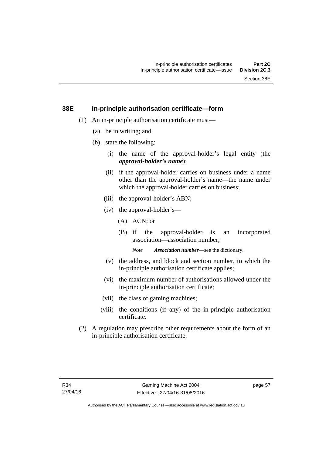### **38E In-principle authorisation certificate—form**

- (1) An in-principle authorisation certificate must—
	- (a) be in writing; and
	- (b) state the following:
		- (i) the name of the approval-holder's legal entity (the *approval-holder's name*);
		- (ii) if the approval-holder carries on business under a name other than the approval-holder's name—the name under which the approval-holder carries on business:
		- (iii) the approval-holder's ABN;
		- (iv) the approval-holder's—
			- (A) ACN; or
			- (B) if the approval-holder is an incorporated association—association number;

*Note Association number*—see the dictionary.

- (v) the address, and block and section number, to which the in-principle authorisation certificate applies;
- (vi) the maximum number of authorisations allowed under the in-principle authorisation certificate;
- (vii) the class of gaming machines;
- (viii) the conditions (if any) of the in-principle authorisation certificate.
- (2) A regulation may prescribe other requirements about the form of an in-principle authorisation certificate.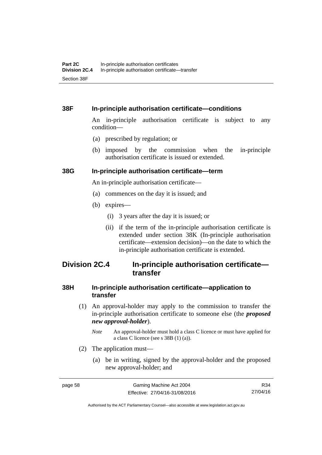#### **38F In-principle authorisation certificate—conditions**

An in-principle authorisation certificate is subject to any condition—

- (a) prescribed by regulation; or
- (b) imposed by the commission when the in-principle authorisation certificate is issued or extended.

#### **38G In-principle authorisation certificate—term**

An in-principle authorisation certificate—

- (a) commences on the day it is issued; and
- (b) expires—
	- (i) 3 years after the day it is issued; or
	- (ii) if the term of the in-principle authorisation certificate is extended under section 38K (In-principle authorisation certificate—extension decision)—on the date to which the in-principle authorisation certificate is extended.

# **Division 2C.4 In-principle authorisation certificate transfer**

## **38H In-principle authorisation certificate—application to transfer**

- (1) An approval-holder may apply to the commission to transfer the in-principle authorisation certificate to someone else (the *proposed new approval-holder*).
	- *Note* An approval-holder must hold a class C licence or must have applied for a class C licence (see s 38B (1) (a)).
- (2) The application must—
	- (a) be in writing, signed by the approval-holder and the proposed new approval-holder; and

R34 27/04/16

Authorised by the ACT Parliamentary Counsel—also accessible at www.legislation.act.gov.au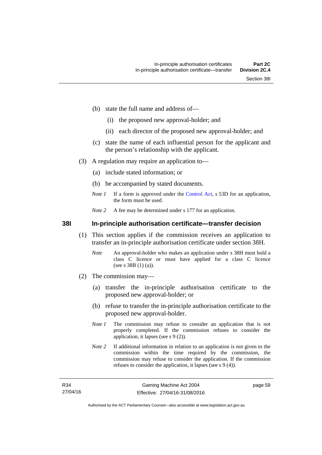- (b) state the full name and address of—
	- (i) the proposed new approval-holder; and
	- (ii) each director of the proposed new approval-holder; and
- (c) state the name of each influential person for the applicant and the person's relationship with the applicant.
- (3) A regulation may require an application to—
	- (a) include stated information; or
	- (b) be accompanied by stated documents.
	- *Note 1* If a form is approved under the [Control Act](http://www.legislation.act.gov.au/a/1999-46/default.asp), s 53D for an application, the form must be used.
	- *Note* 2 A fee may be determined under s 177 for an application.

**38I In-principle authorisation certificate—transfer decision** 

- (1) This section applies if the commission receives an application to transfer an in-principle authorisation certificate under section 38H.
	- *Note* An approval-holder who makes an application under s 38H must hold a class C licence or must have applied for a class C licence (see s 38B (1) (a)).
- (2) The commission may—
	- (a) transfer the in-principle authorisation certificate to the proposed new approval-holder; or
	- (b) refuse to transfer the in-principle authorisation certificate to the proposed new approval-holder.
	- *Note 1* The commission may refuse to consider an application that is not properly completed. If the commission refuses to consider the application, it lapses (see s 9 (2)).
	- *Note 2* If additional information in relation to an application is not given to the commission within the time required by the commission, the commission may refuse to consider the application. If the commission refuses to consider the application, it lapses (see s 9 (4)).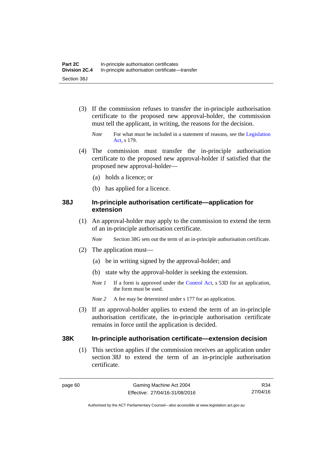- (3) If the commission refuses to transfer the in-principle authorisation certificate to the proposed new approval-holder, the commission must tell the applicant, in writing, the reasons for the decision.
	- *Note* For what must be included in a statement of reasons, see the Legislation [Act](http://www.legislation.act.gov.au/a/2001-14), s 179.
- (4) The commission must transfer the in-principle authorisation certificate to the proposed new approval-holder if satisfied that the proposed new approval-holder—
	- (a) holds a licence; or
	- (b) has applied for a licence.

#### **38J In-principle authorisation certificate—application for extension**

 (1) An approval-holder may apply to the commission to extend the term of an in-principle authorisation certificate.

*Note* Section 38G sets out the term of an in-principle authorisation certificate.

- (2) The application must—
	- (a) be in writing signed by the approval-holder; and
	- (b) state why the approval-holder is seeking the extension.
	- *Note 1* If a form is approved under the [Control Act](http://www.legislation.act.gov.au/a/1999-46/default.asp), s 53D for an application, the form must be used.
	- *Note 2* A fee may be determined under s 177 for an application.
- (3) If an approval-holder applies to extend the term of an in-principle authorisation certificate, the in-principle authorisation certificate remains in force until the application is decided.

#### **38K In-principle authorisation certificate—extension decision**

(1) This section applies if the commission receives an application under section 38J to extend the term of an in-principle authorisation certificate.

R34 27/04/16

Authorised by the ACT Parliamentary Counsel—also accessible at www.legislation.act.gov.au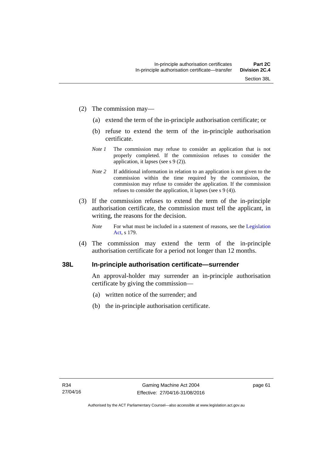- (2) The commission may—
	- (a) extend the term of the in-principle authorisation certificate; or
	- (b) refuse to extend the term of the in-principle authorisation certificate.
	- *Note 1* The commission may refuse to consider an application that is not properly completed. If the commission refuses to consider the application, it lapses (see s 9 (2)).
	- *Note 2* If additional information in relation to an application is not given to the commission within the time required by the commission, the commission may refuse to consider the application. If the commission refuses to consider the application, it lapses (see s 9 (4)).
- (3) If the commission refuses to extend the term of the in-principle authorisation certificate, the commission must tell the applicant, in writing, the reasons for the decision.
	- *Note* For what must be included in a statement of reasons, see the Legislation [Act](http://www.legislation.act.gov.au/a/2001-14), s 179.
- (4) The commission may extend the term of the in-principle authorisation certificate for a period not longer than 12 months.

### **38L In-principle authorisation certificate—surrender**

An approval-holder may surrender an in-principle authorisation certificate by giving the commission—

- (a) written notice of the surrender; and
- (b) the in-principle authorisation certificate.

page 61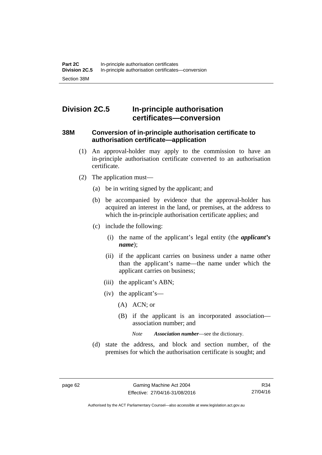# **Division 2C.5 In-principle authorisation certificates—conversion**

#### **38M Conversion of in-principle authorisation certificate to authorisation certificate—application**

- (1) An approval-holder may apply to the commission to have an in-principle authorisation certificate converted to an authorisation certificate.
- (2) The application must—
	- (a) be in writing signed by the applicant; and
	- (b) be accompanied by evidence that the approval-holder has acquired an interest in the land, or premises, at the address to which the in-principle authorisation certificate applies; and
	- (c) include the following:
		- (i) the name of the applicant's legal entity (the *applicant's name*);
		- (ii) if the applicant carries on business under a name other than the applicant's name—the name under which the applicant carries on business;
		- (iii) the applicant's ABN;
		- (iv) the applicant's—
			- (A) ACN; or
			- (B) if the applicant is an incorporated association association number; and

*Note Association number*—see the dictionary.

 (d) state the address, and block and section number, of the premises for which the authorisation certificate is sought; and

R34 27/04/16

Authorised by the ACT Parliamentary Counsel—also accessible at www.legislation.act.gov.au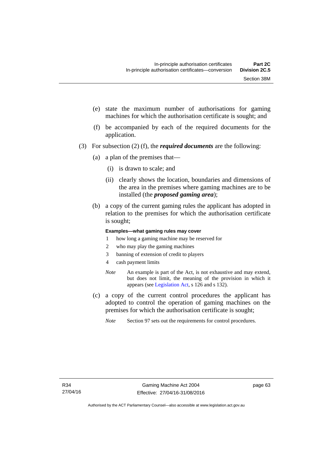- (e) state the maximum number of authorisations for gaming machines for which the authorisation certificate is sought; and
- (f) be accompanied by each of the required documents for the application.
- (3) For subsection (2) (f), the *required documents* are the following:
	- (a) a plan of the premises that—
		- (i) is drawn to scale; and
		- (ii) clearly shows the location, boundaries and dimensions of the area in the premises where gaming machines are to be installed (the *proposed gaming area*);
	- (b) a copy of the current gaming rules the applicant has adopted in relation to the premises for which the authorisation certificate is sought;

#### **Examples—what gaming rules may cover**

- 1 how long a gaming machine may be reserved for
- 2 who may play the gaming machines
- 3 banning of extension of credit to players
- 4 cash payment limits
- *Note* An example is part of the Act, is not exhaustive and may extend, but does not limit, the meaning of the provision in which it appears (see [Legislation Act,](http://www.legislation.act.gov.au/a/2001-14) s 126 and s 132).
- (c) a copy of the current control procedures the applicant has adopted to control the operation of gaming machines on the premises for which the authorisation certificate is sought;
	- *Note* Section 97 sets out the requirements for control procedures.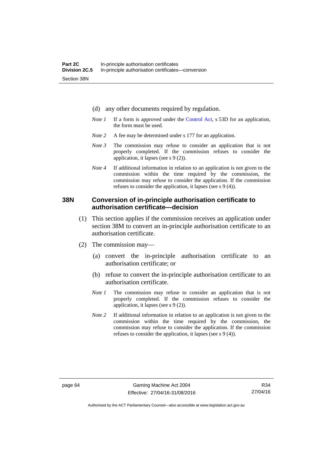- (d) any other documents required by regulation.
- *Note 1* If a form is approved under the [Control Act](http://www.legislation.act.gov.au/a/1999-46/default.asp), s 53D for an application, the form must be used.
- *Note* 2 A fee may be determined under s 177 for an application.
- *Note 3* The commission may refuse to consider an application that is not properly completed. If the commission refuses to consider the application, it lapses (see s 9 (2)).
- *Note 4* If additional information in relation to an application is not given to the commission within the time required by the commission, the commission may refuse to consider the application. If the commission refuses to consider the application, it lapses (see s 9 (4)).

#### **38N Conversion of in-principle authorisation certificate to authorisation certificate—decision**

- (1) This section applies if the commission receives an application under section 38M to convert an in-principle authorisation certificate to an authorisation certificate.
- (2) The commission may—
	- (a) convert the in-principle authorisation certificate to an authorisation certificate; or
	- (b) refuse to convert the in-principle authorisation certificate to an authorisation certificate.
	- *Note 1* The commission may refuse to consider an application that is not properly completed. If the commission refuses to consider the application, it lapses (see s 9 (2)).
	- *Note 2* If additional information in relation to an application is not given to the commission within the time required by the commission, the commission may refuse to consider the application. If the commission refuses to consider the application, it lapses (see s 9 (4)).

Authorised by the ACT Parliamentary Counsel—also accessible at www.legislation.act.gov.au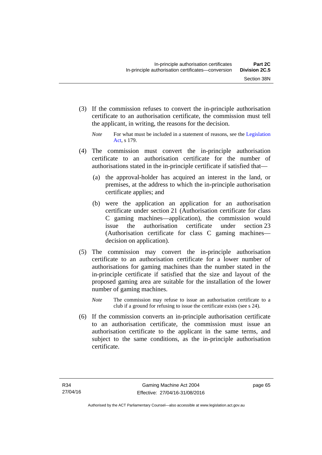(3) If the commission refuses to convert the in-principle authorisation certificate to an authorisation certificate, the commission must tell the applicant, in writing, the reasons for the decision.

- (4) The commission must convert the in-principle authorisation certificate to an authorisation certificate for the number of authorisations stated in the in-principle certificate if satisfied that—
	- (a) the approval-holder has acquired an interest in the land, or premises, at the address to which the in-principle authorisation certificate applies; and
	- (b) were the application an application for an authorisation certificate under section 21 (Authorisation certificate for class C gaming machines—application), the commission would issue the authorisation certificate under section 23 (Authorisation certificate for class C gaming machines decision on application).
- (5) The commission may convert the in-principle authorisation certificate to an authorisation certificate for a lower number of authorisations for gaming machines than the number stated in the in-principle certificate if satisfied that the size and layout of the proposed gaming area are suitable for the installation of the lower number of gaming machines.
	- *Note* The commission may refuse to issue an authorisation certificate to a club if a ground for refusing to issue the certificate exists (see s 24).
- (6) If the commission converts an in-principle authorisation certificate to an authorisation certificate, the commission must issue an authorisation certificate to the applicant in the same terms, and subject to the same conditions, as the in-principle authorisation certificate.

*Note* For what must be included in a statement of reasons, see the Legislation [Act](http://www.legislation.act.gov.au/a/2001-14), s 179.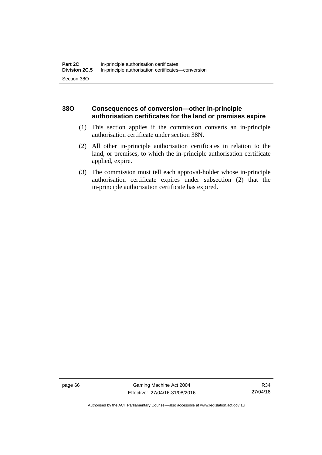## **38O Consequences of conversion—other in-principle authorisation certificates for the land or premises expire**

- (1) This section applies if the commission converts an in-principle authorisation certificate under section 38N.
- (2) All other in-principle authorisation certificates in relation to the land, or premises, to which the in-principle authorisation certificate applied, expire.
- (3) The commission must tell each approval-holder whose in-principle authorisation certificate expires under subsection (2) that the in-principle authorisation certificate has expired.

page 66 Gaming Machine Act 2004 Effective: 27/04/16-31/08/2016

R34 27/04/16

Authorised by the ACT Parliamentary Counsel—also accessible at www.legislation.act.gov.au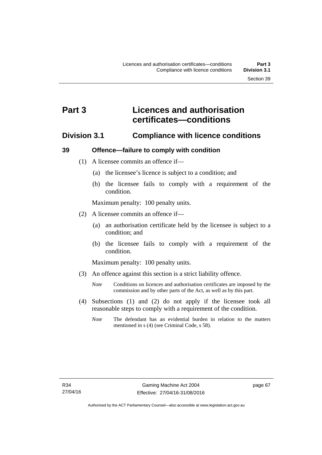# **Part 3 Licences and authorisation certificates—conditions**

## **Division 3.1 Compliance with licence conditions**

#### **39 Offence—failure to comply with condition**

- (1) A licensee commits an offence if—
	- (a) the licensee's licence is subject to a condition; and
	- (b) the licensee fails to comply with a requirement of the condition.

Maximum penalty: 100 penalty units.

- (2) A licensee commits an offence if—
	- (a) an authorisation certificate held by the licensee is subject to a condition; and
	- (b) the licensee fails to comply with a requirement of the condition.

Maximum penalty: 100 penalty units.

- (3) An offence against this section is a strict liability offence.
	- *Note* Conditions on licences and authorisation certificates are imposed by the commission and by other parts of the Act, as well as by this part.
- (4) Subsections (1) and (2) do not apply if the licensee took all reasonable steps to comply with a requirement of the condition.
	- *Note* The defendant has an evidential burden in relation to the matters mentioned in s (4) (see Criminal Code, s 58).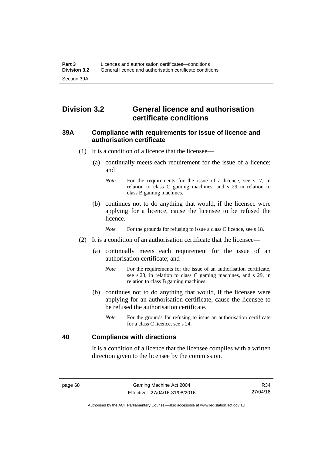# **Division 3.2 General licence and authorisation certificate conditions**

#### **39A Compliance with requirements for issue of licence and authorisation certificate**

- (1) It is a condition of a licence that the licensee—
	- (a) continually meets each requirement for the issue of a licence; and
		- *Note* For the requirements for the issue of a licence, see s 17, in relation to class C gaming machines, and s 29 in relation to class B gaming machines.
	- (b) continues not to do anything that would, if the licensee were applying for a licence, cause the licensee to be refused the licence.

*Note* For the grounds for refusing to issue a class C licence, see s 18.

- (2) It is a condition of an authorisation certificate that the licensee—
	- (a) continually meets each requirement for the issue of an authorisation certificate; and
		- *Note* For the requirements for the issue of an authorisation certificate, see s 23, in relation to class C gaming machines, and s 29, in relation to class B gaming machines.
	- (b) continues not to do anything that would, if the licensee were applying for an authorisation certificate, cause the licensee to be refused the authorisation certificate.
		- *Note* For the grounds for refusing to issue an authorisation certificate for a class C licence, see s 24.

### **40 Compliance with directions**

It is a condition of a licence that the licensee complies with a written direction given to the licensee by the commission.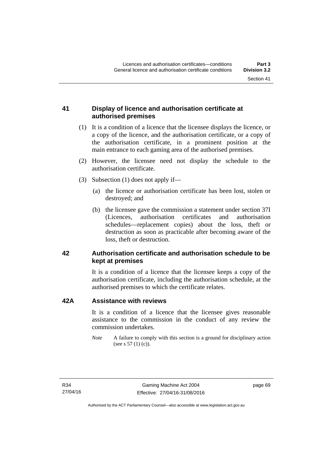## **41 Display of licence and authorisation certificate at authorised premises**

- (1) It is a condition of a licence that the licensee displays the licence, or a copy of the licence, and the authorisation certificate, or a copy of the authorisation certificate, in a prominent position at the main entrance to each gaming area of the authorised premises.
- (2) However, the licensee need not display the schedule to the authorisation certificate.
- (3) Subsection (1) does not apply if—
	- (a) the licence or authorisation certificate has been lost, stolen or destroyed; and
	- (b) the licensee gave the commission a statement under section 37I (Licences, authorisation certificates and authorisation schedules—replacement copies) about the loss, theft or destruction as soon as practicable after becoming aware of the loss, theft or destruction.

## **42 Authorisation certificate and authorisation schedule to be kept at premises**

It is a condition of a licence that the licensee keeps a copy of the authorisation certificate, including the authorisation schedule, at the authorised premises to which the certificate relates.

#### **42A Assistance with reviews**

It is a condition of a licence that the licensee gives reasonable assistance to the commission in the conduct of any review the commission undertakes.

*Note* A failure to comply with this section is a ground for disciplinary action (see s 57 (1) (c)).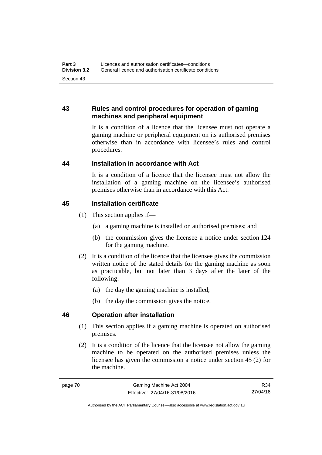## **43 Rules and control procedures for operation of gaming machines and peripheral equipment**

It is a condition of a licence that the licensee must not operate a gaming machine or peripheral equipment on its authorised premises otherwise than in accordance with licensee's rules and control procedures.

## **44 Installation in accordance with Act**

It is a condition of a licence that the licensee must not allow the installation of a gaming machine on the licensee's authorised premises otherwise than in accordance with this Act.

## **45 Installation certificate**

- (1) This section applies if—
	- (a) a gaming machine is installed on authorised premises; and
	- (b) the commission gives the licensee a notice under section 124 for the gaming machine.
- (2) It is a condition of the licence that the licensee gives the commission written notice of the stated details for the gaming machine as soon as practicable, but not later than 3 days after the later of the following:
	- (a) the day the gaming machine is installed;
	- (b) the day the commission gives the notice.

## **46 Operation after installation**

- (1) This section applies if a gaming machine is operated on authorised premises.
- (2) It is a condition of the licence that the licensee not allow the gaming machine to be operated on the authorised premises unless the licensee has given the commission a notice under section 45 (2) for the machine.

Authorised by the ACT Parliamentary Counsel—also accessible at www.legislation.act.gov.au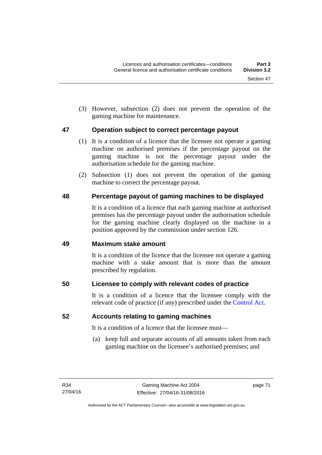(3) However, subsection (2) does not prevent the operation of the gaming machine for maintenance.

## **47 Operation subject to correct percentage payout**

- (1) It is a condition of a licence that the licensee not operate a gaming machine on authorised premises if the percentage payout on the gaming machine is not the percentage payout under the authorisation schedule for the gaming machine.
- (2) Subsection (1) does not prevent the operation of the gaming machine to correct the percentage payout.

# **48 Percentage payout of gaming machines to be displayed**

It is a condition of a licence that each gaming machine at authorised premises has the percentage payout under the authorisation schedule for the gaming machine clearly displayed on the machine in a position approved by the commission under section 126.

## **49 Maximum stake amount**

It is a condition of the licence that the licensee not operate a gaming machine with a stake amount that is more than the amount prescribed by regulation.

## **50 Licensee to comply with relevant codes of practice**

It is a condition of a licence that the licensee comply with the relevant code of practice (if any) prescribed under the [Control Act.](http://www.legislation.act.gov.au/a/1999-46)

## **52 Accounts relating to gaming machines**

It is a condition of a licence that the licensee must—

 (a) keep full and separate accounts of all amounts taken from each gaming machine on the licensee's authorised premises; and

page 71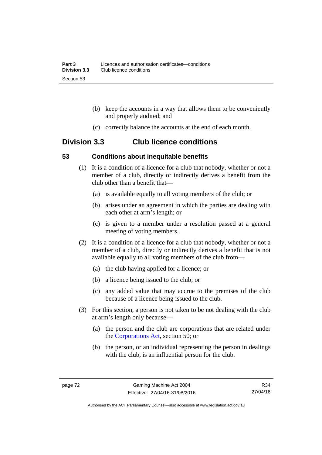- (b) keep the accounts in a way that allows them to be conveniently and properly audited; and
- (c) correctly balance the accounts at the end of each month.

# **Division 3.3 Club licence conditions**

#### **53 Conditions about inequitable benefits**

- (1) It is a condition of a licence for a club that nobody, whether or not a member of a club, directly or indirectly derives a benefit from the club other than a benefit that—
	- (a) is available equally to all voting members of the club; or
	- (b) arises under an agreement in which the parties are dealing with each other at arm's length; or
	- (c) is given to a member under a resolution passed at a general meeting of voting members.
- (2) It is a condition of a licence for a club that nobody, whether or not a member of a club, directly or indirectly derives a benefit that is not available equally to all voting members of the club from—
	- (a) the club having applied for a licence; or
	- (b) a licence being issued to the club; or
	- (c) any added value that may accrue to the premises of the club because of a licence being issued to the club.
- (3) For this section, a person is not taken to be not dealing with the club at arm's length only because—
	- (a) the person and the club are corporations that are related under the [Corporations Act,](http://www.comlaw.gov.au/Series/C2004A00818) section 50; or
	- (b) the person, or an individual representing the person in dealings with the club, is an influential person for the club.

R34 27/04/16

Authorised by the ACT Parliamentary Counsel—also accessible at www.legislation.act.gov.au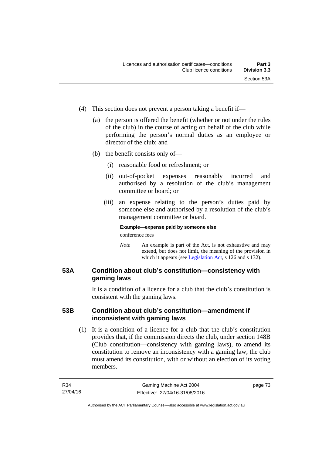- (4) This section does not prevent a person taking a benefit if—
	- (a) the person is offered the benefit (whether or not under the rules of the club) in the course of acting on behalf of the club while performing the person's normal duties as an employee or director of the club; and
	- (b) the benefit consists only of—
		- (i) reasonable food or refreshment; or
		- (ii) out-of-pocket expenses reasonably incurred and authorised by a resolution of the club's management committee or board; or
		- (iii) an expense relating to the person's duties paid by someone else and authorised by a resolution of the club's management committee or board.

### **Example—expense paid by someone else**

conference fees

*Note* An example is part of the Act, is not exhaustive and may extend, but does not limit, the meaning of the provision in which it appears (see [Legislation Act,](http://www.legislation.act.gov.au/a/2001-14) s 126 and s 132).

## **53A Condition about club's constitution—consistency with gaming laws**

It is a condition of a licence for a club that the club's constitution is consistent with the gaming laws.

## **53B Condition about club's constitution—amendment if inconsistent with gaming laws**

 (1) It is a condition of a licence for a club that the club's constitution provides that, if the commission directs the club, under section 148B (Club constitution—consistency with gaming laws), to amend its constitution to remove an inconsistency with a gaming law, the club must amend its constitution, with or without an election of its voting members.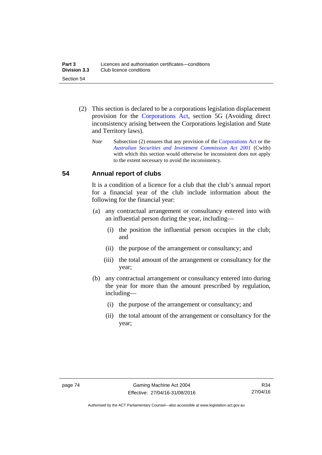- (2) This section is declared to be a corporations legislation displacement provision for the [Corporations Act](http://www.comlaw.gov.au/Series/C2004A00818), section 5G (Avoiding direct inconsistency arising between the Corporations legislation and State and Territory laws).
	- *Note* Subsection (2) ensures that any provision of the [Corporations Act](http://www.comlaw.gov.au/Series/C2004A00818) or the *[Australian Securities and Investment Commission Act 2001](http://www.comlaw.gov.au/Series/C2004A00819)* (Cwlth) with which this section would otherwise be inconsistent does not apply to the extent necessary to avoid the inconsistency.

## **54 Annual report of clubs**

It is a condition of a licence for a club that the club's annual report for a financial year of the club include information about the following for the financial year:

- (a) any contractual arrangement or consultancy entered into with an influential person during the year, including—
	- (i) the position the influential person occupies in the club; and
	- (ii) the purpose of the arrangement or consultancy; and
	- (iii) the total amount of the arrangement or consultancy for the year;
- (b) any contractual arrangement or consultancy entered into during the year for more than the amount prescribed by regulation, including—
	- (i) the purpose of the arrangement or consultancy; and
	- (ii) the total amount of the arrangement or consultancy for the year;

Authorised by the ACT Parliamentary Counsel—also accessible at www.legislation.act.gov.au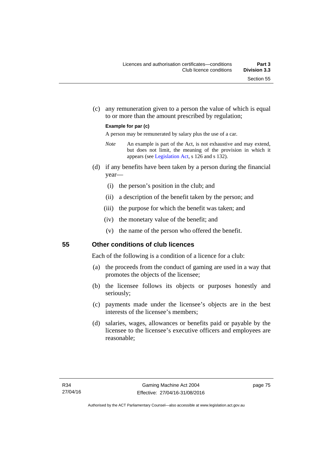(c) any remuneration given to a person the value of which is equal to or more than the amount prescribed by regulation;

#### **Example for par (c)**

A person may be remunerated by salary plus the use of a car.

- *Note* An example is part of the Act, is not exhaustive and may extend, but does not limit, the meaning of the provision in which it appears (see [Legislation Act,](http://www.legislation.act.gov.au/a/2001-14) s 126 and s 132).
- (d) if any benefits have been taken by a person during the financial year—
	- (i) the person's position in the club; and
	- (ii) a description of the benefit taken by the person; and
	- (iii) the purpose for which the benefit was taken; and
	- (iv) the monetary value of the benefit; and
	- (v) the name of the person who offered the benefit.

#### **55 Other conditions of club licences**

Each of the following is a condition of a licence for a club:

- (a) the proceeds from the conduct of gaming are used in a way that promotes the objects of the licensee;
- (b) the licensee follows its objects or purposes honestly and seriously;
- (c) payments made under the licensee's objects are in the best interests of the licensee's members;
- (d) salaries, wages, allowances or benefits paid or payable by the licensee to the licensee's executive officers and employees are reasonable;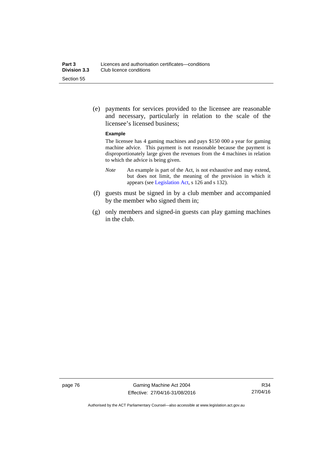(e) payments for services provided to the licensee are reasonable and necessary, particularly in relation to the scale of the licensee's licensed business;

#### **Example**

The licensee has 4 gaming machines and pays \$150 000 a year for gaming machine advice. This payment is not reasonable because the payment is disproportionately large given the revenues from the 4 machines in relation to which the advice is being given.

- *Note* An example is part of the Act, is not exhaustive and may extend, but does not limit, the meaning of the provision in which it appears (see [Legislation Act,](http://www.legislation.act.gov.au/a/2001-14) s 126 and s 132).
- (f) guests must be signed in by a club member and accompanied by the member who signed them in;
- (g) only members and signed-in guests can play gaming machines in the club.

Authorised by the ACT Parliamentary Counsel—also accessible at www.legislation.act.gov.au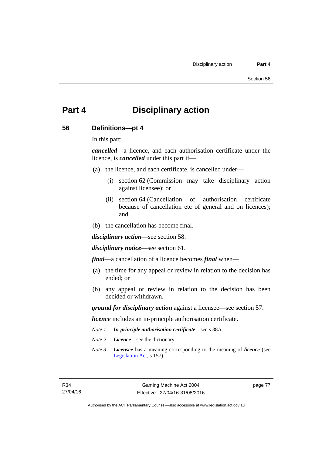# **Part 4 Disciplinary action**

#### **56 Definitions—pt 4**

In this part:

*cancelled*—a licence, and each authorisation certificate under the licence, is *cancelled* under this part if—

- (a) the licence, and each certificate, is cancelled under—
	- (i) section 62 (Commission may take disciplinary action against licensee); or
	- (ii) section 64 (Cancellation of authorisation certificate because of cancellation etc of general and on licences); and
- (b) the cancellation has become final.

*disciplinary action*—see section 58.

*disciplinary notice*—see section 61.

*final*—a cancellation of a licence becomes *final* when—

- (a) the time for any appeal or review in relation to the decision has ended; or
- (b) any appeal or review in relation to the decision has been decided or withdrawn.

*ground for disciplinary action* against a licensee—see section 57.

*licence* includes an in-principle authorisation certificate.

- *Note 1 In-principle authorisation certificate*—see s 38A.
- *Note 2 Licence*—see the dictionary.
- *Note 3 Licensee* has a meaning corresponding to the meaning of *licence* (see [Legislation Act,](http://www.legislation.act.gov.au/a/2001-14) s 157).

page 77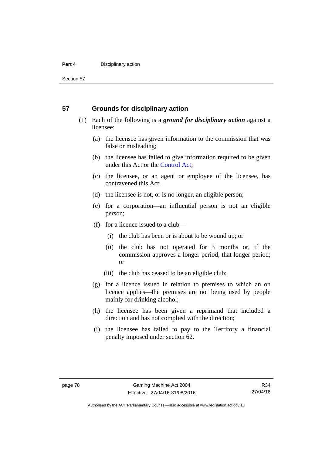#### **Part 4 Disciplinary action**

Section 57

#### **57 Grounds for disciplinary action**

- (1) Each of the following is a *ground for disciplinary action* against a licensee:
	- (a) the licensee has given information to the commission that was false or misleading;
	- (b) the licensee has failed to give information required to be given under this Act or the [Control Act;](http://www.legislation.act.gov.au/a/1999-46)
	- (c) the licensee, or an agent or employee of the licensee, has contravened this Act;
	- (d) the licensee is not, or is no longer, an eligible person;
	- (e) for a corporation—an influential person is not an eligible person;
	- (f) for a licence issued to a club—
		- (i) the club has been or is about to be wound up; or
		- (ii) the club has not operated for 3 months or, if the commission approves a longer period, that longer period; or
		- (iii) the club has ceased to be an eligible club;
	- (g) for a licence issued in relation to premises to which an on licence applies—the premises are not being used by people mainly for drinking alcohol;
	- (h) the licensee has been given a reprimand that included a direction and has not complied with the direction;
	- (i) the licensee has failed to pay to the Territory a financial penalty imposed under section 62.

Authorised by the ACT Parliamentary Counsel—also accessible at www.legislation.act.gov.au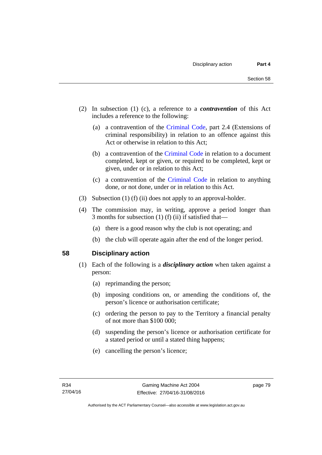- (2) In subsection (1) (c), a reference to a *contravention* of this Act includes a reference to the following:
	- (a) a contravention of the [Criminal Code](http://www.legislation.act.gov.au/a/2002-51), part 2.4 (Extensions of criminal responsibility) in relation to an offence against this Act or otherwise in relation to this Act;
	- (b) a contravention of the [Criminal Code](http://www.legislation.act.gov.au/a/2002-51) in relation to a document completed, kept or given, or required to be completed, kept or given, under or in relation to this Act;
	- (c) a contravention of the [Criminal Code](http://www.legislation.act.gov.au/a/2002-51) in relation to anything done, or not done, under or in relation to this Act.
- (3) Subsection (1) (f) (ii) does not apply to an approval-holder.
- (4) The commission may, in writing, approve a period longer than 3 months for subsection (1) (f) (ii) if satisfied that—
	- (a) there is a good reason why the club is not operating; and
	- (b) the club will operate again after the end of the longer period.

#### **58 Disciplinary action**

- (1) Each of the following is a *disciplinary action* when taken against a person:
	- (a) reprimanding the person;
	- (b) imposing conditions on, or amending the conditions of, the person's licence or authorisation certificate;
	- (c) ordering the person to pay to the Territory a financial penalty of not more than \$100 000;
	- (d) suspending the person's licence or authorisation certificate for a stated period or until a stated thing happens;
	- (e) cancelling the person's licence;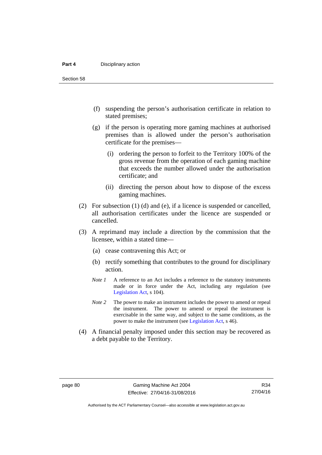#### **Part 4 Disciplinary action**

Section 58

- (f) suspending the person's authorisation certificate in relation to stated premises;
- (g) if the person is operating more gaming machines at authorised premises than is allowed under the person's authorisation certificate for the premises—
	- (i) ordering the person to forfeit to the Territory 100% of the gross revenue from the operation of each gaming machine that exceeds the number allowed under the authorisation certificate; and
	- (ii) directing the person about how to dispose of the excess gaming machines.
- (2) For subsection (1) (d) and (e), if a licence is suspended or cancelled, all authorisation certificates under the licence are suspended or cancelled.
- (3) A reprimand may include a direction by the commission that the licensee, within a stated time—
	- (a) cease contravening this Act; or
	- (b) rectify something that contributes to the ground for disciplinary action.
	- *Note 1* A reference to an Act includes a reference to the statutory instruments made or in force under the Act, including any regulation (see [Legislation Act,](http://www.legislation.act.gov.au/a/2001-14) s 104).
	- *Note 2* The power to make an instrument includes the power to amend or repeal the instrument. The power to amend or repeal the instrument is exercisable in the same way, and subject to the same conditions, as the power to make the instrument (see [Legislation Act,](http://www.legislation.act.gov.au/a/2001-14) s 46).
- (4) A financial penalty imposed under this section may be recovered as a debt payable to the Territory.

Authorised by the ACT Parliamentary Counsel—also accessible at www.legislation.act.gov.au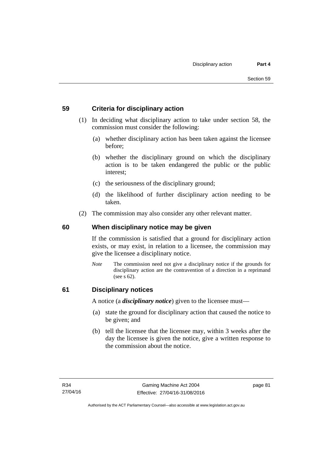## **59 Criteria for disciplinary action**

- (1) In deciding what disciplinary action to take under section 58, the commission must consider the following:
	- (a) whether disciplinary action has been taken against the licensee before;
	- (b) whether the disciplinary ground on which the disciplinary action is to be taken endangered the public or the public interest;
	- (c) the seriousness of the disciplinary ground;
	- (d) the likelihood of further disciplinary action needing to be taken.
- (2) The commission may also consider any other relevant matter.

## **60 When disciplinary notice may be given**

If the commission is satisfied that a ground for disciplinary action exists, or may exist, in relation to a licensee, the commission may give the licensee a disciplinary notice.

*Note* The commission need not give a disciplinary notice if the grounds for disciplinary action are the contravention of a direction in a reprimand (see s 62).

#### **61 Disciplinary notices**

A notice (a *disciplinary notice*) given to the licensee must—

- (a) state the ground for disciplinary action that caused the notice to be given; and
- (b) tell the licensee that the licensee may, within 3 weeks after the day the licensee is given the notice, give a written response to the commission about the notice.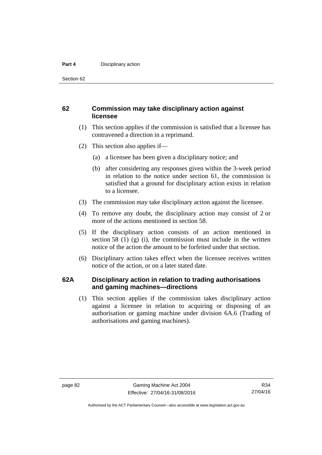#### **Part 4 Disciplinary action**

Section 62

### **62 Commission may take disciplinary action against licensee**

- (1) This section applies if the commission is satisfied that a licensee has contravened a direction in a reprimand.
- (2) This section also applies if—
	- (a) a licensee has been given a disciplinary notice; and
	- (b) after considering any responses given within the 3-week period in relation to the notice under section 61, the commission is satisfied that a ground for disciplinary action exists in relation to a licensee.
- (3) The commission may take disciplinary action against the licensee.
- (4) To remove any doubt, the disciplinary action may consist of 2 or more of the actions mentioned in section 58.
- (5) If the disciplinary action consists of an action mentioned in section 58 (1) (g) (i), the commission must include in the written notice of the action the amount to be forfeited under that section.
- (6) Disciplinary action takes effect when the licensee receives written notice of the action, or on a later stated date.

#### **62A Disciplinary action in relation to trading authorisations and gaming machines—directions**

(1) This section applies if the commission takes disciplinary action against a licensee in relation to acquiring or disposing of an authorisation or gaming machine under division 6A.6 (Trading of authorisations and gaming machines).

Authorised by the ACT Parliamentary Counsel—also accessible at www.legislation.act.gov.au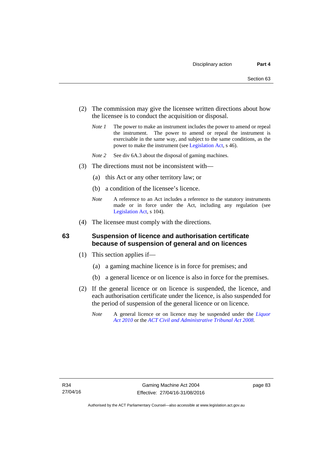- (2) The commission may give the licensee written directions about how the licensee is to conduct the acquisition or disposal.
	- *Note 1* The power to make an instrument includes the power to amend or repeal the instrument. The power to amend or repeal the instrument is exercisable in the same way, and subject to the same conditions, as the power to make the instrument (see [Legislation Act,](http://www.legislation.act.gov.au/a/2001-14) s 46).
	- *Note 2* See div 6A.3 about the disposal of gaming machines.
- (3) The directions must not be inconsistent with—
	- (a) this Act or any other territory law; or
	- (b) a condition of the licensee's licence.
	- *Note* A reference to an Act includes a reference to the statutory instruments made or in force under the Act, including any regulation (see [Legislation Act,](http://www.legislation.act.gov.au/a/2001-14) s 104).
- (4) The licensee must comply with the directions.

#### **63 Suspension of licence and authorisation certificate because of suspension of general and on licences**

- (1) This section applies if—
	- (a) a gaming machine licence is in force for premises; and
	- (b) a general licence or on licence is also in force for the premises.
- (2) If the general licence or on licence is suspended, the licence, and each authorisation certificate under the licence, is also suspended for the period of suspension of the general licence or on licence.
	- *Note* A general licence or on licence may be suspended under the *[Liquor](http://www.legislation.act.gov.au/a/2010-35)  [Act 2010](http://www.legislation.act.gov.au/a/2010-35)* or the *[ACT Civil and Administrative Tribunal Act 2008.](http://www.legislation.act.gov.au/a/2008-35)*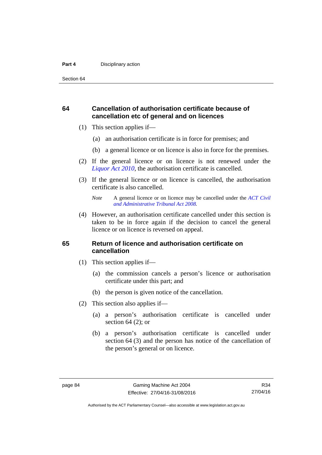#### **Part 4 Disciplinary action**

Section 64

## **64 Cancellation of authorisation certificate because of cancellation etc of general and on licences**

- (1) This section applies if—
	- (a) an authorisation certificate is in force for premises; and
	- (b) a general licence or on licence is also in force for the premises.
- (2) If the general licence or on licence is not renewed under the *[Liquor Act 2010](http://www.legislation.act.gov.au/a/2010-35)*, the authorisation certificate is cancelled.
- (3) If the general licence or on licence is cancelled, the authorisation certificate is also cancelled.

 (4) However, an authorisation certificate cancelled under this section is taken to be in force again if the decision to cancel the general licence or on licence is reversed on appeal.

#### **65 Return of licence and authorisation certificate on cancellation**

- (1) This section applies if—
	- (a) the commission cancels a person's licence or authorisation certificate under this part; and
	- (b) the person is given notice of the cancellation.
- (2) This section also applies if—
	- (a) a person's authorisation certificate is cancelled under section  $64$  (2); or
	- (b) a person's authorisation certificate is cancelled under section 64 (3) and the person has notice of the cancellation of the person's general or on licence.

*Note* A general licence or on licence may be cancelled under the *[ACT Civil](http://www.legislation.act.gov.au/a/2008-35)  [and Administrative Tribunal Act 2008](http://www.legislation.act.gov.au/a/2008-35).*

Authorised by the ACT Parliamentary Counsel—also accessible at www.legislation.act.gov.au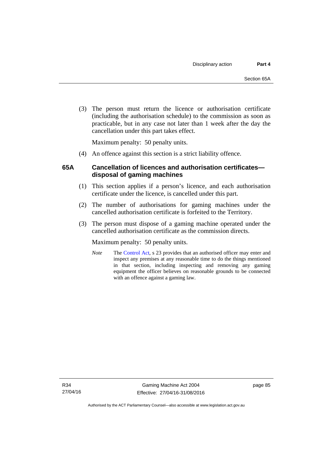(3) The person must return the licence or authorisation certificate (including the authorisation schedule) to the commission as soon as practicable, but in any case not later than 1 week after the day the cancellation under this part takes effect.

Maximum penalty: 50 penalty units.

(4) An offence against this section is a strict liability offence.

## **65A Cancellation of licences and authorisation certificates disposal of gaming machines**

- (1) This section applies if a person's licence, and each authorisation certificate under the licence, is cancelled under this part.
- (2) The number of authorisations for gaming machines under the cancelled authorisation certificate is forfeited to the Territory.
- (3) The person must dispose of a gaming machine operated under the cancelled authorisation certificate as the commission directs.

Maximum penalty: 50 penalty units.

*Note* The [Control Act](http://www.legislation.act.gov.au/a/1999-46/default.asp), s 23 provides that an authorised officer may enter and inspect any premises at any reasonable time to do the things mentioned in that section, including inspecting and removing any gaming equipment the officer believes on reasonable grounds to be connected with an offence against a gaming law.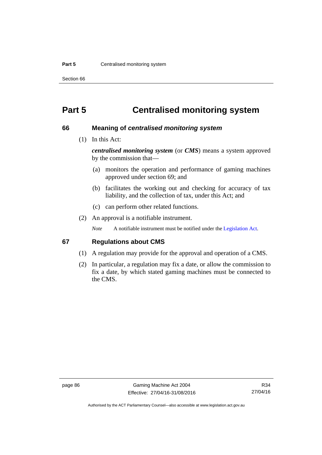#### **Part 5 Centralised monitoring system**

Section 66

# **Part 5 Centralised monitoring system**

#### **66 Meaning of** *centralised monitoring system*

(1) In this Act:

*centralised monitoring system* (or *CMS*) means a system approved by the commission that—

- (a) monitors the operation and performance of gaming machines approved under section 69; and
- (b) facilitates the working out and checking for accuracy of tax liability, and the collection of tax, under this Act; and
- (c) can perform other related functions.
- (2) An approval is a notifiable instrument.

*Note* A notifiable instrument must be notified under the [Legislation Act](http://www.legislation.act.gov.au/a/2001-14).

#### **67 Regulations about CMS**

- (1) A regulation may provide for the approval and operation of a CMS.
- (2) In particular, a regulation may fix a date, or allow the commission to fix a date, by which stated gaming machines must be connected to the CMS.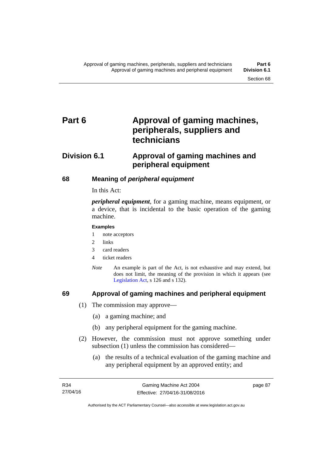# Part 6 **Approval of gaming machines, peripherals, suppliers and technicians**

# **Division 6.1 Approval of gaming machines and peripheral equipment**

## **68 Meaning of** *peripheral equipment*

In this Act:

*peripheral equipment*, for a gaming machine, means equipment, or a device, that is incidental to the basic operation of the gaming machine.

#### **Examples**

- 1 note acceptors
- 2 links
- 3 card readers
- 4 ticket readers
- *Note* An example is part of the Act, is not exhaustive and may extend, but does not limit, the meaning of the provision in which it appears (see [Legislation Act,](http://www.legislation.act.gov.au/a/2001-14) s 126 and s 132).

### **69 Approval of gaming machines and peripheral equipment**

- (1) The commission may approve—
	- (a) a gaming machine; and
	- (b) any peripheral equipment for the gaming machine.
- (2) However, the commission must not approve something under subsection (1) unless the commission has considered—
	- (a) the results of a technical evaluation of the gaming machine and any peripheral equipment by an approved entity; and

page 87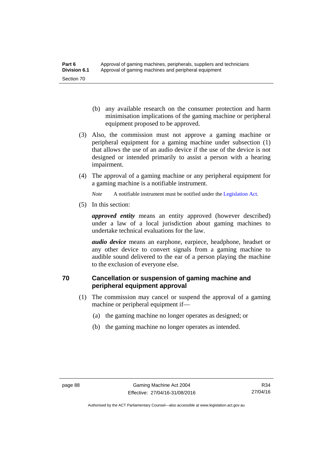- (b) any available research on the consumer protection and harm minimisation implications of the gaming machine or peripheral equipment proposed to be approved.
- (3) Also, the commission must not approve a gaming machine or peripheral equipment for a gaming machine under subsection (1) that allows the use of an audio device if the use of the device is not designed or intended primarily to assist a person with a hearing impairment.
- (4) The approval of a gaming machine or any peripheral equipment for a gaming machine is a notifiable instrument.

*Note* A notifiable instrument must be notified under the [Legislation Act](http://www.legislation.act.gov.au/a/2001-14).

(5) In this section:

*approved entity* means an entity approved (however described) under a law of a local jurisdiction about gaming machines to undertake technical evaluations for the law.

*audio device* means an earphone, earpiece, headphone, headset or any other device to convert signals from a gaming machine to audible sound delivered to the ear of a person playing the machine to the exclusion of everyone else.

# **70 Cancellation or suspension of gaming machine and peripheral equipment approval**

- (1) The commission may cancel or suspend the approval of a gaming machine or peripheral equipment if—
	- (a) the gaming machine no longer operates as designed; or
	- (b) the gaming machine no longer operates as intended.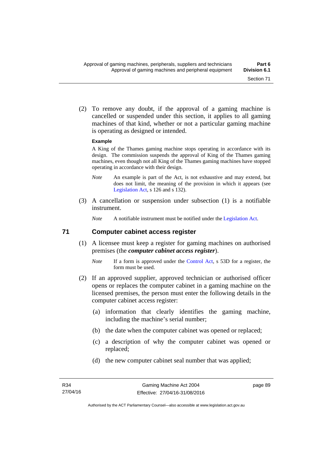(2) To remove any doubt, if the approval of a gaming machine is cancelled or suspended under this section, it applies to all gaming machines of that kind, whether or not a particular gaming machine is operating as designed or intended.

#### **Example**

A King of the Thames gaming machine stops operating in accordance with its design. The commission suspends the approval of King of the Thames gaming machines, even though not all King of the Thames gaming machines have stopped operating in accordance with their design.

- *Note* An example is part of the Act, is not exhaustive and may extend, but does not limit, the meaning of the provision in which it appears (see [Legislation Act,](http://www.legislation.act.gov.au/a/2001-14) s 126 and s 132).
- (3) A cancellation or suspension under subsection (1) is a notifiable instrument.

*Note* A notifiable instrument must be notified under the [Legislation Act](http://www.legislation.act.gov.au/a/2001-14).

#### **71 Computer cabinet access register**

- (1) A licensee must keep a register for gaming machines on authorised premises (the *computer cabinet access register*).
	- *Note* If a form is approved under the [Control Act,](http://www.legislation.act.gov.au/a/1999-46/) s 53D for a register, the form must be used.
- (2) If an approved supplier, approved technician or authorised officer opens or replaces the computer cabinet in a gaming machine on the licensed premises, the person must enter the following details in the computer cabinet access register:
	- (a) information that clearly identifies the gaming machine, including the machine's serial number;
	- (b) the date when the computer cabinet was opened or replaced;
	- (c) a description of why the computer cabinet was opened or replaced;
	- (d) the new computer cabinet seal number that was applied;

page 89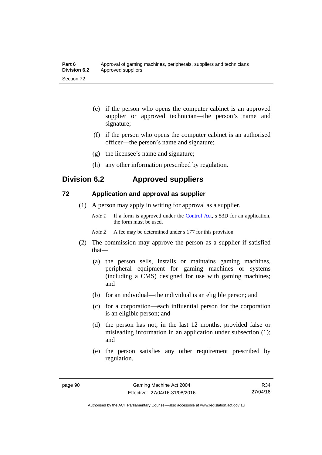| Part 6       | Approval of gaming machines, peripherals, suppliers and technicians |
|--------------|---------------------------------------------------------------------|
| Division 6.2 | Approved suppliers                                                  |
| Section 72   |                                                                     |

- (e) if the person who opens the computer cabinet is an approved supplier or approved technician—the person's name and signature;
- (f) if the person who opens the computer cabinet is an authorised officer—the person's name and signature;
- (g) the licensee's name and signature;
- (h) any other information prescribed by regulation.

# **Division 6.2 Approved suppliers**

## **72 Application and approval as supplier**

- (1) A person may apply in writing for approval as a supplier.
	- *Note 1* If a form is approved under the [Control Act,](http://www.legislation.act.gov.au/a/1999-46) s 53D for an application, the form must be used.
	- *Note* 2 A fee may be determined under s 177 for this provision.
- (2) The commission may approve the person as a supplier if satisfied that—
	- (a) the person sells, installs or maintains gaming machines, peripheral equipment for gaming machines or systems (including a CMS) designed for use with gaming machines; and
	- (b) for an individual—the individual is an eligible person; and
	- (c) for a corporation—each influential person for the corporation is an eligible person; and
	- (d) the person has not, in the last 12 months, provided false or misleading information in an application under subsection (1); and
	- (e) the person satisfies any other requirement prescribed by regulation.

R34 27/04/16

Authorised by the ACT Parliamentary Counsel—also accessible at www.legislation.act.gov.au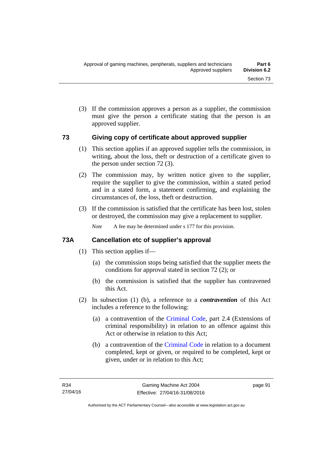(3) If the commission approves a person as a supplier, the commission must give the person a certificate stating that the person is an approved supplier.

#### **73 Giving copy of certificate about approved supplier**

- (1) This section applies if an approved supplier tells the commission, in writing, about the loss, theft or destruction of a certificate given to the person under section 72 (3).
- (2) The commission may, by written notice given to the supplier, require the supplier to give the commission, within a stated period and in a stated form, a statement confirming, and explaining the circumstances of, the loss, theft or destruction.
- (3) If the commission is satisfied that the certificate has been lost, stolen or destroyed, the commission may give a replacement to supplier.

*Note* A fee may be determined under s 177 for this provision.

## **73A Cancellation etc of supplier's approval**

- (1) This section applies if—
	- (a) the commission stops being satisfied that the supplier meets the conditions for approval stated in section 72 (2); or
	- (b) the commission is satisfied that the supplier has contravened this Act.
- (2) In subsection (1) (b), a reference to a *contravention* of this Act includes a reference to the following:
	- (a) a contravention of the [Criminal Code](http://www.legislation.act.gov.au/a/2002-51), part 2.4 (Extensions of criminal responsibility) in relation to an offence against this Act or otherwise in relation to this Act;
	- (b) a contravention of the [Criminal Code](http://www.legislation.act.gov.au/a/2002-51) in relation to a document completed, kept or given, or required to be completed, kept or given, under or in relation to this Act;

page 91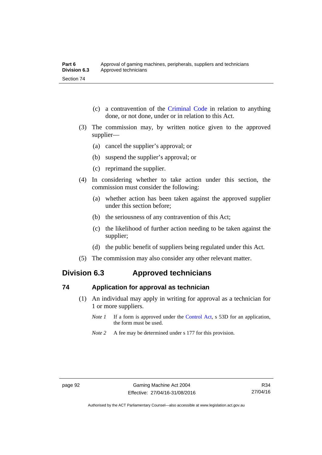- (c) a contravention of the [Criminal Code](http://www.legislation.act.gov.au/a/2002-51) in relation to anything done, or not done, under or in relation to this Act.
- (3) The commission may, by written notice given to the approved supplier—
	- (a) cancel the supplier's approval; or
	- (b) suspend the supplier's approval; or
	- (c) reprimand the supplier.
- (4) In considering whether to take action under this section, the commission must consider the following:
	- (a) whether action has been taken against the approved supplier under this section before;
	- (b) the seriousness of any contravention of this Act;
	- (c) the likelihood of further action needing to be taken against the supplier;
	- (d) the public benefit of suppliers being regulated under this Act.
- (5) The commission may also consider any other relevant matter.

# **Division 6.3 Approved technicians**

#### **74 Application for approval as technician**

- (1) An individual may apply in writing for approval as a technician for 1 or more suppliers.
	- *Note 1* If a form is approved under the [Control Act,](http://www.legislation.act.gov.au/a/1999-46) s 53D for an application, the form must be used.
	- *Note* 2 A fee may be determined under s 177 for this provision.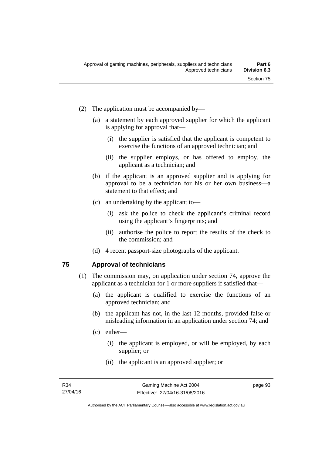- (2) The application must be accompanied by—
	- (a) a statement by each approved supplier for which the applicant is applying for approval that—
		- (i) the supplier is satisfied that the applicant is competent to exercise the functions of an approved technician; and
		- (ii) the supplier employs, or has offered to employ, the applicant as a technician; and
	- (b) if the applicant is an approved supplier and is applying for approval to be a technician for his or her own business—a statement to that effect; and
	- (c) an undertaking by the applicant to—
		- (i) ask the police to check the applicant's criminal record using the applicant's fingerprints; and
		- (ii) authorise the police to report the results of the check to the commission; and
	- (d) 4 recent passport-size photographs of the applicant.

#### **75 Approval of technicians**

- (1) The commission may, on application under section 74, approve the applicant as a technician for 1 or more suppliers if satisfied that—
	- (a) the applicant is qualified to exercise the functions of an approved technician; and
	- (b) the applicant has not, in the last 12 months, provided false or misleading information in an application under section 74; and
	- (c) either—
		- (i) the applicant is employed, or will be employed, by each supplier; or
		- (ii) the applicant is an approved supplier; or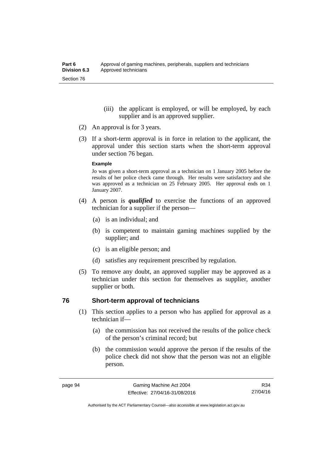- (iii) the applicant is employed, or will be employed, by each supplier and is an approved supplier.
- (2) An approval is for 3 years.
- (3) If a short-term approval is in force in relation to the applicant, the approval under this section starts when the short-term approval under section 76 began.

#### **Example**

Jo was given a short-term approval as a technician on 1 January 2005 before the results of her police check came through. Her results were satisfactory and she was approved as a technician on 25 February 2005. Her approval ends on 1 January 2007.

- (4) A person is *qualified* to exercise the functions of an approved technician for a supplier if the person—
	- (a) is an individual; and
	- (b) is competent to maintain gaming machines supplied by the supplier; and
	- (c) is an eligible person; and
	- (d) satisfies any requirement prescribed by regulation.
- (5) To remove any doubt, an approved supplier may be approved as a technician under this section for themselves as supplier, another supplier or both.

#### **76 Short-term approval of technicians**

- (1) This section applies to a person who has applied for approval as a technician if—
	- (a) the commission has not received the results of the police check of the person's criminal record; but
	- (b) the commission would approve the person if the results of the police check did not show that the person was not an eligible person.

R34 27/04/16

Authorised by the ACT Parliamentary Counsel—also accessible at www.legislation.act.gov.au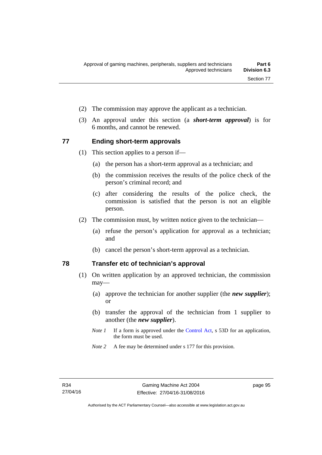- (2) The commission may approve the applicant as a technician.
- (3) An approval under this section (a *short-term approval*) is for 6 months, and cannot be renewed.

#### **77 Ending short-term approvals**

- (1) This section applies to a person if—
	- (a) the person has a short-term approval as a technician; and
	- (b) the commission receives the results of the police check of the person's criminal record; and
	- (c) after considering the results of the police check, the commission is satisfied that the person is not an eligible person.
- (2) The commission must, by written notice given to the technician—
	- (a) refuse the person's application for approval as a technician; and
	- (b) cancel the person's short-term approval as a technician.

#### **78 Transfer etc of technician's approval**

- (1) On written application by an approved technician, the commission may—
	- (a) approve the technician for another supplier (the *new supplier*); or
	- (b) transfer the approval of the technician from 1 supplier to another (the *new supplier*).
	- *Note 1* If a form is approved under the [Control Act,](http://www.legislation.act.gov.au/a/1999-46) s 53D for an application, the form must be used.
	- *Note 2* A fee may be determined under s 177 for this provision.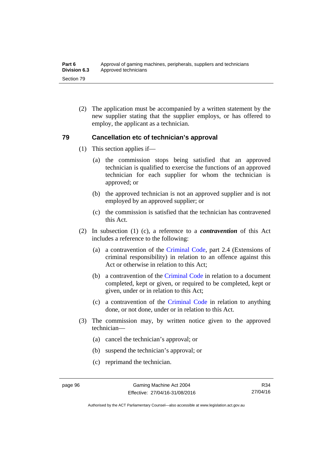(2) The application must be accompanied by a written statement by the new supplier stating that the supplier employs, or has offered to employ, the applicant as a technician.

#### **79 Cancellation etc of technician's approval**

- (1) This section applies if—
	- (a) the commission stops being satisfied that an approved technician is qualified to exercise the functions of an approved technician for each supplier for whom the technician is approved; or
	- (b) the approved technician is not an approved supplier and is not employed by an approved supplier; or
	- (c) the commission is satisfied that the technician has contravened this Act.
- (2) In subsection (1) (c), a reference to a *contravention* of this Act includes a reference to the following:
	- (a) a contravention of the [Criminal Code](http://www.legislation.act.gov.au/a/2002-51), part 2.4 (Extensions of criminal responsibility) in relation to an offence against this Act or otherwise in relation to this Act:
	- (b) a contravention of the [Criminal Code](http://www.legislation.act.gov.au/a/2002-51) in relation to a document completed, kept or given, or required to be completed, kept or given, under or in relation to this Act;
	- (c) a contravention of the [Criminal Code](http://www.legislation.act.gov.au/a/2002-51) in relation to anything done, or not done, under or in relation to this Act.
- (3) The commission may, by written notice given to the approved technician—
	- (a) cancel the technician's approval; or
	- (b) suspend the technician's approval; or
	- (c) reprimand the technician.

Authorised by the ACT Parliamentary Counsel—also accessible at www.legislation.act.gov.au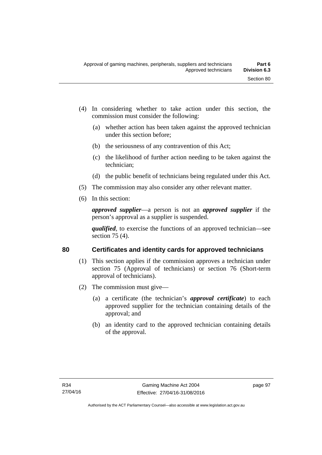- (4) In considering whether to take action under this section, the commission must consider the following:
	- (a) whether action has been taken against the approved technician under this section before;
	- (b) the seriousness of any contravention of this Act;
	- (c) the likelihood of further action needing to be taken against the technician;
	- (d) the public benefit of technicians being regulated under this Act.
- (5) The commission may also consider any other relevant matter.
- (6) In this section:

*approved supplier*—a person is not an *approved supplier* if the person's approval as a supplier is suspended.

*qualified*, to exercise the functions of an approved technician—see section 75 (4).

### **80 Certificates and identity cards for approved technicians**

- (1) This section applies if the commission approves a technician under section 75 (Approval of technicians) or section 76 (Short-term approval of technicians).
- (2) The commission must give—
	- (a) a certificate (the technician's *approval certificate*) to each approved supplier for the technician containing details of the approval; and
	- (b) an identity card to the approved technician containing details of the approval.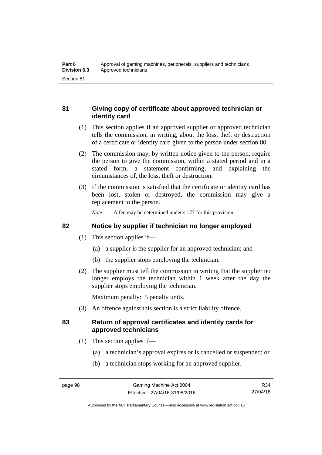#### **81 Giving copy of certificate about approved technician or identity card**

- (1) This section applies if an approved supplier or approved technician tells the commission, in writing, about the loss, theft or destruction of a certificate or identity card given to the person under section 80.
- (2) The commission may, by written notice given to the person, require the person to give the commission, within a stated period and in a stated form, a statement confirming, and explaining the circumstances of, the loss, theft or destruction.
- (3) If the commission is satisfied that the certificate or identity card has been lost, stolen or destroyed, the commission may give a replacement to the person.

*Note* A fee may be determined under s 177 for this provision.

#### **82 Notice by supplier if technician no longer employed**

- (1) This section applies if—
	- (a) a supplier is the supplier for an approved technician; and
	- (b) the supplier stops employing the technician.
- (2) The supplier must tell the commission in writing that the supplier no longer employs the technician within 1 week after the day the supplier stops employing the technician.

Maximum penalty: 5 penalty units.

(3) An offence against this section is a strict liability offence.

#### **83 Return of approval certificates and identity cards for approved technicians**

- (1) This section applies if—
	- (a) a technician's approval expires or is cancelled or suspended; or
	- (b) a technician stops working for an approved supplier.

R34 27/04/16

Authorised by the ACT Parliamentary Counsel—also accessible at www.legislation.act.gov.au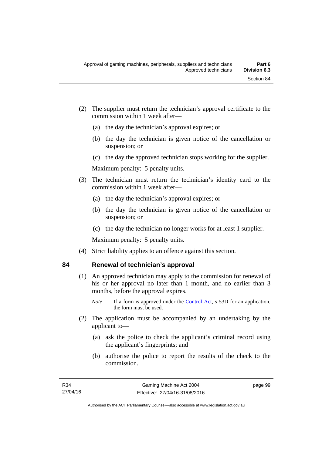- (2) The supplier must return the technician's approval certificate to the commission within 1 week after—
	- (a) the day the technician's approval expires; or
	- (b) the day the technician is given notice of the cancellation or suspension; or
	- (c) the day the approved technician stops working for the supplier.

Maximum penalty: 5 penalty units.

- (3) The technician must return the technician's identity card to the commission within 1 week after—
	- (a) the day the technician's approval expires; or
	- (b) the day the technician is given notice of the cancellation or suspension; or
	- (c) the day the technician no longer works for at least 1 supplier.

Maximum penalty: 5 penalty units.

(4) Strict liability applies to an offence against this section.

#### **84 Renewal of technician's approval**

- (1) An approved technician may apply to the commission for renewal of his or her approval no later than 1 month, and no earlier than 3 months, before the approval expires.
	- *Note* If a form is approved under the [Control Act,](http://www.legislation.act.gov.au/a/1999-46) s 53D for an application, the form must be used.
- (2) The application must be accompanied by an undertaking by the applicant to—
	- (a) ask the police to check the applicant's criminal record using the applicant's fingerprints; and
	- (b) authorise the police to report the results of the check to the commission.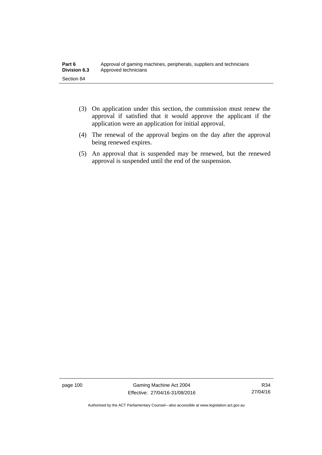- (3) On application under this section, the commission must renew the approval if satisfied that it would approve the applicant if the application were an application for initial approval.
- (4) The renewal of the approval begins on the day after the approval being renewed expires.
- (5) An approval that is suspended may be renewed, but the renewed approval is suspended until the end of the suspension.

page 100 Gaming Machine Act 2004 Effective: 27/04/16-31/08/2016

R34 27/04/16

Authorised by the ACT Parliamentary Counsel—also accessible at www.legislation.act.gov.au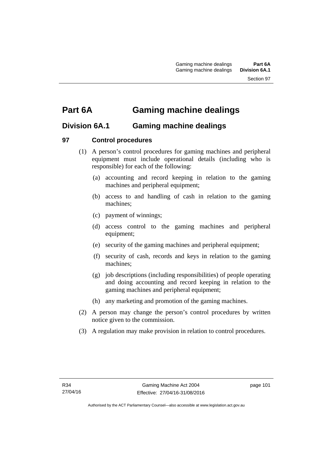# **Part 6A Gaming machine dealings**

# **Division 6A.1 Gaming machine dealings**

### **97 Control procedures**

- (1) A person's control procedures for gaming machines and peripheral equipment must include operational details (including who is responsible) for each of the following:
	- (a) accounting and record keeping in relation to the gaming machines and peripheral equipment;
	- (b) access to and handling of cash in relation to the gaming machines;
	- (c) payment of winnings;
	- (d) access control to the gaming machines and peripheral equipment;
	- (e) security of the gaming machines and peripheral equipment;
	- (f) security of cash, records and keys in relation to the gaming machines;
	- (g) job descriptions (including responsibilities) of people operating and doing accounting and record keeping in relation to the gaming machines and peripheral equipment;
	- (h) any marketing and promotion of the gaming machines.
- (2) A person may change the person's control procedures by written notice given to the commission.
- (3) A regulation may make provision in relation to control procedures.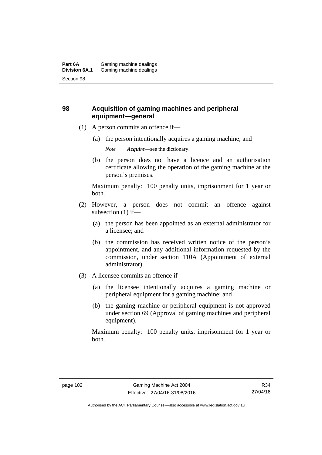### **98 Acquisition of gaming machines and peripheral equipment—general**

- (1) A person commits an offence if—
	- (a) the person intentionally acquires a gaming machine; and

*Note Acquire*—see the dictionary.

 (b) the person does not have a licence and an authorisation certificate allowing the operation of the gaming machine at the person's premises.

Maximum penalty: 100 penalty units, imprisonment for 1 year or both.

- (2) However, a person does not commit an offence against subsection (1) if—
	- (a) the person has been appointed as an external administrator for a licensee; and
	- (b) the commission has received written notice of the person's appointment, and any additional information requested by the commission, under section 110A (Appointment of external administrator).
- (3) A licensee commits an offence if—
	- (a) the licensee intentionally acquires a gaming machine or peripheral equipment for a gaming machine; and
	- (b) the gaming machine or peripheral equipment is not approved under section 69 (Approval of gaming machines and peripheral equipment).

Maximum penalty: 100 penalty units, imprisonment for 1 year or both.

Authorised by the ACT Parliamentary Counsel—also accessible at www.legislation.act.gov.au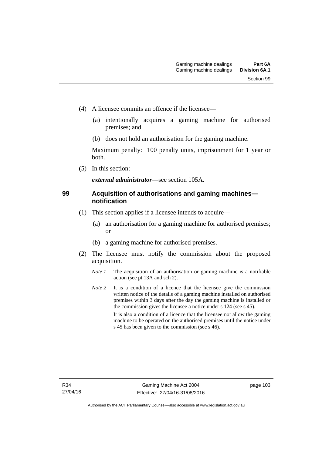- (4) A licensee commits an offence if the licensee—
	- (a) intentionally acquires a gaming machine for authorised premises; and
	- (b) does not hold an authorisation for the gaming machine.

Maximum penalty: 100 penalty units, imprisonment for 1 year or both.

(5) In this section:

*external administrator*—see section 105A.

#### **99 Acquisition of authorisations and gaming machines notification**

- (1) This section applies if a licensee intends to acquire—
	- (a) an authorisation for a gaming machine for authorised premises; or
	- (b) a gaming machine for authorised premises.
- (2) The licensee must notify the commission about the proposed acquisition.
	- *Note 1* The acquisition of an authorisation or gaming machine is a notifiable action (see pt 13A and sch 2).
	- *Note* 2 It is a condition of a licence that the licensee give the commission written notice of the details of a gaming machine installed on authorised premises within 3 days after the day the gaming machine is installed or the commission gives the licensee a notice under s 124 (see s 45). It is also a condition of a licence that the licensee not allow the gaming machine to be operated on the authorised premises until the notice under s 45 has been given to the commission (see s 46).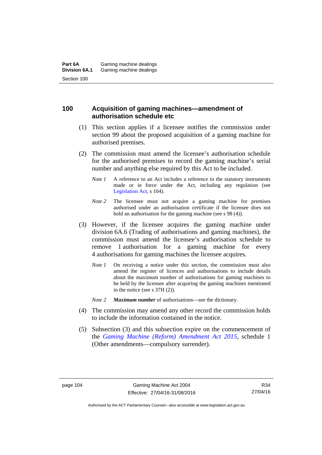#### **100 Acquisition of gaming machines—amendment of authorisation schedule etc**

- (1) This section applies if a licensee notifies the commission under section 99 about the proposed acquisition of a gaming machine for authorised premises.
- (2) The commission must amend the licensee's authorisation schedule for the authorised premises to record the gaming machine's serial number and anything else required by this Act to be included.
	- *Note 1* A reference to an Act includes a reference to the statutory instruments made or in force under the Act, including any regulation (see [Legislation Act,](http://www.legislation.act.gov.au/a/2001-14) s 104).
	- *Note* 2 The licensee must not acquire a gaming machine for premises authorised under an authorisation certificate if the licensee does not hold an authorisation for the gaming machine (see s 98 (4)).
- (3) However, if the licensee acquires the gaming machine under division 6A.6 (Trading of authorisations and gaming machines), the commission must amend the licensee's authorisation schedule to remove 1 authorisation for a gaming machine for every 4 authorisations for gaming machines the licensee acquires.
	- *Note 1* On receiving a notice under this section, the commission must also amend the register of licences and authorisations to include details about the maximum number of authorisations for gaming machines to be held by the licensee after acquiring the gaming machines mentioned in the notice (see s 37H (2)).
	- *Note 2 Maximum number* of authorisations—see the dictionary.
- (4) The commission may amend any other record the commission holds to include the information contained in the notice.
- (5) Subsection (3) and this subsection expire on the commencement of the *[Gaming Machine \(Reform\) Amendment Act 2015](http://www.legislation.act.gov.au/a/2015-21/default.asp)*, schedule 1 (Other amendments—compulsory surrender).

Authorised by the ACT Parliamentary Counsel—also accessible at www.legislation.act.gov.au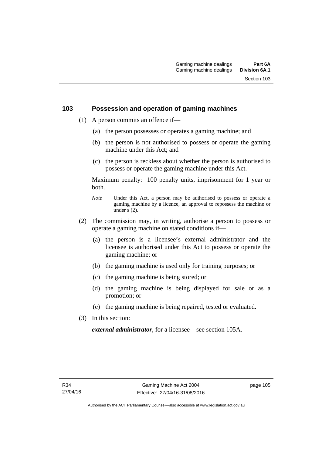#### **103 Possession and operation of gaming machines**

- (1) A person commits an offence if—
	- (a) the person possesses or operates a gaming machine; and
	- (b) the person is not authorised to possess or operate the gaming machine under this Act; and
	- (c) the person is reckless about whether the person is authorised to possess or operate the gaming machine under this Act.

Maximum penalty: 100 penalty units, imprisonment for 1 year or both.

- *Note* Under this Act, a person may be authorised to possess or operate a gaming machine by a licence, an approval to repossess the machine or under  $\overline{s}$  (2).
- (2) The commission may, in writing, authorise a person to possess or operate a gaming machine on stated conditions if—
	- (a) the person is a licensee's external administrator and the licensee is authorised under this Act to possess or operate the gaming machine; or
	- (b) the gaming machine is used only for training purposes; or
	- (c) the gaming machine is being stored; or
	- (d) the gaming machine is being displayed for sale or as a promotion; or
	- (e) the gaming machine is being repaired, tested or evaluated.
- (3) In this section:

*external administrator*, for a licensee—see section 105A.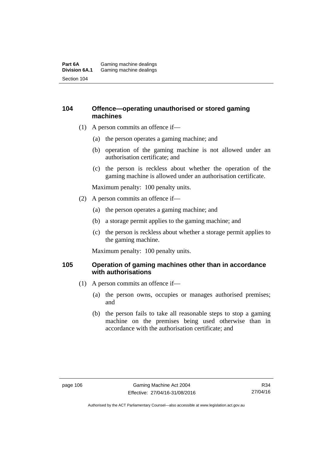#### **Part 6A** Gaming machine dealings<br>**Division 6A.1** Gaming machine dealings Gaming machine dealings Section 104

#### **104 Offence—operating unauthorised or stored gaming machines**

- (1) A person commits an offence if—
	- (a) the person operates a gaming machine; and
	- (b) operation of the gaming machine is not allowed under an authorisation certificate; and
	- (c) the person is reckless about whether the operation of the gaming machine is allowed under an authorisation certificate.

Maximum penalty: 100 penalty units.

- (2) A person commits an offence if—
	- (a) the person operates a gaming machine; and
	- (b) a storage permit applies to the gaming machine; and
	- (c) the person is reckless about whether a storage permit applies to the gaming machine.

Maximum penalty: 100 penalty units.

#### **105 Operation of gaming machines other than in accordance with authorisations**

- (1) A person commits an offence if—
	- (a) the person owns, occupies or manages authorised premises; and
	- (b) the person fails to take all reasonable steps to stop a gaming machine on the premises being used otherwise than in accordance with the authorisation certificate; and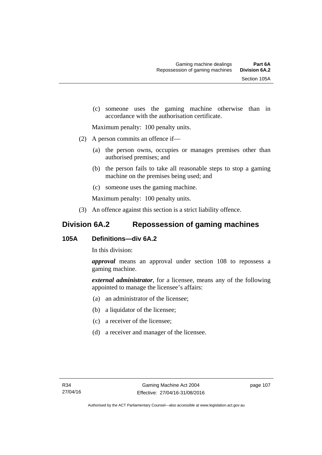(c) someone uses the gaming machine otherwise than in accordance with the authorisation certificate.

Maximum penalty: 100 penalty units.

- (2) A person commits an offence if—
	- (a) the person owns, occupies or manages premises other than authorised premises; and
	- (b) the person fails to take all reasonable steps to stop a gaming machine on the premises being used; and
	- (c) someone uses the gaming machine.

Maximum penalty: 100 penalty units.

(3) An offence against this section is a strict liability offence.

# **Division 6A.2 Repossession of gaming machines**

#### **105A Definitions—div 6A.2**

In this division:

*approval* means an approval under section 108 to repossess a gaming machine.

*external administrator*, for a licensee, means any of the following appointed to manage the licensee's affairs:

- (a) an administrator of the licensee;
- (b) a liquidator of the licensee;
- (c) a receiver of the licensee;
- (d) a receiver and manager of the licensee.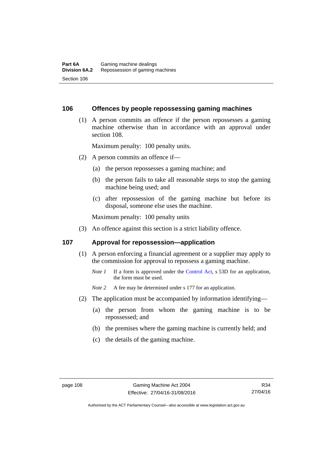#### **106 Offences by people repossessing gaming machines**

 (1) A person commits an offence if the person repossesses a gaming machine otherwise than in accordance with an approval under section 108.

Maximum penalty: 100 penalty units.

- (2) A person commits an offence if—
	- (a) the person repossesses a gaming machine; and
	- (b) the person fails to take all reasonable steps to stop the gaming machine being used; and
	- (c) after repossession of the gaming machine but before its disposal, someone else uses the machine.

Maximum penalty: 100 penalty units

(3) An offence against this section is a strict liability offence.

#### **107 Approval for repossession—application**

- (1) A person enforcing a financial agreement or a supplier may apply to the commission for approval to repossess a gaming machine.
	- *Note 1* If a form is approved under the [Control Act](http://www.legislation.act.gov.au/a/1999-46/default.asp), s 53D for an application, the form must be used.

*Note* 2 A fee may be determined under s 177 for an application.

- (2) The application must be accompanied by information identifying—
	- (a) the person from whom the gaming machine is to be repossessed; and
	- (b) the premises where the gaming machine is currently held; and
	- (c) the details of the gaming machine.

Authorised by the ACT Parliamentary Counsel—also accessible at www.legislation.act.gov.au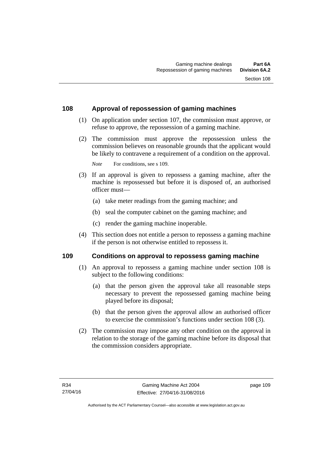#### **108 Approval of repossession of gaming machines**

- (1) On application under section 107, the commission must approve, or refuse to approve, the repossession of a gaming machine.
- (2) The commission must approve the repossession unless the commission believes on reasonable grounds that the applicant would be likely to contravene a requirement of a condition on the approval.

*Note* For conditions, see s 109.

- (3) If an approval is given to repossess a gaming machine, after the machine is repossessed but before it is disposed of, an authorised officer must—
	- (a) take meter readings from the gaming machine; and
	- (b) seal the computer cabinet on the gaming machine; and
	- (c) render the gaming machine inoperable.
- (4) This section does not entitle a person to repossess a gaming machine if the person is not otherwise entitled to repossess it.

#### **109 Conditions on approval to repossess gaming machine**

- (1) An approval to repossess a gaming machine under section 108 is subject to the following conditions:
	- (a) that the person given the approval take all reasonable steps necessary to prevent the repossessed gaming machine being played before its disposal;
	- (b) that the person given the approval allow an authorised officer to exercise the commission's functions under section 108 (3).
- (2) The commission may impose any other condition on the approval in relation to the storage of the gaming machine before its disposal that the commission considers appropriate.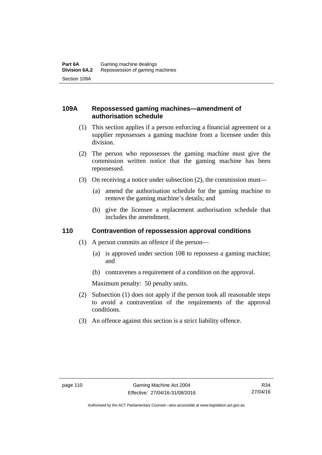#### **109A Repossessed gaming machines—amendment of authorisation schedule**

- (1) This section applies if a person enforcing a financial agreement or a supplier repossesses a gaming machine from a licensee under this division.
- (2) The person who repossesses the gaming machine must give the commission written notice that the gaming machine has been repossessed.
- (3) On receiving a notice under subsection (2), the commission must—
	- (a) amend the authorisation schedule for the gaming machine to remove the gaming machine's details; and
	- (b) give the licensee a replacement authorisation schedule that includes the amendment.

#### **110 Contravention of repossession approval conditions**

- (1) A person commits an offence if the person—
	- (a) is approved under section 108 to repossess a gaming machine; and
	- (b) contravenes a requirement of a condition on the approval.

Maximum penalty: 50 penalty units.

- (2) Subsection (1) does not apply if the person took all reasonable steps to avoid a contravention of the requirements of the approval conditions.
- (3) An offence against this section is a strict liability offence.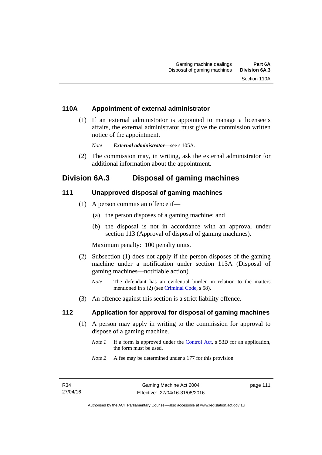#### **110A Appointment of external administrator**

 (1) If an external administrator is appointed to manage a licensee's affairs, the external administrator must give the commission written notice of the appointment.

*Note External administrator*—see s 105A.

 (2) The commission may, in writing, ask the external administrator for additional information about the appointment.

# **Division 6A.3 Disposal of gaming machines**

#### **111 Unapproved disposal of gaming machines**

- (1) A person commits an offence if—
	- (a) the person disposes of a gaming machine; and
	- (b) the disposal is not in accordance with an approval under section 113 (Approval of disposal of gaming machines).

Maximum penalty: 100 penalty units.

- (2) Subsection (1) does not apply if the person disposes of the gaming machine under a notification under section 113A (Disposal of gaming machines—notifiable action).
	- *Note* The defendant has an evidential burden in relation to the matters mentioned in s (2) (see [Criminal Code](http://www.legislation.act.gov.au/a/2002-51), s 58).
- (3) An offence against this section is a strict liability offence.

#### **112 Application for approval for disposal of gaming machines**

- (1) A person may apply in writing to the commission for approval to dispose of a gaming machine.
	- *Note 1* If a form is approved under the [Control Act,](http://www.legislation.act.gov.au/a/1999-46) s 53D for an application, the form must be used.
	- *Note 2* A fee may be determined under s 177 for this provision.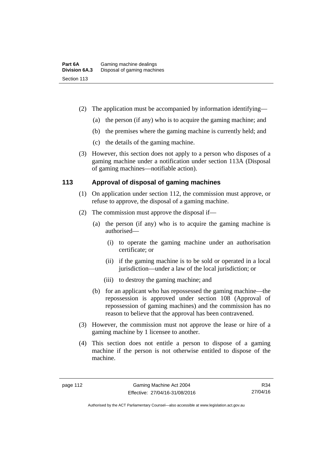- (2) The application must be accompanied by information identifying—
	- (a) the person (if any) who is to acquire the gaming machine; and
	- (b) the premises where the gaming machine is currently held; and
	- (c) the details of the gaming machine.
- (3) However, this section does not apply to a person who disposes of a gaming machine under a notification under section 113A (Disposal of gaming machines—notifiable action).

# **113 Approval of disposal of gaming machines**

- (1) On application under section 112, the commission must approve, or refuse to approve, the disposal of a gaming machine.
- (2) The commission must approve the disposal if—
	- (a) the person (if any) who is to acquire the gaming machine is authorised—
		- (i) to operate the gaming machine under an authorisation certificate; or
		- (ii) if the gaming machine is to be sold or operated in a local jurisdiction—under a law of the local jurisdiction; or
		- (iii) to destroy the gaming machine; and
	- (b) for an applicant who has repossessed the gaming machine—the repossession is approved under section 108 (Approval of repossession of gaming machines) and the commission has no reason to believe that the approval has been contravened.
- (3) However, the commission must not approve the lease or hire of a gaming machine by 1 licensee to another.
- (4) This section does not entitle a person to dispose of a gaming machine if the person is not otherwise entitled to dispose of the machine.

R34 27/04/16

Authorised by the ACT Parliamentary Counsel—also accessible at www.legislation.act.gov.au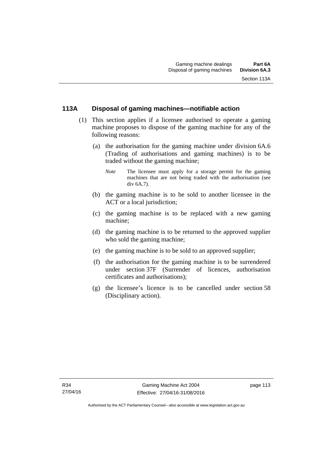# **113A Disposal of gaming machines—notifiable action**

- (1) This section applies if a licensee authorised to operate a gaming machine proposes to dispose of the gaming machine for any of the following reasons:
	- (a) the authorisation for the gaming machine under division 6A.6 (Trading of authorisations and gaming machines) is to be traded without the gaming machine;
		- *Note* The licensee must apply for a storage permit for the gaming machines that are not being traded with the authorisation (see div 6A.7).
	- (b) the gaming machine is to be sold to another licensee in the ACT or a local jurisdiction;
	- (c) the gaming machine is to be replaced with a new gaming machine;
	- (d) the gaming machine is to be returned to the approved supplier who sold the gaming machine;
	- (e) the gaming machine is to be sold to an approved supplier;
	- (f) the authorisation for the gaming machine is to be surrendered under section 37F (Surrender of licences, authorisation certificates and authorisations);
	- (g) the licensee's licence is to be cancelled under section 58 (Disciplinary action).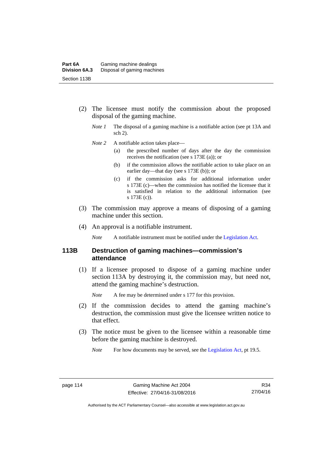- (2) The licensee must notify the commission about the proposed disposal of the gaming machine.
	- *Note 1* The disposal of a gaming machine is a notifiable action (see pt 13A and sch 2).
	- *Note* 2 A notifiable action takes place—
		- (a) the prescribed number of days after the day the commission receives the notification (see s 173E (a)); or
		- (b) if the commission allows the notifiable action to take place on an earlier day—that day (see s 173E (b)); or
		- (c) if the commission asks for additional information under s 173E (c)—when the commission has notified the licensee that it is satisfied in relation to the additional information (see s 173E (c)).
- (3) The commission may approve a means of disposing of a gaming machine under this section.
- (4) An approval is a notifiable instrument.

*Note* A notifiable instrument must be notified under the [Legislation Act](http://www.legislation.act.gov.au/a/2001-14).

#### **113B Destruction of gaming machines—commission's attendance**

 (1) If a licensee proposed to dispose of a gaming machine under section 113A by destroying it, the commission may, but need not, attend the gaming machine's destruction.

*Note* A fee may be determined under s 177 for this provision.

- (2) If the commission decides to attend the gaming machine's destruction, the commission must give the licensee written notice to that effect.
- (3) The notice must be given to the licensee within a reasonable time before the gaming machine is destroyed.
	- *Note* For how documents may be served, see the [Legislation Act,](http://www.legislation.act.gov.au/a/2001-14) pt 19.5.

R34 27/04/16

Authorised by the ACT Parliamentary Counsel—also accessible at www.legislation.act.gov.au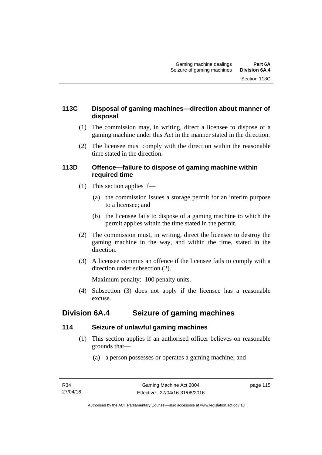### **113C Disposal of gaming machines—direction about manner of disposal**

- (1) The commission may, in writing, direct a licensee to dispose of a gaming machine under this Act in the manner stated in the direction.
- (2) The licensee must comply with the direction within the reasonable time stated in the direction.

#### **113D Offence—failure to dispose of gaming machine within required time**

- (1) This section applies if—
	- (a) the commission issues a storage permit for an interim purpose to a licensee; and
	- (b) the licensee fails to dispose of a gaming machine to which the permit applies within the time stated in the permit.
- (2) The commission must, in writing, direct the licensee to destroy the gaming machine in the way, and within the time, stated in the direction.
- (3) A licensee commits an offence if the licensee fails to comply with a direction under subsection (2).

Maximum penalty: 100 penalty units.

 (4) Subsection (3) does not apply if the licensee has a reasonable excuse.

# **Division 6A.4 Seizure of gaming machines**

### **114 Seizure of unlawful gaming machines**

- (1) This section applies if an authorised officer believes on reasonable grounds that—
	- (a) a person possesses or operates a gaming machine; and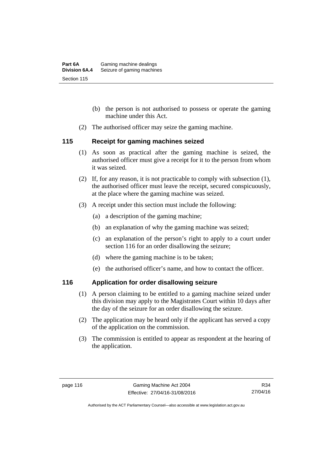- (b) the person is not authorised to possess or operate the gaming machine under this Act.
- (2) The authorised officer may seize the gaming machine.

#### **115 Receipt for gaming machines seized**

- (1) As soon as practical after the gaming machine is seized, the authorised officer must give a receipt for it to the person from whom it was seized.
- (2) If, for any reason, it is not practicable to comply with subsection (1), the authorised officer must leave the receipt, secured conspicuously, at the place where the gaming machine was seized.
- (3) A receipt under this section must include the following:
	- (a) a description of the gaming machine;
	- (b) an explanation of why the gaming machine was seized;
	- (c) an explanation of the person's right to apply to a court under section 116 for an order disallowing the seizure;
	- (d) where the gaming machine is to be taken;
	- (e) the authorised officer's name, and how to contact the officer.

### **116 Application for order disallowing seizure**

- (1) A person claiming to be entitled to a gaming machine seized under this division may apply to the Magistrates Court within 10 days after the day of the seizure for an order disallowing the seizure.
- (2) The application may be heard only if the applicant has served a copy of the application on the commission.
- (3) The commission is entitled to appear as respondent at the hearing of the application.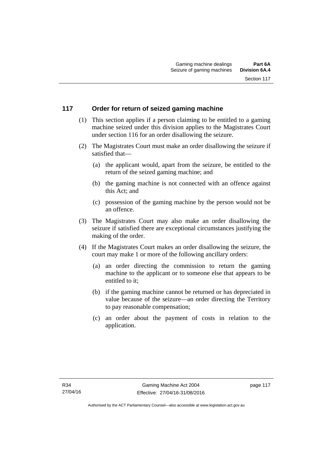### **117 Order for return of seized gaming machine**

- (1) This section applies if a person claiming to be entitled to a gaming machine seized under this division applies to the Magistrates Court under section 116 for an order disallowing the seizure.
- (2) The Magistrates Court must make an order disallowing the seizure if satisfied that—
	- (a) the applicant would, apart from the seizure, be entitled to the return of the seized gaming machine; and
	- (b) the gaming machine is not connected with an offence against this Act; and
	- (c) possession of the gaming machine by the person would not be an offence.
- (3) The Magistrates Court may also make an order disallowing the seizure if satisfied there are exceptional circumstances justifying the making of the order.
- (4) If the Magistrates Court makes an order disallowing the seizure, the court may make 1 or more of the following ancillary orders:
	- (a) an order directing the commission to return the gaming machine to the applicant or to someone else that appears to be entitled to it;
	- (b) if the gaming machine cannot be returned or has depreciated in value because of the seizure—an order directing the Territory to pay reasonable compensation;
	- (c) an order about the payment of costs in relation to the application.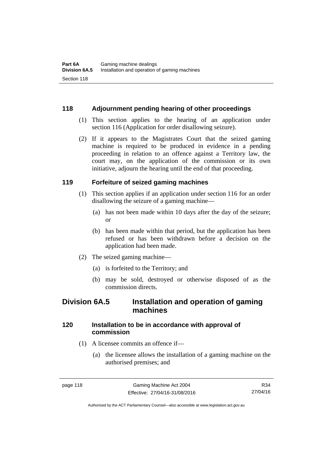#### **118 Adjournment pending hearing of other proceedings**

- (1) This section applies to the hearing of an application under section 116 (Application for order disallowing seizure).
- (2) If it appears to the Magistrates Court that the seized gaming machine is required to be produced in evidence in a pending proceeding in relation to an offence against a Territory law, the court may, on the application of the commission or its own initiative, adjourn the hearing until the end of that proceeding.

#### **119 Forfeiture of seized gaming machines**

- (1) This section applies if an application under section 116 for an order disallowing the seizure of a gaming machine—
	- (a) has not been made within 10 days after the day of the seizure; or
	- (b) has been made within that period, but the application has been refused or has been withdrawn before a decision on the application had been made.
- (2) The seized gaming machine—
	- (a) is forfeited to the Territory; and
	- (b) may be sold, destroyed or otherwise disposed of as the commission directs.

# **Division 6A.5 Installation and operation of gaming machines**

#### **120 Installation to be in accordance with approval of commission**

- (1) A licensee commits an offence if—
	- (a) the licensee allows the installation of a gaming machine on the authorised premises; and

R34 27/04/16

Authorised by the ACT Parliamentary Counsel—also accessible at www.legislation.act.gov.au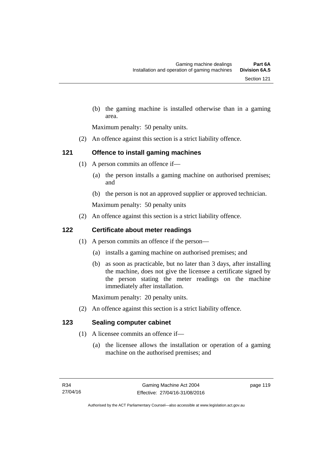(b) the gaming machine is installed otherwise than in a gaming area.

Maximum penalty: 50 penalty units.

(2) An offence against this section is a strict liability offence.

# **121 Offence to install gaming machines**

- (1) A person commits an offence if—
	- (a) the person installs a gaming machine on authorised premises; and
	- (b) the person is not an approved supplier or approved technician.

Maximum penalty: 50 penalty units

(2) An offence against this section is a strict liability offence.

## **122 Certificate about meter readings**

- (1) A person commits an offence if the person—
	- (a) installs a gaming machine on authorised premises; and
	- (b) as soon as practicable, but no later than 3 days, after installing the machine, does not give the licensee a certificate signed by the person stating the meter readings on the machine immediately after installation.

Maximum penalty: 20 penalty units.

(2) An offence against this section is a strict liability offence.

# **123 Sealing computer cabinet**

- (1) A licensee commits an offence if—
	- (a) the licensee allows the installation or operation of a gaming machine on the authorised premises; and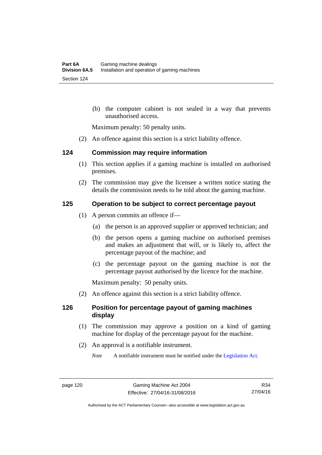(b) the computer cabinet is not sealed in a way that prevents unauthorised access.

Maximum penalty: 50 penalty units.

(2) An offence against this section is a strict liability offence.

#### **124 Commission may require information**

- (1) This section applies if a gaming machine is installed on authorised premises.
- (2) The commission may give the licensee a written notice stating the details the commission needs to be told about the gaming machine.

#### **125 Operation to be subject to correct percentage payout**

- (1) A person commits an offence if—
	- (a) the person is an approved supplier or approved technician; and
	- (b) the person opens a gaming machine on authorised premises and makes an adjustment that will, or is likely to, affect the percentage payout of the machine; and
	- (c) the percentage payout on the gaming machine is not the percentage payout authorised by the licence for the machine.

Maximum penalty: 50 penalty units.

(2) An offence against this section is a strict liability offence.

#### **126 Position for percentage payout of gaming machines display**

- (1) The commission may approve a position on a kind of gaming machine for display of the percentage payout for the machine.
- (2) An approval is a notifiable instrument.

*Note* A notifiable instrument must be notified under the [Legislation Act](http://www.legislation.act.gov.au/a/2001-14).

Authorised by the ACT Parliamentary Counsel—also accessible at www.legislation.act.gov.au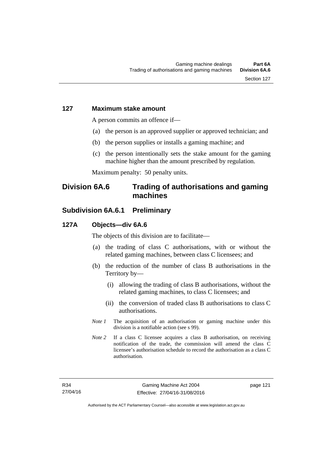#### **127 Maximum stake amount**

A person commits an offence if—

- (a) the person is an approved supplier or approved technician; and
- (b) the person supplies or installs a gaming machine; and
- (c) the person intentionally sets the stake amount for the gaming machine higher than the amount prescribed by regulation.

Maximum penalty: 50 penalty units.

# **Division 6A.6 Trading of authorisations and gaming machines**

# **Subdivision 6A.6.1 Preliminary**

#### **127A Objects—div 6A.6**

The objects of this division are to facilitate—

- (a) the trading of class C authorisations, with or without the related gaming machines, between class C licensees; and
- (b) the reduction of the number of class B authorisations in the Territory by—
	- (i) allowing the trading of class B authorisations, without the related gaming machines, to class C licensees; and
	- (ii) the conversion of traded class B authorisations to class C authorisations.
- *Note 1* The acquisition of an authorisation or gaming machine under this division is a notifiable action (see s 99).
- *Note* 2 If a class C licensee acquires a class B authorisation, on receiving notification of the trade, the commission will amend the class C licensee's authorisation schedule to record the authorisation as a class C authorisation.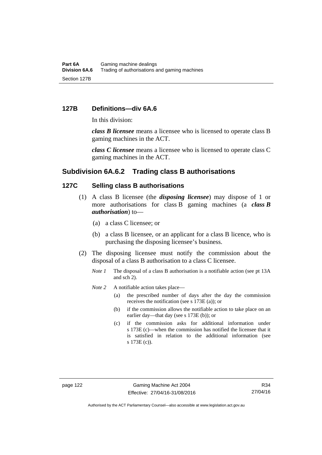#### **127B Definitions—div 6A.6**

In this division:

*class B licensee* means a licensee who is licensed to operate class B gaming machines in the ACT.

*class C licensee* means a licensee who is licensed to operate class C gaming machines in the ACT.

#### **Subdivision 6A.6.2 Trading class B authorisations**

#### **127C Selling class B authorisations**

- (1) A class B licensee (the *disposing licensee*) may dispose of 1 or more authorisations for class B gaming machines (a *class B authorisation*) to—
	- (a) a class C licensee; or
	- (b) a class B licensee, or an applicant for a class B licence, who is purchasing the disposing licensee's business.
- (2) The disposing licensee must notify the commission about the disposal of a class B authorisation to a class C licensee.
	- *Note 1* The disposal of a class B authorisation is a notifiable action (see pt 13A) and sch 2).
	- *Note* 2 A notifiable action takes place—
		- (a) the prescribed number of days after the day the commission receives the notification (see s 173E (a)); or
		- (b) if the commission allows the notifiable action to take place on an earlier day—that day (see s 173E (b)); or
		- (c) if the commission asks for additional information under s 173E (c)—when the commission has notified the licensee that it is satisfied in relation to the additional information (see s 173E (c)).

Authorised by the ACT Parliamentary Counsel—also accessible at www.legislation.act.gov.au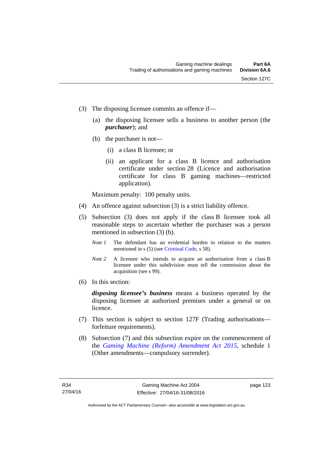- (3) The disposing licensee commits an offence if—
	- (a) the disposing licensee sells a business to another person (the *purchaser*); and
	- (b) the purchaser is not—
		- (i) a class B licensee; or
		- (ii) an applicant for a class B licence and authorisation certificate under section 28 (Licence and authorisation certificate for class B gaming machines—restricted application).

Maximum penalty: 100 penalty units.

- (4) An offence against subsection (3) is a strict liability offence.
- (5) Subsection (3) does not apply if the class B licensee took all reasonable steps to ascertain whether the purchaser was a person mentioned in subsection (3) (b).
	- *Note 1* The defendant has an evidential burden in relation to the matters mentioned in s (5) (see [Criminal Code](http://www.legislation.act.gov.au/a/2002-51), s 58).
	- *Note* 2 A licensee who intends to acquire an authorisation from a class B licensee under this subdivision must tell the commission about the acquisition (see s 99).
- (6) In this section:

*disposing licensee's business* means a business operated by the disposing licensee at authorised premises under a general or on licence.

- (7) This section is subject to section 127F (Trading authorisations forfeiture requirements).
- (8) Subsection (7) and this subsection expire on the commencement of the *[Gaming Machine \(Reform\) Amendment Act 2015](http://www.legislation.act.gov.au/a/2015-21/default.asp)*, schedule 1 (Other amendments—compulsory surrender).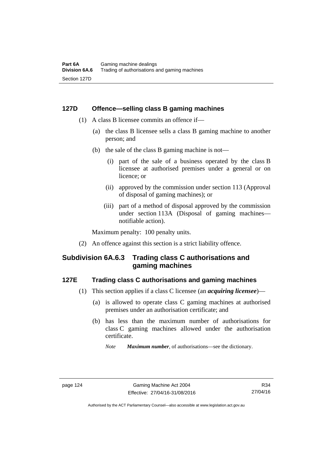#### **127D Offence—selling class B gaming machines**

- (1) A class B licensee commits an offence if—
	- (a) the class B licensee sells a class B gaming machine to another person; and
	- (b) the sale of the class B gaming machine is not—
		- (i) part of the sale of a business operated by the class B licensee at authorised premises under a general or on licence; or
		- (ii) approved by the commission under section 113 (Approval of disposal of gaming machines); or
		- (iii) part of a method of disposal approved by the commission under section 113A (Disposal of gaming machines notifiable action).

Maximum penalty: 100 penalty units.

(2) An offence against this section is a strict liability offence.

# **Subdivision 6A.6.3 Trading class C authorisations and gaming machines**

#### **127E Trading class C authorisations and gaming machines**

- (1) This section applies if a class C licensee (an *acquiring licensee*)—
	- (a) is allowed to operate class C gaming machines at authorised premises under an authorisation certificate; and
	- (b) has less than the maximum number of authorisations for class C gaming machines allowed under the authorisation certificate.
		- *Note Maximum number*, of authorisations—see the dictionary.

Authorised by the ACT Parliamentary Counsel—also accessible at www.legislation.act.gov.au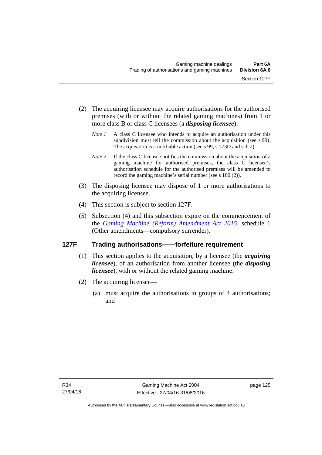- (2) The acquiring licensee may acquire authorisations for the authorised premises (with or without the related gaming machines) from 1 or more class B or class C licensees (a *disposing licensee*).
	- *Note 1* A class C licensee who intends to acquire an authorisation under this subdivision must tell the commission about the acquisition (see s 99). The acquisition is a notifiable action (see s 99, s 173D and sch 2).
	- *Note 2* If the class C licensee notifies the commission about the acquisition of a gaming machine for authorised premises, the class C licensee's authorisation schedule for the authorised premises will be amended to record the gaming machine's serial number (see s 100 (2)).
- (3) The disposing licensee may dispose of 1 or more authorisations to the acquiring licensee.
- (4) This section is subject to section 127F.
- (5) Subsection (4) and this subsection expire on the commencement of the *[Gaming Machine \(Reform\) Amendment Act 2015](http://www.legislation.act.gov.au/a/2015-21/default.asp)*, schedule 1 (Other amendments—compulsory surrender).

### **127F Trading authorisations——forfeiture requirement**

- (1) This section applies to the acquisition, by a licensee (the *acquiring licensee*), of an authorisation from another licensee (the *disposing licensee*), with or without the related gaming machine.
- (2) The acquiring licensee—
	- (a) must acquire the authorisations in groups of 4 authorisations; and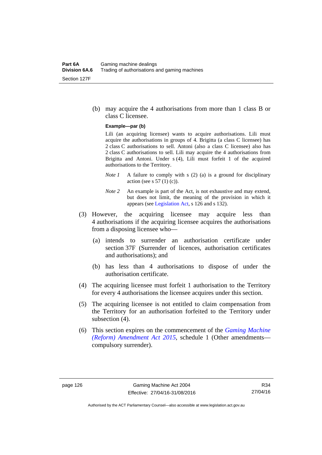(b) may acquire the 4 authorisations from more than 1 class B or class C licensee.

#### **Example—par (b)**

Lili (an acquiring licensee) wants to acquire authorisations. Lili must acquire the authorisations in groups of 4. Brigitta (a class C licensee) has 2 class C authorisations to sell. Antoni (also a class C licensee) also has 2 class C authorisations to sell. Lili may acquire the 4 authorisations from Brigitta and Antoni. Under s (4), Lili must forfeit 1 of the acquired authorisations to the Territory.

- *Note 1* A failure to comply with s (2) (a) is a ground for disciplinary action (see s  $57(1)(c)$ ).
- *Note 2* An example is part of the Act, is not exhaustive and may extend, but does not limit, the meaning of the provision in which it appears (see [Legislation Act,](http://www.legislation.act.gov.au/a/2001-14) s 126 and s 132).
- (3) However, the acquiring licensee may acquire less than 4 authorisations if the acquiring licensee acquires the authorisations from a disposing licensee who—
	- (a) intends to surrender an authorisation certificate under section 37F (Surrender of licences, authorisation certificates and authorisations); and
	- (b) has less than 4 authorisations to dispose of under the authorisation certificate.
- (4) The acquiring licensee must forfeit 1 authorisation to the Territory for every 4 authorisations the licensee acquires under this section.
- (5) The acquiring licensee is not entitled to claim compensation from the Territory for an authorisation forfeited to the Territory under subsection (4).
- (6) This section expires on the commencement of the *[Gaming Machine](http://www.legislation.act.gov.au/a/2015-21/default.asp)  [\(Reform\) Amendment Act 2015](http://www.legislation.act.gov.au/a/2015-21/default.asp)*, schedule 1 (Other amendments compulsory surrender).

R34 27/04/16

Authorised by the ACT Parliamentary Counsel—also accessible at www.legislation.act.gov.au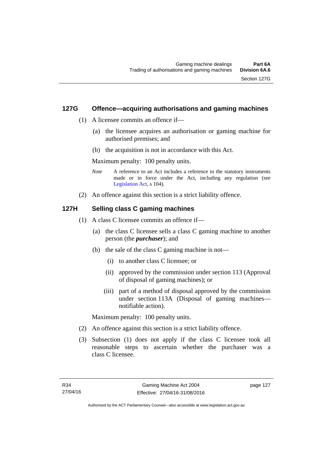#### **127G Offence—acquiring authorisations and gaming machines**

- (1) A licensee commits an offence if—
	- (a) the licensee acquires an authorisation or gaming machine for authorised premises; and
	- (b) the acquisition is not in accordance with this Act.

Maximum penalty: 100 penalty units.

- *Note* A reference to an Act includes a reference to the statutory instruments made or in force under the Act, including any regulation (see [Legislation Act,](http://www.legislation.act.gov.au/a/2001-14) s 104).
- (2) An offence against this section is a strict liability offence.

#### **127H Selling class C gaming machines**

- (1) A class C licensee commits an offence if—
	- (a) the class C licensee sells a class C gaming machine to another person (the *purchaser*); and
	- (b) the sale of the class C gaming machine is not—
		- (i) to another class C licensee; or
		- (ii) approved by the commission under section 113 (Approval of disposal of gaming machines); or
		- (iii) part of a method of disposal approved by the commission under section 113A (Disposal of gaming machines notifiable action).

Maximum penalty: 100 penalty units.

- (2) An offence against this section is a strict liability offence.
- (3) Subsection (1) does not apply if the class C licensee took all reasonable steps to ascertain whether the purchaser was a class C licensee.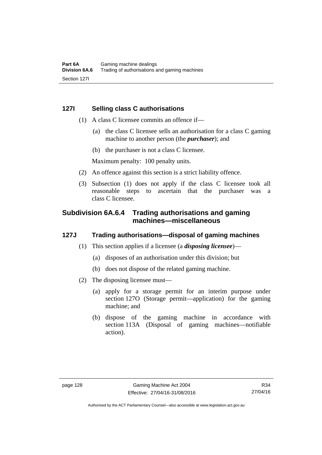#### **127I Selling class C authorisations**

- (1) A class C licensee commits an offence if—
	- (a) the class C licensee sells an authorisation for a class C gaming machine to another person (the *purchaser*); and
	- (b) the purchaser is not a class C licensee.

Maximum penalty: 100 penalty units.

- (2) An offence against this section is a strict liability offence.
- (3) Subsection (1) does not apply if the class C licensee took all reasonable steps to ascertain that the purchaser was a class C licensee.

# **Subdivision 6A.6.4 Trading authorisations and gaming machines—miscellaneous**

#### **127J Trading authorisations—disposal of gaming machines**

- (1) This section applies if a licensee (a *disposing licensee*)—
	- (a) disposes of an authorisation under this division; but
	- (b) does not dispose of the related gaming machine.
- (2) The disposing licensee must—
	- (a) apply for a storage permit for an interim purpose under section 127O (Storage permit—application) for the gaming machine; and
	- (b) dispose of the gaming machine in accordance with section 113A (Disposal of gaming machines—notifiable action).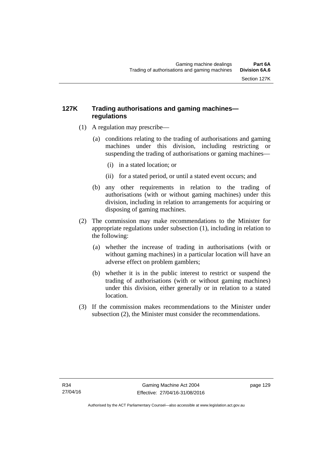# **127K Trading authorisations and gaming machines regulations**

- (1) A regulation may prescribe—
	- (a) conditions relating to the trading of authorisations and gaming machines under this division, including restricting or suspending the trading of authorisations or gaming machines—
		- (i) in a stated location; or
		- (ii) for a stated period, or until a stated event occurs; and
	- (b) any other requirements in relation to the trading of authorisations (with or without gaming machines) under this division, including in relation to arrangements for acquiring or disposing of gaming machines.
- (2) The commission may make recommendations to the Minister for appropriate regulations under subsection (1), including in relation to the following:
	- (a) whether the increase of trading in authorisations (with or without gaming machines) in a particular location will have an adverse effect on problem gamblers;
	- (b) whether it is in the public interest to restrict or suspend the trading of authorisations (with or without gaming machines) under this division, either generally or in relation to a stated location.
- (3) If the commission makes recommendations to the Minister under subsection (2), the Minister must consider the recommendations.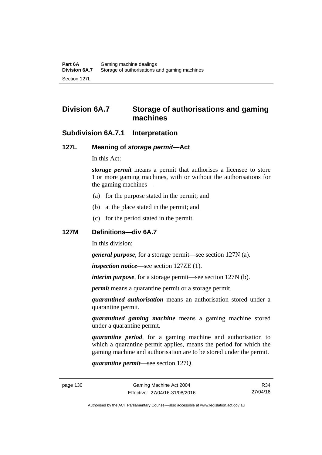# **Division 6A.7 Storage of authorisations and gaming machines**

# **Subdivision 6A.7.1 Interpretation**

### **127L Meaning of** *storage permit***—Act**

In this Act:

*storage permit* means a permit that authorises a licensee to store 1 or more gaming machines, with or without the authorisations for the gaming machines—

- (a) for the purpose stated in the permit; and
- (b) at the place stated in the permit; and
- (c) for the period stated in the permit.

#### **127M Definitions—div 6A.7**

In this division:

*general purpose*, for a storage permit—see section 127N (a).

*inspection notice*—see section 127ZE (1).

*interim purpose*, for a storage permit—see section 127N (b).

*permit* means a quarantine permit or a storage permit.

*quarantined authorisation* means an authorisation stored under a quarantine permit.

*quarantined gaming machine* means a gaming machine stored under a quarantine permit.

*quarantine period*, for a gaming machine and authorisation to which a quarantine permit applies, means the period for which the gaming machine and authorisation are to be stored under the permit.

*quarantine permit*—see section 127Q.

R34 27/04/16

Authorised by the ACT Parliamentary Counsel—also accessible at www.legislation.act.gov.au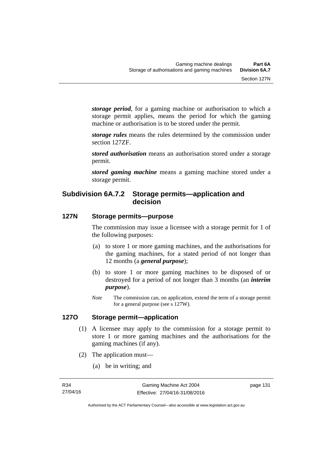*storage period*, for a gaming machine or authorisation to which a storage permit applies, means the period for which the gaming machine or authorisation is to be stored under the permit.

*storage rules* means the rules determined by the commission under section 127ZF.

*stored authorisation* means an authorisation stored under a storage permit.

*stored gaming machine* means a gaming machine stored under a storage permit.

# **Subdivision 6A.7.2 Storage permits—application and decision**

# **127N Storage permits—purpose**

The commission may issue a licensee with a storage permit for 1 of the following purposes:

- (a) to store 1 or more gaming machines, and the authorisations for the gaming machines, for a stated period of not longer than 12 months (a *general purpose*);
- (b) to store 1 or more gaming machines to be disposed of or destroyed for a period of not longer than 3 months (an *interim purpose*).
- *Note* The commission can, on application, extend the term of a storage permit for a general purpose (see s 127W).

#### **127O Storage permit—application**

- (1) A licensee may apply to the commission for a storage permit to store 1 or more gaming machines and the authorisations for the gaming machines (if any).
- (2) The application must—
	- (a) be in writing; and

page 131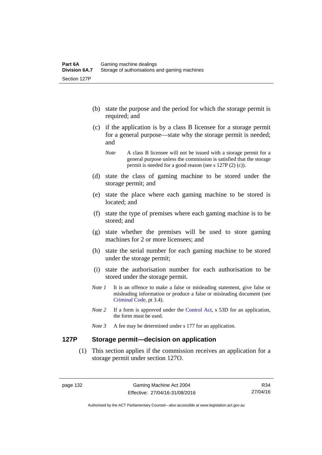- (b) state the purpose and the period for which the storage permit is required; and
- (c) if the application is by a class B licensee for a storage permit for a general purpose—state why the storage permit is needed; and

- (d) state the class of gaming machine to be stored under the storage permit; and
- (e) state the place where each gaming machine to be stored is located; and
- (f) state the type of premises where each gaming machine is to be stored; and
- (g) state whether the premises will be used to store gaming machines for 2 or more licensees; and
- (h) state the serial number for each gaming machine to be stored under the storage permit;
- (i) state the authorisation number for each authorisation to be stored under the storage permit.
- *Note 1* It is an offence to make a false or misleading statement, give false or misleading information or produce a false or misleading document (see [Criminal Code](http://www.legislation.act.gov.au/a/2002-51), pt 3.4).
- *Note 2* If a form is approved under the [Control Act,](http://www.legislation.act.gov.au/a/1999-46/default.asp) s 53D for an application, the form must be used.
- *Note 3* A fee may be determined under s 177 for an application.

# **127P Storage permit—decision on application**

 (1) This section applies if the commission receives an application for a storage permit under section 127O.

*Note* A class B licensee will not be issued with a storage permit for a general purpose unless the commission is satisfied that the storage permit is needed for a good reason (see s 127P (2) (c)).

R34 27/04/16

Authorised by the ACT Parliamentary Counsel—also accessible at www.legislation.act.gov.au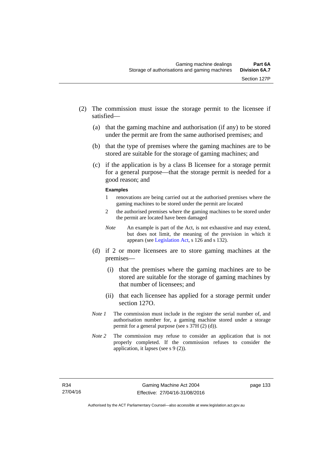- (2) The commission must issue the storage permit to the licensee if satisfied—
	- (a) that the gaming machine and authorisation (if any) to be stored under the permit are from the same authorised premises; and
	- (b) that the type of premises where the gaming machines are to be stored are suitable for the storage of gaming machines; and
	- (c) if the application is by a class B licensee for a storage permit for a general purpose—that the storage permit is needed for a good reason; and

#### **Examples**

- 1 renovations are being carried out at the authorised premises where the gaming machines to be stored under the permit are located
- 2 the authorised premises where the gaming machines to be stored under the permit are located have been damaged
- *Note* An example is part of the Act, is not exhaustive and may extend, but does not limit, the meaning of the provision in which it appears (see [Legislation Act,](http://www.legislation.act.gov.au/a/2001-14/default.asp) s 126 and s 132).
- (d) if 2 or more licensees are to store gaming machines at the premises—
	- (i) that the premises where the gaming machines are to be stored are suitable for the storage of gaming machines by that number of licensees; and
	- (ii) that each licensee has applied for a storage permit under section 127O.
- *Note 1* The commission must include in the register the serial number of, and authorisation number for, a gaming machine stored under a storage permit for a general purpose (see s 37H (2) (d)).
- *Note 2* The commission may refuse to consider an application that is not properly completed. If the commission refuses to consider the application, it lapses (see s 9 (2)).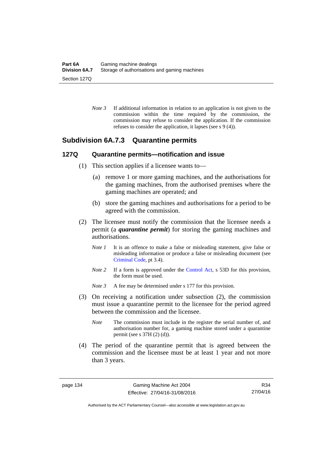*Note 3* If additional information in relation to an application is not given to the commission within the time required by the commission, the commission may refuse to consider the application. If the commission refuses to consider the application, it lapses (see s 9 (4)).

# **Subdivision 6A.7.3 Quarantine permits**

#### **127Q Quarantine permits—notification and issue**

- (1) This section applies if a licensee wants to—
	- (a) remove 1 or more gaming machines, and the authorisations for the gaming machines, from the authorised premises where the gaming machines are operated; and
	- (b) store the gaming machines and authorisations for a period to be agreed with the commission.
- (2) The licensee must notify the commission that the licensee needs a permit (a *quarantine permit*) for storing the gaming machines and authorisations.
	- *Note 1* It is an offence to make a false or misleading statement, give false or misleading information or produce a false or misleading document (see [Criminal Code](http://www.legislation.act.gov.au/a/2002-51), pt 3.4).
	- *Note* 2 If a form is approved under the [Control Act,](http://www.legislation.act.gov.au/a/1999-46/default.asp) s 53D for this provision, the form must be used.

*Note 3* A fee may be determined under s 177 for this provision.

- (3) On receiving a notification under subsection (2), the commission must issue a quarantine permit to the licensee for the period agreed between the commission and the licensee.
	- *Note* The commission must include in the register the serial number of, and authorisation number for, a gaming machine stored under a quarantine permit (see s 37H (2) (d)).
- (4) The period of the quarantine permit that is agreed between the commission and the licensee must be at least 1 year and not more than 3 years.

R34 27/04/16

Authorised by the ACT Parliamentary Counsel—also accessible at www.legislation.act.gov.au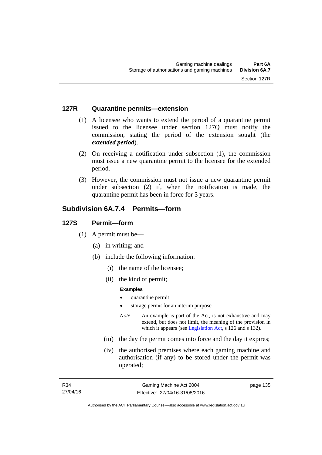#### **127R Quarantine permits—extension**

- (1) A licensee who wants to extend the period of a quarantine permit issued to the licensee under section 127Q must notify the commission, stating the period of the extension sought (the *extended period*).
- (2) On receiving a notification under subsection (1), the commission must issue a new quarantine permit to the licensee for the extended period.
- (3) However, the commission must not issue a new quarantine permit under subsection (2) if, when the notification is made, the quarantine permit has been in force for 3 years.

# **Subdivision 6A.7.4 Permits—form**

#### **127S Permit—form**

- (1) A permit must be—
	- (a) in writing; and
	- (b) include the following information:
		- (i) the name of the licensee;
		- (ii) the kind of permit;

#### **Examples**

- quarantine permit
- storage permit for an interim purpose
- *Note* An example is part of the Act, is not exhaustive and may extend, but does not limit, the meaning of the provision in which it appears (see [Legislation Act,](http://www.legislation.act.gov.au/a/2001-14) s 126 and s 132).
- (iii) the day the permit comes into force and the day it expires;
- (iv) the authorised premises where each gaming machine and authorisation (if any) to be stored under the permit was operated;

page 135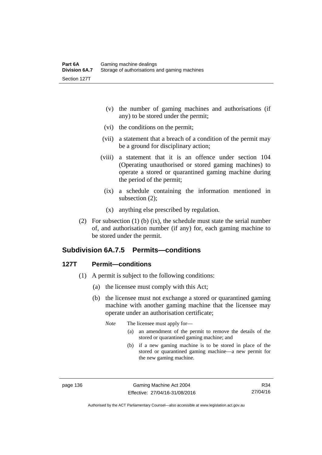- (v) the number of gaming machines and authorisations (if any) to be stored under the permit;
- (vi) the conditions on the permit;
- (vii) a statement that a breach of a condition of the permit may be a ground for disciplinary action;
- (viii) a statement that it is an offence under section 104 (Operating unauthorised or stored gaming machines) to operate a stored or quarantined gaming machine during the period of the permit;
	- (ix) a schedule containing the information mentioned in subsection (2);
	- (x) anything else prescribed by regulation.
- (2) For subsection (1) (b) (ix), the schedule must state the serial number of, and authorisation number (if any) for, each gaming machine to be stored under the permit.

# **Subdivision 6A.7.5 Permits—conditions**

### **127T Permit—conditions**

- (1) A permit is subject to the following conditions:
	- (a) the licensee must comply with this Act;
	- (b) the licensee must not exchange a stored or quarantined gaming machine with another gaming machine that the licensee may operate under an authorisation certificate;

*Note* The licensee must apply for—

- (a) an amendment of the permit to remove the details of the stored or quarantined gaming machine; and
- (b) if a new gaming machine is to be stored in place of the stored or quarantined gaming machine—a new permit for the new gaming machine.

page 136 Gaming Machine Act 2004 Effective: 27/04/16-31/08/2016

Authorised by the ACT Parliamentary Counsel—also accessible at www.legislation.act.gov.au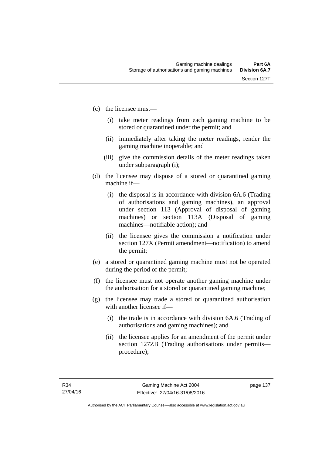- (c) the licensee must—
	- (i) take meter readings from each gaming machine to be stored or quarantined under the permit; and
	- (ii) immediately after taking the meter readings, render the gaming machine inoperable; and
	- (iii) give the commission details of the meter readings taken under subparagraph (i);
- (d) the licensee may dispose of a stored or quarantined gaming machine if—
	- (i) the disposal is in accordance with division 6A.6 (Trading of authorisations and gaming machines), an approval under section 113 (Approval of disposal of gaming machines) or section 113A (Disposal of gaming machines—notifiable action); and
	- (ii) the licensee gives the commission a notification under section 127X (Permit amendment—notification) to amend the permit;
- (e) a stored or quarantined gaming machine must not be operated during the period of the permit;
- (f) the licensee must not operate another gaming machine under the authorisation for a stored or quarantined gaming machine;
- (g) the licensee may trade a stored or quarantined authorisation with another licensee if-
	- (i) the trade is in accordance with division 6A.6 (Trading of authorisations and gaming machines); and
	- (ii) the licensee applies for an amendment of the permit under section 127ZB (Trading authorisations under permits procedure);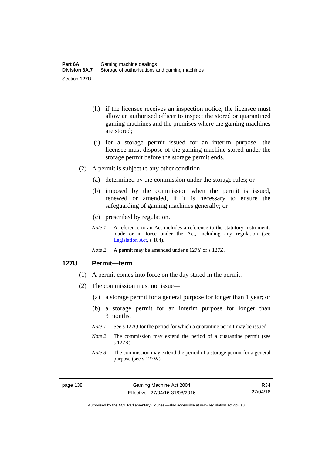- (h) if the licensee receives an inspection notice, the licensee must allow an authorised officer to inspect the stored or quarantined gaming machines and the premises where the gaming machines are stored;
- (i) for a storage permit issued for an interim purpose—the licensee must dispose of the gaming machine stored under the storage permit before the storage permit ends.
- (2) A permit is subject to any other condition—
	- (a) determined by the commission under the storage rules; or
	- (b) imposed by the commission when the permit is issued, renewed or amended, if it is necessary to ensure the safeguarding of gaming machines generally; or
	- (c) prescribed by regulation.
	- *Note 1* A reference to an Act includes a reference to the statutory instruments made or in force under the Act, including any regulation (see [Legislation Act,](http://www.legislation.act.gov.au/a/2001-14) s 104).
	- *Note 2* A permit may be amended under s 127Y or s 127Z.

#### **127U Permit—term**

- (1) A permit comes into force on the day stated in the permit.
- (2) The commission must not issue—
	- (a) a storage permit for a general purpose for longer than 1 year; or
	- (b) a storage permit for an interim purpose for longer than 3 months.
	- *Note 1* See s 127Q for the period for which a quarantine permit may be issued.
	- *Note* 2 The commission may extend the period of a quarantine permit (see s 127R).
	- *Note 3* The commission may extend the period of a storage permit for a general purpose (see s 127W).

R34 27/04/16

Authorised by the ACT Parliamentary Counsel—also accessible at www.legislation.act.gov.au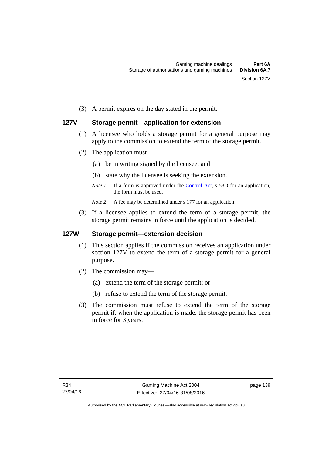(3) A permit expires on the day stated in the permit.

# **127V Storage permit—application for extension**

- (1) A licensee who holds a storage permit for a general purpose may apply to the commission to extend the term of the storage permit.
- (2) The application must—
	- (a) be in writing signed by the licensee; and
	- (b) state why the licensee is seeking the extension.
	- *Note 1* If a form is approved under the [Control Act,](http://www.legislation.act.gov.au/a/1999-46/default.asp) s 53D for an application, the form must be used.

*Note* 2 A fee may be determined under s 177 for an application.

 (3) If a licensee applies to extend the term of a storage permit, the storage permit remains in force until the application is decided.

### **127W Storage permit—extension decision**

- (1) This section applies if the commission receives an application under section 127V to extend the term of a storage permit for a general purpose.
- (2) The commission may—
	- (a) extend the term of the storage permit; or
	- (b) refuse to extend the term of the storage permit.
- (3) The commission must refuse to extend the term of the storage permit if, when the application is made, the storage permit has been in force for 3 years.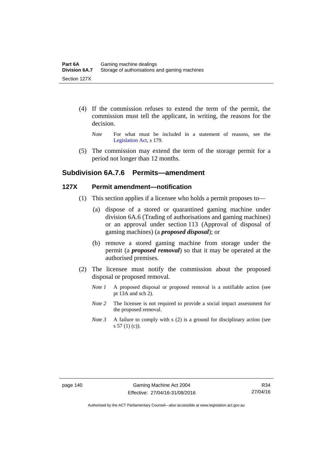- (4) If the commission refuses to extend the term of the permit, the commission must tell the applicant, in writing, the reasons for the decision.
	- *Note* For what must be included in a statement of reasons, see the [Legislation Act,](http://www.legislation.act.gov.au/a/2001-14) s 179.
- (5) The commission may extend the term of the storage permit for a period not longer than 12 months.

# **Subdivision 6A.7.6 Permits—amendment**

#### **127X Permit amendment—notification**

- (1) This section applies if a licensee who holds a permit proposes to—
	- (a) dispose of a stored or quarantined gaming machine under division 6A.6 (Trading of authorisations and gaming machines) or an approval under section 113 (Approval of disposal of gaming machines) (a *proposed disposal*); or
	- (b) remove a stored gaming machine from storage under the permit (a *proposed removal*) so that it may be operated at the authorised premises.
- (2) The licensee must notify the commission about the proposed disposal or proposed removal.
	- *Note 1* A proposed disposal or proposed removal is a notifiable action (see pt 13A and sch 2).
	- *Note* 2 The licensee is not required to provide a social impact assessment for the proposed removal.
	- *Note 3* A failure to comply with s (2) is a ground for disciplinary action (see  $s 57(1)(c)$ .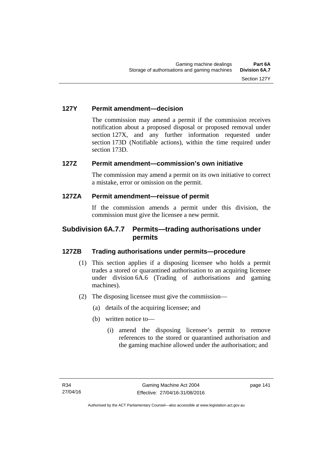### **127Y Permit amendment—decision**

The commission may amend a permit if the commission receives notification about a proposed disposal or proposed removal under section 127X, and any further information requested under section 173D (Notifiable actions), within the time required under section 173D.

# **127Z Permit amendment—commission's own initiative**

The commission may amend a permit on its own initiative to correct a mistake, error or omission on the permit.

### **127ZA Permit amendment—reissue of permit**

If the commission amends a permit under this division, the commission must give the licensee a new permit.

# **Subdivision 6A.7.7 Permits—trading authorisations under permits**

# **127ZB Trading authorisations under permits—procedure**

- (1) This section applies if a disposing licensee who holds a permit trades a stored or quarantined authorisation to an acquiring licensee under division 6A.6 (Trading of authorisations and gaming machines).
- (2) The disposing licensee must give the commission—
	- (a) details of the acquiring licensee; and
	- (b) written notice to—
		- (i) amend the disposing licensee's permit to remove references to the stored or quarantined authorisation and the gaming machine allowed under the authorisation; and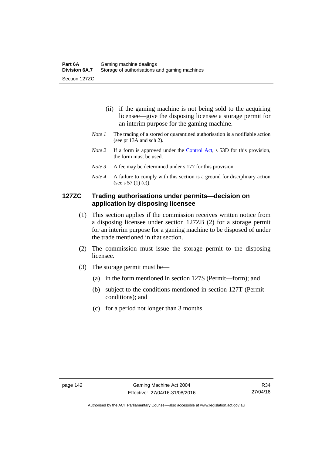- (ii) if the gaming machine is not being sold to the acquiring licensee—give the disposing licensee a storage permit for an interim purpose for the gaming machine.
- *Note 1* The trading of a stored or quarantined authorisation is a notifiable action (see pt 13A and sch 2).
- *Note 2* If a form is approved under the [Control Act,](http://www.legislation.act.gov.au/a/1999-46/default.asp) s 53D for this provision, the form must be used.
- *Note 3* A fee may be determined under s 177 for this provision.
- *Note 4* A failure to comply with this section is a ground for disciplinary action (see s 57 (1) (c)).

## **127ZC Trading authorisations under permits—decision on application by disposing licensee**

- (1) This section applies if the commission receives written notice from a disposing licensee under section 127ZB (2) for a storage permit for an interim purpose for a gaming machine to be disposed of under the trade mentioned in that section.
- (2) The commission must issue the storage permit to the disposing licensee.
- (3) The storage permit must be—
	- (a) in the form mentioned in section 127S (Permit—form); and
	- (b) subject to the conditions mentioned in section 127T (Permit conditions); and
	- (c) for a period not longer than 3 months.

Authorised by the ACT Parliamentary Counsel—also accessible at www.legislation.act.gov.au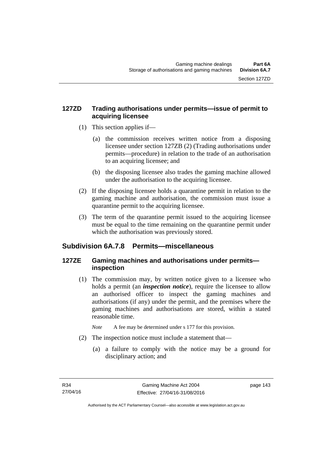# **127ZD Trading authorisations under permits—issue of permit to acquiring licensee**

- (1) This section applies if—
	- (a) the commission receives written notice from a disposing licensee under section 127ZB (2) (Trading authorisations under permits—procedure) in relation to the trade of an authorisation to an acquiring licensee; and
	- (b) the disposing licensee also trades the gaming machine allowed under the authorisation to the acquiring licensee.
- (2) If the disposing licensee holds a quarantine permit in relation to the gaming machine and authorisation, the commission must issue a quarantine permit to the acquiring licensee.
- (3) The term of the quarantine permit issued to the acquiring licensee must be equal to the time remaining on the quarantine permit under which the authorisation was previously stored.

# **Subdivision 6A.7.8 Permits—miscellaneous**

# **127ZE Gaming machines and authorisations under permits inspection**

 (1) The commission may, by written notice given to a licensee who holds a permit (an *inspection notice*), require the licensee to allow an authorised officer to inspect the gaming machines and authorisations (if any) under the permit, and the premises where the gaming machines and authorisations are stored, within a stated reasonable time.

*Note* A fee may be determined under s 177 for this provision.

- (2) The inspection notice must include a statement that—
	- (a) a failure to comply with the notice may be a ground for disciplinary action; and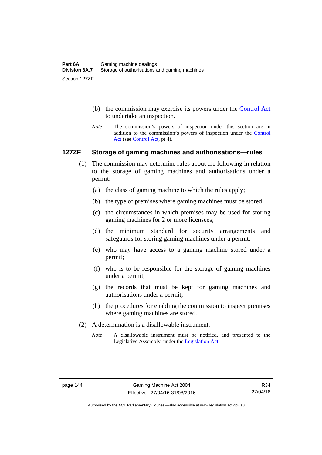- (b) the commission may exercise its powers under the [Control Act](http://www.legislation.act.gov.au/a/1999-46/default.asp) to undertake an inspection.
- *Note* The commission's powers of inspection under this section are in addition to the commission's powers of inspection under the [Control](http://www.legislation.act.gov.au/a/1999-46/default.asp)  [Act](http://www.legislation.act.gov.au/a/1999-46/default.asp) (see [Control Act](http://www.legislation.act.gov.au/a/1999-46/default.asp), pt 4).

#### **127ZF Storage of gaming machines and authorisations—rules**

- (1) The commission may determine rules about the following in relation to the storage of gaming machines and authorisations under a permit:
	- (a) the class of gaming machine to which the rules apply;
	- (b) the type of premises where gaming machines must be stored;
	- (c) the circumstances in which premises may be used for storing gaming machines for 2 or more licensees;
	- (d) the minimum standard for security arrangements and safeguards for storing gaming machines under a permit;
	- (e) who may have access to a gaming machine stored under a permit;
	- (f) who is to be responsible for the storage of gaming machines under a permit;
	- (g) the records that must be kept for gaming machines and authorisations under a permit;
	- (h) the procedures for enabling the commission to inspect premises where gaming machines are stored.
- (2) A determination is a disallowable instrument.
	- *Note* A disallowable instrument must be notified, and presented to the Legislative Assembly, under the [Legislation Act.](http://www.legislation.act.gov.au/a/2001-14)

Authorised by the ACT Parliamentary Counsel—also accessible at www.legislation.act.gov.au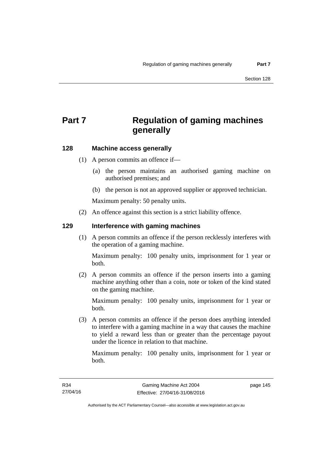# **Part 7 Regulation of gaming machines generally**

# **128 Machine access generally**

- (1) A person commits an offence if—
	- (a) the person maintains an authorised gaming machine on authorised premises; and
	- (b) the person is not an approved supplier or approved technician.

Maximum penalty: 50 penalty units.

(2) An offence against this section is a strict liability offence.

#### **129 Interference with gaming machines**

(1) A person commits an offence if the person recklessly interferes with the operation of a gaming machine.

Maximum penalty: 100 penalty units, imprisonment for 1 year or both.

 (2) A person commits an offence if the person inserts into a gaming machine anything other than a coin, note or token of the kind stated on the gaming machine.

Maximum penalty: 100 penalty units, imprisonment for 1 year or both.

 (3) A person commits an offence if the person does anything intended to interfere with a gaming machine in a way that causes the machine to yield a reward less than or greater than the percentage payout under the licence in relation to that machine.

Maximum penalty: 100 penalty units, imprisonment for 1 year or both.

page 145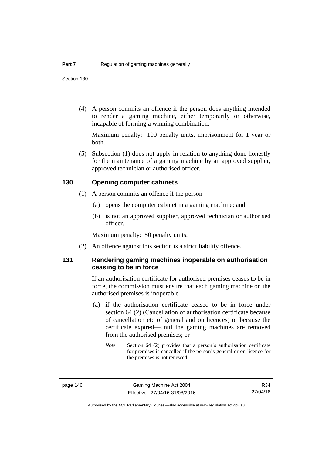(4) A person commits an offence if the person does anything intended to render a gaming machine, either temporarily or otherwise, incapable of forming a winning combination.

Maximum penalty: 100 penalty units, imprisonment for 1 year or both.

 (5) Subsection (1) does not apply in relation to anything done honestly for the maintenance of a gaming machine by an approved supplier, approved technician or authorised officer.

#### **130 Opening computer cabinets**

- (1) A person commits an offence if the person—
	- (a) opens the computer cabinet in a gaming machine; and
	- (b) is not an approved supplier, approved technician or authorised officer.

Maximum penalty: 50 penalty units.

(2) An offence against this section is a strict liability offence.

## **131 Rendering gaming machines inoperable on authorisation ceasing to be in force**

If an authorisation certificate for authorised premises ceases to be in force, the commission must ensure that each gaming machine on the authorised premises is inoperable—

- (a) if the authorisation certificate ceased to be in force under section 64 (2) (Cancellation of authorisation certificate because of cancellation etc of general and on licences) or because the certificate expired—until the gaming machines are removed from the authorised premises; or
	- *Note* Section 64 (2) provides that a person's authorisation certificate for premises is cancelled if the person's general or on licence for the premises is not renewed.

Authorised by the ACT Parliamentary Counsel—also accessible at www.legislation.act.gov.au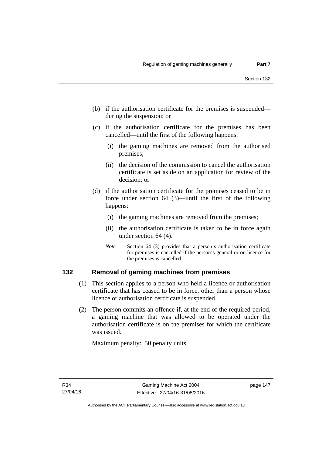- (b) if the authorisation certificate for the premises is suspended during the suspension; or
- (c) if the authorisation certificate for the premises has been cancelled—until the first of the following happens:
	- (i) the gaming machines are removed from the authorised premises;
	- (ii) the decision of the commission to cancel the authorisation certificate is set aside on an application for review of the decision; or
- (d) if the authorisation certificate for the premises ceased to be in force under section 64 (3)—until the first of the following happens:
	- (i) the gaming machines are removed from the premises;
	- (ii) the authorisation certificate is taken to be in force again under section 64 (4).
	- *Note* Section 64 (3) provides that a person's authorisation certificate for premises is cancelled if the person's general or on licence for the premises is cancelled.

### **132 Removal of gaming machines from premises**

- (1) This section applies to a person who held a licence or authorisation certificate that has ceased to be in force, other than a person whose licence or authorisation certificate is suspended.
- (2) The person commits an offence if, at the end of the required period, a gaming machine that was allowed to be operated under the authorisation certificate is on the premises for which the certificate was issued.

Maximum penalty: 50 penalty units.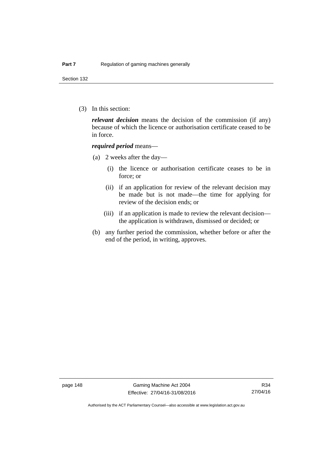Section 132

(3) In this section:

*relevant decision* means the decision of the commission (if any) because of which the licence or authorisation certificate ceased to be in force.

#### *required period* means—

- (a) 2 weeks after the day—
	- (i) the licence or authorisation certificate ceases to be in force; or
	- (ii) if an application for review of the relevant decision may be made but is not made—the time for applying for review of the decision ends; or
	- (iii) if an application is made to review the relevant decision the application is withdrawn, dismissed or decided; or
- (b) any further period the commission, whether before or after the end of the period, in writing, approves.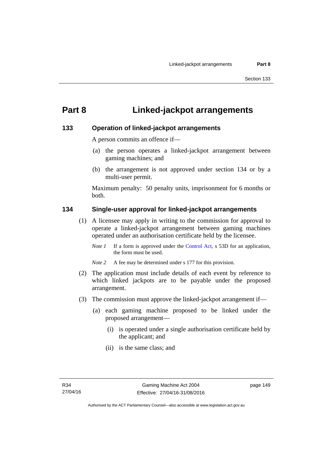# **Part 8 Linked-jackpot arrangements**

### **133 Operation of linked-jackpot arrangements**

A person commits an offence if—

- (a) the person operates a linked-jackpot arrangement between gaming machines; and
- (b) the arrangement is not approved under section 134 or by a multi-user permit.

Maximum penalty: 50 penalty units, imprisonment for 6 months or both.

### **134 Single-user approval for linked-jackpot arrangements**

- (1) A licensee may apply in writing to the commission for approval to operate a linked-jackpot arrangement between gaming machines operated under an authorisation certificate held by the licensee.
	- *Note 1* If a form is approved under the [Control Act,](http://www.legislation.act.gov.au/a/1999-46) s 53D for an application, the form must be used.
	- *Note 2* A fee may be determined under s 177 for this provision.
- (2) The application must include details of each event by reference to which linked jackpots are to be payable under the proposed arrangement.
- (3) The commission must approve the linked-jackpot arrangement if—
	- (a) each gaming machine proposed to be linked under the proposed arrangement—
		- (i) is operated under a single authorisation certificate held by the applicant; and
		- (ii) is the same class; and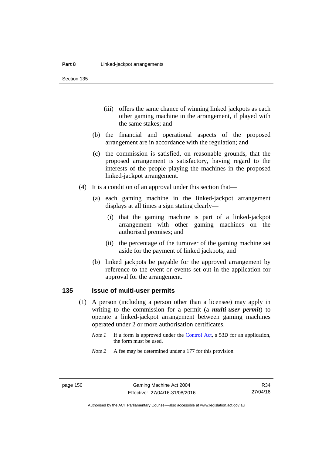Section 135

- (iii) offers the same chance of winning linked jackpots as each other gaming machine in the arrangement, if played with the same stakes; and
- (b) the financial and operational aspects of the proposed arrangement are in accordance with the regulation; and
- (c) the commission is satisfied, on reasonable grounds, that the proposed arrangement is satisfactory, having regard to the interests of the people playing the machines in the proposed linked-jackpot arrangement.
- (4) It is a condition of an approval under this section that—
	- (a) each gaming machine in the linked-jackpot arrangement displays at all times a sign stating clearly—
		- (i) that the gaming machine is part of a linked-jackpot arrangement with other gaming machines on the authorised premises; and
		- (ii) the percentage of the turnover of the gaming machine set aside for the payment of linked jackpots; and
	- (b) linked jackpots be payable for the approved arrangement by reference to the event or events set out in the application for approval for the arrangement.

# **135 Issue of multi-user permits**

- (1) A person (including a person other than a licensee) may apply in writing to the commission for a permit (a *multi-user permit*) to operate a linked-jackpot arrangement between gaming machines operated under 2 or more authorisation certificates.
	- *Note 1* If a form is approved under the [Control Act,](http://www.legislation.act.gov.au/a/1999-46) s 53D for an application, the form must be used.
	- *Note* 2 A fee may be determined under s 177 for this provision.

R34 27/04/16

Authorised by the ACT Parliamentary Counsel—also accessible at www.legislation.act.gov.au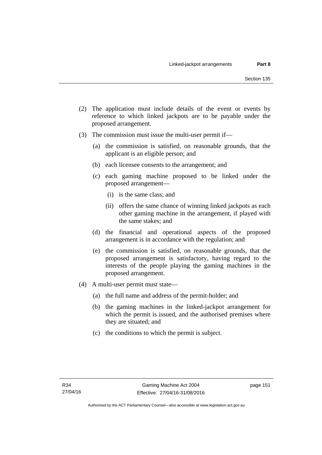- (2) The application must include details of the event or events by reference to which linked jackpots are to be payable under the proposed arrangement.
- (3) The commission must issue the multi-user permit if—
	- (a) the commission is satisfied, on reasonable grounds, that the applicant is an eligible person; and
	- (b) each licensee consents to the arrangement; and
	- (c) each gaming machine proposed to be linked under the proposed arrangement—
		- (i) is the same class; and
		- (ii) offers the same chance of winning linked jackpots as each other gaming machine in the arrangement, if played with the same stakes; and
	- (d) the financial and operational aspects of the proposed arrangement is in accordance with the regulation; and
	- (e) the commission is satisfied, on reasonable grounds, that the proposed arrangement is satisfactory, having regard to the interests of the people playing the gaming machines in the proposed arrangement.
- (4) A multi-user permit must state—
	- (a) the full name and address of the permit-holder; and
	- (b) the gaming machines in the linked-jackpot arrangement for which the permit is issued, and the authorised premises where they are situated; and
	- (c) the conditions to which the permit is subject.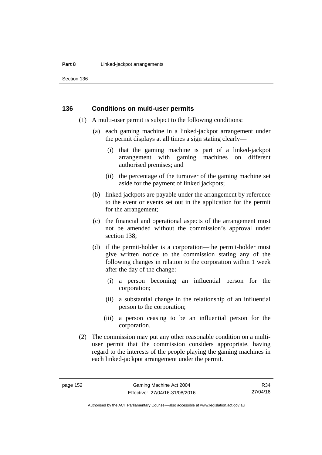#### **Part 8 Linked-jackpot arrangements**

Section 136

#### **136 Conditions on multi-user permits**

- (1) A multi-user permit is subject to the following conditions:
	- (a) each gaming machine in a linked-jackpot arrangement under the permit displays at all times a sign stating clearly—
		- (i) that the gaming machine is part of a linked-jackpot arrangement with gaming machines on different authorised premises; and
		- (ii) the percentage of the turnover of the gaming machine set aside for the payment of linked jackpots;
	- (b) linked jackpots are payable under the arrangement by reference to the event or events set out in the application for the permit for the arrangement;
	- (c) the financial and operational aspects of the arrangement must not be amended without the commission's approval under section 138;
	- (d) if the permit-holder is a corporation—the permit-holder must give written notice to the commission stating any of the following changes in relation to the corporation within 1 week after the day of the change:
		- (i) a person becoming an influential person for the corporation;
		- (ii) a substantial change in the relationship of an influential person to the corporation;
		- (iii) a person ceasing to be an influential person for the corporation.
- (2) The commission may put any other reasonable condition on a multiuser permit that the commission considers appropriate, having regard to the interests of the people playing the gaming machines in each linked-jackpot arrangement under the permit.

R34 27/04/16

Authorised by the ACT Parliamentary Counsel—also accessible at www.legislation.act.gov.au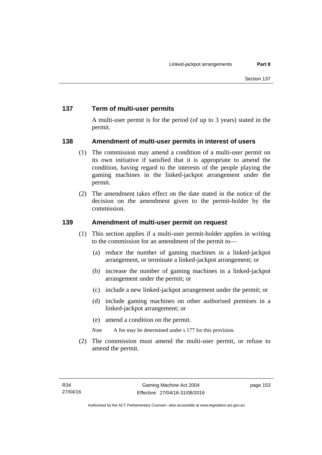# **137 Term of multi-user permits**

A multi-user permit is for the period (of up to 3 years) stated in the permit.

# **138 Amendment of multi-user permits in interest of users**

- (1) The commission may amend a condition of a multi-user permit on its own initiative if satisfied that it is appropriate to amend the condition, having regard to the interests of the people playing the gaming machines in the linked-jackpot arrangement under the permit.
- (2) The amendment takes effect on the date stated in the notice of the decision on the amendment given to the permit-holder by the commission.

# **139 Amendment of multi-user permit on request**

- (1) This section applies if a multi-user permit-holder applies in writing to the commission for an amendment of the permit to—
	- (a) reduce the number of gaming machines in a linked-jackpot arrangement, or terminate a linked-jackpot arrangement; or
	- (b) increase the number of gaming machines in a linked-jackpot arrangement under the permit; or
	- (c) include a new linked-jackpot arrangement under the permit; or
	- (d) include gaming machines on other authorised premises in a linked-jackpot arrangement; or
	- (e) amend a condition on the permit.
	- *Note* A fee may be determined under s 177 for this provision.
- (2) The commission must amend the multi-user permit, or refuse to amend the permit.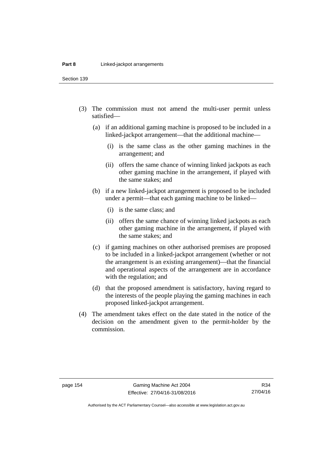Section 139

- (3) The commission must not amend the multi-user permit unless satisfied—
	- (a) if an additional gaming machine is proposed to be included in a linked-jackpot arrangement—that the additional machine—
		- (i) is the same class as the other gaming machines in the arrangement; and
		- (ii) offers the same chance of winning linked jackpots as each other gaming machine in the arrangement, if played with the same stakes; and
	- (b) if a new linked-jackpot arrangement is proposed to be included under a permit—that each gaming machine to be linked—
		- (i) is the same class; and
		- (ii) offers the same chance of winning linked jackpots as each other gaming machine in the arrangement, if played with the same stakes; and
	- (c) if gaming machines on other authorised premises are proposed to be included in a linked-jackpot arrangement (whether or not the arrangement is an existing arrangement)—that the financial and operational aspects of the arrangement are in accordance with the regulation; and
	- (d) that the proposed amendment is satisfactory, having regard to the interests of the people playing the gaming machines in each proposed linked-jackpot arrangement.
- (4) The amendment takes effect on the date stated in the notice of the decision on the amendment given to the permit-holder by the commission.

Authorised by the ACT Parliamentary Counsel—also accessible at www.legislation.act.gov.au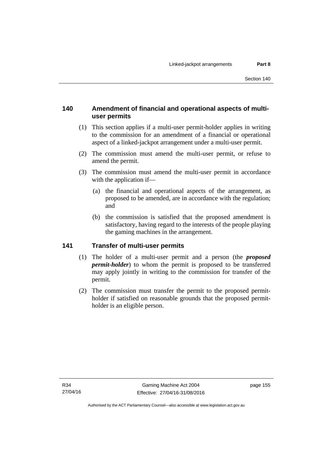# **140 Amendment of financial and operational aspects of multiuser permits**

- (1) This section applies if a multi-user permit-holder applies in writing to the commission for an amendment of a financial or operational aspect of a linked-jackpot arrangement under a multi-user permit.
- (2) The commission must amend the multi-user permit, or refuse to amend the permit.
- (3) The commission must amend the multi-user permit in accordance with the application if—
	- (a) the financial and operational aspects of the arrangement, as proposed to be amended, are in accordance with the regulation; and
	- (b) the commission is satisfied that the proposed amendment is satisfactory, having regard to the interests of the people playing the gaming machines in the arrangement.

# **141 Transfer of multi-user permits**

- (1) The holder of a multi-user permit and a person (the *proposed permit-holder*) to whom the permit is proposed to be transferred may apply jointly in writing to the commission for transfer of the permit.
- (2) The commission must transfer the permit to the proposed permitholder if satisfied on reasonable grounds that the proposed permitholder is an eligible person.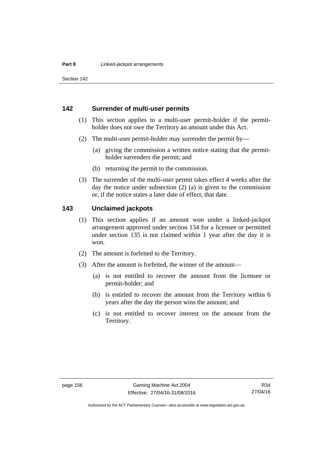Section 142

### **142 Surrender of multi-user permits**

- (1) This section applies to a multi-user permit-holder if the permitholder does not owe the Territory an amount under this Act.
- (2) The multi-user permit-holder may surrender the permit by—
	- (a) giving the commission a written notice stating that the permitholder surrenders the permit; and
	- (b) returning the permit to the commission.
- (3) The surrender of the multi-user permit takes effect 4 weeks after the day the notice under subsection (2) (a) is given to the commission or, if the notice states a later date of effect, that date.

#### **143 Unclaimed jackpots**

- (1) This section applies if an amount won under a linked-jackpot arrangement approved under section 134 for a licensee or permitted under section 135 is not claimed within 1 year after the day it is won.
- (2) The amount is forfeited to the Territory.
- (3) After the amount is forfeited, the winner of the amount—
	- (a) is not entitled to recover the amount from the licensee or permit-holder; and
	- (b) is entitled to recover the amount from the Territory within 6 years after the day the person wins the amount; and
	- (c) is not entitled to recover interest on the amount from the Territory.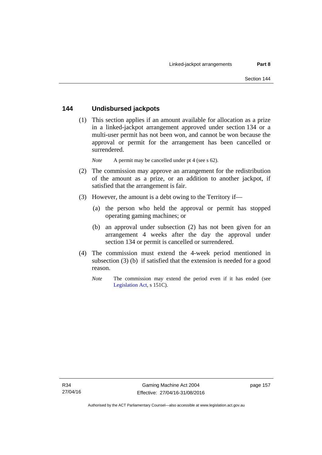## **144 Undisbursed jackpots**

 (1) This section applies if an amount available for allocation as a prize in a linked-jackpot arrangement approved under section 134 or a multi-user permit has not been won, and cannot be won because the approval or permit for the arrangement has been cancelled or surrendered.

*Note* A permit may be cancelled under pt 4 (see s 62).

- (2) The commission may approve an arrangement for the redistribution of the amount as a prize, or an addition to another jackpot, if satisfied that the arrangement is fair.
- (3) However, the amount is a debt owing to the Territory if—
	- (a) the person who held the approval or permit has stopped operating gaming machines; or
	- (b) an approval under subsection (2) has not been given for an arrangement 4 weeks after the day the approval under section 134 or permit is cancelled or surrendered.
- (4) The commission must extend the 4-week period mentioned in subsection (3) (b) if satisfied that the extension is needed for a good reason.
	- *Note* The commission may extend the period even if it has ended (see [Legislation Act,](http://www.legislation.act.gov.au/a/2001-14) s 151C).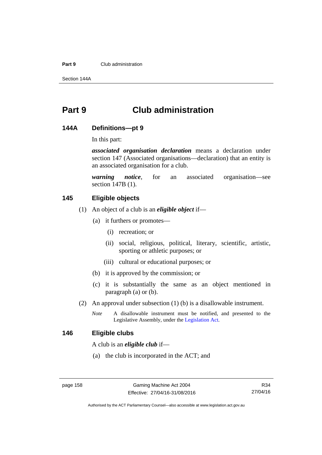#### **Part 9** Club administration

Section 144A

# **Part 9 Club administration**

#### **144A Definitions—pt 9**

In this part:

*associated organisation declaration* means a declaration under section 147 (Associated organisations—declaration) that an entity is an associated organisation for a club.

*warning notice*, for an associated organisation—see section 147B (1).

# **145 Eligible objects**

- (1) An object of a club is an *eligible object* if—
	- (a) it furthers or promotes—
		- (i) recreation; or
		- (ii) social, religious, political, literary, scientific, artistic, sporting or athletic purposes; or
		- (iii) cultural or educational purposes; or
	- (b) it is approved by the commission; or
	- (c) it is substantially the same as an object mentioned in paragraph (a) or (b).
- (2) An approval under subsection (1) (b) is a disallowable instrument.
	- *Note* A disallowable instrument must be notified, and presented to the Legislative Assembly, under the [Legislation Act.](http://www.legislation.act.gov.au/a/2001-14)

#### **146 Eligible clubs**

A club is an *eligible club* if—

(a) the club is incorporated in the ACT; and

Authorised by the ACT Parliamentary Counsel—also accessible at www.legislation.act.gov.au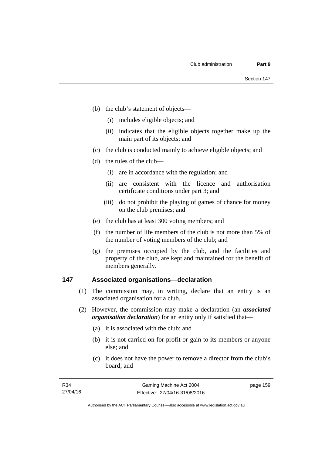- (b) the club's statement of objects—
	- (i) includes eligible objects; and
	- (ii) indicates that the eligible objects together make up the main part of its objects; and
- (c) the club is conducted mainly to achieve eligible objects; and
- (d) the rules of the club—
	- (i) are in accordance with the regulation; and
	- (ii) are consistent with the licence and authorisation certificate conditions under part 3; and
	- (iii) do not prohibit the playing of games of chance for money on the club premises; and
- (e) the club has at least 300 voting members; and
- (f) the number of life members of the club is not more than 5% of the number of voting members of the club; and
- (g) the premises occupied by the club, and the facilities and property of the club, are kept and maintained for the benefit of members generally.

### **147 Associated organisations—declaration**

- (1) The commission may, in writing, declare that an entity is an associated organisation for a club.
- (2) However, the commission may make a declaration (an *associated organisation declaration*) for an entity only if satisfied that—
	- (a) it is associated with the club; and
	- (b) it is not carried on for profit or gain to its members or anyone else; and
	- (c) it does not have the power to remove a director from the club's board; and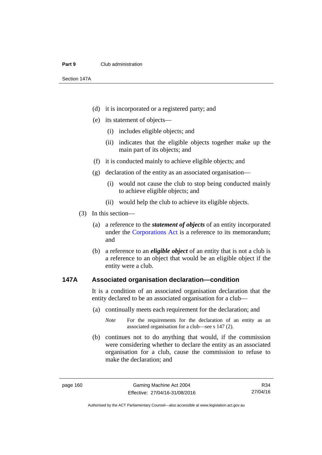#### **Part 9** Club administration

Section 147A

- (d) it is incorporated or a registered party; and
- (e) its statement of objects—
	- (i) includes eligible objects; and
	- (ii) indicates that the eligible objects together make up the main part of its objects; and
- (f) it is conducted mainly to achieve eligible objects; and
- (g) declaration of the entity as an associated organisation—
	- (i) would not cause the club to stop being conducted mainly to achieve eligible objects; and
	- (ii) would help the club to achieve its eligible objects.
- (3) In this section—
	- (a) a reference to the *statement of objects* of an entity incorporated under the [Corporations Act](http://www.comlaw.gov.au/Series/C2004A00818) is a reference to its memorandum; and
	- (b) a reference to an *eligible object* of an entity that is not a club is a reference to an object that would be an eligible object if the entity were a club.

#### **147A Associated organisation declaration—condition**

It is a condition of an associated organisation declaration that the entity declared to be an associated organisation for a club—

- (a) continually meets each requirement for the declaration; and
	- *Note* For the requirements for the declaration of an entity as an associated organisation for a club—see s 147 (2).
- (b) continues not to do anything that would, if the commission were considering whether to declare the entity as an associated organisation for a club, cause the commission to refuse to make the declaration; and

R34 27/04/16

Authorised by the ACT Parliamentary Counsel—also accessible at www.legislation.act.gov.au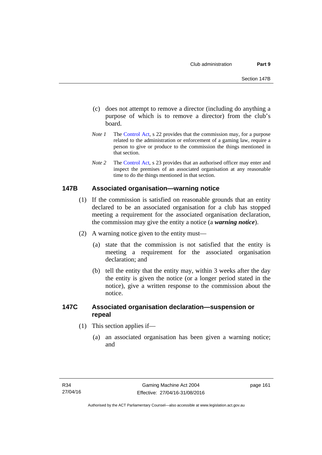- (c) does not attempt to remove a director (including do anything a purpose of which is to remove a director) from the club's board.
- *Note 1* The [Control Act,](http://www.legislation.act.gov.au/a/1999-46) s 22 provides that the commission may, for a purpose related to the administration or enforcement of a gaming law, require a person to give or produce to the commission the things mentioned in that section.
- *Note 2* The [Control Act](http://www.legislation.act.gov.au/a/1999-46), s 23 provides that an authorised officer may enter and inspect the premises of an associated organisation at any reasonable time to do the things mentioned in that section.

### **147B Associated organisation—warning notice**

- (1) If the commission is satisfied on reasonable grounds that an entity declared to be an associated organisation for a club has stopped meeting a requirement for the associated organisation declaration, the commission may give the entity a notice (a *warning notice*).
- (2) A warning notice given to the entity must—
	- (a) state that the commission is not satisfied that the entity is meeting a requirement for the associated organisation declaration; and
	- (b) tell the entity that the entity may, within 3 weeks after the day the entity is given the notice (or a longer period stated in the notice), give a written response to the commission about the notice.

## **147C Associated organisation declaration—suspension or repeal**

- (1) This section applies if—
	- (a) an associated organisation has been given a warning notice; and

page 161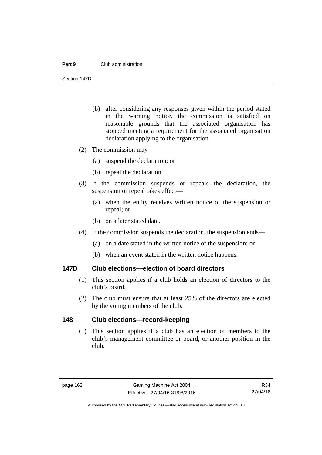#### **Part 9** Club administration

Section 147D

- (b) after considering any responses given within the period stated in the warning notice, the commission is satisfied on reasonable grounds that the associated organisation has stopped meeting a requirement for the associated organisation declaration applying to the organisation.
- (2) The commission may—
	- (a) suspend the declaration; or
	- (b) repeal the declaration.
- (3) If the commission suspends or repeals the declaration, the suspension or repeal takes effect—
	- (a) when the entity receives written notice of the suspension or repeal; or
	- (b) on a later stated date.
- (4) If the commission suspends the declaration, the suspension ends—
	- (a) on a date stated in the written notice of the suspension; or
	- (b) when an event stated in the written notice happens.

#### **147D Club elections—election of board directors**

- (1) This section applies if a club holds an election of directors to the club's board.
- (2) The club must ensure that at least 25% of the directors are elected by the voting members of the club.

### **148 Club elections—record-keeping**

(1) This section applies if a club has an election of members to the club's management committee or board, or another position in the club.

Authorised by the ACT Parliamentary Counsel—also accessible at www.legislation.act.gov.au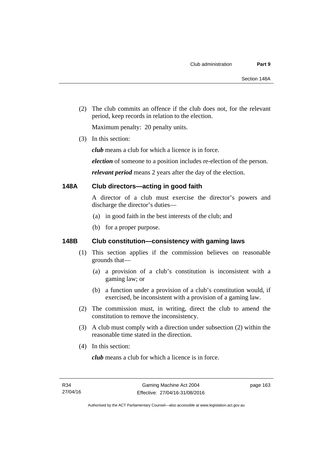(2) The club commits an offence if the club does not, for the relevant period, keep records in relation to the election.

Maximum penalty: 20 penalty units.

(3) In this section:

*club* means a club for which a licence is in force.

*election* of someone to a position includes re-election of the person.

*relevant period* means 2 years after the day of the election.

### **148A Club directors—acting in good faith**

A director of a club must exercise the director's powers and discharge the director's duties—

- (a) in good faith in the best interests of the club; and
- (b) for a proper purpose.

# **148B Club constitution—consistency with gaming laws**

- (1) This section applies if the commission believes on reasonable grounds that—
	- (a) a provision of a club's constitution is inconsistent with a gaming law; or
	- (b) a function under a provision of a club's constitution would, if exercised, be inconsistent with a provision of a gaming law.
- (2) The commission must, in writing, direct the club to amend the constitution to remove the inconsistency.
- (3) A club must comply with a direction under subsection (2) within the reasonable time stated in the direction.
- (4) In this section:

*club* means a club for which a licence is in force.

page 163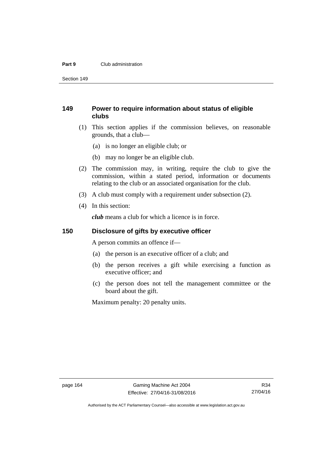#### **Part 9** Club administration

Section 149

# **149 Power to require information about status of eligible clubs**

- (1) This section applies if the commission believes, on reasonable grounds, that a club—
	- (a) is no longer an eligible club; or
	- (b) may no longer be an eligible club.
- (2) The commission may, in writing, require the club to give the commission, within a stated period, information or documents relating to the club or an associated organisation for the club.
- (3) A club must comply with a requirement under subsection (2).
- (4) In this section:

*club* means a club for which a licence is in force.

### **150 Disclosure of gifts by executive officer**

A person commits an offence if—

- (a) the person is an executive officer of a club; and
- (b) the person receives a gift while exercising a function as executive officer; and
- (c) the person does not tell the management committee or the board about the gift.

Maximum penalty: 20 penalty units.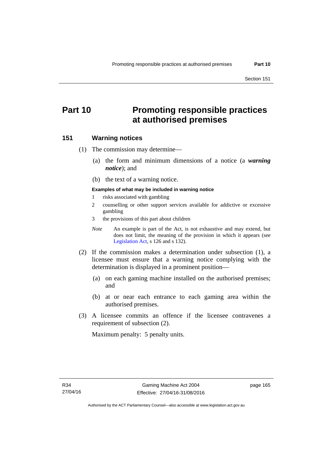# **Part 10 Promoting responsible practices at authorised premises**

#### **151 Warning notices**

(1) The commission may determine—

- (a) the form and minimum dimensions of a notice (a *warning notice*); and
- (b) the text of a warning notice.

#### **Examples of what may be included in warning notice**

- 1 risks associated with gambling
- 2 counselling or other support services available for addictive or excessive gambling
- 3 the provisions of this part about children
- *Note* An example is part of the Act, is not exhaustive and may extend, but does not limit, the meaning of the provision in which it appears (see [Legislation Act,](http://www.legislation.act.gov.au/a/2001-14) s 126 and s 132).
- (2) If the commission makes a determination under subsection (1), a licensee must ensure that a warning notice complying with the determination is displayed in a prominent position—
	- (a) on each gaming machine installed on the authorised premises; and
	- (b) at or near each entrance to each gaming area within the authorised premises.
- (3) A licensee commits an offence if the licensee contravenes a requirement of subsection (2).

Maximum penalty: 5 penalty units.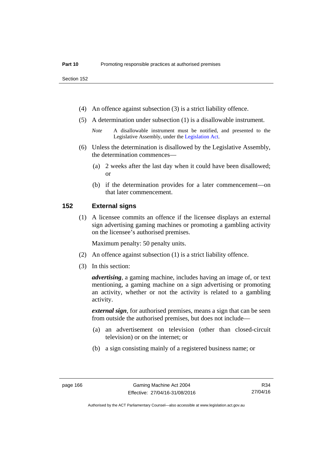- (4) An offence against subsection (3) is a strict liability offence.
- (5) A determination under subsection (1) is a disallowable instrument.
	- *Note* A disallowable instrument must be notified, and presented to the Legislative Assembly, under the [Legislation Act.](http://www.legislation.act.gov.au/a/2001-14)
- (6) Unless the determination is disallowed by the Legislative Assembly, the determination commences—
	- (a) 2 weeks after the last day when it could have been disallowed; or
	- (b) if the determination provides for a later commencement—on that later commencement.

#### **152 External signs**

(1) A licensee commits an offence if the licensee displays an external sign advertising gaming machines or promoting a gambling activity on the licensee's authorised premises.

Maximum penalty: 50 penalty units.

- (2) An offence against subsection (1) is a strict liability offence.
- (3) In this section:

*advertising*, a gaming machine, includes having an image of, or text mentioning, a gaming machine on a sign advertising or promoting an activity, whether or not the activity is related to a gambling activity.

*external sign*, for authorised premises, means a sign that can be seen from outside the authorised premises, but does not include—

- (a) an advertisement on television (other than closed-circuit television) or on the internet; or
- (b) a sign consisting mainly of a registered business name; or

Authorised by the ACT Parliamentary Counsel—also accessible at www.legislation.act.gov.au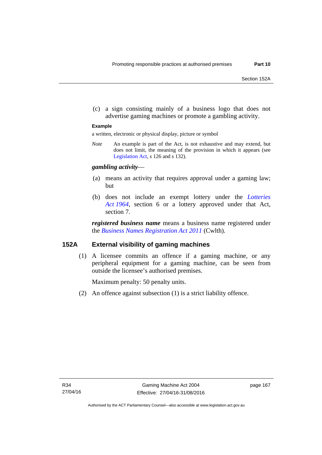(c) a sign consisting mainly of a business logo that does not advertise gaming machines or promote a gambling activity.

#### **Example**

a written, electronic or physical display, picture or symbol

*Note* An example is part of the Act, is not exhaustive and may extend, but does not limit, the meaning of the provision in which it appears (see [Legislation Act,](http://www.legislation.act.gov.au/a/2001-14) s 126 and s 132).

#### *gambling activity*—

- (a) means an activity that requires approval under a gaming law; but
- (b) does not include an exempt lottery under the *[Lotteries](http://www.legislation.act.gov.au/a/1964-13)  [Act 1964](http://www.legislation.act.gov.au/a/1964-13)*, section 6 or a lottery approved under that Act, section 7.

*registered business name* means a business name registered under the *[Business Names Registration Act 2011](http://www.comlaw.gov.au/Series/C2011A00126)* (Cwlth)*.*

#### **152A External visibility of gaming machines**

(1) A licensee commits an offence if a gaming machine, or any peripheral equipment for a gaming machine, can be seen from outside the licensee's authorised premises.

Maximum penalty: 50 penalty units.

(2) An offence against subsection (1) is a strict liability offence.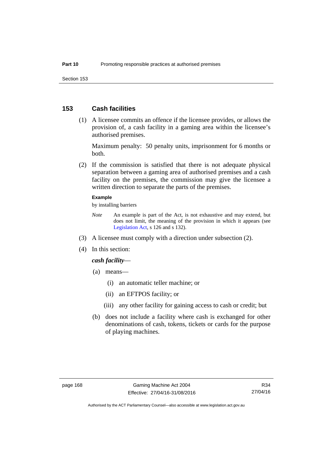#### **153 Cash facilities**

 (1) A licensee commits an offence if the licensee provides, or allows the provision of, a cash facility in a gaming area within the licensee's authorised premises.

Maximum penalty: 50 penalty units, imprisonment for 6 months or both.

 (2) If the commission is satisfied that there is not adequate physical separation between a gaming area of authorised premises and a cash facility on the premises, the commission may give the licensee a written direction to separate the parts of the premises.

#### **Example**

by installing barriers

- *Note* An example is part of the Act, is not exhaustive and may extend, but does not limit, the meaning of the provision in which it appears (see [Legislation Act,](http://www.legislation.act.gov.au/a/2001-14) s 126 and s 132).
- (3) A licensee must comply with a direction under subsection (2).
- (4) In this section:

#### *cash facility*—

- (a) means—
	- (i) an automatic teller machine; or
	- (ii) an EFTPOS facility; or
	- (iii) any other facility for gaining access to cash or credit; but
- (b) does not include a facility where cash is exchanged for other denominations of cash, tokens, tickets or cards for the purpose of playing machines.

Authorised by the ACT Parliamentary Counsel—also accessible at www.legislation.act.gov.au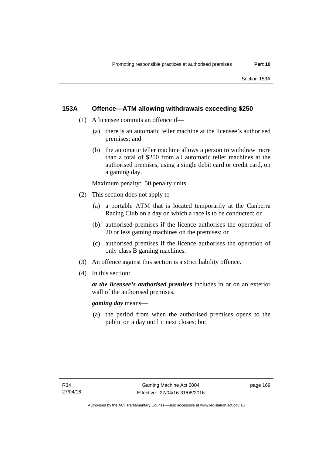#### **153A Offence—ATM allowing withdrawals exceeding \$250**

- (1) A licensee commits an offence if—
	- (a) there is an automatic teller machine at the licensee's authorised premises; and
	- (b) the automatic teller machine allows a person to withdraw more than a total of \$250 from all automatic teller machines at the authorised premises, using a single debit card or credit card, on a gaming day.

Maximum penalty: 50 penalty units.

- (2) This section does not apply to—
	- (a) a portable ATM that is located temporarily at the Canberra Racing Club on a day on which a race is to be conducted; or
	- (b) authorised premises if the licence authorises the operation of 20 or less gaming machines on the premises; or
	- (c) authorised premises if the licence authorises the operation of only class B gaming machines.
- (3) An offence against this section is a strict liability offence.
- (4) In this section:

*at the licensee's authorised premises* includes in or on an exterior wall of the authorised premises.

*gaming day* means—

 (a) the period from when the authorised premises opens to the public on a day until it next closes; but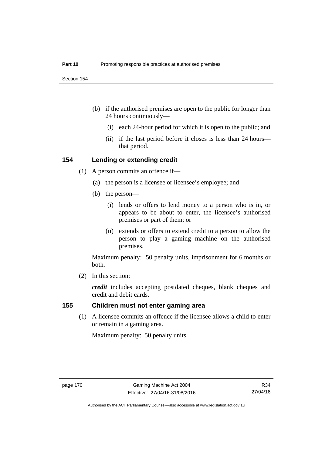- (b) if the authorised premises are open to the public for longer than 24 hours continuously—
	- (i) each 24-hour period for which it is open to the public; and
	- (ii) if the last period before it closes is less than 24 hours that period.

#### **154 Lending or extending credit**

- (1) A person commits an offence if—
	- (a) the person is a licensee or licensee's employee; and
	- (b) the person—
		- (i) lends or offers to lend money to a person who is in, or appears to be about to enter, the licensee's authorised premises or part of them; or
		- (ii) extends or offers to extend credit to a person to allow the person to play a gaming machine on the authorised premises.

Maximum penalty: 50 penalty units, imprisonment for 6 months or both.

(2) In this section:

*credit* includes accepting postdated cheques, blank cheques and credit and debit cards.

#### **155 Children must not enter gaming area**

(1) A licensee commits an offence if the licensee allows a child to enter or remain in a gaming area.

Maximum penalty: 50 penalty units.

R34 27/04/16

Authorised by the ACT Parliamentary Counsel—also accessible at www.legislation.act.gov.au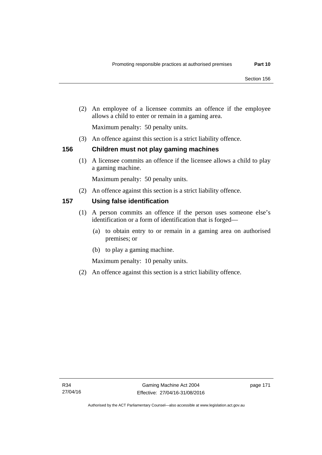(2) An employee of a licensee commits an offence if the employee allows a child to enter or remain in a gaming area.

Maximum penalty: 50 penalty units.

(3) An offence against this section is a strict liability offence.

#### **156 Children must not play gaming machines**

(1) A licensee commits an offence if the licensee allows a child to play a gaming machine.

Maximum penalty: 50 penalty units.

(2) An offence against this section is a strict liability offence.

### **157 Using false identification**

- (1) A person commits an offence if the person uses someone else's identification or a form of identification that is forged—
	- (a) to obtain entry to or remain in a gaming area on authorised premises; or
	- (b) to play a gaming machine.

Maximum penalty: 10 penalty units.

(2) An offence against this section is a strict liability offence.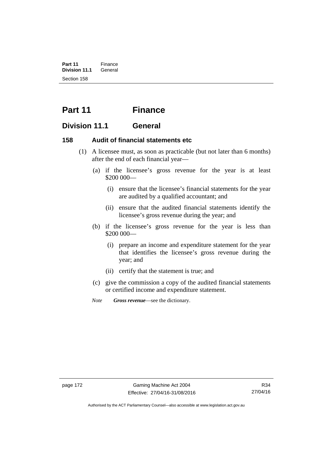**Part 11** Finance<br>**Division 11.1** General **Division 11.1** Section 158

# **Part 11 Finance**

# **Division 11.1 General**

### **158 Audit of financial statements etc**

- (1) A licensee must, as soon as practicable (but not later than 6 months) after the end of each financial year—
	- (a) if the licensee's gross revenue for the year is at least \$200 000—
		- (i) ensure that the licensee's financial statements for the year are audited by a qualified accountant; and
		- (ii) ensure that the audited financial statements identify the licensee's gross revenue during the year; and
	- (b) if the licensee's gross revenue for the year is less than \$200 000—
		- (i) prepare an income and expenditure statement for the year that identifies the licensee's gross revenue during the year; and
		- (ii) certify that the statement is true; and
	- (c) give the commission a copy of the audited financial statements or certified income and expenditure statement.
	- *Note Gross revenue*—see the dictionary.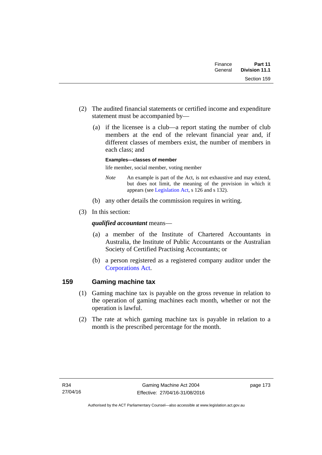| Finance | Part 11       |
|---------|---------------|
| General | Division 11.1 |
|         | Section 159   |

- (2) The audited financial statements or certified income and expenditure statement must be accompanied by—
	- (a) if the licensee is a club—a report stating the number of club members at the end of the relevant financial year and, if different classes of members exist, the number of members in each class; and

#### **Examples—classes of member**

life member, social member, voting member

- *Note* An example is part of the Act, is not exhaustive and may extend, but does not limit, the meaning of the provision in which it appears (see [Legislation Act,](http://www.legislation.act.gov.au/a/2001-14) s 126 and s 132).
- (b) any other details the commission requires in writing.
- (3) In this section:

#### *qualified accountant* means—

- (a) a member of the Institute of Chartered Accountants in Australia, the Institute of Public Accountants or the Australian Society of Certified Practising Accountants; or
- (b) a person registered as a registered company auditor under the [Corporations Act.](http://www.comlaw.gov.au/Series/C2004A00818)

### **159 Gaming machine tax**

- (1) Gaming machine tax is payable on the gross revenue in relation to the operation of gaming machines each month, whether or not the operation is lawful.
- (2) The rate at which gaming machine tax is payable in relation to a month is the prescribed percentage for the month.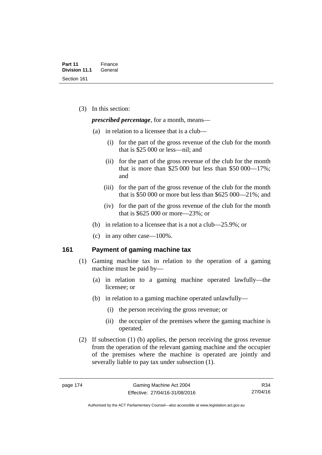(3) In this section:

*prescribed percentage*, for a month, means—

- (a) in relation to a licensee that is a club—
	- (i) for the part of the gross revenue of the club for the month that is \$25 000 or less—nil; and
	- (ii) for the part of the gross revenue of the club for the month that is more than \$25,000 but less than \$50,000—17%; and
	- (iii) for the part of the gross revenue of the club for the month that is \$50 000 or more but less than \$625 000—21%; and
	- (iv) for the part of the gross revenue of the club for the month that is \$625 000 or more—23%; or
- (b) in relation to a licensee that is a not a club—25.9%; or
- (c) in any other case—100%.

#### **161 Payment of gaming machine tax**

- (1) Gaming machine tax in relation to the operation of a gaming machine must be paid by—
	- (a) in relation to a gaming machine operated lawfully—the licensee; or
	- (b) in relation to a gaming machine operated unlawfully—
		- (i) the person receiving the gross revenue; or
		- (ii) the occupier of the premises where the gaming machine is operated.
- (2) If subsection (1) (b) applies, the person receiving the gross revenue from the operation of the relevant gaming machine and the occupier of the premises where the machine is operated are jointly and severally liable to pay tax under subsection (1).

R34 27/04/16

Authorised by the ACT Parliamentary Counsel—also accessible at www.legislation.act.gov.au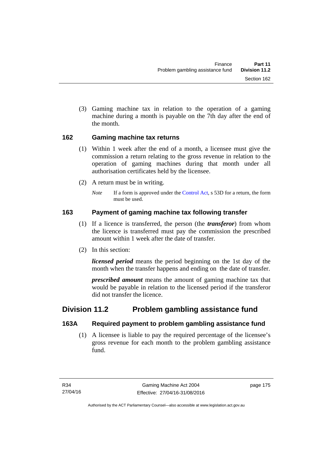(3) Gaming machine tax in relation to the operation of a gaming machine during a month is payable on the 7th day after the end of the month.

### **162 Gaming machine tax returns**

- (1) Within 1 week after the end of a month, a licensee must give the commission a return relating to the gross revenue in relation to the operation of gaming machines during that month under all authorisation certificates held by the licensee.
- (2) A return must be in writing.
	- *Note* If a form is approved under the [Control Act,](http://www.legislation.act.gov.au/a/1999-46) s 53D for a return, the form must be used.

# **163 Payment of gaming machine tax following transfer**

- (1) If a licence is transferred, the person (the *transferor*) from whom the licence is transferred must pay the commission the prescribed amount within 1 week after the date of transfer.
- (2) In this section:

*licensed period* means the period beginning on the 1st day of the month when the transfer happens and ending on the date of transfer.

*prescribed amount* means the amount of gaming machine tax that would be payable in relation to the licensed period if the transferor did not transfer the licence.

# **Division 11.2 Problem gambling assistance fund**

# **163A Required payment to problem gambling assistance fund**

 (1) A licensee is liable to pay the required percentage of the licensee's gross revenue for each month to the problem gambling assistance fund.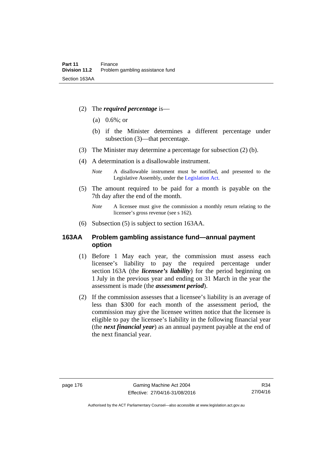- (2) The *required percentage* is—
	- (a) 0.6%; or
	- (b) if the Minister determines a different percentage under subsection (3)—that percentage.
- (3) The Minister may determine a percentage for subsection (2) (b).
- (4) A determination is a disallowable instrument.
	- *Note* A disallowable instrument must be notified, and presented to the Legislative Assembly, under the [Legislation Act.](http://www.legislation.act.gov.au/a/2001-14)
- (5) The amount required to be paid for a month is payable on the 7th day after the end of the month.
	- *Note* A licensee must give the commission a monthly return relating to the licensee's gross revenue (see s 162).
- (6) Subsection (5) is subject to section 163AA.

#### **163AA Problem gambling assistance fund—annual payment option**

- (1) Before 1 May each year, the commission must assess each licensee's liability to pay the required percentage under section 163A (the *licensee's liability*) for the period beginning on 1 July in the previous year and ending on 31 March in the year the assessment is made (the *assessment period*).
- (2) If the commission assesses that a licensee's liability is an average of less than \$300 for each month of the assessment period, the commission may give the licensee written notice that the licensee is eligible to pay the licensee's liability in the following financial year (the *next financial year*) as an annual payment payable at the end of the next financial year.

Authorised by the ACT Parliamentary Counsel—also accessible at www.legislation.act.gov.au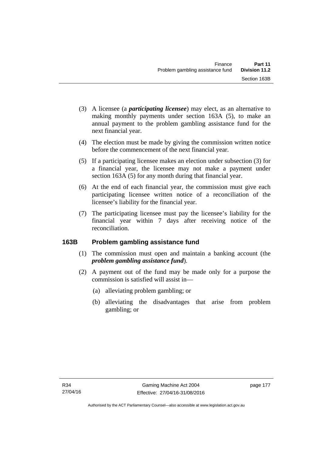- (3) A licensee (a *participating licensee*) may elect, as an alternative to making monthly payments under section 163A (5), to make an annual payment to the problem gambling assistance fund for the next financial year.
- (4) The election must be made by giving the commission written notice before the commencement of the next financial year.
- (5) If a participating licensee makes an election under subsection (3) for a financial year, the licensee may not make a payment under section 163A (5) for any month during that financial year.
- (6) At the end of each financial year, the commission must give each participating licensee written notice of a reconciliation of the licensee's liability for the financial year.
- (7) The participating licensee must pay the licensee's liability for the financial year within 7 days after receiving notice of the reconciliation.

# **163B Problem gambling assistance fund**

- (1) The commission must open and maintain a banking account (the *problem gambling assistance fund*).
- (2) A payment out of the fund may be made only for a purpose the commission is satisfied will assist in—
	- (a) alleviating problem gambling; or
	- (b) alleviating the disadvantages that arise from problem gambling; or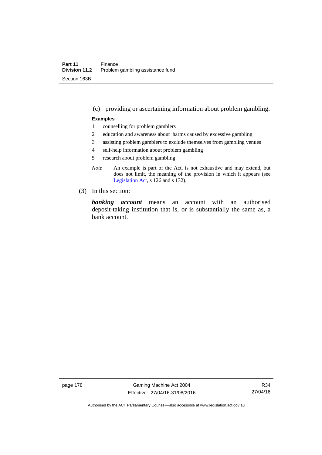#### (c) providing or ascertaining information about problem gambling.

#### **Examples**

- 1 counselling for problem gamblers
- 2 education and awareness about harms caused by excessive gambling
- 3 assisting problem gamblers to exclude themselves from gambling venues
- 4 self-help information about problem gambling
- 5 research about problem gambling
- *Note* An example is part of the Act, is not exhaustive and may extend, but does not limit, the meaning of the provision in which it appears (see [Legislation Act,](http://www.legislation.act.gov.au/a/2001-14) s 126 and s 132).
- (3) In this section:

*banking account* means an account with an authorised deposit-taking institution that is, or is substantially the same as, a bank account.

page 178 Gaming Machine Act 2004 Effective: 27/04/16-31/08/2016

R34 27/04/16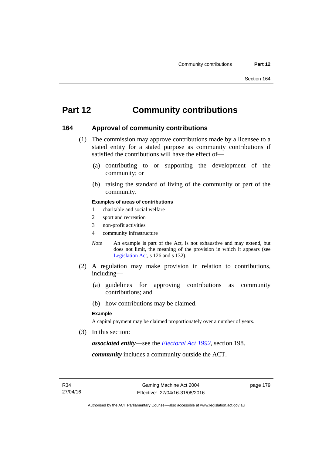# **Part 12 Community contributions**

#### **164 Approval of community contributions**

- (1) The commission may approve contributions made by a licensee to a stated entity for a stated purpose as community contributions if satisfied the contributions will have the effect of—
	- (a) contributing to or supporting the development of the community; or
	- (b) raising the standard of living of the community or part of the community.

#### **Examples of areas of contributions**

- 1 charitable and social welfare
- 2 sport and recreation
- 3 non-profit activities
- 4 community infrastructure
- *Note* An example is part of the Act, is not exhaustive and may extend, but does not limit, the meaning of the provision in which it appears (see [Legislation Act,](http://www.legislation.act.gov.au/a/2001-14) s 126 and s 132).
- (2) A regulation may make provision in relation to contributions, including—
	- (a) guidelines for approving contributions as community contributions; and
	- (b) how contributions may be claimed.

#### **Example**

A capital payment may be claimed proportionately over a number of years.

(3) In this section:

*associated entity*—see the *[Electoral Act 1992](http://www.legislation.act.gov.au/a/1992-71)*, section 198.

*community* includes a community outside the ACT.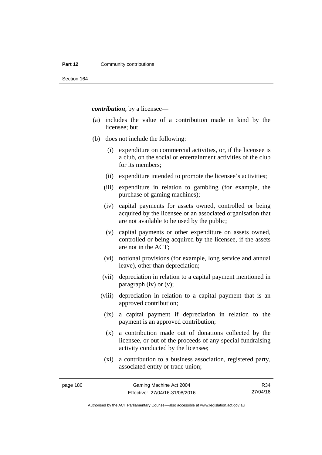#### **Part 12 Community contributions**

Section 164

*contribution*, by a licensee—

- (a) includes the value of a contribution made in kind by the licensee; but
- (b) does not include the following:
	- (i) expenditure on commercial activities, or, if the licensee is a club, on the social or entertainment activities of the club for its members;
	- (ii) expenditure intended to promote the licensee's activities;
	- (iii) expenditure in relation to gambling (for example, the purchase of gaming machines);
	- (iv) capital payments for assets owned, controlled or being acquired by the licensee or an associated organisation that are not available to be used by the public;
	- (v) capital payments or other expenditure on assets owned, controlled or being acquired by the licensee, if the assets are not in the ACT;
	- (vi) notional provisions (for example, long service and annual leave), other than depreciation;
	- (vii) depreciation in relation to a capital payment mentioned in paragraph (iv) or (v);
	- (viii) depreciation in relation to a capital payment that is an approved contribution;
		- (ix) a capital payment if depreciation in relation to the payment is an approved contribution;
		- (x) a contribution made out of donations collected by the licensee, or out of the proceeds of any special fundraising activity conducted by the licensee;
		- (xi) a contribution to a business association, registered party, associated entity or trade union;

R34 27/04/16

Authorised by the ACT Parliamentary Counsel—also accessible at www.legislation.act.gov.au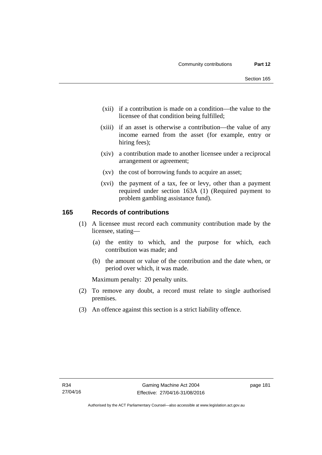- (xii) if a contribution is made on a condition—the value to the licensee of that condition being fulfilled;
- (xiii) if an asset is otherwise a contribution—the value of any income earned from the asset (for example, entry or hiring fees);
- (xiv) a contribution made to another licensee under a reciprocal arrangement or agreement;
- (xv) the cost of borrowing funds to acquire an asset;
- (xvi) the payment of a tax, fee or levy, other than a payment required under section 163A (1) (Required payment to problem gambling assistance fund).

#### **165 Records of contributions**

- (1) A licensee must record each community contribution made by the licensee, stating—
	- (a) the entity to which, and the purpose for which, each contribution was made; and
	- (b) the amount or value of the contribution and the date when, or period over which, it was made.

Maximum penalty: 20 penalty units.

- (2) To remove any doubt, a record must relate to single authorised premises.
- (3) An offence against this section is a strict liability offence.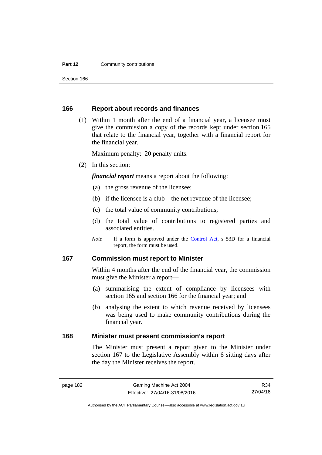#### **Part 12 Community contributions**

Section 166

#### **166 Report about records and finances**

 (1) Within 1 month after the end of a financial year, a licensee must give the commission a copy of the records kept under section 165 that relate to the financial year, together with a financial report for the financial year.

Maximum penalty: 20 penalty units.

(2) In this section:

*financial report* means a report about the following:

- (a) the gross revenue of the licensee;
- (b) if the licensee is a club—the net revenue of the licensee;
- (c) the total value of community contributions;
- (d) the total value of contributions to registered parties and associated entities.
- *Note* If a form is approved under the [Control Act](http://www.legislation.act.gov.au/a/1999-46), s 53D for a financial report, the form must be used.

#### **167 Commission must report to Minister**

Within 4 months after the end of the financial year, the commission must give the Minister a report—

- (a) summarising the extent of compliance by licensees with section 165 and section 166 for the financial year; and
- (b) analysing the extent to which revenue received by licensees was being used to make community contributions during the financial year.

#### **168 Minister must present commission's report**

The Minister must present a report given to the Minister under section 167 to the Legislative Assembly within 6 sitting days after the day the Minister receives the report.

R34 27/04/16

Authorised by the ACT Parliamentary Counsel—also accessible at www.legislation.act.gov.au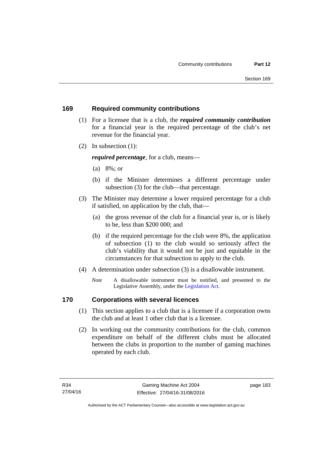### **169 Required community contributions**

- (1) For a licensee that is a club, the *required community contribution* for a financial year is the required percentage of the club's net revenue for the financial year.
- (2) In subsection (1):

*required percentage*, for a club, means—

- (a) 8%; or
- (b) if the Minister determines a different percentage under subsection (3) for the club—that percentage.
- (3) The Minister may determine a lower required percentage for a club if satisfied, on application by the club, that—
	- (a) the gross revenue of the club for a financial year is, or is likely to be, less than \$200 000; and
	- (b) if the required percentage for the club were 8%, the application of subsection (1) to the club would so seriously affect the club's viability that it would not be just and equitable in the circumstances for that subsection to apply to the club.
- (4) A determination under subsection (3) is a disallowable instrument.
	- *Note* A disallowable instrument must be notified, and presented to the Legislative Assembly, under the [Legislation Act.](http://www.legislation.act.gov.au/a/2001-14)

# **170 Corporations with several licences**

- (1) This section applies to a club that is a licensee if a corporation owns the club and at least 1 other club that is a licensee.
- (2) In working out the community contributions for the club, common expenditure on behalf of the different clubs must be allocated between the clubs in proportion to the number of gaming machines operated by each club.

page 183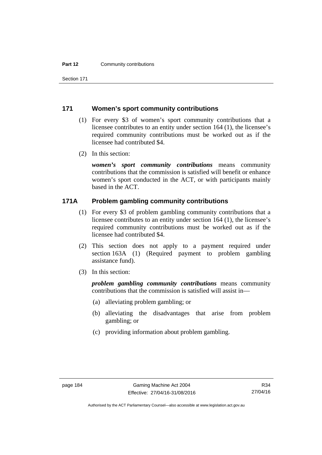Section 171

#### **171 Women's sport community contributions**

- (1) For every \$3 of women's sport community contributions that a licensee contributes to an entity under section 164 (1), the licensee's required community contributions must be worked out as if the licensee had contributed \$4.
- (2) In this section:

*women's sport community contributions* means community contributions that the commission is satisfied will benefit or enhance women's sport conducted in the ACT, or with participants mainly based in the ACT.

#### **171A Problem gambling community contributions**

- (1) For every \$3 of problem gambling community contributions that a licensee contributes to an entity under section 164 (1), the licensee's required community contributions must be worked out as if the licensee had contributed \$4.
- (2) This section does not apply to a payment required under section 163A (1) (Required payment to problem gambling assistance fund).
- (3) In this section:

*problem gambling community contributions* means community contributions that the commission is satisfied will assist in—

- (a) alleviating problem gambling; or
- (b) alleviating the disadvantages that arise from problem gambling; or
- (c) providing information about problem gambling.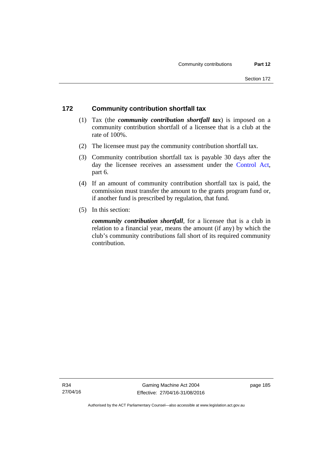# **172 Community contribution shortfall tax**

- (1) Tax (the *community contribution shortfall tax*) is imposed on a community contribution shortfall of a licensee that is a club at the rate of 100%.
- (2) The licensee must pay the community contribution shortfall tax.
- (3) Community contribution shortfall tax is payable 30 days after the day the licensee receives an assessment under the [Control Act](http://www.legislation.act.gov.au/a/1999-46), part 6.
- (4) If an amount of community contribution shortfall tax is paid, the commission must transfer the amount to the grants program fund or, if another fund is prescribed by regulation, that fund.
- (5) In this section:

*community contribution shortfall*, for a licensee that is a club in relation to a financial year, means the amount (if any) by which the club's community contributions fall short of its required community contribution.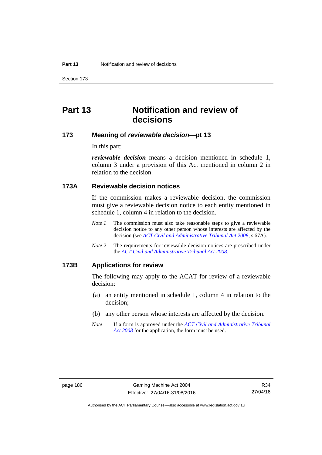Section 173

# **Part 13 Notification and review of decisions**

## **173 Meaning of** *reviewable decision***—pt 13**

In this part:

*reviewable decision* means a decision mentioned in schedule 1, column 3 under a provision of this Act mentioned in column 2 in relation to the decision.

## **173A Reviewable decision notices**

If the commission makes a reviewable decision, the commission must give a reviewable decision notice to each entity mentioned in schedule 1, column 4 in relation to the decision.

- *Note 1* The commission must also take reasonable steps to give a reviewable decision notice to any other person whose interests are affected by the decision (see *[ACT Civil and Administrative Tribunal Act 2008](http://www.legislation.act.gov.au/a/2008-35)*, s 67A).
- *Note 2* The requirements for reviewable decision notices are prescribed under the *[ACT Civil and Administrative Tribunal Act 2008](http://www.legislation.act.gov.au/a/2008-35)*.

#### **173B Applications for review**

The following may apply to the ACAT for review of a reviewable decision:

- (a) an entity mentioned in schedule 1, column 4 in relation to the decision;
- (b) any other person whose interests are affected by the decision.
- *Note* If a form is approved under the *[ACT Civil and Administrative Tribunal](http://www.legislation.act.gov.au/a/2008-35)  [Act 2008](http://www.legislation.act.gov.au/a/2008-35)* for the application, the form must be used.

Authorised by the ACT Parliamentary Counsel—also accessible at www.legislation.act.gov.au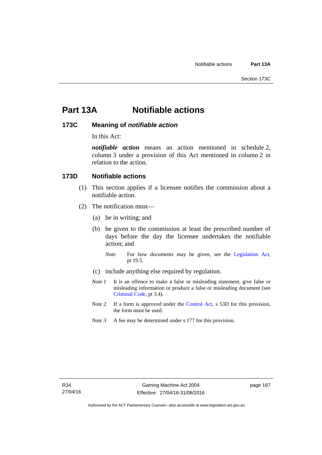# **Part 13A Notifiable actions**

### **173C Meaning of** *notifiable action*

In this Act:

*notifiable action* means an action mentioned in schedule 2, column 3 under a provision of this Act mentioned in column 2 in relation to the action.

### **173D Notifiable actions**

- (1) This section applies if a licensee notifies the commission about a notifiable action.
- (2) The notification must—
	- (a) be in writing; and
	- (b) be given to the commission at least the prescribed number of days before the day the licensee undertakes the notifiable action; and
		- *Note* For how documents may be given, see the [Legislation Act,](http://www.legislation.act.gov.au/a/2001-14) pt 19.5.
	- (c) include anything else required by regulation.
	- *Note 1* It is an offence to make a false or misleading statement, give false or misleading information or produce a false or misleading document (see [Criminal Code](http://www.legislation.act.gov.au/a/2002-51), pt 3.4).
	- *Note 2* If a form is approved under the [Control Act,](http://www.legislation.act.gov.au/a/1999-46/default.asp) s 53D for this provision, the form must be used.
	- *Note 3* A fee may be determined under s 177 for this provision.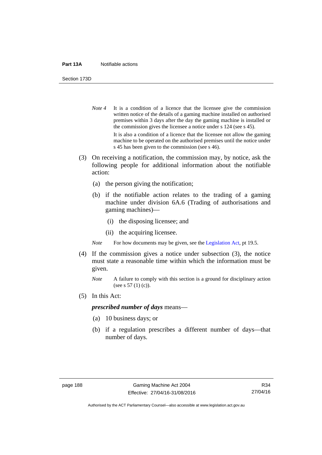#### **Part 13A** Notifiable actions

Section 173D

- *Note* 4 It is a condition of a licence that the licensee give the commission written notice of the details of a gaming machine installed on authorised premises within 3 days after the day the gaming machine is installed or the commission gives the licensee a notice under s 124 (see s 45). It is also a condition of a licence that the licensee not allow the gaming machine to be operated on the authorised premises until the notice under s 45 has been given to the commission (see s 46).
- (3) On receiving a notification, the commission may, by notice, ask the following people for additional information about the notifiable action:
	- (a) the person giving the notification;
	- (b) if the notifiable action relates to the trading of a gaming machine under division 6A.6 (Trading of authorisations and gaming machines)—
		- (i) the disposing licensee; and
		- (ii) the acquiring licensee.

*Note* For how documents may be given, see the [Legislation Act,](http://www.legislation.act.gov.au/a/2001-14) pt 19.5.

- (4) If the commission gives a notice under subsection (3), the notice must state a reasonable time within which the information must be given.
	- *Note* A failure to comply with this section is a ground for disciplinary action (see s 57 (1) (c)).
- (5) In this Act:

#### *prescribed number of days* means—

- (a) 10 business days; or
- (b) if a regulation prescribes a different number of days—that number of days.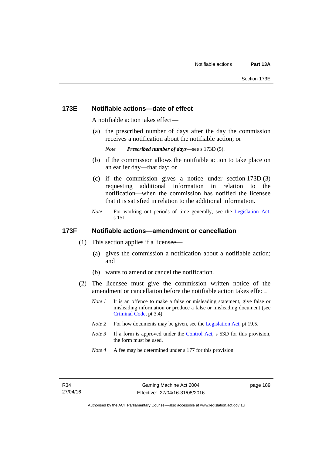#### **173E Notifiable actions—date of effect**

A notifiable action takes effect—

 (a) the prescribed number of days after the day the commission receives a notification about the notifiable action; or

```
Note Prescribed number of days—see s 173D (5).
```
- (b) if the commission allows the notifiable action to take place on an earlier day—that day; or
- (c) if the commission gives a notice under section 173D (3) requesting additional information in relation to the notification—when the commission has notified the licensee that it is satisfied in relation to the additional information.
- *Note* For working out periods of time generally, see the [Legislation Act,](http://www.legislation.act.gov.au/a/2001-14) s 151.

#### **173F Notifiable actions—amendment or cancellation**

- (1) This section applies if a licensee—
	- (a) gives the commission a notification about a notifiable action; and
	- (b) wants to amend or cancel the notification.
- (2) The licensee must give the commission written notice of the amendment or cancellation before the notifiable action takes effect.
	- *Note 1* It is an offence to make a false or misleading statement, give false or misleading information or produce a false or misleading document (see [Criminal Code](http://www.legislation.act.gov.au/a/2002-51), pt 3.4).
	- *Note 2* For how documents may be given, see the [Legislation Act,](http://www.legislation.act.gov.au/a/2001-14) pt 19.5.
	- *Note 3* If a form is approved under the [Control Act,](http://www.legislation.act.gov.au/a/1999-46/default.asp) s 53D for this provision, the form must be used.
	- *Note 4* A fee may be determined under s 177 for this provision.

page 189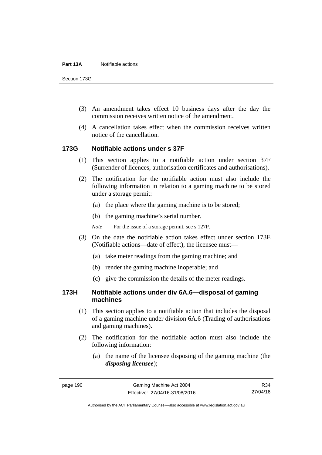Section 173G

- (3) An amendment takes effect 10 business days after the day the commission receives written notice of the amendment.
- (4) A cancellation takes effect when the commission receives written notice of the cancellation.

#### **173G Notifiable actions under s 37F**

- (1) This section applies to a notifiable action under section 37F (Surrender of licences, authorisation certificates and authorisations).
- (2) The notification for the notifiable action must also include the following information in relation to a gaming machine to be stored under a storage permit:
	- (a) the place where the gaming machine is to be stored;
	- (b) the gaming machine's serial number.
	- *Note* For the issue of a storage permit, see s 127P.
- (3) On the date the notifiable action takes effect under section 173E (Notifiable actions—date of effect), the licensee must—
	- (a) take meter readings from the gaming machine; and
	- (b) render the gaming machine inoperable; and
	- (c) give the commission the details of the meter readings.

#### **173H Notifiable actions under div 6A.6—disposal of gaming machines**

- (1) This section applies to a notifiable action that includes the disposal of a gaming machine under division 6A.6 (Trading of authorisations and gaming machines).
- (2) The notification for the notifiable action must also include the following information:
	- (a) the name of the licensee disposing of the gaming machine (the *disposing licensee*);

R34 27/04/16

Authorised by the ACT Parliamentary Counsel—also accessible at www.legislation.act.gov.au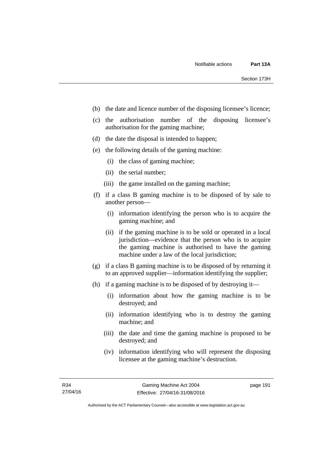- (b) the date and licence number of the disposing licensee's licence;
- (c) the authorisation number of the disposing licensee's authorisation for the gaming machine;
- (d) the date the disposal is intended to happen;
- (e) the following details of the gaming machine:
	- (i) the class of gaming machine;
	- (ii) the serial number;
	- (iii) the game installed on the gaming machine;
- (f) if a class B gaming machine is to be disposed of by sale to another person—
	- (i) information identifying the person who is to acquire the gaming machine; and
	- (ii) if the gaming machine is to be sold or operated in a local jurisdiction—evidence that the person who is to acquire the gaming machine is authorised to have the gaming machine under a law of the local jurisdiction;
- (g) if a class B gaming machine is to be disposed of by returning it to an approved supplier—information identifying the supplier;
- (h) if a gaming machine is to be disposed of by destroying it—
	- (i) information about how the gaming machine is to be destroyed; and
	- (ii) information identifying who is to destroy the gaming machine; and
	- (iii) the date and time the gaming machine is proposed to be destroyed; and
	- (iv) information identifying who will represent the disposing licensee at the gaming machine's destruction.

page 191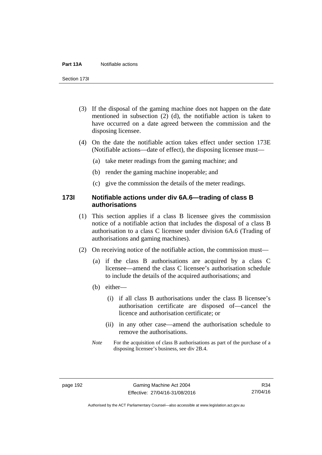#### **Part 13A** Notifiable actions

Section 173I

- (3) If the disposal of the gaming machine does not happen on the date mentioned in subsection (2) (d), the notifiable action is taken to have occurred on a date agreed between the commission and the disposing licensee.
- (4) On the date the notifiable action takes effect under section 173E (Notifiable actions—date of effect), the disposing licensee must—
	- (a) take meter readings from the gaming machine; and
	- (b) render the gaming machine inoperable; and
	- (c) give the commission the details of the meter readings.

#### **173I Notifiable actions under div 6A.6—trading of class B authorisations**

- (1) This section applies if a class B licensee gives the commission notice of a notifiable action that includes the disposal of a class B authorisation to a class C licensee under division 6A.6 (Trading of authorisations and gaming machines).
- (2) On receiving notice of the notifiable action, the commission must—
	- (a) if the class B authorisations are acquired by a class C licensee—amend the class C licensee's authorisation schedule to include the details of the acquired authorisations; and
	- (b) either—
		- (i) if all class B authorisations under the class B licensee's authorisation certificate are disposed of—cancel the licence and authorisation certificate; or
		- (ii) in any other case—amend the authorisation schedule to remove the authorisations.
	- *Note* For the acquisition of class B authorisations as part of the purchase of a disposing licensee's business, see div 2B.4.

Authorised by the ACT Parliamentary Counsel—also accessible at www.legislation.act.gov.au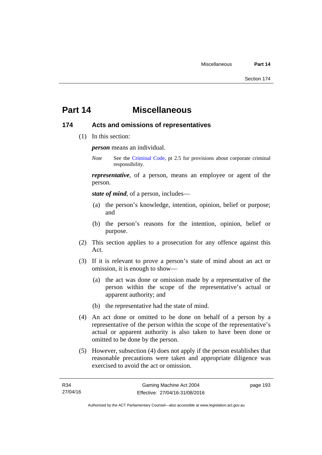# **Part 14 Miscellaneous**

#### **174 Acts and omissions of representatives**

(1) In this section:

*person* means an individual.

*Note* See the [Criminal Code,](http://www.legislation.act.gov.au/a/2002-51) pt 2.5 for provisions about corporate criminal responsibility.

*representative*, of a person, means an employee or agent of the person.

*state of mind*, of a person, includes—

- (a) the person's knowledge, intention, opinion, belief or purpose; and
- (b) the person's reasons for the intention, opinion, belief or purpose.
- (2) This section applies to a prosecution for any offence against this Act.
- (3) If it is relevant to prove a person's state of mind about an act or omission, it is enough to show—
	- (a) the act was done or omission made by a representative of the person within the scope of the representative's actual or apparent authority; and
	- (b) the representative had the state of mind.
- (4) An act done or omitted to be done on behalf of a person by a representative of the person within the scope of the representative's actual or apparent authority is also taken to have been done or omitted to be done by the person.
- (5) However, subsection (4) does not apply if the person establishes that reasonable precautions were taken and appropriate diligence was exercised to avoid the act or omission.

page 193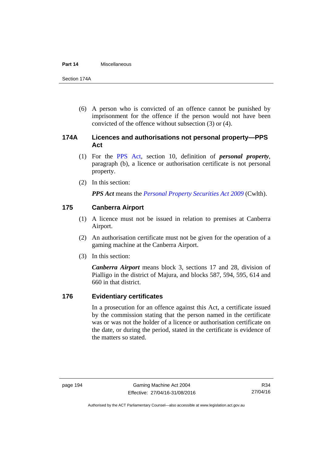#### **Part 14** Miscellaneous

Section 174A

 (6) A person who is convicted of an offence cannot be punished by imprisonment for the offence if the person would not have been convicted of the offence without subsection (3) or (4).

# **174A Licences and authorisations not personal property—PPS Act**

- (1) For the [PPS Act,](http://www.comlaw.gov.au/Series/C2009A00130) section 10, definition of *personal property*, paragraph (b), a licence or authorisation certificate is not personal property.
- (2) In this section:

*PPS Act* means the *[Personal Property Securities Act 2009](http://www.comlaw.gov.au/Series/C2009A00130)* (Cwlth).

### **175 Canberra Airport**

- (1) A licence must not be issued in relation to premises at Canberra Airport.
- (2) An authorisation certificate must not be given for the operation of a gaming machine at the Canberra Airport.
- (3) In this section:

*Canberra Airport* means block 3, sections 17 and 28, division of Pialligo in the district of Majura, and blocks 587, 594, 595, 614 and 660 in that district.

#### **176 Evidentiary certificates**

In a prosecution for an offence against this Act, a certificate issued by the commission stating that the person named in the certificate was or was not the holder of a licence or authorisation certificate on the date, or during the period, stated in the certificate is evidence of the matters so stated.

Authorised by the ACT Parliamentary Counsel—also accessible at www.legislation.act.gov.au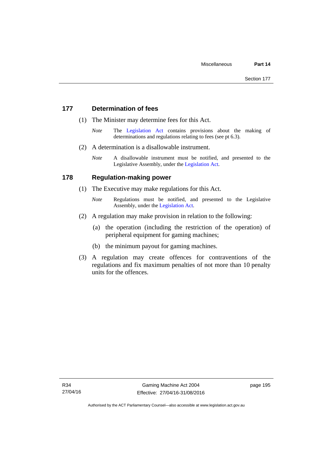### **177 Determination of fees**

- (1) The Minister may determine fees for this Act.
	- *Note* The [Legislation Act](http://www.legislation.act.gov.au/a/2001-14) contains provisions about the making of determinations and regulations relating to fees (see pt 6.3).
- (2) A determination is a disallowable instrument.
	- *Note* A disallowable instrument must be notified, and presented to the Legislative Assembly, under the [Legislation Act.](http://www.legislation.act.gov.au/a/2001-14)

#### **178 Regulation-making power**

- (1) The Executive may make regulations for this Act.
	- *Note* **Regulations** must be notified, and presented to the Legislative Assembly, under the [Legislation Act](http://www.legislation.act.gov.au/a/2001-14).
- (2) A regulation may make provision in relation to the following:
	- (a) the operation (including the restriction of the operation) of peripheral equipment for gaming machines;
	- (b) the minimum payout for gaming machines.
- (3) A regulation may create offences for contraventions of the regulations and fix maximum penalties of not more than 10 penalty units for the offences.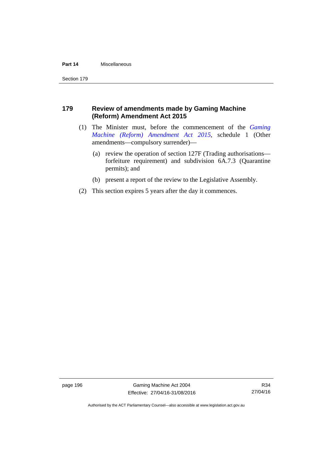#### **Part 14** Miscellaneous

Section 179

# **179 Review of amendments made by Gaming Machine (Reform) Amendment Act 2015**

- (1) The Minister must, before the commencement of the *[Gaming](http://www.legislation.act.gov.au/a/2015-21/default.asp)  [Machine \(Reform\) Amendment Act 2015](http://www.legislation.act.gov.au/a/2015-21/default.asp)*, schedule 1 (Other amendments—compulsory surrender)—
	- (a) review the operation of section 127F (Trading authorisations forfeiture requirement) and subdivision 6A.7.3 (Quarantine permits); and
	- (b) present a report of the review to the Legislative Assembly.
- (2) This section expires 5 years after the day it commences.

page 196 Gaming Machine Act 2004 Effective: 27/04/16-31/08/2016

R34 27/04/16

Authorised by the ACT Parliamentary Counsel—also accessible at www.legislation.act.gov.au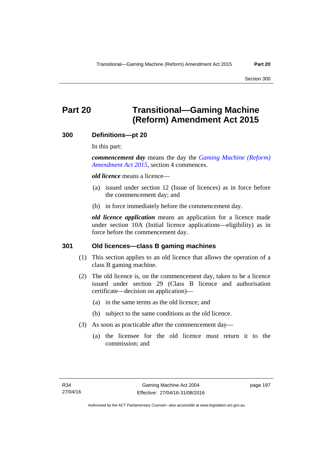# **Part 20 Transitional—Gaming Machine (Reform) Amendment Act 2015**

#### **300 Definitions—pt 20**

In this part:

*commencement day* means the day the *[Gaming Machine \(Reform\)](http://www.legislation.act.gov.au/a/2015-21/default.asp)  [Amendment Act 2015](http://www.legislation.act.gov.au/a/2015-21/default.asp)*, section 4 commences.

*old licence* means a licence—

- (a) issued under section 12 (Issue of licences) as in force before the commencement day; and
- (b) in force immediately before the commencement day.

*old licence application* means an application for a licence made under section 10A (Initial licence applications—eligibility) as in force before the commencement day.

#### **301 Old licences—class B gaming machines**

- (1) This section applies to an old licence that allows the operation of a class B gaming machine.
- (2) The old licence is, on the commencement day, taken to be a licence issued under section 29 (Class B licence and authorisation certificate—decision on application)—
	- (a) in the same terms as the old licence; and
	- (b) subject to the same conditions as the old licence.
- (3) As soon as practicable after the commencement day—
	- (a) the licensee for the old licence must return it to the commission; and

page 197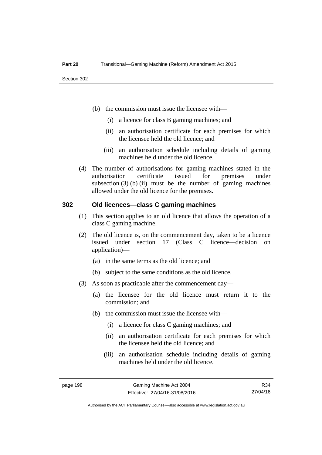- (b) the commission must issue the licensee with—
	- (i) a licence for class B gaming machines; and
	- (ii) an authorisation certificate for each premises for which the licensee held the old licence; and
	- (iii) an authorisation schedule including details of gaming machines held under the old licence.
- (4) The number of authorisations for gaming machines stated in the authorisation certificate issued for premises under subsection  $(3)$  (b) (ii) must be the number of gaming machines allowed under the old licence for the premises.

#### **302 Old licences—class C gaming machines**

- (1) This section applies to an old licence that allows the operation of a class C gaming machine.
- (2) The old licence is, on the commencement day, taken to be a licence issued under section 17 (Class C licence—decision on application)—
	- (a) in the same terms as the old licence; and
	- (b) subject to the same conditions as the old licence.
- (3) As soon as practicable after the commencement day—
	- (a) the licensee for the old licence must return it to the commission; and
	- (b) the commission must issue the licensee with—
		- (i) a licence for class C gaming machines; and
		- (ii) an authorisation certificate for each premises for which the licensee held the old licence; and
		- (iii) an authorisation schedule including details of gaming machines held under the old licence.

R34 27/04/16

Authorised by the ACT Parliamentary Counsel—also accessible at www.legislation.act.gov.au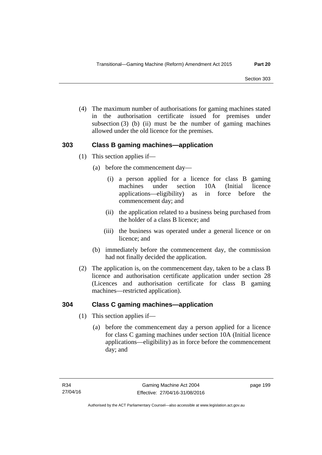(4) The maximum number of authorisations for gaming machines stated in the authorisation certificate issued for premises under subsection  $(3)$  (b) (ii) must be the number of gaming machines allowed under the old licence for the premises.

# **303 Class B gaming machines—application**

- (1) This section applies if—
	- (a) before the commencement day—
		- (i) a person applied for a licence for class B gaming machines under section 10A (Initial licence applications—eligibility) as in force before the commencement day; and
		- (ii) the application related to a business being purchased from the holder of a class B licence; and
		- (iii) the business was operated under a general licence or on licence; and
	- (b) immediately before the commencement day, the commission had not finally decided the application.
- (2) The application is, on the commencement day, taken to be a class B licence and authorisation certificate application under section 28 (Licences and authorisation certificate for class B gaming machines—restricted application).

# **304 Class C gaming machines—application**

- (1) This section applies if—
	- (a) before the commencement day a person applied for a licence for class C gaming machines under section 10A (Initial licence applications—eligibility) as in force before the commencement day; and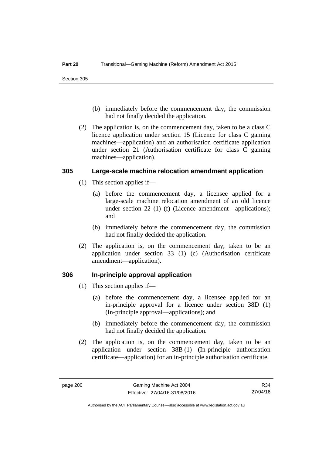- (b) immediately before the commencement day, the commission had not finally decided the application.
- (2) The application is, on the commencement day, taken to be a class C licence application under section 15 (Licence for class C gaming machines—application) and an authorisation certificate application under section 21 (Authorisation certificate for class C gaming machines—application).

#### **305 Large-scale machine relocation amendment application**

- (1) This section applies if—
	- (a) before the commencement day, a licensee applied for a large-scale machine relocation amendment of an old licence under section 22 (1) (f) (Licence amendment—applications); and
	- (b) immediately before the commencement day, the commission had not finally decided the application.
- (2) The application is, on the commencement day, taken to be an application under section 33 (1) (c) (Authorisation certificate amendment—application).

#### **306 In-principle approval application**

- (1) This section applies if—
	- (a) before the commencement day, a licensee applied for an in-principle approval for a licence under section 38D (1) (In-principle approval—applications); and
	- (b) immediately before the commencement day, the commission had not finally decided the application.
- (2) The application is, on the commencement day, taken to be an application under section 38B (1) (In-principle authorisation certificate—application) for an in-principle authorisation certificate.

R34 27/04/16

Authorised by the ACT Parliamentary Counsel—also accessible at www.legislation.act.gov.au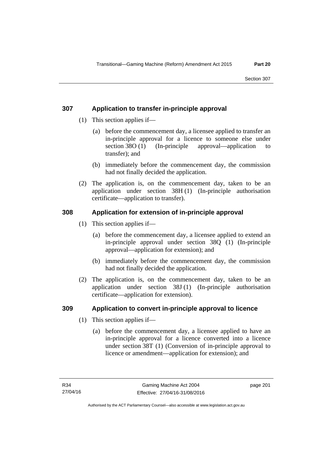# **307 Application to transfer in-principle approval**

- (1) This section applies if—
	- (a) before the commencement day, a licensee applied to transfer an in-principle approval for a licence to someone else under section 38O (1) (In-principle approval—application to transfer); and
	- (b) immediately before the commencement day, the commission had not finally decided the application.
- (2) The application is, on the commencement day, taken to be an application under section 38H (1) (In-principle authorisation certificate—application to transfer).

# **308 Application for extension of in-principle approval**

- (1) This section applies if—
	- (a) before the commencement day, a licensee applied to extend an in-principle approval under section 38Q (1) (In-principle approval—application for extension); and
	- (b) immediately before the commencement day, the commission had not finally decided the application.
- (2) The application is, on the commencement day, taken to be an application under section 38J (1) (In-principle authorisation certificate—application for extension).

# **309 Application to convert in-principle approval to licence**

- (1) This section applies if—
	- (a) before the commencement day, a licensee applied to have an in-principle approval for a licence converted into a licence under section 38T (1) (Conversion of in-principle approval to licence or amendment—application for extension); and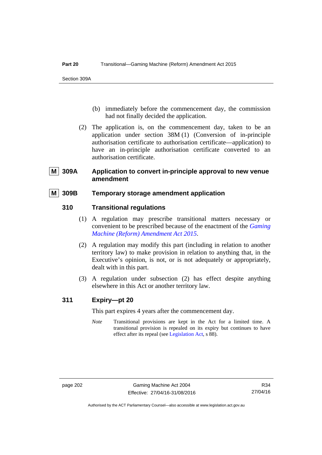- (b) immediately before the commencement day, the commission had not finally decided the application.
- (2) The application is, on the commencement day, taken to be an application under section 38M (1) (Conversion of in-principle authorisation certificate to authorisation certificate—application) to have an in-principle authorisation certificate converted to an authorisation certificate.

# **M 309A Application to convert in-principle approval to new venue amendment**

# **M 309B Temporary storage amendment application**

# **310 Transitional regulations**

- (1) A regulation may prescribe transitional matters necessary or convenient to be prescribed because of the enactment of the *[Gaming](http://www.legislation.act.gov.au/a/2015-21/default.asp)  [Machine \(Reform\) Amendment Act 2015](http://www.legislation.act.gov.au/a/2015-21/default.asp)*.
- (2) A regulation may modify this part (including in relation to another territory law) to make provision in relation to anything that, in the Executive's opinion, is not, or is not adequately or appropriately, dealt with in this part.
- (3) A regulation under subsection (2) has effect despite anything elsewhere in this Act or another territory law.

# **311 Expiry—pt 20**

This part expires 4 years after the commencement day.

*Note* Transitional provisions are kept in the Act for a limited time. A transitional provision is repealed on its expiry but continues to have effect after its repeal (see [Legislation Act,](http://www.legislation.act.gov.au/a/2001-14) s 88).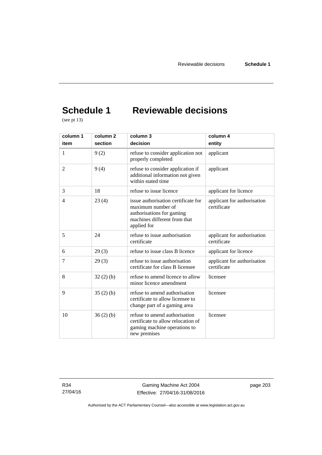# **Schedule 1 Reviewable decisions**

(see pt 13)

| column 1       | column 2 | column 3                                                                                                                             | column 4                                   |
|----------------|----------|--------------------------------------------------------------------------------------------------------------------------------------|--------------------------------------------|
| item           | section  | decision                                                                                                                             | entity                                     |
| 1              | 9(2)     | refuse to consider application not<br>properly completed                                                                             | applicant                                  |
| $\overline{2}$ | 9(4)     | refuse to consider application if<br>additional information not given<br>within stated time                                          | applicant                                  |
| 3              | 18       | refuse to issue licence                                                                                                              | applicant for licence                      |
| $\overline{4}$ | 23(4)    | issue authorisation certificate for<br>maximum number of<br>authorisations for gaming<br>machines different from that<br>applied for | applicant for authorisation<br>certificate |
| 5              | 24       | refuse to issue authorisation<br>certificate                                                                                         | applicant for authorisation<br>certificate |
| 6              | 29(3)    | refuse to issue class B licence                                                                                                      | applicant for licence                      |
| 7              | 29(3)    | refuse to issue authorisation<br>certificate for class B licensee                                                                    | applicant for authorisation<br>certificate |
| 8              | 32(2)(b) | refuse to amend licence to allow<br>minor licence amendment                                                                          | licensee                                   |
| 9              | 35(2)(b) | refuse to amend authorisation<br>certificate to allow licensee to<br>change part of a gaming area                                    | licensee                                   |
| 10             | 36(2)(b) | refuse to amend authorisation<br>certificate to allow relocation of<br>gaming machine operations to<br>new premises                  | licensee                                   |

R34 27/04/16

Gaming Machine Act 2004 Effective: 27/04/16-31/08/2016 page 203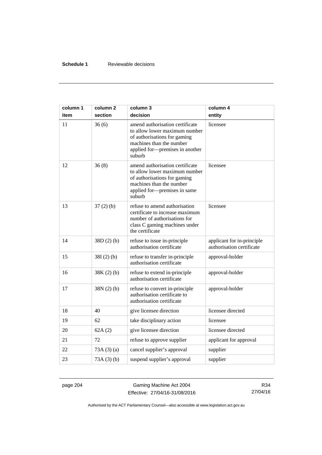# **Schedule 1** Reviewable decisions

| column 1<br>item | column 2<br>section | column 3<br>decision                                                                                                                                                      | column 4<br>entity                                      |
|------------------|---------------------|---------------------------------------------------------------------------------------------------------------------------------------------------------------------------|---------------------------------------------------------|
| 11               | 36(6)               | amend authorisation certificate<br>to allow lower maximum number<br>of authorisations for gaming<br>machines than the number<br>applied for-premises in another<br>suburb | licensee                                                |
| 12               | 36(8)               | amend authorisation certificate<br>to allow lower maximum number<br>of authorisations for gaming<br>machines than the number<br>applied for-premises in same<br>suburb    | licensee                                                |
| 13               | $37(2)$ (b)         | refuse to amend authorisation<br>certificate to increase maximum<br>number of authorisations for<br>class C gaming machines under<br>the certificate                      | licensee                                                |
| 14               | 38D(2)(b)           | refuse to issue in-principle<br>authorisation certificate                                                                                                                 | applicant for in-principle<br>authorisation certificate |
| 15               | $38I(2)$ (b)        | refuse to transfer in-principle<br>authorisation certificate                                                                                                              | approval-holder                                         |
| 16               | $38K(2)$ (b)        | refuse to extend in-principle<br>authorisation certificate                                                                                                                | approval-holder                                         |
| 17               | $38N(2)$ (b)        | refuse to convert in-principle<br>authorisation certificate to<br>authorisation certificate                                                                               | approval-holder                                         |
| 18               | 40                  | give licensee direction                                                                                                                                                   | licensee directed                                       |
| 19               | 62                  | take disciplinary action                                                                                                                                                  | licensee                                                |
| 20               | 62A(2)              | give licensee direction                                                                                                                                                   | licensee directed                                       |
| 21               | 72                  | refuse to approve supplier                                                                                                                                                | applicant for approval                                  |
| 22               | 73A(3)(a)           | cancel supplier's approval                                                                                                                                                | supplier                                                |
| 23               | 73A(3)(b)           | suspend supplier's approval                                                                                                                                               | supplier                                                |

page 204 Gaming Machine Act 2004 Effective: 27/04/16-31/08/2016

R34 27/04/16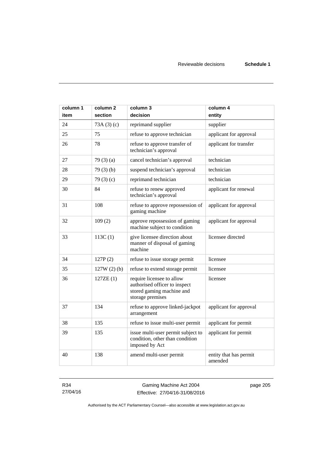| column 1 | column <sub>2</sub> | column 3                                                                                                    | column 4                          |
|----------|---------------------|-------------------------------------------------------------------------------------------------------------|-----------------------------------|
| item     | section             | decision                                                                                                    | entity                            |
| 24       | 73A(3)(c)           | reprimand supplier                                                                                          | supplier                          |
| 25       | 75                  | refuse to approve technician                                                                                | applicant for approval            |
| 26       | 78                  | refuse to approve transfer of<br>technician's approval                                                      | applicant for transfer            |
| 27       | 79(3)(a)            | cancel technician's approval                                                                                | technician                        |
| 28       | 79(3)(b)            | suspend technician's approval                                                                               | technician                        |
| 29       | 79 $(3)(c)$         | reprimand technician                                                                                        | technician                        |
| 30       | 84                  | refuse to renew approved<br>technician's approval                                                           | applicant for renewal             |
| 31       | 108                 | refuse to approve repossession of<br>gaming machine                                                         | applicant for approval            |
| 32       | 109(2)              | approve repossession of gaming<br>machine subject to condition                                              | applicant for approval            |
| 33       | 113C(1)             | give licensee direction about<br>manner of disposal of gaming<br>machine                                    | licensee directed                 |
| 34       | 127P(2)             | refuse to issue storage permit                                                                              | licensee                          |
| 35       | $127W(2)$ (b)       | refuse to extend storage permit                                                                             | licensee                          |
| 36       | 127ZE(1)            | require licensee to allow<br>authorised officer to inspect<br>stored gaming machine and<br>storage premises | licensee                          |
| 37       | 134                 | refuse to approve linked-jackpot<br>arrangement                                                             | applicant for approval            |
| 38       | 135                 | refuse to issue multi-user permit                                                                           | applicant for permit              |
| 39       | 135                 | issue multi-user permit subject to<br>condition, other than condition<br>imposed by Act                     | applicant for permit              |
| 40       | 138                 | amend multi-user permit                                                                                     | entity that has permit<br>amended |

R34 27/04/16

Gaming Machine Act 2004 Effective: 27/04/16-31/08/2016 page 205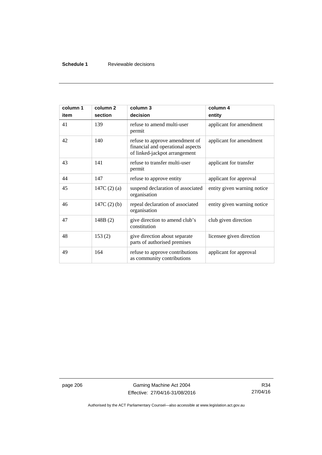# **Schedule 1** Reviewable decisions

| column 1<br>item | column <sub>2</sub><br>section | column 3<br>decision                                                                                 | column 4<br>entity          |
|------------------|--------------------------------|------------------------------------------------------------------------------------------------------|-----------------------------|
| 41               | 139                            | refuse to amend multi-user<br>permit                                                                 | applicant for amendment     |
| 42               | 140                            | refuse to approve amendment of<br>financial and operational aspects<br>of linked-jackpot arrangement | applicant for amendment     |
| 43               | 141                            | refuse to transfer multi-user<br>permit                                                              | applicant for transfer      |
| 44               | 147                            | refuse to approve entity                                                                             | applicant for approval      |
| 45               | 147C $(2)$ $(a)$               | suspend declaration of associated<br>organisation                                                    | entity given warning notice |
| 46               | 147C $(2)$ $(b)$               | repeal declaration of associated<br>organisation                                                     | entity given warning notice |
| 47               | 148B(2)                        | give direction to amend club's<br>constitution                                                       | club given direction        |
| 48               | 153(2)                         | give direction about separate<br>parts of authorised premises                                        | licensee given direction    |
| 49               | 164                            | refuse to approve contributions<br>as community contributions                                        | applicant for approval      |

page 206 Gaming Machine Act 2004 Effective: 27/04/16-31/08/2016

R34 27/04/16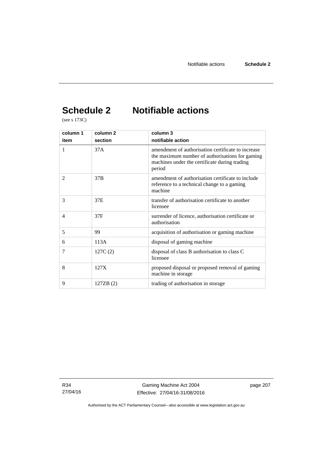# **Schedule 2 Notifiable actions**

(see s 173C)

| column 1       | column <sub>2</sub> | column 3                                                                                                                                                         |
|----------------|---------------------|------------------------------------------------------------------------------------------------------------------------------------------------------------------|
| item           | section             | notifiable action                                                                                                                                                |
| 1              | 37A                 | amendment of authorisation certificate to increase<br>the maximum number of authorisations for gaming<br>machines under the certificate during trading<br>period |
| $\overline{2}$ | 37B                 | amendment of authorisation certificate to include<br>reference to a technical change to a gaming<br>machine                                                      |
| 3              | 37E                 | transfer of authorisation certificate to another<br>licensee                                                                                                     |
| $\overline{4}$ | 37F                 | surrender of licence, authorisation certificate or<br>authorisation                                                                                              |
| 5              | 99                  | acquisition of authorisation or gaming machine                                                                                                                   |
| 6              | 113A                | disposal of gaming machine                                                                                                                                       |
| $\tau$         | 127C(2)             | disposal of class B authorisation to class C<br>licensee                                                                                                         |
| 8              | 127X                | proposed disposal or proposed removal of gaming<br>machine in storage                                                                                            |
| 9              | 127ZB (2)           | trading of authorisation in storage                                                                                                                              |

R34 27/04/16 page 207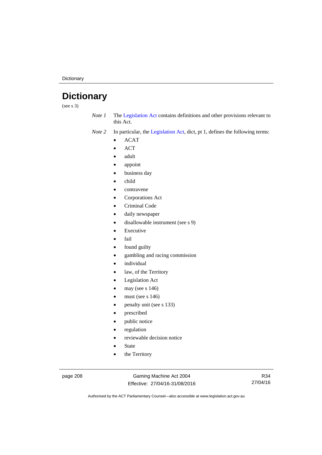**Dictionary** 

# **Dictionary**

(see s 3)

*Note 1* The [Legislation Act](http://www.legislation.act.gov.au/a/2001-14) contains definitions and other provisions relevant to this Act.

*Note 2* In particular, the [Legislation Act,](http://www.legislation.act.gov.au/a/2001-14) dict, pt 1, defines the following terms:

- ACAT
- ACT
- adult
- appoint
- business day
- child
- contravene
- Corporations Act
- Criminal Code
- daily newspaper
- disallowable instrument (see s 9)
- Executive
- fail
- found guilty
- gambling and racing commission
- individual
- law, of the Territory
- Legislation Act
- may (see s 146)
- must (see s 146)
- penalty unit (see s 133)
- prescribed
- public notice
- regulation
- reviewable decision notice
- State
- the Territory

page 208 Gaming Machine Act 2004 Effective: 27/04/16-31/08/2016

R34 27/04/16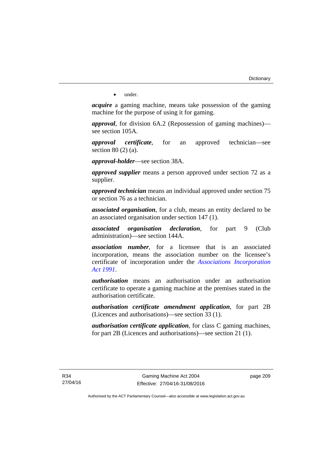• under.

*acquire* a gaming machine, means take possession of the gaming machine for the purpose of using it for gaming.

*approval*, for division 6A.2 (Repossession of gaming machines) see section 105A.

*approval certificate*, for an approved technician—see section 80 (2) (a).

*approval-holder*—see section 38A.

*approved supplier* means a person approved under section 72 as a supplier.

*approved technician* means an individual approved under section 75 or section 76 as a technician.

*associated organisation*, for a club, means an entity declared to be an associated organisation under section 147 (1).

*associated organisation declaration*, for part 9 (Club administration)—see section 144A.

*association number*, for a licensee that is an associated incorporation, means the association number on the licensee's certificate of incorporation under the *[Associations Incorporation](http://www.legislation.act.gov.au/a/1991-46)  [Act 1991](http://www.legislation.act.gov.au/a/1991-46)*.

*authorisation* means an authorisation under an authorisation certificate to operate a gaming machine at the premises stated in the authorisation certificate.

*authorisation certificate amendment application*, for part 2B (Licences and authorisations)—see section 33 (1).

*authorisation certificate application*, for class C gaming machines, for part 2B (Licences and authorisations)—see section 21 (1).

page 209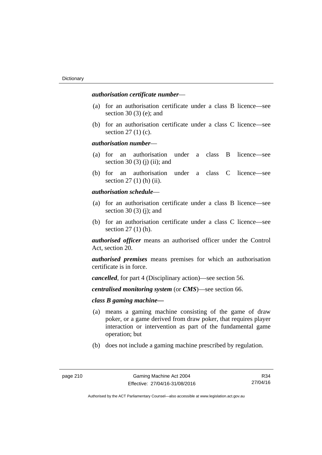## *authorisation certificate number*—

- (a) for an authorisation certificate under a class B licence—see section 30 (3) (e); and
- (b) for an authorisation certificate under a class C licence—see section 27 (1) (c).

## *authorisation number*—

- (a) for an authorisation under a class B licence—see section 30 (3) (j) (ii); and
- (b) for an authorisation under a class C licence—see section 27 (1) (h) (ii).

## *authorisation schedule*—

- (a) for an authorisation certificate under a class B licence—see section 30 $(3)$  $(i)$ ; and
- (b) for an authorisation certificate under a class C licence—see section 27 (1) (h).

*authorised officer* means an authorised officer under the Control Act, section 20.

*authorised premises* means premises for which an authorisation certificate is in force.

*cancelled*, for part 4 (Disciplinary action)—see section 56.

*centralised monitoring system* (or *CMS*)—see section 66.

# *class B gaming machine—*

- (a) means a gaming machine consisting of the game of draw poker, or a game derived from draw poker, that requires player interaction or intervention as part of the fundamental game operation; but
- (b) does not include a gaming machine prescribed by regulation.

R34 27/04/16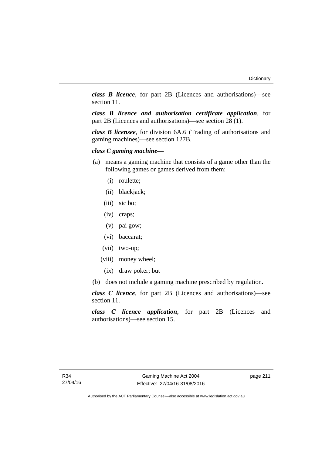*class B licence*, for part 2B (Licences and authorisations)—see section 11.

*class B licence and authorisation certificate application*, for part 2B (Licences and authorisations)—see section 28 (1).

*class B licensee*, for division 6A.6 (Trading of authorisations and gaming machines)—see section 127B.

# *class C gaming machine—*

- (a) means a gaming machine that consists of a game other than the following games or games derived from them:
	- (i) roulette;
	- (ii) blackjack;
	- (iii) sic bo;
	- (iv) craps;
	- (v) pai gow;
	- (vi) baccarat;
	- (vii) two-up;
	- (viii) money wheel;
		- (ix) draw poker; but
- (b) does not include a gaming machine prescribed by regulation.

*class C licence*, for part 2B (Licences and authorisations)—see section 11.

*class C licence application*, for part 2B (Licences and authorisations)—see section 15.

page 211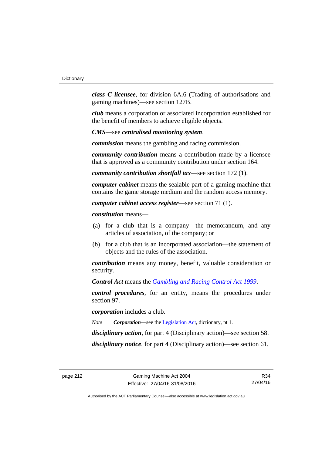*class C licensee*, for division 6A.6 (Trading of authorisations and gaming machines)—see section 127B.

*club* means a corporation or associated incorporation established for the benefit of members to achieve eligible objects.

*CMS*—see *centralised monitoring system*.

*commission* means the gambling and racing commission.

*community contribution* means a contribution made by a licensee that is approved as a community contribution under section 164.

*community contribution shortfall tax*—see section 172 (1).

*computer cabinet* means the sealable part of a gaming machine that contains the game storage medium and the random access memory.

*computer cabinet access register*—see section 71 (1).

*constitution* means—

- (a) for a club that is a company—the memorandum, and any articles of association, of the company; or
- (b) for a club that is an incorporated association—the statement of objects and the rules of the association.

*contribution* means any money, benefit, valuable consideration or security.

*Control Act* means the *[Gambling and Racing Control Act 1999](http://www.legislation.act.gov.au/a/1999-46)*.

*control procedures*, for an entity, means the procedures under section 97.

*corporation* includes a club.

*Note Corporation*—see the [Legislation Act,](http://www.legislation.act.gov.au/a/2001-14) dictionary, pt 1.

*disciplinary action*, for part 4 (Disciplinary action)—see section 58.

*disciplinary notice*, for part 4 (Disciplinary action)—see section 61.

R34 27/04/16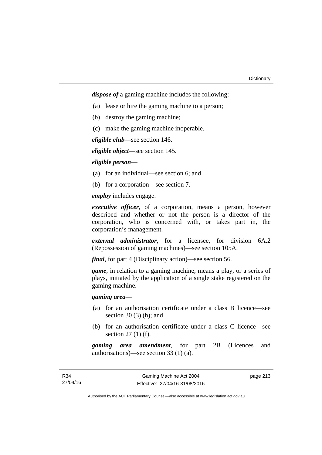*dispose of* a gaming machine includes the following:

- (a) lease or hire the gaming machine to a person;
- (b) destroy the gaming machine;
- (c) make the gaming machine inoperable.

*eligible club*—see section 146.

*eligible object*—see section 145.

*eligible person*—

- (a) for an individual—see section 6; and
- (b) for a corporation—see section 7.

*employ* includes engage.

*executive officer*, of a corporation, means a person, however described and whether or not the person is a director of the corporation, who is concerned with, or takes part in, the corporation's management.

*external administrator*, for a licensee, for division 6A.2 (Repossession of gaming machines)—see section 105A.

*final*, for part 4 (Disciplinary action)—see section 56.

*game*, in relation to a gaming machine, means a play, or a series of plays, initiated by the application of a single stake registered on the gaming machine.

*gaming area*—

- (a) for an authorisation certificate under a class B licence—see section  $30(3)$  (h); and
- (b) for an authorisation certificate under a class C licence—see section 27 (1) (f).

*gaming area amendment*, for part 2B (Licences and authorisations)—see section 33 (1) (a).

page 213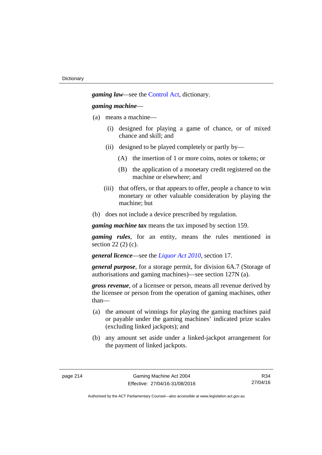*gaming law—*see the [Control Act](http://www.legislation.act.gov.au/a/1999-46/default.asp), dictionary.

## *gaming machine*—

- (a) means a machine—
	- (i) designed for playing a game of chance, or of mixed chance and skill; and
	- (ii) designed to be played completely or partly by—
		- (A) the insertion of 1 or more coins, notes or tokens; or
		- (B) the application of a monetary credit registered on the machine or elsewhere; and
	- (iii) that offers, or that appears to offer, people a chance to win monetary or other valuable consideration by playing the machine; but
- (b) does not include a device prescribed by regulation.

*gaming machine tax* means the tax imposed by section 159.

*gaming rules*, for an entity, means the rules mentioned in section 22 (2) (c).

*general licence*—see the *[Liquor Act 2010](http://www.legislation.act.gov.au/a/2010-35)*, section 17.

*general purpose*, for a storage permit, for division 6A.7 (Storage of authorisations and gaming machines)—see section 127N (a).

*gross revenue*, of a licensee or person, means all revenue derived by the licensee or person from the operation of gaming machines, other than—

- (a) the amount of winnings for playing the gaming machines paid or payable under the gaming machines' indicated prize scales (excluding linked jackpots); and
- (b) any amount set aside under a linked-jackpot arrangement for the payment of linked jackpots.

R34 27/04/16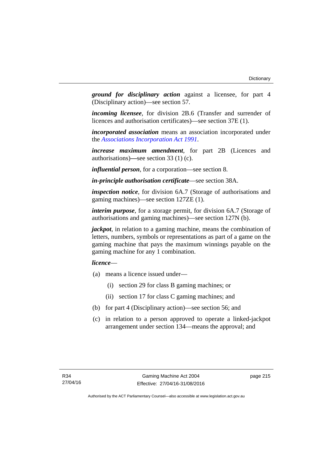*ground for disciplinary action* against a licensee, for part 4 (Disciplinary action)—see section 57.

*incoming licensee*, for division 2B.6 (Transfer and surrender of licences and authorisation certificates)—see section 37E (1).

*incorporated association* means an association incorporated under the *[Associations Incorporation Act 1991](http://www.legislation.act.gov.au/a/1991-46)*.

*increase maximum amendment*, for part 2B (Licences and authorisations)**—**see section 33 (1) (c).

*influential person*, for a corporation—see section 8.

*in-principle authorisation certificate*—see section 38A.

*inspection notice*, for division 6A.7 (Storage of authorisations and gaming machines)—see section 127ZE (1).

*interim purpose*, for a storage permit, for division 6A.7 (Storage of authorisations and gaming machines)—see section 127N (b).

*jackpot*, in relation to a gaming machine, means the combination of letters, numbers, symbols or representations as part of a game on the gaming machine that pays the maximum winnings payable on the gaming machine for any 1 combination.

# *licence*—

- (a) means a licence issued under—
	- (i) section 29 for class B gaming machines; or
	- (ii) section 17 for class C gaming machines; and
- (b) for part 4 (Disciplinary action)—see section 56; and
- (c) in relation to a person approved to operate a linked-jackpot arrangement under section 134—means the approval; and

page 215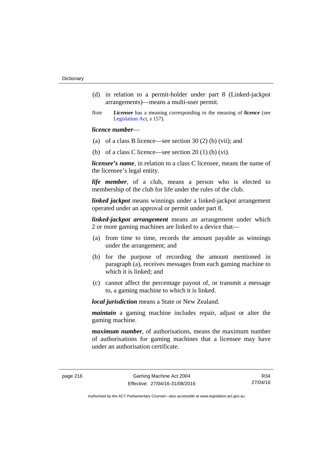- (d) in relation to a permit-holder under part 8 (Linked-jackpot arrangements)—means a multi-user permit.
- *Note Licensee* has a meaning corresponding to the meaning of *licence* (see [Legislation Act,](http://www.legislation.act.gov.au/a/2001-14) s 157).

### *licence number*—

- (a) of a class B licence—see section 30 (2) (b) (vii); and
- (b) of a class C licence—see section  $20(1)$  (b) (vi).

*licensee's name*, in relation to a class C licensee, means the name of the licensee's legal entity.

*life member*, of a club, means a person who is elected to membership of the club for life under the rules of the club.

*linked jackpot* means winnings under a linked-jackpot arrangement operated under an approval or permit under part 8.

*linked-jackpot arrangement* means an arrangement under which 2 or more gaming machines are linked to a device that—

- (a) from time to time, records the amount payable as winnings under the arrangement; and
- (b) for the purpose of recording the amount mentioned in paragraph (a), receives messages from each gaming machine to which it is linked; and
- (c) cannot affect the percentage payout of, or transmit a message to, a gaming machine to which it is linked.

*local jurisdiction* means a State or New Zealand.

*maintain* a gaming machine includes repair, adjust or alter the gaming machine.

*maximum number*, of authorisations, means the maximum number of authorisations for gaming machines that a licensee may have under an authorisation certificate.

R34 27/04/16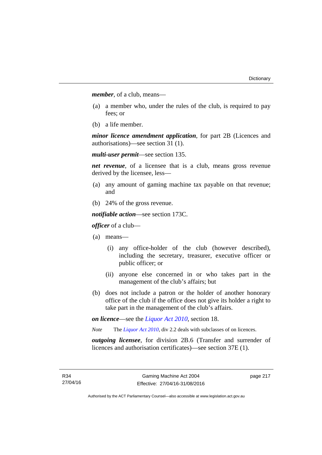*member*, of a club, means—

- (a) a member who, under the rules of the club, is required to pay fees; or
- (b) a life member.

*minor licence amendment application*, for part 2B (Licences and authorisations)—see section 31 (1).

*multi-user permit*—see section 135.

*net revenue*, of a licensee that is a club, means gross revenue derived by the licensee, less—

- (a) any amount of gaming machine tax payable on that revenue; and
- (b) 24% of the gross revenue.

*notifiable action*—see section 173C.

*officer* of a club—

- (a) means—
	- (i) any office-holder of the club (however described), including the secretary, treasurer, executive officer or public officer; or
	- (ii) anyone else concerned in or who takes part in the management of the club's affairs; but
- (b) does not include a patron or the holder of another honorary office of the club if the office does not give its holder a right to take part in the management of the club's affairs.

*on licence*—see the *[Liquor Act 2010](http://www.legislation.act.gov.au/a/2010-35)*, section 18.

*Note* The *[Liquor Act 2010](http://www.legislation.act.gov.au/a/2010-35)*, div 2.2 deals with subclasses of on licences.

*outgoing licensee*, for division 2B.6 (Transfer and surrender of licences and authorisation certificates)—see section 37E (1).

page 217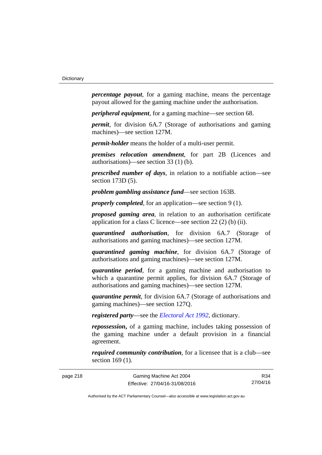*percentage payout*, for a gaming machine, means the percentage payout allowed for the gaming machine under the authorisation.

*peripheral equipment*, for a gaming machine—see section 68.

*permit*, for division 6A.7 (Storage of authorisations and gaming machines)—see section 127M.

*permit-holder* means the holder of a multi-user permit.

*premises relocation amendment*, for part 2B (Licences and authorisations)—see section 33 (1) (b).

*prescribed number of days*, in relation to a notifiable action—see section 173D (5).

*problem gambling assistance fund*—see section 163B.

*properly completed*, for an application—see section 9 (1).

*proposed gaming area*, in relation to an authorisation certificate application for a class C licence—see section 22 (2) (b) (ii).

*quarantined authorisation*, for division 6A.7 (Storage of authorisations and gaming machines)—see section 127M.

*quarantined gaming machine*, for division 6A.7 (Storage of authorisations and gaming machines)—see section 127M.

*quarantine period*, for a gaming machine and authorisation to which a quarantine permit applies, for division 6A.7 (Storage of authorisations and gaming machines)—see section 127M.

*quarantine permit*, for division 6A.7 (Storage of authorisations and gaming machines)—see section 127Q.

*registered party*—see the *[Electoral Act 1992](http://www.legislation.act.gov.au/a/1992-71)*, dictionary.

*repossession***,** of a gaming machine, includes taking possession of the gaming machine under a default provision in a financial agreement.

*required community contribution*, for a licensee that is a club—see section 169 (1).

R34 27/04/16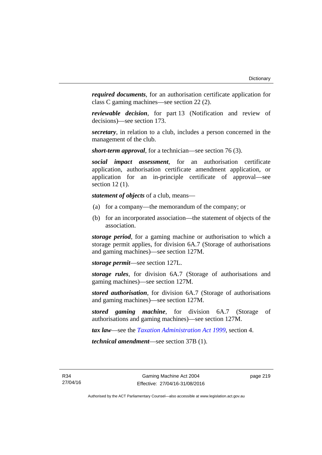*required documents*, for an authorisation certificate application for class C gaming machines—see section 22 (2).

*reviewable decision*, for part 13 (Notification and review of decisions)—see section 173.

*secretary*, in relation to a club, includes a person concerned in the management of the club.

*short-term approval*, for a technician—see section 76 (3).

*social impact assessment*, for an authorisation certificate application, authorisation certificate amendment application, or application for an in-principle certificate of approval—see section 12 (1).

*statement of objects* of a club, means—

- (a) for a company—the memorandum of the company; or
- (b) for an incorporated association—the statement of objects of the association.

*storage period*, for a gaming machine or authorisation to which a storage permit applies, for division 6A.7 (Storage of authorisations and gaming machines)—see section 127M.

*storage permit*—see section 127L.

*storage rules*, for division 6A.7 (Storage of authorisations and gaming machines)—see section 127M.

*stored authorisation*, for division 6A.7 (Storage of authorisations and gaming machines)—see section 127M.

*stored gaming machine*, for division 6A.7 (Storage of authorisations and gaming machines)—see section 127M.

*tax law*—see the *[Taxation Administration Act 1999](http://www.legislation.act.gov.au/a/1999-4)*, section 4.

*technical amendment*—see section 37B (1).

R34 27/04/16 page 219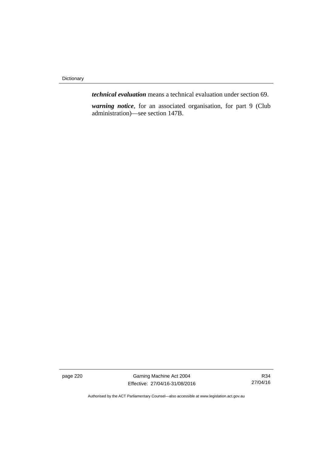**Dictionary** 

*technical evaluation* means a technical evaluation under section 69.

*warning notice*, for an associated organisation, for part 9 (Club administration)—see section 147B.

page 220 Gaming Machine Act 2004 Effective: 27/04/16-31/08/2016

R34 27/04/16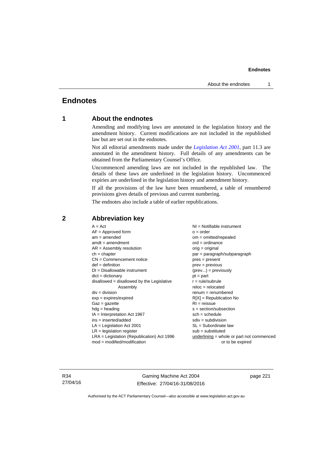# **Endnotes**

# **1 About the endnotes**

Amending and modifying laws are annotated in the legislation history and the amendment history. Current modifications are not included in the republished law but are set out in the endnotes.

Not all editorial amendments made under the *[Legislation Act 2001](http://www.legislation.act.gov.au/a/2001-14)*, part 11.3 are annotated in the amendment history. Full details of any amendments can be obtained from the Parliamentary Counsel's Office.

Uncommenced amending laws are not included in the republished law. The details of these laws are underlined in the legislation history. Uncommenced expiries are underlined in the legislation history and amendment history.

If all the provisions of the law have been renumbered, a table of renumbered provisions gives details of previous and current numbering.

The endnotes also include a table of earlier republications.

| $A = Act$                                    | NI = Notifiable instrument                  |
|----------------------------------------------|---------------------------------------------|
| $AF =$ Approved form                         | $o = order$                                 |
| $am = amended$                               | $om = omitted/repealed$                     |
| $amdt = amendment$                           | $ord = ordinance$                           |
| $AR = Assembly$ resolution                   | $orig = original$                           |
| $ch = chapter$                               | par = paragraph/subparagraph                |
| $CN =$ Commencement notice                   | $pres = present$                            |
| $def = definition$                           | $prev = previous$                           |
| $DI = Disallowable instrument$               | $(\text{prev}) = \text{previously}$         |
| $dict = dictionary$                          | $pt = part$                                 |
| $disallowed = disallowed by the Legislative$ | $r = rule/subrule$                          |
| Assembly                                     | $reloc = relocated$                         |
| $div = division$                             | $renum = renumbered$                        |
| $exp = expires/expired$                      | $R[X]$ = Republication No                   |
| $Gaz = gazette$                              | $RI = reissue$                              |
| $hdg = heading$                              | $s = section/subsection$                    |
| $IA = Interpretation Act 1967$               | $sch = schedule$                            |
| $ins = inserted/added$                       | $sdiv = subdivision$                        |
| $LA =$ Legislation Act 2001                  | $SL = Subordinate$ law                      |
| $LR =$ legislation register                  | $sub =$ substituted                         |
| LRA = Legislation (Republication) Act 1996   | $underlining = whole or part not commenced$ |
| $mod = modified/modification$                | or to be expired                            |
|                                              |                                             |

# **2 Abbreviation key**

R34 27/04/16

Gaming Machine Act 2004 Effective: 27/04/16-31/08/2016 page 221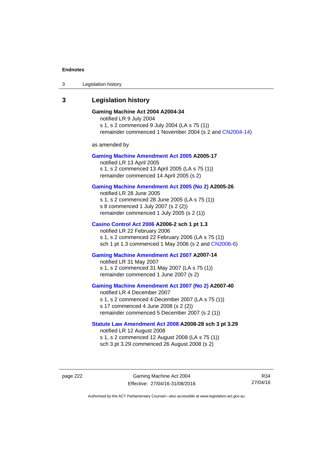3 Legislation history

# **3 Legislation history**

## **Gaming Machine Act 2004 A2004-34**

notified LR 9 July 2004 s 1, s 2 commenced 9 July 2004 (LA s 75 (1)) remainder commenced 1 November 2004 (s 2 and [CN2004-14](http://www.legislation.act.gov.au/cn/2004-14/default.asp))

as amended by

#### **[Gaming Machine Amendment Act 2005](http://www.legislation.act.gov.au/a/2005-17) A2005-17**

notified LR 13 April 2005 s 1, s 2 commenced 13 April 2005 (LA s 75 (1)) remainder commenced 14 April 2005 (s 2)

## **[Gaming Machine Amendment Act 2005 \(No 2\)](http://www.legislation.act.gov.au/a/2005-26) A2005-26**

notified LR 28 June 2005 s 1, s 2 commenced 28 June 2005 (LA s 75 (1)) s 8 commenced 1 July 2007 (s 2 (2)) remainder commenced 1 July 2005 (s 2 (1))

#### **[Casino Control Act 2006](http://www.legislation.act.gov.au/a/2006-2) A2006-2 sch 1 pt 1.3**

notified LR 22 February 2006 s 1, s 2 commenced 22 February 2006 (LA s 75 (1)) sch 1 pt 1.3 commenced 1 May 2006 (s 2 and [CN2006-6](http://www.legislation.act.gov.au/cn/2006-6/default.asp))

#### **[Gaming Machine Amendment Act 2007](http://www.legislation.act.gov.au/a/2007-14) A2007-14**

notified LR 31 May 2007 s 1, s 2 commenced 31 May 2007 (LA s 75 (1)) remainder commenced 1 June 2007 (s 2)

#### **[Gaming Machine Amendment Act 2007 \(No 2\)](http://www.legislation.act.gov.au/a/2007-40) A2007-40**

notified LR 4 December 2007 s 1, s 2 commenced 4 December 2007 (LA s 75 (1)) s 17 commenced 4 June 2008 (s 2 (2)) remainder commenced 5 December 2007 (s 2 (1))

## **[Statute Law Amendment Act 2008](http://www.legislation.act.gov.au/a/2008-28) A2008-28 sch 3 pt 3.29**

notified LR 12 August 2008 s 1, s 2 commenced 12 August 2008 (LA s 75 (1)) sch 3 pt 3.29 commenced 26 August 2008 (s 2)

page 222 Gaming Machine Act 2004 Effective: 27/04/16-31/08/2016

R34 27/04/16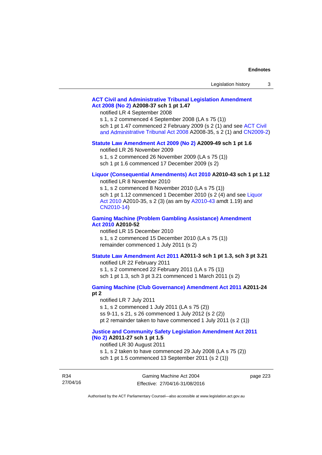| Legislation history |  |
|---------------------|--|
|---------------------|--|

## **[ACT Civil and Administrative Tribunal Legislation Amendment](http://www.legislation.act.gov.au/a/2008-37)  [Act 2008 \(No 2\)](http://www.legislation.act.gov.au/a/2008-37) A2008-37 sch 1 pt 1.47**

notified LR 4 September 2008

s 1, s 2 commenced 4 September 2008 (LA s 75 (1))

sch 1 pt 1.47 commenced 2 February 2009 (s 2 (1) and see [ACT Civil](http://www.legislation.act.gov.au/a/2008-35) 

[and Administrative Tribunal Act 2008](http://www.legislation.act.gov.au/a/2008-35) A2008-35, s 2 (1) and [CN2009-2](http://www.legislation.act.gov.au/cn/2009-2/default.asp))

### **[Statute Law Amendment Act 2009 \(No 2\)](http://www.legislation.act.gov.au/a/2009-49) A2009-49 sch 1 pt 1.6**

notified LR 26 November 2009

s 1, s 2 commenced 26 November 2009 (LA s 75 (1))

sch 1 pt 1.6 commenced 17 December 2009 (s 2)

# **[Liquor \(Consequential Amendments\) Act 2010](http://www.legislation.act.gov.au/a/2010-43) A2010-43 sch 1 pt 1.12**

notified LR 8 November 2010

s 1, s 2 commenced 8 November 2010 (LA s 75 (1)) sch 1 pt 1.12 commenced 1 December 2010 (s 2 (4) and see Liquor [Act 2010](http://www.legislation.act.gov.au/a/2010-35) A2010-35, s 2 (3) (as am by [A2010-43](http://www.legislation.act.gov.au/a/2010-43) amdt 1.19) and [CN2010-14](http://www.legislation.act.gov.au/cn/2010-14/default.asp))

#### **[Gaming Machine \(Problem Gambling Assistance\) Amendment](http://www.legislation.act.gov.au/a/2010-52)  [Act 2010](http://www.legislation.act.gov.au/a/2010-52) A2010-52**

notified LR 15 December 2010 s 1, s 2 commenced 15 December 2010 (LA s 75 (1)) remainder commenced 1 July 2011 (s 2)

### **[Statute Law Amendment Act 2011](http://www.legislation.act.gov.au/a/2011-3) A2011-3 sch 1 pt 1.3, sch 3 pt 3.21**

notified LR 22 February 2011 s 1, s 2 commenced 22 February 2011 (LA s 75 (1)) sch 1 pt 1.3, sch 3 pt 3.21 commenced 1 March 2011 (s 2)

# **[Gaming Machine \(Club Governance\) Amendment Act 2011](http://www.legislation.act.gov.au/a/2011-24) A2011-24**

**pt 2** 

notified LR 7 July 2011 s 1, s 2 commenced 1 July 2011 (LA s 75 (2)) ss 9-11, s 21, s 26 commenced 1 July 2012 (s 2 (2)) pt 2 remainder taken to have commenced 1 July 2011 (s 2 (1))

#### **[Justice and Community Safety Legislation Amendment Act 2011](http://www.legislation.act.gov.au/a/2011-27)  [\(No 2\)](http://www.legislation.act.gov.au/a/2011-27) A2011-27 sch 1 pt 1.5**

notified LR 30 August 2011

s 1, s 2 taken to have commenced 29 July 2008 (LA s 75 (2)) sch 1 pt 1.5 commenced 13 September 2011 (s 2 (1))

R34 27/04/16 page 223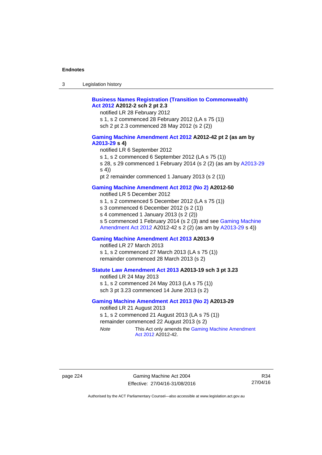| $\sqrt{2}$<br>- 3 | Legislation history |  |
|-------------------|---------------------|--|
|-------------------|---------------------|--|

## **[Business Names Registration \(Transition to Commonwealth\)](http://www.legislation.act.gov.au/a/2012-2)  [Act 2012](http://www.legislation.act.gov.au/a/2012-2) A2012-2 sch 2 pt 2.3**

notified LR 28 February 2012

s 1, s 2 commenced 28 February 2012 (LA s 75 (1))

sch 2 pt 2.3 commenced 28 May 2012 (s 2 (2))

#### **[Gaming Machine Amendment Act 2012](http://www.legislation.act.gov.au/a/2012-42) A2012-42 pt 2 (as am by [A2013-29](http://www.legislation.act.gov.au/a/2013-29) s 4)**

notified LR 6 September 2012

s 1, s 2 commenced 6 September 2012 (LA s 75 (1))

s 28, s 29 commenced 1 February 2014 (s 2 (2) (as am by [A2013-29](http://www.legislation.act.gov.au/a/2013-29) s 4))

pt 2 remainder commenced 1 January 2013 (s 2 (1))

## **[Gaming Machine Amendment Act 2012 \(No 2\)](http://www.legislation.act.gov.au/a/2012-50/default.asp) A2012-50**

notified LR 5 December 2012

s 1, s 2 commenced 5 December 2012 (LA s 75 (1))

s 3 commenced 6 December 2012 (s 2 (1))

s 4 commenced 1 January 2013 (s 2 (2))

s 5 commenced 1 February 2014 (s 2 (3) and see [Gaming Machine](http://www.legislation.act.gov.au/a/2012-42)  [Amendment Act 2012](http://www.legislation.act.gov.au/a/2012-42) A2012-42 s 2 (2) (as am by [A2013-29](http://www.legislation.act.gov.au/a/2013-29) s 4))

## **[Gaming Machine Amendment Act 2013](http://www.legislation.act.gov.au/a/2013-9) A2013-9**

notified LR 27 March 2013

s 1, s 2 commenced 27 March 2013 (LA s 75 (1)) remainder commenced 28 March 2013 (s 2)

### **[Statute Law Amendment Act 2013](http://www.legislation.act.gov.au/a/2013-19) A2013-19 sch 3 pt 3.23**

notified LR 24 May 2013 s 1, s 2 commenced 24 May 2013 (LA s 75 (1)) sch 3 pt 3.23 commenced 14 June 2013 (s 2)

#### **[Gaming Machine Amendment Act 2013 \(No 2\)](http://www.legislation.act.gov.au/a/2013-29) A2013-29**

notified LR 21 August 2013 s 1, s 2 commenced 21 August 2013 (LA s 75 (1)) remainder commenced 22 August 2013 (s 2) *Note* This Act only amends the Gaming Machine Amendment

[Act 2012](http://www.legislation.act.gov.au/a/2012-42) A2012-42.

page 224 Gaming Machine Act 2004 Effective: 27/04/16-31/08/2016

R34 27/04/16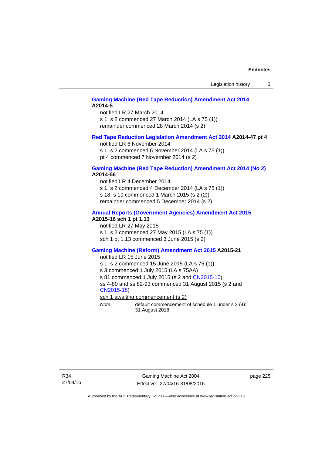# **[Gaming Machine \(Red Tape Reduction\) Amendment Act 2014](http://www.legislation.act.gov.au/a/2014-5) A2014-5**

notified LR 27 March 2014 s 1, s 2 commenced 27 March 2014 (LA s 75 (1)) remainder commenced 28 March 2014 (s 2)

#### **[Red Tape Reduction Legislation Amendment Act 2014](http://www.legislation.act.gov.au/a/2014-47) A2014-47 pt 4**

notified LR 6 November 2014

s 1, s 2 commenced 6 November 2014 (LA s 75 (1)) pt 4 commenced 7 November 2014 (s 2)

#### **[Gaming Machine \(Red Tape Reduction\) Amendment Act 2014 \(No 2\)](http://www.legislation.act.gov.au/a/2014-56) A2014-56**

notified LR 4 December 2014

s 1, s 2 commenced 4 December 2014 (LA s 75 (1))

s 18, s 19 commenced 1 March 2015 (s 2 (2))

remainder commenced 5 December 2014 (s 2)

# **[Annual Reports \(Government Agencies\) Amendment Act 2015](http://www.legislation.act.gov.au/a/2015-16)**

# **A2015-16 sch 1 pt 1.13**

notified LR 27 May 2015 s 1, s 2 commenced 27 May 2015 (LA s 75 (1)) sch 1 pt 1.13 commenced 3 June 2015 (s 2)

#### **[Gaming Machine \(Reform\) Amendment Act 2015](http://www.legislation.act.gov.au/a/2015-21/default.asp) A2015-21**

notified LR 15 June 2015

s 1, s 2 commenced 15 June 2015 (LA s 75 (1))

s 3 commenced 1 July 2015 (LA s 75AA)

s 81 commenced 1 July 2015 (s 2 and [CN2015-10\)](http://www.legislation.act.gov.au/cn/2015-10/default.asp)

ss 4-80 and ss 82-93 commenced 31 August 2015 (s 2 and [CN2015-18](http://www.legislation.act.gov.au/cn/2015-18/default.asp))

sch 1 awaiting commencement (s 2)

*Note* default commencement of schedule 1 under s 2 (4): 31 August 2018

page 225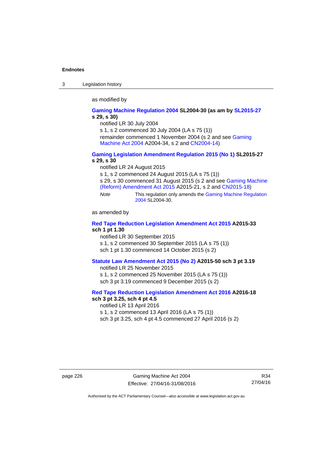3 Legislation history

as modified by

#### **[Gaming Machine Regulation 2004](http://www.legislation.act.gov.au/sl/2004-30/default.asp) SL2004-30 (as am by [SL2015-27](http://www.legislation.act.gov.au/sl/2015-27/default.asp) s 29, s 30)**

notified LR 30 July 2004

s 1, s 2 commenced 30 July 2004 (LA s 75 (1))

remainder commenced 1 November 2004 (s 2 and see [Gaming](http://www.legislation.act.gov.au/a/2004-34)  [Machine Act 2004](http://www.legislation.act.gov.au/a/2004-34) A2004-34, s 2 and [CN2004-14](http://www.legislation.act.gov.au/cn/2004-14/default.asp))

#### **[Gaming Legislation Amendment Regulation 2015 \(No 1\)](http://www.legislation.act.gov.au/sl/2015-27/default.asp) SL2015-27 s 29, s 30**

notified LR 24 August 2015

s 1, s 2 commenced 24 August 2015 (LA s 75 (1))

s 29, s 30 commenced 31 August 2015 (s 2 and see [Gaming Machine](http://www.legislation.act.gov.au/a/2015-21/default.asp)  [\(Reform\) Amendment Act 2015](http://www.legislation.act.gov.au/a/2015-21/default.asp) A2015-21, s 2 and [CN2015-18\)](http://www.legislation.act.gov.au/cn/2015-18/default.asp)

*Note* This regulation only amends the [Gaming Machine Regulation](http://www.legislation.act.gov.au/sl/2004-30/default.asp)  [2004](http://www.legislation.act.gov.au/sl/2004-30/default.asp) SL2004-30.

as amended by

## **[Red Tape Reduction Legislation Amendment Act 2015](http://www.legislation.act.gov.au/a/2015-33/default.asp) A2015-33 sch 1 pt 1.30**

notified LR 30 September 2015

s 1, s 2 commenced 30 September 2015 (LA s 75 (1))

sch 1 pt 1.30 commenced 14 October 2015 (s 2)

## **[Statute Law Amendment Act 2015 \(No 2\)](http://www.legislation.act.gov.au/a/2015-50) A2015-50 sch 3 pt 3.19**

notified LR 25 November 2015 s 1, s 2 commenced 25 November 2015 (LA s 75 (1)) sch 3 pt 3.19 commenced 9 December 2015 (s 2)

#### **[Red Tape Reduction Legislation Amendment Act 2016](http://www.legislation.act.gov.au/a/2016-18) A2016-18 sch 3 pt 3.25, sch 4 pt 4.5**

notified LR 13 April 2016 s 1, s 2 commenced 13 April 2016 (LA s 75 (1)) sch 3 pt 3.25, sch 4 pt 4.5 commenced 27 April 2016 (s 2)

page 226 Gaming Machine Act 2004 Effective: 27/04/16-31/08/2016

R34 27/04/16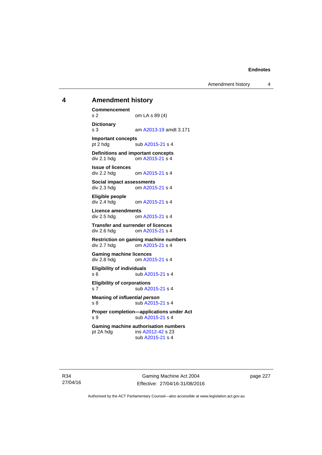Amendment history 4

# **4 Amendment history**

**Commencement**  s 2 om LA s 89 (4) **Dictionary**  s 3 am [A2013-19](http://www.legislation.act.gov.au/a/2013-19) amdt 3.171 **Important concepts**  pt 2 hdg sub [A2015-21](http://www.legislation.act.gov.au/a/2015-21) s 4 **Definitions and important concepts**  div 2.1 hdg om [A2015-21](http://www.legislation.act.gov.au/a/2015-21) s 4 **Issue of licences**  div 2.2 hdg om [A2015-21](http://www.legislation.act.gov.au/a/2015-21) s 4 **Social impact assessments**  div 2.3 hdg om [A2015-21](http://www.legislation.act.gov.au/a/2015-21) s 4 **Eligible people**  om [A2015-21](http://www.legislation.act.gov.au/a/2015-21) s 4 **Licence amendments**  div 2.5 hdg om [A2015-21](http://www.legislation.act.gov.au/a/2015-21) s 4 **Transfer and surrender of licences**  div 2.6 hdg om [A2015-21](http://www.legislation.act.gov.au/a/2015-21) s 4 **Restriction on gaming machine numbers**  div 2.7 hdg om [A2015-21](http://www.legislation.act.gov.au/a/2015-21) s 4 **Gaming machine licences**<br>div 2.8 hdg om A20 om [A2015-21](http://www.legislation.act.gov.au/a/2015-21) s 4 **Eligibility of individuals**  s 6 sub [A2015-21](http://www.legislation.act.gov.au/a/2015-21) s 4 **Eligibility of corporations**  s 7 sub [A2015-21](http://www.legislation.act.gov.au/a/2015-21) s 4 **Meaning of** *influential person* s 8 sub [A2015-21](http://www.legislation.act.gov.au/a/2015-21) s 4 **Proper completion—applications under Act**  s 9 sub [A2015-21](http://www.legislation.act.gov.au/a/2015-21) s 4 **Gaming machine authorisation numbers**  pt 2A hdg ins [A2012-42](http://www.legislation.act.gov.au/a/2012-42) s 23 sub [A2015-21](http://www.legislation.act.gov.au/a/2015-21) s 4

R34 27/04/16

Gaming Machine Act 2004 Effective: 27/04/16-31/08/2016 page 227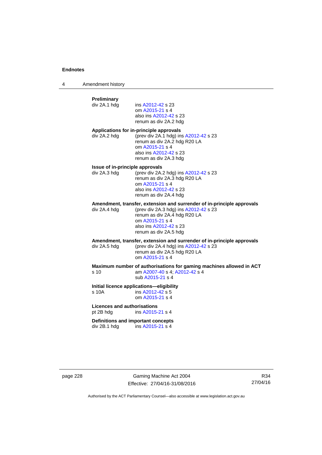4 Amendment history

# **Preliminary**  ins [A2012-42](http://www.legislation.act.gov.au/a/2012-42) s 23 om [A2015-21](http://www.legislation.act.gov.au/a/2015-21) s 4 also ins [A2012-42](http://www.legislation.act.gov.au/a/2012-42) s 23 renum as div 2A.2 hdg **Applications for in-principle approvals**  div 2A.2 hdg (prev div 2A.1 hdg) ins [A2012-42](http://www.legislation.act.gov.au/a/2012-42) s 23 renum as div 2A.2 hdg R20 LA om [A2015-21](http://www.legislation.act.gov.au/a/2015-21) s 4 also ins [A2012-42](http://www.legislation.act.gov.au/a/2012-42) s 23 renum as div 2A.3 hdg **Issue of in-principle approvals**  div 2A.3 hdg (prev div 2A.2 hdg) ins [A2012-42](http://www.legislation.act.gov.au/a/2012-42) s 23 renum as div 2A.3 hdg R20 LA om [A2015-21](http://www.legislation.act.gov.au/a/2015-21) s 4 also ins [A2012-42](http://www.legislation.act.gov.au/a/2012-42) s 23 renum as div 2A.4 hdg **Amendment, transfer, extension and surrender of in-principle approvals div 2A.4 hdg (prev div 2A.3 hdg) ins A2012-42 s 23** (prev div 2A.3 hdg) ins  $A2012-42$  s 23 renum as div 2A.4 hdg R20 LA om [A2015-21](http://www.legislation.act.gov.au/a/2015-21) s 4 also ins [A2012-42](http://www.legislation.act.gov.au/a/2012-42) s 23 renum as div 2A.5 hdg **Amendment, transfer, extension and surrender of in-principle approvals div 2A.5 hdd (prev div 2A.4 hdd) ins A2012-42 s 23** (prev div 2A.4 hdg) ins  $A2012-42$  s 23 renum as div 2A.5 hdg R20 LA om [A2015-21](http://www.legislation.act.gov.au/a/2015-21) s 4 **Maximum number of authorisations for gaming machines allowed in ACT**  s 10 am [A2007-40](http://www.legislation.act.gov.au/a/2007-40) s 4; [A2012-42](http://www.legislation.act.gov.au/a/2012-42) s 4 sub [A2015-21](http://www.legislation.act.gov.au/a/2015-21) s 4 **Initial licence applications—eligibility**  s 10A ins [A2012-42](http://www.legislation.act.gov.au/a/2012-42) s 5 om [A2015-21](http://www.legislation.act.gov.au/a/2015-21) s 4 **Licences and authorisations**  pt 2B hdg ins [A2015-21](http://www.legislation.act.gov.au/a/2015-21) s 4 **Definitions and important concepts**  div 2B.1 hdg ins [A2015-21](http://www.legislation.act.gov.au/a/2015-21) s 4

page 228 Gaming Machine Act 2004 Effective: 27/04/16-31/08/2016

R34 27/04/16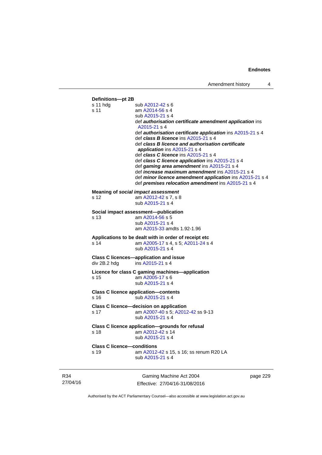

R34 27/04/16

Gaming Machine Act 2004 Effective: 27/04/16-31/08/2016 page 229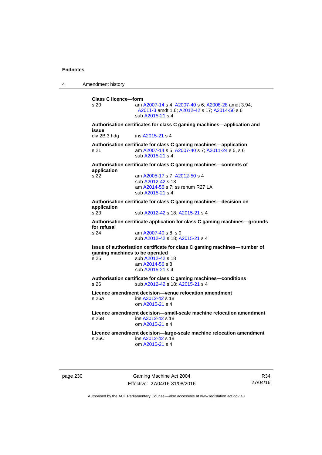4 Amendment history

**Class C licence—form**  s 20 am [A2007-14](http://www.legislation.act.gov.au/a/2007-14) s 4; [A2007-40](http://www.legislation.act.gov.au/a/2007-40) s 6; [A2008-28](http://www.legislation.act.gov.au/a/2008-28) amdt 3.94; [A2011-3](http://www.legislation.act.gov.au/a/2011-3) amdt 1.6; [A2012-42](http://www.legislation.act.gov.au/a/2012-42) s 17; [A2014-56](http://www.legislation.act.gov.au/a/2014-56) s 6 sub [A2015-21](http://www.legislation.act.gov.au/a/2015-21) s 4 **Authorisation certificates for class C gaming machines—application and issue**  div 2B.3 hdg ins [A2015-21](http://www.legislation.act.gov.au/a/2015-21) s 4 **Authorisation certificate for class C gaming machines—application**  s 21 am [A2007-14](http://www.legislation.act.gov.au/a/2007-14) s 5; [A2007-40](http://www.legislation.act.gov.au/a/2007-40) s 7; [A2011-24](http://www.legislation.act.gov.au/a/2011-24) s 5, s 6 sub [A2015-21](http://www.legislation.act.gov.au/a/2015-21) s 4 **Authorisation certificate for class C gaming machines—contents of application**  s 22 am [A2005-17](http://www.legislation.act.gov.au/a/2005-17) s 7; [A2012-50](http://www.legislation.act.gov.au/a/2012-50/default.asp) s 4 sub [A2012-42](http://www.legislation.act.gov.au/a/2012-42) s 18 am [A2014-56](http://www.legislation.act.gov.au/a/2014-56) s 7; ss renum R27 LA sub [A2015-21](http://www.legislation.act.gov.au/a/2015-21) s 4 **Authorisation certificate for class C gaming machines—decision on application**  s 23 sub [A2012-42](http://www.legislation.act.gov.au/a/2012-42) s 18; [A2015-21](http://www.legislation.act.gov.au/a/2015-21) s 4 **Authorisation certificate application for class C gaming machines—grounds for refusal**  am [A2007-40](http://www.legislation.act.gov.au/a/2007-40) s 8, s 9 sub [A2012-42](http://www.legislation.act.gov.au/a/2012-42) s 18; [A2015-21](http://www.legislation.act.gov.au/a/2015-21) s 4 **Issue of authorisation certificate for class C gaming machines—number of gaming machines to be operated**<br>s 25 **b** A2012-42 **s** sub [A2012-42](http://www.legislation.act.gov.au/a/2012-42) s 18 am [A2014-56](http://www.legislation.act.gov.au/a/2014-56) s 8 sub [A2015-21](http://www.legislation.act.gov.au/a/2015-21) s 4 **Authorisation certificate for class C gaming machines—conditions**  s 26 sub [A2012-42](http://www.legislation.act.gov.au/a/2012-42) s 18; [A2015-21](http://www.legislation.act.gov.au/a/2015-21) s 4 **Licence amendment decision—venue relocation amendment**  s 26A ins [A2012-42](http://www.legislation.act.gov.au/a/2012-42) s 18 om [A2015-21](http://www.legislation.act.gov.au/a/2015-21) s 4 **Licence amendment decision—small-scale machine relocation amendment**  s 26B ins [A2012-42](http://www.legislation.act.gov.au/a/2012-42) s 18 om [A2015-21](http://www.legislation.act.gov.au/a/2015-21) s 4 **Licence amendment decision—large-scale machine relocation amendment**  s 26C ins [A2012-42](http://www.legislation.act.gov.au/a/2012-42) s 18 om [A2015-21](http://www.legislation.act.gov.au/a/2015-21) s 4

page 230 Gaming Machine Act 2004 Effective: 27/04/16-31/08/2016

R34 27/04/16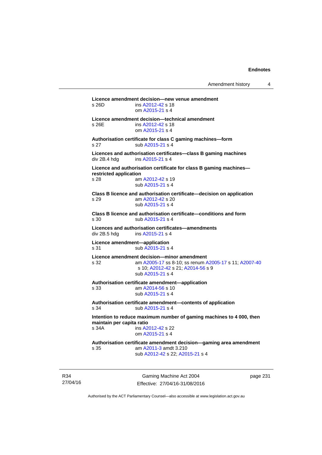```
Licence amendment decision—new venue amendment 
s 26D ins A2012-42 s 18 
                 om A2015-21 s 4 
Licence amendment decision—technical amendment 
A2012-42 s 18
                 om A2015-21 s 4 
Authorisation certificate for class C gaming machines—form 
A2015-21 s 4
Licences and authorisation certificates—class B gaming machines 
 A2015-21 s 4
Licence and authorisation certificate for class B gaming machines—
restricted application 
s 28 am A2012-42 s 19 
                 sub A2015-21 s 4 
Class B licence and authorisation certificate—decision on application 
s 29 am A2012-42 s 20 
                 sub A2015-21 s 4 
Class B licence and authorisation certificate—conditions and form 
A2015-21 s 4
Licences and authorisation certificates—amendments 
                A2015-21 s 4
Licence amendment—application 
A2015-21 s 4
Licence amendment decision—minor amendment 
s 32 am A2005-17 ss 8-10; ss renum A2005-17 s 11; A2007-40
                s 10; A2012-42 s 21; A2014-56 s 9 
                 sub A2015-21 s 4 
Authorisation certificate amendment—application 
s 33 am A2014-56 s 10 
                 sub A2015-21 s 4 
Authorisation certificate amendment—contents of application 
A2015-21 s 4
Intention to reduce maximum number of gaming machines to 4 000, then 
maintain per capita ratio<br>s 34A ins A2
               A2012-42 s 22
                 om A2015-21 s 4 
Authorisation certificate amendment decision—gaming area amendment 
s 35 am A2011-3 amdt 3.210 
                 sub A2012-42 s 22; A2015-21 s 4
```
R34 27/04/16

Gaming Machine Act 2004 Effective: 27/04/16-31/08/2016 page 231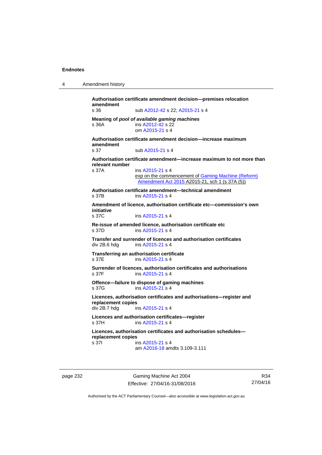```
4 Amendment history
```

```
Authorisation certificate amendment decision—premises relocation 
amendment 
s 36 sub A2012-42 s 22; A2015-21 s 4 
Meaning of pool of available gaming machines
A2012-42 s 22
                 om A2015-21 s 4 
Authorisation certificate amendment decision—increase maximum 
amendment 
                A2015-21 s 4
Authorisation certificate amendment—increase maximum to not more than 
relevant number 
s 37A ins A2015-21 s 4
                exp on the commencement of Gaming Machine (Reform) 
                 Amendment Act 2015 A2015-21, sch 1 (s 37A (5))
Authorisation certificate amendment—technical amendment 
s 37B ins A2015-21 s 4
Amendment of licence, authorisation certificate etc—commission's own 
initiative 
                A2015-21 s 4
Re-issue of amended licence, authorisation certificate etc 
s 37D ins A2015-21 s 4
Transfer and surrender of licences and authorisation certificates 
 A2015-21 s 4
Transferring an authorisation certificate 
s 37E ins A2015-21 s 4
Surrender of licences, authorisation certificates and authorisations 
A2015-21 s 4
Offence—failure to dispose of gaming machines 
 A2015-21 s 4
Licences, authorisation certificates and authorisations—register and 
replacement copies 
 A2015-21 s 4
Licences and authorisation certificates—register 
s 37H ins A2015-21 s 4
Licences, authorisation certificates and authorisation schedules—
replacement copies 
 A2015-21 s 4
                 am A2016-18 amdts 3.109-3.111
```
page 232 Gaming Machine Act 2004 Effective: 27/04/16-31/08/2016

R34 27/04/16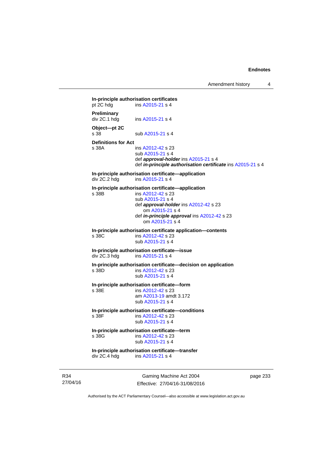Amendment history 4

**In-principle authorisation certificates**<br>pt 2C hdg ins  $\frac{\text{A2015-21}}{2}$  s 4  $ins A2015-21 s 4$  $ins A2015-21 s 4$  $ins A2015-21 s 4$ **Preliminary**  ins [A2015-21](http://www.legislation.act.gov.au/a/2015-21) s 4 **Object—pt 2C**  s 38 sub [A2015-21](http://www.legislation.act.gov.au/a/2015-21) s 4 **Definitions for Act**  s 38A ins [A2012-42](http://www.legislation.act.gov.au/a/2012-42) s 23 sub [A2015-21](http://www.legislation.act.gov.au/a/2015-21) s 4 def *approval-holder* ins [A2015-21](http://www.legislation.act.gov.au/a/2015-21) s 4 def *in-principle authorisation certificate* ins [A2015-21](http://www.legislation.act.gov.au/a/2015-21) s 4 **In-principle authorisation certificate—application**  div 2C.2 hdg ins [A2015-21](http://www.legislation.act.gov.au/a/2015-21) s 4 **In-principle authorisation certificate—application**  s 38B ins [A2012-42](http://www.legislation.act.gov.au/a/2012-42) s 23 sub [A2015-21](http://www.legislation.act.gov.au/a/2015-21) s 4 def *approval-holder* ins [A2012-42](http://www.legislation.act.gov.au/a/2012-42) s 23 om [A2015-21](http://www.legislation.act.gov.au/a/2015-21) s 4 def *in-principle approval* ins [A2012-42](http://www.legislation.act.gov.au/a/2012-42) s 23 om [A2015-21](http://www.legislation.act.gov.au/a/2015-21) s 4 **In-principle authorisation certificate application—contents**  s 38C ins [A2012-42](http://www.legislation.act.gov.au/a/2012-42) s 23 sub [A2015-21](http://www.legislation.act.gov.au/a/2015-21) s 4 **In-principle authorisation certificate—issue**  div 2C.3 hdg ins [A2015-21](http://www.legislation.act.gov.au/a/2015-21) s 4 **In-principle authorisation certificate—decision on application**  s 38D ins [A2012-42](http://www.legislation.act.gov.au/a/2012-42) s 23 sub [A2015-21](http://www.legislation.act.gov.au/a/2015-21) s 4 **In-principle authorisation certificate—form**  s 38E ins [A2012-42](http://www.legislation.act.gov.au/a/2012-42) s 23 am [A2013-19](http://www.legislation.act.gov.au/a/2013-19) amdt 3.172 sub [A2015-21](http://www.legislation.act.gov.au/a/2015-21) s 4 **In-principle authorisation certificate—conditions**  ins [A2012-42](http://www.legislation.act.gov.au/a/2012-42) s 23 sub [A2015-21](http://www.legislation.act.gov.au/a/2015-21) s 4 **In-principle authorisation certificate—term**  s 38G ins [A2012-42](http://www.legislation.act.gov.au/a/2012-42) s 23 sub [A2015-21](http://www.legislation.act.gov.au/a/2015-21) s 4 **In-principle authorisation certificate—transfer**  div 2C.4 hdg ins [A2015-21](http://www.legislation.act.gov.au/a/2015-21) s 4

R34 27/04/16

Gaming Machine Act 2004 Effective: 27/04/16-31/08/2016 page 233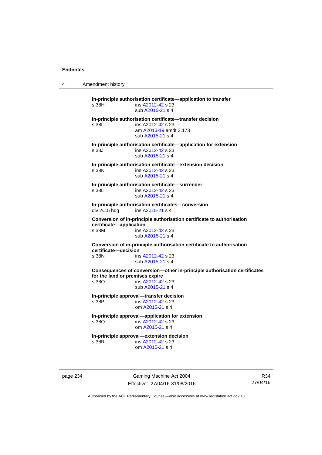4 Amendment history

**In-principle authorisation certificate—application to transfer**  s 38H ins [A2012-42](http://www.legislation.act.gov.au/a/2012-42) s 23 sub [A2015-21](http://www.legislation.act.gov.au/a/2015-21) s 4 **In-principle authorisation certificate—transfer decision**  s 38I ins [A2012-42](http://www.legislation.act.gov.au/a/2012-42) s 23 am [A2013-19](http://www.legislation.act.gov.au/a/2013-19) amdt 3.173 sub [A2015-21](http://www.legislation.act.gov.au/a/2015-21) s 4 **In-principle authorisation certificate—application for extension**  s 38J ins [A2012-42](http://www.legislation.act.gov.au/a/2012-42) s 23 sub [A2015-21](http://www.legislation.act.gov.au/a/2015-21) s 4 **In-principle authorisation certificate—extension decision**  s 38K ins [A2012-42](http://www.legislation.act.gov.au/a/2012-42) s 23 sub [A2015-21](http://www.legislation.act.gov.au/a/2015-21) s 4 **In-principle authorisation certificate—surrender**  s 38L ins [A2012-42](http://www.legislation.act.gov.au/a/2012-42) s 23 sub [A2015-21](http://www.legislation.act.gov.au/a/2015-21) s 4 **In-principle authorisation certificates—conversion**  div 2C.5 hdg ins [A2015-21](http://www.legislation.act.gov.au/a/2015-21) s 4 **Conversion of in-principle authorisation certificate to authorisation certificate—application**  s 38M ins [A2012-42](http://www.legislation.act.gov.au/a/2012-42) s 23 sub [A2015-21](http://www.legislation.act.gov.au/a/2015-21) s 4 **Conversion of in-principle authorisation certificate to authorisation certificate—decision**  s 38N ins [A2012-42](http://www.legislation.act.gov.au/a/2012-42) s 23 sub [A2015-21](http://www.legislation.act.gov.au/a/2015-21) s 4 **Consequences of conversion—other in-principle authorisation certificates for the land or premises expire**  s 38O ins [A2012-42](http://www.legislation.act.gov.au/a/2012-42) s 23 sub [A2015-21](http://www.legislation.act.gov.au/a/2015-21) s 4 **In-principle approval—transfer decision**  s 38P ins [A2012-42](http://www.legislation.act.gov.au/a/2012-42) s 23 om [A2015-21](http://www.legislation.act.gov.au/a/2015-21) s 4 **In-principle approval—application for extension**  ins [A2012-42](http://www.legislation.act.gov.au/a/2012-42) s 23 om [A2015-21](http://www.legislation.act.gov.au/a/2015-21) s 4 **In-principle approval—extension decision**  s 38R ins [A2012-42](http://www.legislation.act.gov.au/a/2012-42) s 23 om [A2015-21](http://www.legislation.act.gov.au/a/2015-21) s 4

page 234 Gaming Machine Act 2004 Effective: 27/04/16-31/08/2016

R34 27/04/16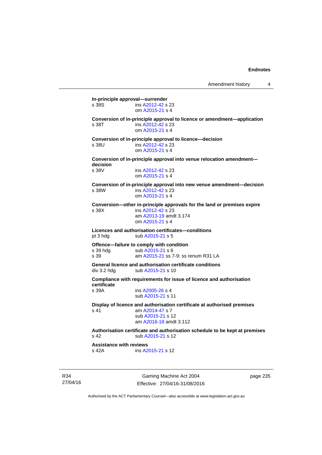**In-principle approval—surrender**  s 38S ins [A2012-42](http://www.legislation.act.gov.au/a/2012-42) s 23 om [A2015-21](http://www.legislation.act.gov.au/a/2015-21) s 4 **Conversion of in-principle approval to licence or amendment—application**  s 38T ins [A2012-42](http://www.legislation.act.gov.au/a/2012-42) s 23 om [A2015-21](http://www.legislation.act.gov.au/a/2015-21) s 4 **Conversion of in-principle approval to licence—decision**  s 38U ins [A2012-42](http://www.legislation.act.gov.au/a/2012-42) s 23 om [A2015-21](http://www.legislation.act.gov.au/a/2015-21) s 4 **Conversion of in-principle approval into venue relocation amendment decision**  ins [A2012-42](http://www.legislation.act.gov.au/a/2012-42) s 23 om [A2015-21](http://www.legislation.act.gov.au/a/2015-21) s 4 **Conversion of in-principle approval into new venue amendment—decision**  s 38W ins [A2012-42](http://www.legislation.act.gov.au/a/2012-42) s 23 om [A2015-21](http://www.legislation.act.gov.au/a/2015-21) s 4 **Conversion—other in-principle approvals for the land or premises expire**  s 38X ins [A2012-42](http://www.legislation.act.gov.au/a/2012-42) s 23 am [A2013-19](http://www.legislation.act.gov.au/a/2013-19) amdt 3.174 om [A2015-21](http://www.legislation.act.gov.au/a/2015-21) s 4 **Licences and authorisation certificates—conditions**  pt 3 hdg sub [A2015-21](http://www.legislation.act.gov.au/a/2015-21) s 5 **Offence—failure to comply with condition**<br>s 39 hdg sub A2015-21 s 6 sub [A2015-21](http://www.legislation.act.gov.au/a/2015-21) s 6 s 39 am [A2015-21](http://www.legislation.act.gov.au/a/2015-21) ss 7-9; ss renum R31 LA **General licence and authorisation certificate conditions**  div 3.2 hdg sub [A2015-21](http://www.legislation.act.gov.au/a/2015-21) s 10 **Compliance with requirements for issue of licence and authorisation certificate**  s 39A ins [A2005-26](http://www.legislation.act.gov.au/a/2005-26) s 4 sub [A2015-21](http://www.legislation.act.gov.au/a/2015-21) s 11 **Display of licence and authorisation certificate at authorised premises**  s 41 am [A2014-47](http://www.legislation.act.gov.au/a/2014-47) s 7 sub [A2015-21](http://www.legislation.act.gov.au/a/2015-21) s 12 am [A2016-18](http://www.legislation.act.gov.au/a/2016-18/default.asp) amdt 3.112 **Authorisation certificate and authorisation schedule to be kept at premises**  s 42 sub [A2015-21](http://www.legislation.act.gov.au/a/2015-21) s 12 **Assistance with reviews**  s 42A **ins [A2015-21](http://www.legislation.act.gov.au/a/2015-21) s** 12

R34 27/04/16

Gaming Machine Act 2004 Effective: 27/04/16-31/08/2016 page 235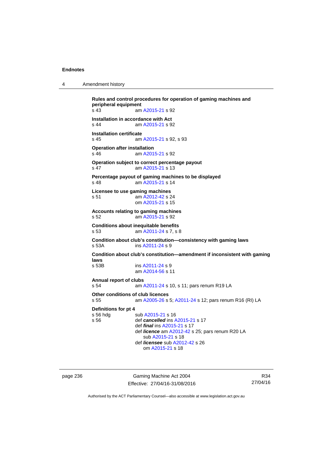| 4 | Amendment history |
|---|-------------------|
|---|-------------------|

**Rules and control procedures for operation of gaming machines and peripheral equipment**  s 43 am [A2015-21](http://www.legislation.act.gov.au/a/2015-21) s 92 **Installation in accordance with Act**  s 44 am [A2015-21](http://www.legislation.act.gov.au/a/2015-21) s 92 **Installation certificate**  s 45 am [A2015-21](http://www.legislation.act.gov.au/a/2015-21) s 92, s 93 **Operation after installation**  s 46 am [A2015-21](http://www.legislation.act.gov.au/a/2015-21) s 92 **Operation subject to correct percentage payout**  s 47 am [A2015-21](http://www.legislation.act.gov.au/a/2015-21) s 13 **Percentage payout of gaming machines to be displayed**  s 48 am [A2015-21](http://www.legislation.act.gov.au/a/2015-21) s 14 **Licensee to use gaming machines**  s 51 am [A2012-42](http://www.legislation.act.gov.au/a/2012-42) s 24 om [A2015-21](http://www.legislation.act.gov.au/a/2015-21) s 15 **Accounts relating to gaming machines**  s 52 am [A2015-21](http://www.legislation.act.gov.au/a/2015-21) s 92 **Conditions about inequitable benefits**  s 53 am [A2011-24](http://www.legislation.act.gov.au/a/2011-24) s 7, s 8 **Condition about club's constitution—consistency with gaming laws**  $s$  53A **ims A2011-24 s** 9 ins [A2011-24](http://www.legislation.act.gov.au/a/2011-24) s 9 **Condition about club's constitution—amendment if inconsistent with gaming laws**   $ins A2011-24 s 9$  $ins A2011-24 s 9$  $ins A2011-24 s 9$  am [A2014-56](http://www.legislation.act.gov.au/a/2014-56) s 11 **Annual report of clubs**  s 54 am [A2011-24](http://www.legislation.act.gov.au/a/2011-24) s 10, s 11; pars renum R19 LA **Other conditions of club licences**  s 55 am [A2005-26](http://www.legislation.act.gov.au/a/2005-26) s 5; [A2011-24](http://www.legislation.act.gov.au/a/2011-24) s 12; pars renum R16 (RI) LA **Definitions for pt 4**  s 56 hdg sub [A2015-21](http://www.legislation.act.gov.au/a/2015-21) s 16<br>s 56 def cancelled ins A def *cancelled* ins [A2015-21](http://www.legislation.act.gov.au/a/2015-21) s 17 def *final* ins [A2015-21](http://www.legislation.act.gov.au/a/2015-21) s 17 def *licence* am [A2012-42](http://www.legislation.act.gov.au/a/2012-42) s 25; pars renum R20 LA sub [A2015-21](http://www.legislation.act.gov.au/a/2015-21) s 18 def *licensee* sub [A2012-42](http://www.legislation.act.gov.au/a/2012-42) s 26 om [A2015-21](http://www.legislation.act.gov.au/a/2015-21) s 18

page 236 Gaming Machine Act 2004 Effective: 27/04/16-31/08/2016

R34 27/04/16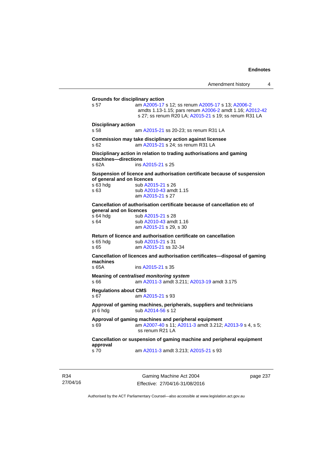| Amendment history |  |
|-------------------|--|
|-------------------|--|

**Grounds for disciplinary action**  s 57 am [A2005-17](http://www.legislation.act.gov.au/a/2005-17) s 12; ss renum [A2005-17](http://www.legislation.act.gov.au/a/2005-17) s 13; [A2006-2](http://www.legislation.act.gov.au/a/2006-2) amdts 1.13-1.15; pars renum [A2006-2](http://www.legislation.act.gov.au/a/2006-2) amdt 1.16; [A2012-42](http://www.legislation.act.gov.au/a/2012-42) s 27; ss renum R20 LA; [A2015-21](http://www.legislation.act.gov.au/a/2015-21) s 19; ss renum R31 LA **Disciplinary action**  s 58 am [A2015-21](http://www.legislation.act.gov.au/a/2015-21) ss 20-23; ss renum R31 LA **Commission may take disciplinary action against licensee**  s 62 am [A2015-21](http://www.legislation.act.gov.au/a/2015-21) s 24; ss renum R31 LA **Disciplinary action in relation to trading authorisations and gaming machines—directions**  s 62A ins [A2015-21](http://www.legislation.act.gov.au/a/2015-21) s 25 **Suspension of licence and authorisation certificate because of suspension of general and on licences**  s 63 hdg sub [A2015-21](http://www.legislation.act.gov.au/a/2015-21) s 26 s 63 sub [A2010-43](http://www.legislation.act.gov.au/a/2010-43) amdt 1.15 am [A2015-21](http://www.legislation.act.gov.au/a/2015-21) s 27 **Cancellation of authorisation certificate because of cancellation etc of general and on licences**<br>s 64 hda **black** sub A s 64 hdg sub [A2015-21](http://www.legislation.act.gov.au/a/2015-21) s 28<br>s 64 sub A2010-43 amd sub [A2010-43](http://www.legislation.act.gov.au/a/2010-43) amdt 1.16 am [A2015-21](http://www.legislation.act.gov.au/a/2015-21) s 29, s 30 **Return of licence and authorisation certificate on cancellation**  s 65 hdg sub [A2015-21](http://www.legislation.act.gov.au/a/2015-21) s 31 s 65 am [A2015-21](http://www.legislation.act.gov.au/a/2015-21) ss 32-34 **Cancellation of licences and authorisation certificates—disposal of gaming machines**  s 65A ins [A2015-21](http://www.legislation.act.gov.au/a/2015-21) s 35 **Meaning of** *centralised monitoring system* s 66 am [A2011-3](http://www.legislation.act.gov.au/a/2011-3) amdt 3.211; [A2013-19](http://www.legislation.act.gov.au/a/2013-19) amdt 3.175 **Regulations about CMS**  s 67 am [A2015-21](http://www.legislation.act.gov.au/a/2015-21) s 93 **Approval of gaming machines, peripherals, suppliers and technicians**  pt 6 hdg sub [A2014-56](http://www.legislation.act.gov.au/a/2014-56) s 12 **Approval of gaming machines and peripheral equipment**  s 69 am [A2007-40](http://www.legislation.act.gov.au/a/2007-40) s 11; [A2011-3](http://www.legislation.act.gov.au/a/2011-3) amdt 3.212; [A2013-9](http://www.legislation.act.gov.au/a/2013-9) s 4, s 5; ss renum R21 LA **Cancellation or suspension of gaming machine and peripheral equipment approval**  s 70 am [A2011-3](http://www.legislation.act.gov.au/a/2011-3) amdt 3.213; [A2015-21](http://www.legislation.act.gov.au/a/2015-21) s 93

R34 27/04/16

Gaming Machine Act 2004 Effective: 27/04/16-31/08/2016 page 237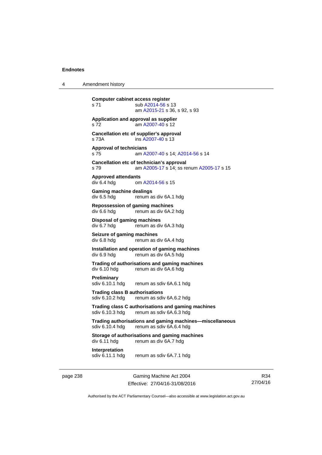4 Amendment history

page 238 Gaming Machine Act 2004 **Computer cabinet access register**  s 71 sub [A2014-56](http://www.legislation.act.gov.au/a/2014-56) s 13 am [A2015-21](http://www.legislation.act.gov.au/a/2015-21) s 36, s 92, s 93 **Application and approval as supplier**  s 72 am [A2007-40](http://www.legislation.act.gov.au/a/2007-40) s 12 **Cancellation etc of supplier's approval**  s 73A ins [A2007-40](http://www.legislation.act.gov.au/a/2007-40) s 13 **Approval of technicians**  s 75 am [A2007-40](http://www.legislation.act.gov.au/a/2007-40) s 14; [A2014-56](http://www.legislation.act.gov.au/a/2014-56) s 14 **Cancellation etc of technician's approval**  s 79 am [A2005-17](http://www.legislation.act.gov.au/a/2005-17) s 14; ss renum [A2005-17](http://www.legislation.act.gov.au/a/2005-17) s 15 **Approved attendants**  div 6.4 hdg om [A2014-56](http://www.legislation.act.gov.au/a/2014-56) s 15 **Gaming machine dealings**  div 6.5 hdg renum as div 6A.1 hdg **Repossession of gaming machines**  div 6.6 hdg renum as div 6A.2 hdg **Disposal of gaming machines**  div 6.7 hdg renum as div 6A.3 hdg **Seizure of gaming machines**<br>div 6.8 hdg renum as d renum as div 6A.4 hdg **Installation and operation of gaming machines**  div 6.9 hdg renum as div 6A.5 hdg **Trading of authorisations and gaming machines**  renum as div 6A.6 hdg **Preliminary**  sdiv 6.10.1 hdg renum as sdiv 6A.6.1 hdg **Trading class B authorisations**  sdiv 6.10.2 hdg renum as sdiv 6A.6.2 hdg **Trading class C authorisations and gaming machines**  sdiv 6.10.3 hdg renum as sdiv 6A.6.3 hdg **Trading authorisations and gaming machines—miscellaneous**  sdiv 6.10.4 hdg renum as sdiv 6A.6.4 hdg **Storage of authorisations and gaming machines**  div 6.11 hdg renum as div 6A.7 hdg **Interpretation**  sdiv 6.11.1 hdg renum as sdiv 6A.7.1 hdg

R34 27/04/16

Authorised by the ACT Parliamentary Counsel—also accessible at www.legislation.act.gov.au

Effective: 27/04/16-31/08/2016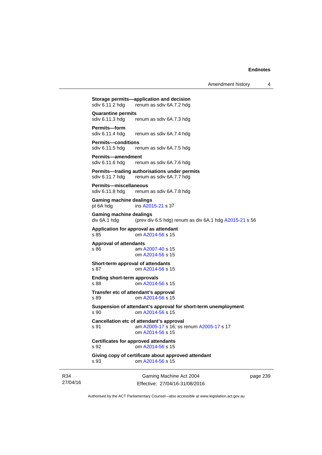| Amendment history |  |
|-------------------|--|
|-------------------|--|

27/04/16 Gaming Machine Act 2004 Effective: 27/04/16-31/08/2016 **Storage permits—application and decision**<br>sdiv 6.11.2 hdg renum as sdiv 6A.7.2 hdg sdiv 6.11.2 hdg renum as sdiv 6A.7.2 hdg **Quarantine permits**  sdiv 6.11.3 hdg renum as sdiv 6A.7.3 hdg **Permits—form**<br>sdiv 6.11.4 hdg renum as sdiv 6A.7.4 hdg **Permits—conditions**  sdiv 6.11.5 hdg renum as sdiv 6A.7.5 hdg **Permits—amendment**  sdiv 6.11.6 hdg renum as sdiv 6A.7.6 hdg **Permits—trading authorisations under permits**  sdiv 6.11.7 hdg renum as sdiv 6A.7.7 hdg **Permits—miscellaneous**  sdiv 6.11.8 hdg renum as sdiv 6A.7.8 hdg **Gaming machine dealings**  pt 6A hdg ins [A2015-21](http://www.legislation.act.gov.au/a/2015-21) s 37 **Gaming machine dealings**  div 6A.1 hdg (prev div 6.5 hdg) renum as div 6A.1 hdg [A2015-21](http://www.legislation.act.gov.au/a/2015-21) s 56 **Application for approval as attendant**  s 85 om [A2014-56](http://www.legislation.act.gov.au/a/2014-56) s 15 **Approval of attendants**  s 86 am [A2007-40](http://www.legislation.act.gov.au/a/2007-40) s 15 om [A2014-56](http://www.legislation.act.gov.au/a/2014-56) s 15 **Short-term approval of attendants**  s 87 **cm [A2014-56](http://www.legislation.act.gov.au/a/2014-56) s 15 Ending short-term approvals**  s 88 om [A2014-56](http://www.legislation.act.gov.au/a/2014-56) s 15 **Transfer etc of attendant's approval**  s 89 om [A2014-56](http://www.legislation.act.gov.au/a/2014-56) s 15 **Suspension of attendant's approval for short-term unemployment**  s 90 om [A2014-56](http://www.legislation.act.gov.au/a/2014-56) s 15 **Cancellation etc of attendant's approval**  s 91 am [A2005-17](http://www.legislation.act.gov.au/a/2005-17) s 16; ss renum [A2005-17](http://www.legislation.act.gov.au/a/2005-17) s 17 om [A2014-56](http://www.legislation.act.gov.au/a/2014-56) s 15 **Certificates for approved attendants**  s 92 om [A2014-56](http://www.legislation.act.gov.au/a/2014-56) s 15 **Giving copy of certificate about approved attendant**  s 93 om [A2014-56](http://www.legislation.act.gov.au/a/2014-56) s 15

page 239

Authorised by the ACT Parliamentary Counsel—also accessible at www.legislation.act.gov.au

R34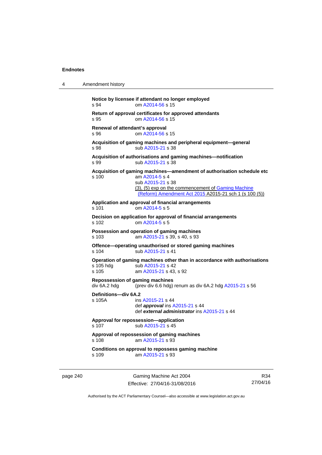| 4 | Amendment history                                                                                                                                                                                                                      |
|---|----------------------------------------------------------------------------------------------------------------------------------------------------------------------------------------------------------------------------------------|
|   | Notice by licensee if attendant no longer employed<br>om A2014-56 s 15<br>s 94                                                                                                                                                         |
|   | Return of approval certificates for approved attendants<br>om A2014-56 s 15<br>s 95                                                                                                                                                    |
|   | Renewal of attendant's approval<br>om A2014-56 s 15<br>s 96                                                                                                                                                                            |
|   | Acquisition of gaming machines and peripheral equipment-general<br>sub A2015-21 s 38<br>s 98                                                                                                                                           |
|   | Acquisition of authorisations and gaming machines-notification<br>sub A2015-21 s 38<br>s 99                                                                                                                                            |
|   | Acquisition of gaming machines-amendment of authorisation schedule etc<br>am A2014-5 s 4<br>s 100<br>sub A2015-21 s 38<br>(3), (5) exp on the commencement of Gaming Machine<br>(Reform) Amendment Act 2015 A2015-21 sch 1 (s 100 (5)) |
|   | Application and approval of financial arrangements<br>om A2014-5 s 5<br>$s$ 101                                                                                                                                                        |
|   | Decision on application for approval of financial arrangements<br>om A2014-5 s 5<br>s 102                                                                                                                                              |
|   | Possession and operation of gaming machines<br>$s$ 103<br>am A2015-21 s 39, s 40, s 93                                                                                                                                                 |
|   | Offence-operating unauthorised or stored gaming machines<br>s 104<br>sub A2015-21 s 41                                                                                                                                                 |
|   | Operation of gaming machines other than in accordance with authorisations<br>s 105 hdg<br>sub A2015-21 s 42<br>s 105<br>am A2015-21 s 43, s 92                                                                                         |
|   | Repossession of gaming machines<br>div 6A.2 hdg<br>(prev div 6.6 hdg) renum as div $6A.2$ hdg $A2015-21$ s 56                                                                                                                          |
|   | Definitions-div 6A.2<br>s 105A<br>ins A2015-21 s 44<br>def <i>approval</i> ins A2015-21 s 44<br>def external administrator ins A2015-21 s 44                                                                                           |
|   | Approval for repossession-application<br>s 107<br>sub A2015-21 s 45                                                                                                                                                                    |
|   | Approval of repossession of gaming machines<br>s 108<br>am A2015-21 s 93                                                                                                                                                               |
|   | Conditions on approval to repossess gaming machine<br>am A2015-21 s 93<br>s 109                                                                                                                                                        |
|   |                                                                                                                                                                                                                                        |

page 240 Gaming Machine Act 2004 Effective: 27/04/16-31/08/2016

R34 27/04/16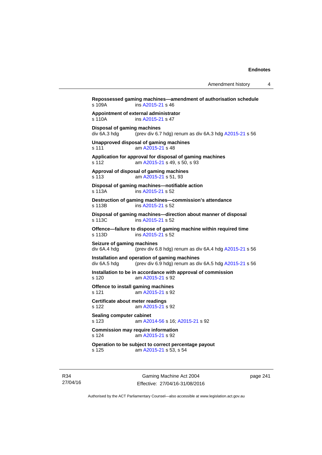**Repossessed gaming machines—amendment of authorisation schedule**  s 109A ins [A2015-21](http://www.legislation.act.gov.au/a/2015-21) s 46 **Appointment of external administrator**  ins [A2015-21](http://www.legislation.act.gov.au/a/2015-21) s 47 **Disposal of gaming machines**  div 6A.3 hdg (prev div 6.7 hdg) renum as div 6A.3 hdg [A2015-21](http://www.legislation.act.gov.au/a/2015-21) s 56 **Unapproved disposal of gaming machines**  s 111 am [A2015-21](http://www.legislation.act.gov.au/a/2015-21) s 48 **Application for approval for disposal of gaming machines**  s 112 am [A2015-21](http://www.legislation.act.gov.au/a/2015-21) s 49, s 50, s 93 **Approval of disposal of gaming machines**  s 113 am [A2015-21](http://www.legislation.act.gov.au/a/2015-21) s 51, 93 **Disposal of gaming machines—notifiable action**  s 113A ins [A2015-21](http://www.legislation.act.gov.au/a/2015-21) s 52 **Destruction of gaming machines—commission's attendance**  s 113B ins [A2015-21](http://www.legislation.act.gov.au/a/2015-21) s 52 **Disposal of gaming machines—direction about manner of disposal**  s 113C ins [A2015-21](http://www.legislation.act.gov.au/a/2015-21) s 52 **Offence—failure to dispose of gaming machine within required time**  s 113D ins [A2015-21](http://www.legislation.act.gov.au/a/2015-21) s 52 **Seizure of gaming machines**  div 6A.4 hdg (prev div 6.8 hdg) renum as div 6A.4 hdg [A2015-21](http://www.legislation.act.gov.au/a/2015-21) s 56 **Installation and operation of gaming machines**  div 6A.5 hdg (prev div 6.9 hdg) renum as div 6A.5 hdg [A2015-21](http://www.legislation.act.gov.au/a/2015-21) s 56 **Installation to be in accordance with approval of commission**  s 120 am [A2015-21](http://www.legislation.act.gov.au/a/2015-21) s 92 **Offence to install gaming machines**  s 121 am [A2015-21](http://www.legislation.act.gov.au/a/2015-21) s 92 **Certificate about meter readings**  s 122 am [A2015-21](http://www.legislation.act.gov.au/a/2015-21) s 92 **Sealing computer cabinet**  s 123 am [A2014-56](http://www.legislation.act.gov.au/a/2014-56) s 16; [A2015-21](http://www.legislation.act.gov.au/a/2015-21) s 92 **Commission may require information**  s 124 am [A2015-21](http://www.legislation.act.gov.au/a/2015-21) s 92 **Operation to be subject to correct percentage payout**  s 125 am [A2015-21](http://www.legislation.act.gov.au/a/2015-21) s 53, s 54

R34 27/04/16

Gaming Machine Act 2004 Effective: 27/04/16-31/08/2016 page 241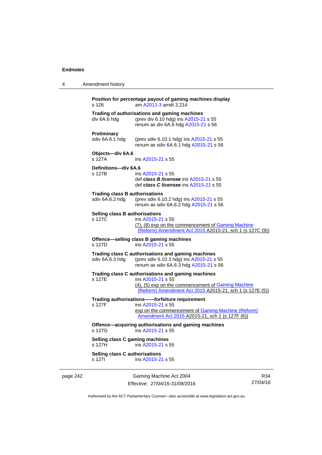4 Amendment history

|                                                                      | s 126                                                    | Position for percentage payout of gaming machines display<br>am A2011-3 amdt 3.214                                                                                                        |     |
|----------------------------------------------------------------------|----------------------------------------------------------|-------------------------------------------------------------------------------------------------------------------------------------------------------------------------------------------|-----|
|                                                                      | div 6A.6 hdg                                             | Trading of authorisations and gaming machines<br>(prev div 6.10 hdg) ins A2015-21 s 55<br>renum as div 6A.6 hdg A2015-21 s 56                                                             |     |
|                                                                      | <b>Preliminary</b><br>sdiv 6A.6.1 hdg                    | (prev sdiv 6.10.1 hdg) ins A2015-21 s 55<br>renum as sdiv 6A.6.1 hdg A2015-21 s 56                                                                                                        |     |
|                                                                      | Objects-div 6A.6<br>s 127A                               | ins A2015-21 s 55                                                                                                                                                                         |     |
|                                                                      | Definitions-div 6A.6<br>s 127B                           | ins A2015-21 s 55<br>def class B licensee ins A2015-21 s 55<br>def class C licensee ins A2015-21 s 55                                                                                     |     |
|                                                                      | <b>Trading class B authorisations</b><br>sdiv 6A.6.2 hdg | (prev sdiv 6.10.2 hdg) ins A2015-21 s 55<br>renum as sdiv 6A.6.2 hdg A2015-21 s 56                                                                                                        |     |
| <b>Selling class B authorisations</b><br>s 127C<br>ins A2015-21 s 55 |                                                          | (7), (8) exp on the commencement of Gaming Machine<br>(Reform) Amendment Act 2015 A2015-21, sch 1 (s 127C (8))                                                                            |     |
|                                                                      | s 127D                                                   | Offence-selling class B gaming machines<br>ins A2015-21 s 55                                                                                                                              |     |
|                                                                      | sdiv 6A.6.3 hdg                                          | Trading class C authorisations and gaming machines<br>(prev sdiv 6.10.3 hdg) ins A2015-21 s 55<br>renum as sdiv 6A.6.3 hdg A2015-21 s 56                                                  |     |
|                                                                      | s 127E                                                   | Trading class C authorisations and gaming machines<br>ins A2015-21 s 55<br>(4), (5) exp on the commencement of Gaming Machine<br>(Reform) Amendment Act 2015 A2015-21, sch 1 (s 127E (5)) |     |
|                                                                      | s 127F                                                   | Trading authorisations--forfeiture requirement<br>ins A2015-21 s 55<br>exp on the commencement of Gaming Machine (Reform)<br>Amendment Act 2015 A2015-21, sch 1 (s 127F (6))              |     |
|                                                                      |                                                          | Offence-acquiring authorisations and gaming machines<br>s 127G ins A2015-21 s 55                                                                                                          |     |
|                                                                      | Selling class C gaming machines<br>s 127H                | ins A2015-21 s 55                                                                                                                                                                         |     |
|                                                                      | Selling class C authorisations<br>s 127l                 | ins A2015-21 s 55                                                                                                                                                                         |     |
| page 242                                                             |                                                          | Gaming Machine Act 2004                                                                                                                                                                   | R34 |

Effective: 27/04/16-31/08/2016

R34 27/04/16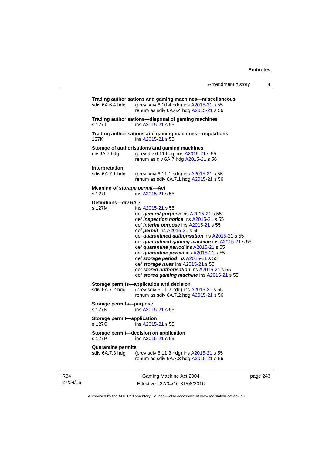| Amendment history |  |
|-------------------|--|
|-------------------|--|

| sdiv 6A.6.4 hdg                              | Trading authorisations and gaming machines-miscellaneous<br>(prev sdiv 6.10.4 hdg) ins A2015-21 s 55<br>renum as sdiv 6A.6.4 hdg A2015-21 s 56                                                                                                                                                                                                                                                                                                                                                                                                                        |   |
|----------------------------------------------|-----------------------------------------------------------------------------------------------------------------------------------------------------------------------------------------------------------------------------------------------------------------------------------------------------------------------------------------------------------------------------------------------------------------------------------------------------------------------------------------------------------------------------------------------------------------------|---|
| s 127J                                       | Trading authorisations-disposal of gaming machines<br>ins A2015-21 s 55                                                                                                                                                                                                                                                                                                                                                                                                                                                                                               |   |
| 127K                                         | Trading authorisations and gaming machines-regulations<br>ins A2015-21 s 55                                                                                                                                                                                                                                                                                                                                                                                                                                                                                           |   |
| div 6A.7 hdg                                 | Storage of authorisations and gaming machines<br>(prev div 6.11 hdg) ins A2015-21 s 55<br>renum as div 6A.7 hdg A2015-21 s 56                                                                                                                                                                                                                                                                                                                                                                                                                                         |   |
| <b>Interpretation</b><br>sdiv 6A.7.1 hdg     | (prev sdiv 6.11.1 hdg) ins A2015-21 s 55<br>renum as sdiv 6A.7.1 hdg A2015-21 s 56                                                                                                                                                                                                                                                                                                                                                                                                                                                                                    |   |
| Meaning of storage permit-Act<br>s 127L      | ins A2015-21 s 55                                                                                                                                                                                                                                                                                                                                                                                                                                                                                                                                                     |   |
| Definitions-div 6A.7<br>s 127M               | ins A2015-21 s 55<br>def general purpose ins A2015-21 s 55<br>def <i>inspection notice</i> ins A2015-21 s 55<br>def <i>interim purpose</i> ins A2015-21 s 55<br>def permit ins A2015-21 s 55<br>def quarantined authorisation ins A2015-21 s 55<br>def quarantined gaming machine ins A2015-21 s 55<br>def quarantine period ins A2015-21 s 55<br>def quarantine permit ins A2015-21 s 55<br>def storage period ins A2015-21 s 55<br>def storage rules ins A2015-21 s 55<br>def stored authorisation ins A2015-21 s 55<br>def stored gaming machine ins A2015-21 s 55 |   |
| sdiv 6A.7.2 hdg                              | Storage permits-application and decision<br>(prev sdiv 6.11.2 hdg) ins A2015-21 s 55<br>renum as sdiv 6A.7.2 hdg A2015-21 s 56                                                                                                                                                                                                                                                                                                                                                                                                                                        |   |
| Storage permits--purpose<br>s 127N           | ins A2015-21 s 55                                                                                                                                                                                                                                                                                                                                                                                                                                                                                                                                                     |   |
| <b>Storage permit-application</b><br>s 1270  | ins A2015-21 s 55                                                                                                                                                                                                                                                                                                                                                                                                                                                                                                                                                     |   |
| s 127P                                       | Storage permit-decision on application<br>ins A2015-21 s 55                                                                                                                                                                                                                                                                                                                                                                                                                                                                                                           |   |
| <b>Quarantine permits</b><br>sdiv 6A.7.3 hdg | (prev sdiv 6.11.3 hdg) ins A2015-21 s 55<br>renum as sdiv 6A.7.3 hdg A2015-21 s 56                                                                                                                                                                                                                                                                                                                                                                                                                                                                                    |   |
|                                              | Gaming Machine Act 2004                                                                                                                                                                                                                                                                                                                                                                                                                                                                                                                                               | p |

page 243

Authorised by the ACT Parliamentary Counsel—also accessible at www.legislation.act.gov.au

Effective: 27/04/16-31/08/2016

R34 27/04/16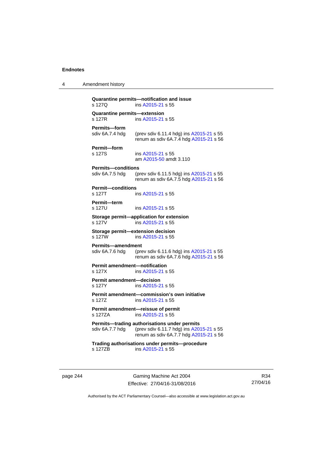4 Amendment history

| s 127Q                                         | Quarantine permits-notification and issue<br>ins A2015-21 s 55                                                                     |
|------------------------------------------------|------------------------------------------------------------------------------------------------------------------------------------|
| Quarantine permits-extension<br>s 127R         | ins A2015-21 s 55                                                                                                                  |
| Permits-form                                   |                                                                                                                                    |
| sdiv 6A.7.4 hdg                                | (prev sdiv 6.11.4 hdg) ins A2015-21 s 55<br>renum as sdiv 6A.7.4 hdg A2015-21 s 56                                                 |
| Permit-form<br>s 127S                          | ins A2015-21 s 55<br>am A2015-50 amdt 3.110                                                                                        |
| <b>Permits—conditions</b>                      |                                                                                                                                    |
| sdiv 6A.7.5 hdg                                | (prev sdiv 6.11.5 hdg) ins A2015-21 s 55<br>renum as sdiv 6A.7.5 hdg A2015-21 s 56                                                 |
| <b>Permit-conditions</b><br>s 127T             | ins A2015-21 s 55                                                                                                                  |
| Permit-term<br>s 127U                          | ins A2015-21 s 55                                                                                                                  |
| s 127V                                         | Storage permit-application for extension<br>ins A2015-21 s 55                                                                      |
| s 127W                                         | Storage permit-extension decision<br>ins A2015-21 s 55                                                                             |
| <b>Permits-amendment</b><br>sdiv 6A.7.6 hdg    | (prev sdiv 6.11.6 hdg) ins A2015-21 s 55<br>renum as sdiv 6A.7.6 hdg A2015-21 s 56                                                 |
| <b>Permit amendment-notification</b><br>s 127X | ins A2015-21 s 55                                                                                                                  |
| <b>Permit amendment-decision</b><br>s 127Y     | ins A2015-21 s 55                                                                                                                  |
| s 127Z                                         | Permit amendment-commission's own initiative<br>ins A2015-21 s 55                                                                  |
| s 127ZA                                        | Permit amendment-reissue of permit<br>ins A2015-21 s 55                                                                            |
| sdiv 6A.7.7 hdg                                | Permits-trading authorisations under permits<br>(prev sdiv 6.11.7 hdg) ins A2015-21 s 55<br>renum as sdiv 6A.7.7 hdg A2015-21 s 56 |
| s 127ZB                                        | Trading authorisations under permits-procedure<br>ins A2015-21 s 55                                                                |
|                                                |                                                                                                                                    |

page 244 Gaming Machine Act 2004 Effective: 27/04/16-31/08/2016

R34 27/04/16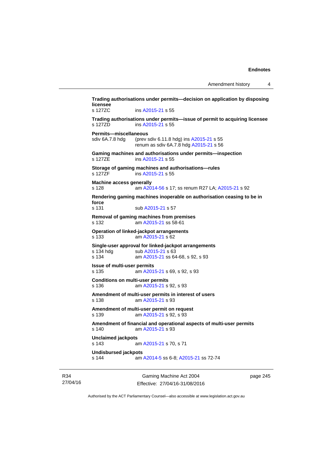**Trading authorisations under permits—decision on application by disposing licensee**  s 127ZC ins [A2015-21](http://www.legislation.act.gov.au/a/2015-21) s 55 **Trading authorisations under permits—issue of permit to acquiring licensee**  s 127ZD ins [A2015-21](http://www.legislation.act.gov.au/a/2015-21) s 55 **Permits—miscellaneous**  sdiv 6A.7.8 hdg (prev sdiv 6.11.8 hdg) ins [A2015-21](http://www.legislation.act.gov.au/a/2015-21) s 55 renum as sdiv 6A.7.8 hdg [A2015-21](http://www.legislation.act.gov.au/a/2015-21) s 56 **Gaming machines and authorisations under permits—inspection**  s 127ZE ins [A2015-21](http://www.legislation.act.gov.au/a/2015-21) s 55 **Storage of gaming machines and authorisations—rules**  s 127ZF ins [A2015-21](http://www.legislation.act.gov.au/a/2015-21) s 55 **Machine access generally**  s 128 am [A2014-56](http://www.legislation.act.gov.au/a/2014-56) s 17; ss renum R27 LA; [A2015-21](http://www.legislation.act.gov.au/a/2015-21) s 92 **Rendering gaming machines inoperable on authorisation ceasing to be in force**  s 131 sub [A2015-21](http://www.legislation.act.gov.au/a/2015-21) s 57 **Removal of gaming machines from premises**  s 132 am [A2015-21](http://www.legislation.act.gov.au/a/2015-21) ss 58-61 **Operation of linked-jackpot arrangements**  s 133 am [A2015-21](http://www.legislation.act.gov.au/a/2015-21) s 62 **Single-user approval for linked-jackpot arrangements**  s 134 hdg sub [A2015-21](http://www.legislation.act.gov.au/a/2015-21) s 63 s 134 am [A2015-21](http://www.legislation.act.gov.au/a/2015-21) ss 64-68, s 92, s 93 **Issue of multi-user permits**  s 135 am [A2015-21](http://www.legislation.act.gov.au/a/2015-21) s 69, s 92, s 93 **Conditions on multi-user permits**  s 136 am [A2015-21](http://www.legislation.act.gov.au/a/2015-21) s 92, s 93 **Amendment of multi-user permits in interest of users**  s 138 am [A2015-21](http://www.legislation.act.gov.au/a/2015-21) s 93 **Amendment of multi-user permit on request**  s 139 am [A2015-21](http://www.legislation.act.gov.au/a/2015-21) s 92, s 93 **Amendment of financial and operational aspects of multi-user permits**  s 140 am [A2015-21](http://www.legislation.act.gov.au/a/2015-21) s 93 **Unclaimed jackpots**  s 143 am [A2015-21](http://www.legislation.act.gov.au/a/2015-21) s 70, s 71 **Undisbursed jackpots**  s 144 am [A2014-5](http://www.legislation.act.gov.au/a/2014-5) ss 6-8; [A2015-21](http://www.legislation.act.gov.au/a/2015-21) ss 72-74

R34 27/04/16

Gaming Machine Act 2004 Effective: 27/04/16-31/08/2016 page 245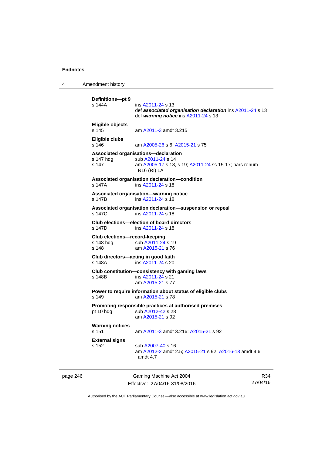4 Amendment history

```
page 246 Gaming Machine Act 2004 
                                                                         R_{24}Definitions—pt 9 
                          A2011-24 s 13
                           def associated organisation declaration ins A2011-24 s 13 
                           def warning notice ins A2011-24 s 13 
          Eligible objects 
          s 145 am A2011-3 amdt 3.215 
          Eligible clubs 
          s 146 am A2005-26 s 6; A2015-21 s 75 
          Associated organisations—declaration 
          A2011-24 s 14
          s 147 am A2005-17 s 18, s 19; A2011-24 ss 15-17; pars renum 
                           R16 (RI) LA 
          Associated organisation declaration—condition 
          s 147A ins A2011-24 s 18 
          Associated organisation—warning notice 
          s 147B ins A2011-24 s 18 
          Associated organisation declaration—suspension or repeal 
          s 147C ins A2011-24 s 18 
          Club elections—election of board directors 
                          A2011-24 s 18
          Club elections—record-keeping 
          A2011-24 s 19
          s 148 am A2015-21 s 76 
          Club directors—acting in good faith 
                           A2011-24 s 20Club constitution—consistency with gaming laws 
          s 148B ins A2011-24 s 21 
                           am A2015-21 s 77 
          Power to require information about status of eligible clubs 
          s 149 am A2015-21 s 78 
          Promoting responsible practices at authorised premises 
          A2012-42 s 28
                           am A2015-21 s 92 
          Warning notices 
          s 151 am A2011-3 amdt 3.216; A2015-21 s 92 
          External signs 
                          A2007-40 s 16
                           am A2012-2 amdt 2.5; A2015-21 s 92; A2016-18 amdt 4.6, 
                           amdt 4.7
```

| 1e 246 | Gaming Machine Act 2004        | K34      |
|--------|--------------------------------|----------|
|        | Effective: 27/04/16-31/08/2016 | 27/04/16 |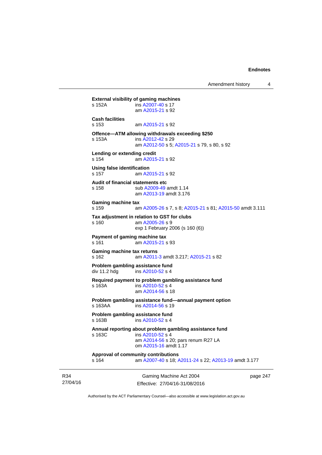Amendment history 4

```
Gaming Machine Act 2004 
                 Effective: 27/04/16-31/08/2016 
                                                            page 247 
External visibility of gaming machines 
s 152A ins A2007-40 s 17 
                 am A2015-21 s 92 
Cash facilities 
s 153 am A2015-21 s 92 
Offence—ATM allowing withdrawals exceeding $250 
s 153A ins A2012-42 s 29 
                 am A2012-50 s 5; A2015-21 s 79, s 80, s 92
Lending or extending credit 
s 154 am A2015-21 s 92 
Using false identification 
s 157 am A2015-21 s 92 
Audit of financial statements etc 
s 158 sub A2009-49 amdt 1.14 
                 am A2013-19 amdt 3.176
Gaming machine tax 
s 159 am A2005-26 s 7, s 8; A2015-21 s 81; A2015-50 amdt 3.111 
Tax adjustment in relation to GST for clubs 
s 160 am A2005-26 s 9 
                exp 1 February 2006 (s 160 (6)) 
Payment of gaming machine tax 
s 161 am A2015-21 s 93 
Gaming machine tax returns 
s 162 am A2011-3 amdt 3.217; A2015-21 s 82 
Problem gambling assistance fund 
A2010-52 s 4
Required payment to problem gambling assistance fund 
s 163A ins A2010-52 s 4
                 am A2014-56 s 18 
Problem gambling assistance fund—annual payment option s 163AA ins A2014-56 s 19
                 A2014-56 s 19
Problem gambling assistance fund 
s 163B ins A2010-52 s 4
Annual reporting about problem gambling assistance fund 
s 163C ins A2010-52 s 4
                 am A2014-56 s 20; pars renum R27 LA 
                 om A2015-16 amdt 1.17
Approval of community contributions 
s 164 am A2007-40 s 18; A2011-24 s 22; A2013-19 amdt 3.177
```
Authorised by the ACT Parliamentary Counsel—also accessible at www.legislation.act.gov.au

R34 27/04/16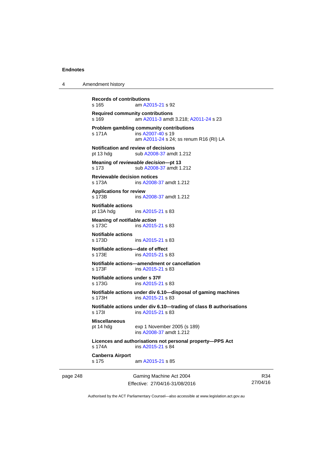4 Amendment history

```
page 248 Gaming Machine Act 2004 
                       Effective: 27/04/16-31/08/2016 
                                                                    27/04/16 
          Records of contributions 
          s 165 am A2015-21 s 92 
          Required community contributions 
          s 169 am A2011-3 amdt 3.218; A2011-24 s 23 
          Problem gambling community contributions 
           A2007-40 s 19
                           am A2011-24 s 24; ss renum R16 (RI) LA
          Notification and review of decisions 
          pt 13 hdg sub A2008-37 amdt 1.212 
          Meaning of reviewable decision—pt 13 
          s 173 sub A2008-37 amdt 1.212 
          Reviewable decision notices 
          s 173A ins A2008-37 amdt 1.212 
          Applications for review 
          s 173B ins A2008-37 amdt 1.212 
          Notifiable actions 
          pt 13A hdg ins A2015-21 s 83 
          Meaning of notifiable action
          A2015-21 s 83
          Notifiable actions 
                          A2015-21 s 83
          Notifiable actions—date of effect 
           A2015-21 s 83
          Notifiable actions—amendment or cancellation 
                           A2015-21 s 83
          Notifiable actions under s 37F 
          s 173G ins A2015-21 s 83 
          Notifiable actions under div 6.10—disposal of gaming machines 
                          A2015-21 s 83
          Notifiable actions under div 6.10—trading of class B authorisations 
           A2015-21 s 83
          Miscellaneous 
          pt 14 hdg exp 1 November 2005 (s 189) 
                           ins A2008-37 amdt 1.212 
          Licences and authorisations not personal property—PPS Act 
          s 174A ins A2015-21 s 84 
          Canberra Airport 
          s 175 am A2015-21 s 85
```
Authorised by the ACT Parliamentary Counsel—also accessible at www.legislation.act.gov.au

R34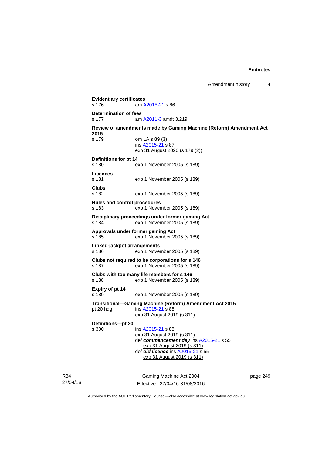**Evidentiary certificates**  s 176 am [A2015-21](http://www.legislation.act.gov.au/a/2015-21) s 86 **Determination of fees**  s 177 am [A2011-3](http://www.legislation.act.gov.au/a/2011-3) amdt 3.219 **Review of amendments made by Gaming Machine (Reform) Amendment Act 2015**  s 179 om LA s 89 (3) ins [A2015-21](http://www.legislation.act.gov.au/a/2015-21) s 87 exp 31 August 2020 (s 179 (2)) **Definitions for pt 14**  s 180 exp 1 November 2005 (s 189) **Licences**  s 181 exp 1 November 2005 (s 189) **Clubs**  s 182 exp 1 November 2005 (s 189) **Rules and control procedures**  s 183 exp 1 November 2005 (s 189) **Disciplinary proceedings under former gaming Act**  s 184 exp 1 November 2005 (s 189) **Approvals under former gaming Act**  s 185 exp 1 November 2005 (s 189) **Linked-jackpot arrangements**  s 186 exp 1 November 2005 (s 189) **Clubs not required to be corporations for s 146**  s 187 exp 1 November 2005 (s 189) **Clubs with too many life members for s 146**  s 188 exp 1 November 2005 (s 189) **Expiry of pt 14**  s 189 exp 1 November 2005 (s 189) **Transitional—Gaming Machine (Reform) Amendment Act 2015**  pt 20 hdg ins [A2015-21](http://www.legislation.act.gov.au/a/2015-21) s 88 exp 31 August 2019 (s 311) **Definitions—pt 20**  s 300 ins [A2015-21](http://www.legislation.act.gov.au/a/2015-21) s 88 exp 31 August 2019 (s 311) def *commencement day* ins [A2015-21](http://www.legislation.act.gov.au/a/2015-21) s 55 exp 31 August 2019 (s 311) def *old licence* ins [A2015-21](http://www.legislation.act.gov.au/a/2015-21) s 55 exp 31 August 2019 (s 311)

R34 27/04/16

Gaming Machine Act 2004 Effective: 27/04/16-31/08/2016 page 249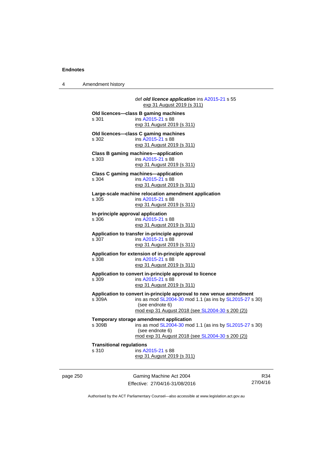4 Amendment history

page 250 Gaming Machine Act 2004 def *old licence application* ins [A2015-21](http://www.legislation.act.gov.au/a/2015-21) s 55 exp 31 August 2019 (s 311) **Old licences—class B gaming machines**  s 301 ins [A2015-21](http://www.legislation.act.gov.au/a/2015-21) s 88 exp 31 August 2019 (s 311) **Old licences—class C gaming machines**  s 302 ins [A2015-21](http://www.legislation.act.gov.au/a/2015-21) s 88 exp 31 August 2019 (s 311) **Class B gaming machines—application**  s 303 ins [A2015-21](http://www.legislation.act.gov.au/a/2015-21) s 88 exp 31 August 2019 (s 311) **Class C gaming machines—application**  s 304 ins [A2015-21](http://www.legislation.act.gov.au/a/2015-21) s 88 exp 31 August 2019 (s 311) **Large-scale machine relocation amendment application**  s 305 ins [A2015-21](http://www.legislation.act.gov.au/a/2015-21) s 88 exp 31 August 2019 (s 311) **In-principle approval application**  s 306 ins [A2015-21](http://www.legislation.act.gov.au/a/2015-21) s 88 exp 31 August 2019 (s 311) **Application to transfer in-principle approval**  s 307 ins [A2015-21](http://www.legislation.act.gov.au/a/2015-21) s 88 exp 31 August 2019 (s 311) **Application for extension of in-principle approval**  s 308 ins [A2015-21](http://www.legislation.act.gov.au/a/2015-21) s 88 exp 31 August 2019 (s 311) **Application to convert in-principle approval to licence**  s 309 ins [A2015-21](http://www.legislation.act.gov.au/a/2015-21) s 88 exp 31 August 2019 (s 311) **Application to convert in-principle approval to new venue amendment**  ins as mod [SL2004-30](http://www.legislation.act.gov.au/sl/2004-30) mod 1.1 (as ins by [SL2015-27](http://www.legislation.act.gov.au/sl/2015-27) s 30) (see endnote 6) mod exp 31 August 2018 (see [SL2004-30](http://www.legislation.act.gov.au/sl/2004-30) s 200 (2)) **Temporary storage amendment application**<br>s 309B<br>**pp** ins as mod SL 2004-30 mom ins as mod [SL2004-30](http://www.legislation.act.gov.au/sl/2004-30) mod 1.1 (as ins by [SL2015-27](http://www.legislation.act.gov.au/sl/2015-27) s 30) (see endnote 6) mod exp 31 August 2018 (see [SL2004-30](http://www.legislation.act.gov.au/sl/2004-30) s 200 (2)) **Transitional regulations**  s 310 ins [A2015-21](http://www.legislation.act.gov.au/a/2015-21) s 88 exp 31 August 2019 (s 311)

Effective: 27/04/16-31/08/2016

R34 27/04/16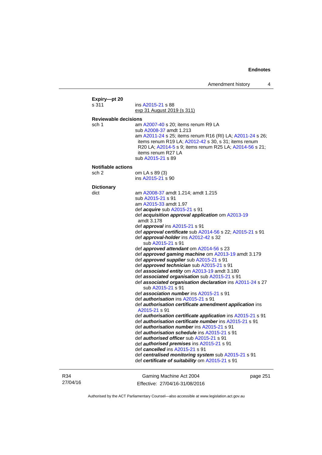| Expiry-pt 20<br>s 311       | ins A2015-21 s 88                                                                                                                                                                                                       |         |
|-----------------------------|-------------------------------------------------------------------------------------------------------------------------------------------------------------------------------------------------------------------------|---------|
|                             | <u>exp 31 August 2019 (s 311)</u>                                                                                                                                                                                       |         |
| <b>Reviewable decisions</b> |                                                                                                                                                                                                                         |         |
| sch 1                       | am A2007-40 s 20; items renum R9 LA                                                                                                                                                                                     |         |
|                             | sub A2008-37 amdt 1.213                                                                                                                                                                                                 |         |
|                             | am A2011-24 s 25; items renum R16 (RI) LA; A2011-24 s 26;<br>items renum R19 LA; A2012-42 s 30, s 31; items renum<br>R20 LA, A2014-5 s 9; items renum R25 LA; A2014-56 s 21;<br>items renum R27 LA<br>sub A2015-21 s 89 |         |
| <b>Notifiable actions</b>   |                                                                                                                                                                                                                         |         |
| sch 2                       | om LA s 89 (3)                                                                                                                                                                                                          |         |
|                             | ins A2015-21 s 90                                                                                                                                                                                                       |         |
| <b>Dictionary</b>           |                                                                                                                                                                                                                         |         |
| dict                        | am A2008-37 amdt 1.214; amdt 1.215                                                                                                                                                                                      |         |
|                             | sub A2015-21 s 91                                                                                                                                                                                                       |         |
|                             | am A2015-33 amdt 1.97                                                                                                                                                                                                   |         |
|                             | def <i>acquire</i> sub A2015-21 s 91                                                                                                                                                                                    |         |
|                             | def acquisition approval application om A2013-19                                                                                                                                                                        |         |
|                             | amdt 3.178                                                                                                                                                                                                              |         |
|                             | def <i>approval</i> ins A2015-21 s 91                                                                                                                                                                                   |         |
|                             | def <b>approval certificate</b> sub A2014-56 s 22; A2015-21 s 91                                                                                                                                                        |         |
|                             | def approval-holder ins A2012-42 s 32                                                                                                                                                                                   |         |
|                             | sub A2015-21 s 91                                                                                                                                                                                                       |         |
|                             | def approved attendant om A2014-56 s 23                                                                                                                                                                                 |         |
|                             | def approved gaming machine om A2013-19 amdt 3.179<br>def approved supplier sub A2015-21 s 91                                                                                                                           |         |
|                             | def approved technician sub A2015-21 s 91                                                                                                                                                                               |         |
|                             | def associated entity om A2013-19 amdt 3.180                                                                                                                                                                            |         |
|                             | def associated organisation sub A2015-21 s 91                                                                                                                                                                           |         |
|                             | def associated organisation declaration ins A2011-24 s 27                                                                                                                                                               |         |
|                             | sub A2015-21 s 91                                                                                                                                                                                                       |         |
|                             | def <b>association number</b> ins A2015-21 s 91                                                                                                                                                                         |         |
|                             | def authorisation ins A2015-21 s 91                                                                                                                                                                                     |         |
|                             | def authorisation certificate amendment application ins<br>A2015-21 s 91                                                                                                                                                |         |
|                             | def authorisation certificate application ins A2015-21 s 91                                                                                                                                                             |         |
|                             | def <i>authorisation certificate number</i> ins A2015-21 s 91                                                                                                                                                           |         |
|                             | def <i>authorisation number</i> ins A2015-21 s 91                                                                                                                                                                       |         |
|                             | def authorisation schedule ins A2015-21 s 91                                                                                                                                                                            |         |
|                             | def <i>authorised officer</i> sub A2015-21 s 91                                                                                                                                                                         |         |
|                             | def <i>authorised premises</i> ins A2015-21 s 91                                                                                                                                                                        |         |
|                             | def cancelled ins A2015-21 s 91                                                                                                                                                                                         |         |
|                             | def centralised monitoring system sub A2015-21 s 91<br>def certificate of suitability om A2015-21 s 91                                                                                                                  |         |
| R34                         | Gaming Machine Act 2004                                                                                                                                                                                                 | page 25 |

27/04/16

Effective: 27/04/16-31/08/2016

 $\mathbf{51}$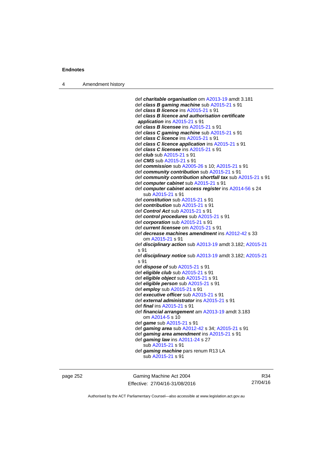4 Amendment history

 def *charitable organisation* om [A2013-19](http://www.legislation.act.gov.au/a/2013-19) amdt 3.181 def *class B gaming machine* sub [A2015-21](http://www.legislation.act.gov.au/a/2015-21) s 91 def *class B licence* ins [A2015-21](http://www.legislation.act.gov.au/a/2015-21) s 91 def *class B licence and authorisation certificate application* ins [A2015-21](http://www.legislation.act.gov.au/a/2015-21) s 91 def *class B licensee* ins [A2015-21](http://www.legislation.act.gov.au/a/2015-21) s 91 def *class C gaming machine* sub [A2015-21](http://www.legislation.act.gov.au/a/2015-21) s 91 def *class C licence* ins [A2015-21](http://www.legislation.act.gov.au/a/2015-21) s 91 def *class C licence application* ins [A2015-21](http://www.legislation.act.gov.au/a/2015-21) s 91 def *class C licensee* ins [A2015-21](http://www.legislation.act.gov.au/a/2015-21) s 91 def *club* sub [A2015-21](http://www.legislation.act.gov.au/a/2015-21) s 91 def *CMS* sub [A2015-21](http://www.legislation.act.gov.au/a/2015-21) s 91 def *commission* sub [A2005-26](http://www.legislation.act.gov.au/a/2005-26) s 10; [A2015-21](http://www.legislation.act.gov.au/a/2015-21) s 91 def *community contribution* sub [A2015-21](http://www.legislation.act.gov.au/a/2015-21) s 91 def *community contribution shortfall tax* sub [A2015-21](http://www.legislation.act.gov.au/a/2015-21) s 91 def *computer cabinet* sub [A2015-21](http://www.legislation.act.gov.au/a/2015-21) s 91 def *computer cabinet access register* ins [A2014-56](http://www.legislation.act.gov.au/a/2014-56) s 24 sub [A2015-21](http://www.legislation.act.gov.au/a/2015-21) s 91 def *constitution* sub [A2015-21](http://www.legislation.act.gov.au/a/2015-21) s 91 def *contribution* sub [A2015-21](http://www.legislation.act.gov.au/a/2015-21) s 91 def *Control Act* sub [A2015-21](http://www.legislation.act.gov.au/a/2015-21) s 91 def *control procedures* sub [A2015-21](http://www.legislation.act.gov.au/a/2015-21) s 91 def *corporation* sub [A2015-21](http://www.legislation.act.gov.au/a/2015-21) s 91 def *current licensee* om [A2015-21](http://www.legislation.act.gov.au/a/2015-21) s 91 def *decrease machines amendment* ins [A2012-42](http://www.legislation.act.gov.au/a/2012-42) s 33 om [A2015-21](http://www.legislation.act.gov.au/a/2015-21) s 91 def *disciplinary action* sub [A2013-19](http://www.legislation.act.gov.au/a/2013-19) amdt 3.182; [A2015-21](http://www.legislation.act.gov.au/a/2015-21) s 91 def *disciplinary notice* sub [A2013-19](http://www.legislation.act.gov.au/a/2013-19) amdt 3.182; [A2015-21](http://www.legislation.act.gov.au/a/2015-21) s 91 def *dispose of* sub [A2015-21](http://www.legislation.act.gov.au/a/2015-21) s 91 def *eligible club* sub [A2015-21](http://www.legislation.act.gov.au/a/2015-21) s 91 def *eligible object* sub [A2015-21](http://www.legislation.act.gov.au/a/2015-21) s 91 def *eligible person* sub [A2015-21](http://www.legislation.act.gov.au/a/2015-21) s 91 def *employ* sub [A2015-21](http://www.legislation.act.gov.au/a/2015-21) s 91 def *executive officer* sub [A2015-21](http://www.legislation.act.gov.au/a/2015-21) s 91 def *external administrator* ins [A2015-21](http://www.legislation.act.gov.au/a/2015-21) s 91 def *final* ins [A2015-21](http://www.legislation.act.gov.au/a/2015-21) s 91 def *financial arrangement* am [A2013-19](http://www.legislation.act.gov.au/a/2013-19) amdt 3.183 om [A2014-5](http://www.legislation.act.gov.au/a/2014-5) s 10 def *game* sub [A2015-21](http://www.legislation.act.gov.au/a/2015-21) s 91 def *gaming area* sub [A2012-42](http://www.legislation.act.gov.au/a/2012-42) s 34; [A2015-21](http://www.legislation.act.gov.au/a/2015-21) s 91 def *gaming area amendment* ins [A2015-21](http://www.legislation.act.gov.au/a/2015-21) s 91 def *gaming law* ins [A2011-24](http://www.legislation.act.gov.au/a/2011-24) s 27 sub [A2015-21](http://www.legislation.act.gov.au/a/2015-21) s 91 def *gaming machine* pars renum R13 LA sub [A2015-21](http://www.legislation.act.gov.au/a/2015-21) s 91

page 252 Gaming Machine Act 2004 Effective: 27/04/16-31/08/2016

R34 27/04/16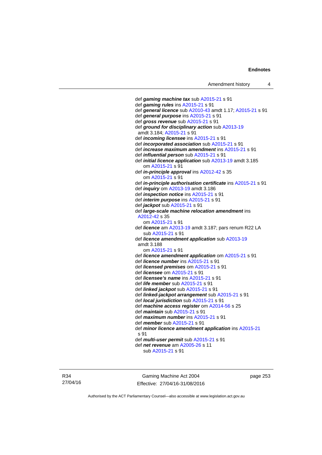def *gaming machine tax* sub [A2015-21](http://www.legislation.act.gov.au/a/2015-21) s 91 def *gaming rules* ins [A2015-21](http://www.legislation.act.gov.au/a/2015-21) s 91 def *general licence* sub [A2010-43](http://www.legislation.act.gov.au/a/2010-43) amdt 1.17; [A2015-21](http://www.legislation.act.gov.au/a/2015-21) s 91 def *general purpose* ins [A2015-21](http://www.legislation.act.gov.au/a/2015-21) s 91 def *gross revenue* sub [A2015-21](http://www.legislation.act.gov.au/a/2015-21) s 91 def *ground for disciplinary action* sub [A2013-19](http://www.legislation.act.gov.au/a/2013-19) amdt 3.184; [A2015-21](http://www.legislation.act.gov.au/a/2015-21) s 91 def *incoming licensee* ins [A2015-21](http://www.legislation.act.gov.au/a/2015-21) s 91 def *incorporated association* sub [A2015-21](http://www.legislation.act.gov.au/a/2015-21) s 91 def *increase maximum amendment* ins [A2015-21](http://www.legislation.act.gov.au/a/2015-21) s 91 def *influential person* sub [A2015-21](http://www.legislation.act.gov.au/a/2015-21) s 91 def *initial licence application* sub [A2013-19](http://www.legislation.act.gov.au/a/2013-19) amdt 3.185 om [A2015-21](http://www.legislation.act.gov.au/a/2015-21) s 91 def *in-principle approval* ins [A2012-42](http://www.legislation.act.gov.au/a/2012-42) s 35 om [A2015-21](http://www.legislation.act.gov.au/a/2015-21) s 91 def *in-principle authorisation certificate* ins [A2015-21](http://www.legislation.act.gov.au/a/2015-21) s 91 def *inquiry* om [A2013-19](http://www.legislation.act.gov.au/a/2013-19) amdt 3.186 def *inspection notice* ins [A2015-21](http://www.legislation.act.gov.au/a/2015-21) s 91 def *interim purpose* ins [A2015-21](http://www.legislation.act.gov.au/a/2015-21) s 91 def *jackpot* sub [A2015-21](http://www.legislation.act.gov.au/a/2015-21) s 91 def *large-scale machine relocation amendment* ins [A2012-42](http://www.legislation.act.gov.au/a/2012-42) s 35 om [A2015-21](http://www.legislation.act.gov.au/a/2015-21) s 91 def *licence* am [A2013-19](http://www.legislation.act.gov.au/a/2013-19) amdt 3.187; pars renum R22 LA sub [A2015-21](http://www.legislation.act.gov.au/a/2015-21) s 91 def *licence amendment application* sub [A2013-19](http://www.legislation.act.gov.au/a/2013-19) amdt 3.188 om [A2015-21](http://www.legislation.act.gov.au/a/2015-21) s 91 def *licence amendment application* om [A2015-21](http://www.legislation.act.gov.au/a/2015-21) s 91 def *licence number* ins [A2015-21](http://www.legislation.act.gov.au/a/2015-21) s 91 def *licensed premises* om [A2015-21](http://www.legislation.act.gov.au/a/2015-21) s 91 def *licensee* om [A2015-21](http://www.legislation.act.gov.au/a/2015-21) s 91 def *licensee's name* ins [A2015-21](http://www.legislation.act.gov.au/a/2015-21) s 91 def *life member* sub [A2015-21](http://www.legislation.act.gov.au/a/2015-21) s 91 def *linked jackpot* sub [A2015-21](http://www.legislation.act.gov.au/a/2015-21) s 91 def *linked-jackpot arrangement* sub [A2015-21](http://www.legislation.act.gov.au/a/2015-21) s 91 def *local jurisdiction* sub [A2015-21](http://www.legislation.act.gov.au/a/2015-21) s 91 def *machine access register* om [A2014-56](http://www.legislation.act.gov.au/a/2014-56) s 25 def *maintain* sub [A2015-21](http://www.legislation.act.gov.au/a/2015-21) s 91 def *maximum number* ins [A2015-21](http://www.legislation.act.gov.au/a/2015-21) s 91 def *member* sub [A2015-21](http://www.legislation.act.gov.au/a/2015-21) s 91 def *minor licence amendment application* ins [A2015-21](http://www.legislation.act.gov.au/a/2015-21) s 91 def *multi-user permit* sub [A2015-21](http://www.legislation.act.gov.au/a/2015-21) s 91 def *net revenue* am [A2005-26](http://www.legislation.act.gov.au/a/2005-26) s 11 sub [A2015-21](http://www.legislation.act.gov.au/a/2015-21) s 91

R34 27/04/16

Gaming Machine Act 2004 Effective: 27/04/16-31/08/2016 page 253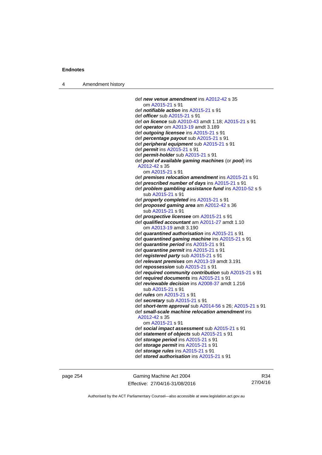4 Amendment history

```
 def new venue amendment ins A2012-42 s 35 
    om A2015-21 s 91 
 def notifiable action ins A2015-21 s 91 
 def officer sub A2015-21 s 91 
 def on licence sub A2010-43 amdt 1.18; A2015-21 s 91 
 def operator om A2013-19 amdt 3.189 
 def outgoing licensee ins A2015-21 s 91 
 def percentage payout sub A2015-21 s 91 
 def peripheral equipment sub A2015-21 s 91 
 def permit ins A2015-21 s 91 
 def permit-holder sub A2015-21 s 91 
 def pool of available gaming machines (or pool) ins 
 A2012-42 s 35 
    om A2015-21 s 91 
 def premises relocation amendment ins A2015-21 s 91 
 def prescribed number of days ins A2015-21 s 91 
 def problem gambling assistance fund ins A2010-52 s 5 
    sub A2015-21 s 91 
 def properly completed ins A2015-21 s 91 
 def proposed gaming area am A2012-42 s 36 
    sub A2015-21 s 91 
 def prospective licensee om A2015-21 s 91 
 def qualified accountant am A2011-27 amdt 1.10 
    om A2013-19 amdt 3.190
 def quarantined authorisation ins A2015-21 s 91 
 def quarantined gaming machine ins A2015-21 s 91 
 def quarantine period ins A2015-21 s 91 
 def quarantine permit ins A2015-21 s 91 
 def registered party sub A2015-21 s 91 
 def relevant premises om A2013-19 amdt 3.191 
 def repossession sub A2015-21 s 91 
 def required community contribution sub A2015-21 s 91 
 def required documents ins A2015-21 s 91 
 def reviewable decision ins A2008-37 amdt 1.216 
    sub A2015-21 s 91 
 def rules om A2015-21 s 91 
 def secretary sub A2015-21 s 91 
 def short-term approval sub A2014-56 s 26; A2015-21 s 91 
 def small-scale machine relocation amendment ins 
 A2012-42 s 35 
    om A2015-21 s 91 
 def social impact assessment sub A2015-21 s 91 
 def statement of objects sub A2015-21 s 91 
 def storage period ins A2015-21 s 91 
 def storage permit ins A2015-21 s 91 
 def storage rules ins A2015-21 s 91 
 def stored authorisation ins A2015-21 s 91
```
page 254 Gaming Machine Act 2004 Effective: 27/04/16-31/08/2016

R34 27/04/16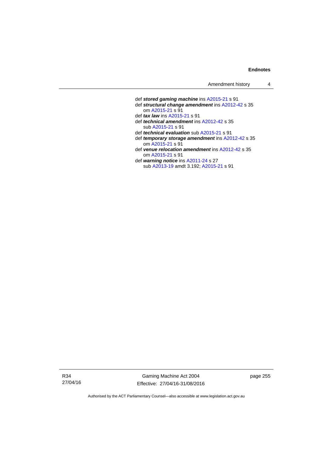def *stored gaming machine* ins [A2015-21](http://www.legislation.act.gov.au/a/2015-21) s 91 def *structural change amendment* ins [A2012-42](http://www.legislation.act.gov.au/a/2012-42) s 35 om [A2015-21](http://www.legislation.act.gov.au/a/2015-21) s 91 def *tax law* ins [A2015-21](http://www.legislation.act.gov.au/a/2015-21) s 91 def *technical amendment* ins [A2012-42](http://www.legislation.act.gov.au/a/2012-42) s 35 sub [A2015-21](http://www.legislation.act.gov.au/a/2015-21) s 91 def *technical evaluation* sub [A2015-21](http://www.legislation.act.gov.au/a/2015-21) s 91 def *temporary storage amendment* ins [A2012-42](http://www.legislation.act.gov.au/a/2012-42) s 35 om [A2015-21](http://www.legislation.act.gov.au/a/2015-21) s 91 def *venue relocation amendment* ins [A2012-42](http://www.legislation.act.gov.au/a/2012-42) s 35 om [A2015-21](http://www.legislation.act.gov.au/a/2015-21) s 91 def *warning notice* ins [A2011-24](http://www.legislation.act.gov.au/a/2011-24) s 27 sub [A2013-19](http://www.legislation.act.gov.au/a/2013-19) amdt 3.192; [A2015-21](http://www.legislation.act.gov.au/a/2015-21) s 91

R34 27/04/16

Gaming Machine Act 2004 Effective: 27/04/16-31/08/2016 page 255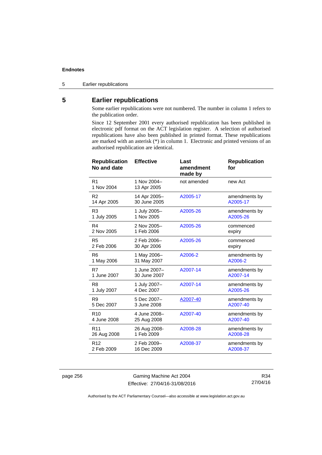5 Earlier republications

# **5 Earlier republications**

Some earlier republications were not numbered. The number in column 1 refers to the publication order.

Since 12 September 2001 every authorised republication has been published in electronic pdf format on the ACT legislation register. A selection of authorised republications have also been published in printed format. These republications are marked with an asterisk (\*) in column 1. Electronic and printed versions of an authorised republication are identical.

| <b>Republication</b><br>No and date | <b>Effective</b>           | Last<br>amendment<br>made by | <b>Republication</b><br>for |
|-------------------------------------|----------------------------|------------------------------|-----------------------------|
| R <sub>1</sub><br>1 Nov 2004        | 1 Nov 2004-<br>13 Apr 2005 | not amended                  | new Act                     |
| R <sub>2</sub>                      | 14 Apr 2005-               | A2005-17                     | amendments by               |
| 14 Apr 2005                         | 30 June 2005               |                              | A2005-17                    |
| R <sub>3</sub>                      | 1 July 2005-               | A2005-26                     | amendments by               |
| 1 July 2005                         | 1 Nov 2005                 |                              | A2005-26                    |
| R4                                  | 2 Nov 2005-                | A2005-26                     | commenced                   |
| 2 Nov 2005                          | 1 Feb 2006                 |                              | expiry                      |
| R <sub>5</sub>                      | 2 Feb 2006-                | A2005-26                     | commenced                   |
| 2 Feb 2006                          | 30 Apr 2006                |                              | expiry                      |
| R <sub>6</sub>                      | 1 May 2006-                | A2006-2                      | amendments by               |
| 1 May 2006                          | 31 May 2007                |                              | A2006-2                     |
| R7                                  | 1 June 2007-               | A2007-14                     | amendments by               |
| 1 June 2007                         | 30 June 2007               |                              | A2007-14                    |
| R <sub>8</sub>                      | 1 July 2007-               | A2007-14                     | amendments by               |
| 1 July 2007                         | 4 Dec 2007                 |                              | A2005-26                    |
| R <sub>9</sub>                      | 5 Dec 2007-                | A2007-40                     | amendments by               |
| 5 Dec 2007                          | 3 June 2008                |                              | A2007-40                    |
| R <sub>10</sub>                     | 4 June 2008-               | A2007-40                     | amendments by               |
| 4 June 2008                         | 25 Aug 2008                |                              | A2007-40                    |
| R <sub>11</sub>                     | 26 Aug 2008-               | A2008-28                     | amendments by               |
| 26 Aug 2008                         | 1 Feb 2009                 |                              | A2008-28                    |
| R <sub>12</sub>                     | 2 Feb 2009-                | A2008-37                     | amendments by               |
| 2 Feb 2009                          | 16 Dec 2009                |                              | A2008-37                    |

page 256 Gaming Machine Act 2004 Effective: 27/04/16-31/08/2016

R34 27/04/16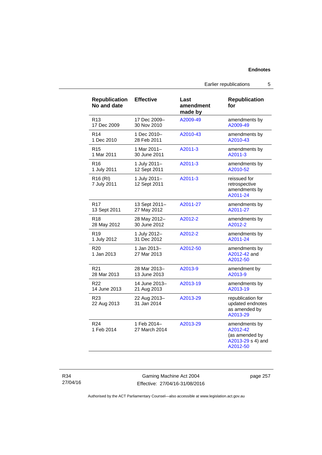# Earlier republications 5

| <b>Republication</b><br>No and date | <b>Effective</b>             | Last<br>amendment<br>made by | <b>Republication</b><br>for                                                  |
|-------------------------------------|------------------------------|------------------------------|------------------------------------------------------------------------------|
| R <sub>13</sub>                     | 17 Dec 2009-                 | A2009-49                     | amendments by                                                                |
| 17 Dec 2009                         | 30 Nov 2010                  |                              | A2009-49                                                                     |
| R <sub>14</sub>                     | 1 Dec 2010-                  | A2010-43                     | amendments by                                                                |
| 1 Dec 2010                          | 28 Feb 2011                  |                              | A2010-43                                                                     |
| R <sub>15</sub>                     | 1 Mar 2011-                  | A2011-3                      | amendments by                                                                |
| 1 Mar 2011                          | 30 June 2011                 |                              | A2011-3                                                                      |
| R <sub>16</sub>                     | 1 July 2011-                 | A2011-3                      | amendments by                                                                |
| 1 July 2011                         | 12 Sept 2011                 |                              | A2010-52                                                                     |
| R <sub>16</sub> (RI)<br>7 July 2011 | 1 July 2011-<br>12 Sept 2011 | A2011-3                      | reissued for<br>retrospective<br>amendments by<br>A2011-24                   |
| R17                                 | 13 Sept 2011-                | A2011-27                     | amendments by                                                                |
| 13 Sept 2011                        | 27 May 2012                  |                              | A2011-27                                                                     |
| R <sub>18</sub>                     | 28 May 2012-                 | A2012-2                      | amendments by                                                                |
| 28 May 2012                         | 30 June 2012                 |                              | A2012-2                                                                      |
| R <sub>19</sub>                     | 1 July 2012-                 | A2012-2                      | amendments by                                                                |
| 1 July 2012                         | 31 Dec 2012                  |                              | A2011-24                                                                     |
| R <sub>20</sub><br>1 Jan 2013       | 1 Jan 2013-<br>27 Mar 2013   | A2012-50                     | amendments by<br>A2012-42 and<br>A2012-50                                    |
| R <sub>21</sub>                     | 28 Mar 2013-                 | A2013-9                      | amendment by                                                                 |
| 28 Mar 2013                         | 13 June 2013                 |                              | A2013-9                                                                      |
| R <sub>22</sub>                     | 14 June 2013-                | A2013-19                     | amendments by                                                                |
| 14 June 2013                        | 21 Aug 2013                  |                              | A2013-19                                                                     |
| R <sub>23</sub><br>22 Aug 2013      | 22 Aug 2013-<br>31 Jan 2014  | A2013-29                     | republication for<br>updated endnotes<br>as amended by<br>A2013-29           |
| R <sub>24</sub><br>1 Feb 2014       | 1 Feb 2014-<br>27 March 2014 | A2013-29                     | amendments by<br>A2012-42<br>(as amended by<br>A2013-29 s 4) and<br>A2012-50 |

R34 27/04/16

Gaming Machine Act 2004 Effective: 27/04/16-31/08/2016 page 257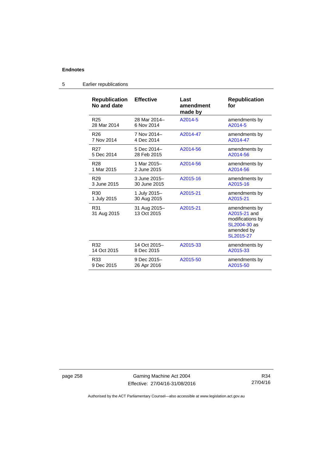| <b>Republication</b><br>No and date | <b>Effective</b>            | Last<br>amendment<br>made by | <b>Republication</b><br>for                                                                  |
|-------------------------------------|-----------------------------|------------------------------|----------------------------------------------------------------------------------------------|
| R <sub>25</sub>                     | 28 Mar 2014-                | A2014-5                      | amendments by                                                                                |
| 28 Mar 2014                         | 6 Nov 2014                  |                              | A2014-5                                                                                      |
| R <sub>26</sub>                     | 7 Nov 2014-                 | A2014-47                     | amendments by                                                                                |
| 7 Nov 2014                          | 4 Dec 2014                  |                              | A2014-47                                                                                     |
| R27                                 | 5 Dec 2014-                 | A2014-56                     | amendments by                                                                                |
| 5 Dec 2014                          | 28 Feb 2015                 |                              | A2014-56                                                                                     |
| R <sub>28</sub>                     | 1 Mar 2015-                 | A2014-56                     | amendments by                                                                                |
| 1 Mar 2015                          | 2 June 2015                 |                              | A2014-56                                                                                     |
| R <sub>29</sub>                     | 3 June 2015-                | A2015-16                     | amendments by                                                                                |
| 3 June 2015                         | 30 June 2015                |                              | A2015-16                                                                                     |
| R <sub>30</sub>                     | 1 July 2015-                | A2015-21                     | amendments by                                                                                |
| 1 July 2015                         | 30 Aug 2015                 |                              | A2015-21                                                                                     |
| R31<br>31 Aug 2015                  | 31 Aug 2015-<br>13 Oct 2015 | A2015-21                     | amendments by<br>A2015-21 and<br>modifications by<br>SL2004-30 as<br>amended by<br>SL2015-27 |
| R32                                 | 14 Oct 2015-                | A2015-33                     | amendments by                                                                                |
| 14 Oct 2015                         | 8 Dec 2015                  |                              | A2015-33                                                                                     |
| R33                                 | 9 Dec 2015-                 | A2015-50                     | amendments by                                                                                |
| 9 Dec 2015                          | 26 Apr 2016                 |                              | A2015-50                                                                                     |

5 Earlier republications

page 258 Gaming Machine Act 2004 Effective: 27/04/16-31/08/2016

R34 27/04/16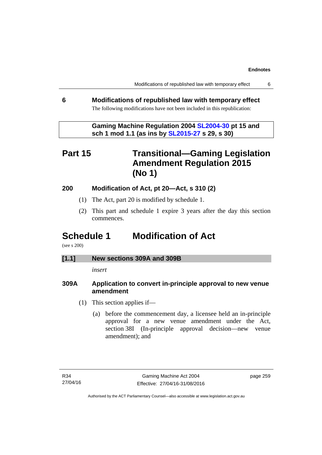Modifications of republished law with temporary effect 6

# **6 Modifications of republished law with temporary effect**  The following modifications have not been included in this republication:

 **Gaming Machine Regulation 2004 [SL2004-30](http://www.legislation.act.gov.au/sl/2004-30/default.asp) pt 15 and sch 1 mod 1.1 (as ins by [SL2015-27](http://www.legislation.act.gov.au/sl/2015-27/default.asp) s 29, s 30)** 

# **Part 15 Transitional—Gaming Legislation Amendment Regulation 2015 (No 1)**

# **200 Modification of Act, pt 20—Act, s 310 (2)**

- (1) The Act, part 20 is modified by schedule 1.
- (2) This part and schedule 1 expire 3 years after the day this section commences.

# **Schedule 1 Modification of Act**

(see s 200)

# **[1.1] New sections 309A and 309B**

*insert* 

# **309A Application to convert in-principle approval to new venue amendment**

- (1) This section applies if—
	- (a) before the commencement day, a licensee held an in-principle approval for a new venue amendment under the Act, section 38I (In-principle approval decision—new venue amendment); and

page 259